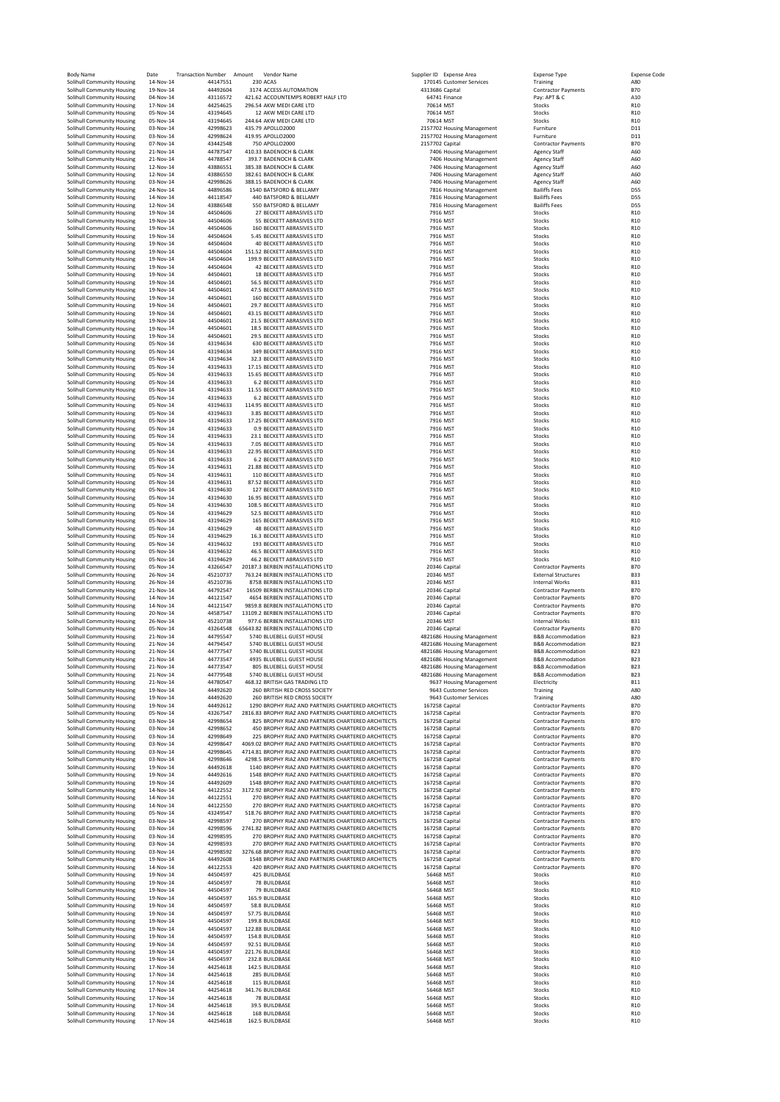| <b>Body Name</b>                                         | Date                   | <b>Transaction Number</b> | Amount<br>Vendor Name                                        |                 | Supplier ID Expense Area         | <b>Expense Type</b>                                      | <b>Expense Code</b>    |
|----------------------------------------------------------|------------------------|---------------------------|--------------------------------------------------------------|-----------------|----------------------------------|----------------------------------------------------------|------------------------|
| Solihull Community Housing                               | 14-Nov-14              | 44147551                  | 230 ACAS                                                     |                 | 170145 Customer Services         | Training                                                 | A80                    |
| Solihull Community Housing                               | 19-Nov-14              | 44492604                  | 3174 ACCESS AUTOMATION                                       | 4313686 Capital |                                  | <b>Contractor Payments</b>                               | <b>B70</b>             |
| Solihull Community Housing                               | 04-Nov-14              | 43116572                  | 421.62 ACCOUNTEMPS ROBERT HALF LTD                           |                 | 64741 Finance                    | Pay: APT & C                                             | A10                    |
| Solihull Community Housing                               | 17-Nov-14              | 44254625                  | 296.54 AKW MEDI CARE LTD                                     | 70614 MST       |                                  | Stocks                                                   | R <sub>10</sub>        |
| Solihull Community Housing                               | 05-Nov-14              | 43194645                  | 12 AKW MEDI CARE LTD                                         | 70614 MST       |                                  | Stocks                                                   | R <sub>10</sub>        |
| Solihull Community Housing                               | 05-Nov-14              | 43194645                  | 244.64 AKW MEDI CARE LTD                                     | 70614 MST       |                                  | Stocks                                                   | R <sub>10</sub>        |
| Solihull Community Housing                               | 03-Nov-14              | 42998623                  | 435.79 APOLLO2000                                            |                 | 2157702 Housing Management       | Furniture                                                | D11                    |
| Solihull Community Housing                               | 03-Nov-14              | 42998624                  | 419.95 APOLLO2000                                            |                 | 2157702 Housing Management       | Furniture                                                | D11                    |
| Solihull Community Housing                               | 07-Nov-14              | 43442548                  | 750 APOLLO2000                                               | 2157702 Capital |                                  | <b>Contractor Payments</b>                               | <b>B70</b>             |
| Solihull Community Housing                               | 21-Nov-14              | 44787547                  | 410.33 BADENOCH & CLARK                                      |                 | 7406 Housing Management          | <b>Agency Staff</b>                                      | A60                    |
| Solihull Community Housing                               | 21-Nov-14              | 44788547                  | 393.7 BADENOCH & CLARK                                       |                 | 7406 Housing Management          | <b>Agency Staff</b>                                      | A60                    |
| Solihull Community Housing                               | 12-Nov-14              | 43886551                  | 385.38 BADENOCH & CLARK                                      |                 | 7406 Housing Management          | <b>Agency Staff</b>                                      | A60                    |
|                                                          |                        |                           |                                                              |                 |                                  |                                                          |                        |
| Solihull Community Housing                               | 12-Nov-14              | 43886550                  | 382.61 BADENOCH & CLARK                                      |                 | 7406 Housing Management          | <b>Agency Staff</b>                                      | A60                    |
| Solihull Community Housing                               | 03-Nov-14              | 42998626                  | 388.15 BADENOCH & CLARK                                      |                 | 7406 Housing Management          | <b>Agency Staff</b>                                      | A60                    |
| Solihull Community Housing                               | 24-Nov-14              | 44896586                  | 1540 BATSFORD & BELLAMY                                      |                 | 7816 Housing Management          | <b>Bailiffs Fees</b>                                     | <b>D55</b>             |
| Solihull Community Housing                               | 14-Nov-14              | 44118547                  | 440 BATSFORD & BELLAMY                                       |                 | 7816 Housing Management          | <b>Bailiffs Fees</b>                                     | <b>D55</b>             |
| Solihull Community Housing                               | 12-Nov-14              | 43886548                  | 550 BATSFORD & BELLAMY                                       |                 | 7816 Housing Management          | <b>Bailiffs Fees</b>                                     | <b>D55</b>             |
| Solihull Community Housing                               | 19-Nov-14              | 44504606                  | 27 BECKETT ABRASIVES LTD                                     |                 | 7916 MST                         | Stocks                                                   | R <sub>10</sub>        |
| Solihull Community Housing                               | 19-Nov-14              | 44504606                  | 55 BECKETT ABRASIVES LTD                                     |                 | 7916 MST                         | Stocks                                                   | R <sub>10</sub>        |
| Solihull Community Housing                               | 19-Nov-14              | 44504606                  | 160 BECKETT ABRASIVES LTD                                    |                 | 7916 MST                         | Stocks                                                   | R <sub>10</sub>        |
| Solihull Community Housing                               | 19-Nov-14              | 44504604                  | 5.45 BECKETT ABRASIVES LTD                                   |                 | 7916 MST                         | Stocks                                                   | R <sub>10</sub>        |
| Solihull Community Housing                               | 19-Nov-14              | 44504604                  | 40 BECKETT ABRASIVES LTD                                     |                 | 7916 MST                         | Stocks                                                   | R <sub>10</sub>        |
| Solihull Community Housing                               | 19-Nov-14              | 44504604                  | 151.52 BECKETT ABRASIVES LTD                                 |                 | 7916 MST                         | Stocks                                                   | R <sub>10</sub>        |
| Solihull Community Housing                               | 19-Nov-14              | 44504604                  | 199.9 BECKETT ABRASIVES LTD                                  |                 | 7916 MST                         | Stocks                                                   | R <sub>10</sub>        |
| Solihull Community Housing                               | 19-Nov-14              | 44504604                  | 42 BECKETT ABRASIVES LTD                                     |                 | 7916 MST                         | Stocks                                                   | R10                    |
| Solihull Community Housing                               | 19-Nov-14              | 44504601                  | 18 BECKETT ABRASIVES LTD                                     |                 | 7916 MST                         | Stocks                                                   | R10                    |
| Solihull Community Housing                               | 19-Nov-14              | 44504601                  | 56.5 BECKETT ABRASIVES LTD                                   |                 | 7916 MST                         | Stocks                                                   | R <sub>10</sub>        |
| Solihull Community Housing                               | 19-Nov-14              | 44504601                  | 47.5 BECKETT ABRASIVES LTD                                   |                 | 7916 MST                         | Stocks                                                   | R <sub>10</sub>        |
| Solihull Community Housing                               | 19-Nov-14              | 44504601                  | 160 BECKETT ABRASIVES LTD                                    |                 | 7916 MST                         | Stocks                                                   | R <sub>10</sub>        |
| Solihull Community Housing                               | 19-Nov-14              | 44504601                  | 29.7 BECKETT ABRASIVES LTD                                   |                 | 7916 MST                         | Stocks                                                   | R <sub>10</sub>        |
| Solihull Community Housing                               | 19-Nov-14              | 44504601                  | 43.15 BECKETT ABRASIVES LTD                                  |                 | 7916 MST                         | Stocks                                                   | R <sub>10</sub>        |
| Solihull Community Housing                               | 19-Nov-14              | 44504601                  | 21.5 BECKETT ABRASIVES LTD                                   |                 | 7916 MST                         | Stocks                                                   | R <sub>10</sub>        |
| Solihull Community Housing                               | 19-Nov-14              | 44504601                  | 18.5 BECKETT ABRASIVES LTD                                   |                 | 7916 MST                         | Stocks                                                   | R <sub>10</sub>        |
| Solihull Community Housing                               | 19-Nov-14              | 44504601                  | 29.5 BECKETT ABRASIVES LTD                                   |                 | 7916 MST                         | Stocks                                                   | R <sub>10</sub>        |
| Solihull Community Housing                               | 05-Nov-14              | 43194634                  | 630 BECKETT ABRASIVES LTD                                    |                 | 7916 MST                         | Stocks                                                   | R <sub>10</sub>        |
| Solihull Community Housing                               | 05-Nov-14              | 43194634                  | 349 BECKETT ABRASIVES LTD                                    |                 | 7916 MST                         | Stocks                                                   | R <sub>10</sub>        |
| Solihull Community Housing                               | 05-Nov-14              | 43194634                  | 32.3 BECKETT ABRASIVES LTD                                   |                 | 7916 MST                         | Stocks                                                   | R <sub>10</sub>        |
| Solihull Community Housing                               | 05-Nov-14              | 43194633                  | 17.15 BECKETT ABRASIVES LTD                                  |                 | 7916 MST                         | Stocks                                                   | R <sub>10</sub>        |
| Solihull Community Housing                               | 05-Nov-14              | 43194633                  | 15.65 BECKETT ABRASIVES LTD                                  |                 | 7916 MST                         | Stocks                                                   | R <sub>10</sub>        |
| Solihull Community Housing                               | 05-Nov-14              | 43194633                  | 6.2 BECKETT ABRASIVES LTD                                    |                 | 7916 MST                         | Stocks                                                   | R <sub>10</sub>        |
| Solihull Community Housing                               | 05-Nov-14              | 43194633                  | 11.55 BECKETT ABRASIVES LTD                                  |                 | 7916 MST                         | Stocks                                                   | R <sub>10</sub>        |
| Solihull Community Housing                               | 05-Nov-14              | 43194633                  | <b>6.2 BECKETT ABRASIVES LTD</b>                             |                 | 7916 MST                         | Stocks                                                   | R10                    |
| Solihull Community Housing                               | 05-Nov-14              | 43194633                  | 114.95 BECKETT ABRASIVES LTD                                 |                 | 7916 MST                         | Stocks                                                   | R <sub>10</sub>        |
| Solihull Community Housing                               | 05-Nov-14              | 43194633                  | 3.85 BECKETT ABRASIVES LTD                                   |                 | 7916 MST                         | Stocks                                                   | R <sub>10</sub>        |
| Solihull Community Housing                               | 05-Nov-14              | 43194633                  | 17.25 BECKETT ABRASIVES LTD                                  |                 | 7916 MST                         | Stocks                                                   | R <sub>10</sub>        |
| Solihull Community Housing                               | 05-Nov-14              | 43194633                  | 0.9 BECKETT ABRASIVES LTD                                    |                 | 7916 MST                         | Stocks                                                   | R <sub>10</sub>        |
| Solihull Community Housing                               | 05-Nov-14              | 43194633                  | 23.1 BECKETT ABRASIVES LTD                                   |                 | 7916 MST                         | Stocks                                                   | R <sub>10</sub>        |
| Solihull Community Housing                               | 05-Nov-14              | 43194633                  | 7.05 BECKETT ABRASIVES LTD                                   |                 | 7916 MST                         | Stocks                                                   | R <sub>10</sub>        |
| Solihull Community Housing                               | 05-Nov-14              | 43194633                  | 22.95 BECKETT ABRASIVES LTD                                  |                 | 7916 MST                         | Stocks                                                   | R10                    |
| Solihull Community Housing                               | 05-Nov-14              | 43194633                  | <b>6.2 BECKETT ABRASIVES LTD</b>                             |                 | 7916 MST                         | Stocks                                                   | R10                    |
| Solihull Community Housing                               | 05-Nov-14              | 43194631                  | 21.88 BECKETT ABRASIVES LTD                                  |                 | 7916 MST                         | Stocks                                                   | R <sub>10</sub>        |
| Solihull Community Housing                               | 05-Nov-14              | 43194631                  | 110 BECKETT ABRASIVES LTD                                    |                 | 7916 MST                         | Stocks                                                   | R <sub>10</sub>        |
| Solihull Community Housing                               | 05-Nov-14              | 43194631                  | 87.52 BECKETT ABRASIVES LTD                                  |                 | 7916 MST                         | Stocks                                                   | R <sub>10</sub>        |
| Solihull Community Housing                               | 05-Nov-14              | 43194630                  | 127 BECKETT ABRASIVES LTD                                    |                 | 7916 MST                         | Stocks                                                   | R <sub>10</sub>        |
| Solihull Community Housing                               | 05-Nov-14              | 43194630                  | 16.95 BECKETT ABRASIVES LTD                                  |                 | 7916 MST                         | Stocks                                                   | R <sub>10</sub>        |
|                                                          |                        |                           |                                                              |                 |                                  |                                                          |                        |
| Solihull Community Housing                               | 05-Nov-14<br>05-Nov-14 | 43194630<br>43194629      | 108.5 BECKETT ABRASIVES LTD<br>52.5 BECKETT ABRASIVES LTD    |                 | 7916 MST<br>7916 MST             | Stocks                                                   | R10<br>R <sub>10</sub> |
| Solihull Community Housing                               |                        |                           |                                                              |                 |                                  | Stocks                                                   |                        |
| Solihull Community Housing                               | 05-Nov-14              | 43194629                  | 165 BECKETT ABRASIVES LTD<br><b>48 BECKETT ABRASIVES LTD</b> |                 | 7916 MST                         | Stocks                                                   | R <sub>10</sub>        |
| Solihull Community Housing                               | 05-Nov-14              | 43194629                  | 16.3 BECKETT ABRASIVES LTD                                   |                 | 7916 MST                         | Stocks                                                   | R <sub>10</sub>        |
| Solihull Community Housing                               | 05-Nov-14              | 43194629                  |                                                              |                 | 7916 MST                         | Stocks                                                   | R <sub>10</sub>        |
| Solihull Community Housing                               | 05-Nov-14              | 43194632                  | 193 BECKETT ABRASIVES LTD                                    |                 | 7916 MST                         | Stocks                                                   | R <sub>10</sub>        |
| Solihull Community Housing                               | 05-Nov-14              | 43194632                  | 46.5 BECKETT ABRASIVES LTD                                   | 7916 MST        |                                  | Stocks                                                   | R <sub>10</sub>        |
| Solihull Community Housing                               | 05-Nov-14              | 43194629                  | 46.2 BECKETT ABRASIVES LTD                                   |                 | 7916 MST                         | Stocks                                                   | R <sub>10</sub>        |
| Solihull Community Housing                               | 05-Nov-14              | 43266547                  | 20187.3 BERBEN INSTALLATIONS LTD                             |                 | 20346 Capital                    | <b>Contractor Payments</b>                               | <b>B70</b>             |
| Solihull Community Housing                               | 26-Nov-14              | 45210737                  | 763.24 BERBEN INSTALLATIONS LTD                              | 20346 MST       |                                  | <b>External Structures</b>                               | <b>B33</b>             |
| Solihull Community Housing                               | 26-Nov-14              | 45210736                  | 8758 BERBEN INSTALLATIONS LTD                                | 20346 MST       |                                  | Internal Works                                           | <b>B31</b>             |
| Solihull Community Housing                               | 21-Nov-14              | 44792547                  | 16509 BERBEN INSTALLATIONS LTD                               |                 | 20346 Capital                    | <b>Contractor Payments</b>                               | <b>B70</b>             |
| Solihull Community Housing                               | 14-Nov-14              | 44121547                  | 4654 BERBEN INSTALLATIONS LTD                                |                 | 20346 Capital                    | <b>Contractor Payments</b>                               | <b>B70</b>             |
| Solihull Community Housing                               | 14-Nov-14              | 44121547                  | 9859.8 BERBEN INSTALLATIONS LTD                              |                 | 20346 Capital                    | <b>Contractor Payments</b>                               | <b>B70</b>             |
| Solihull Community Housing                               | 20-Nov-14              | 44587547                  | 13109.2 BERBEN INSTALLATIONS LTD                             |                 | 20346 Capital                    | <b>Contractor Payments</b>                               | <b>B70</b>             |
| Solihull Community Housing                               | 26-Nov-14              | 45210738                  | 977.6 BERBEN INSTALLATIONS LTD                               | 20346 MST       |                                  | Internal Works                                           | <b>B31</b>             |
| Solihull Community Housing                               | 05-Nov-14              | 43264548                  | 65643.82 BERBEN INSTALLATIONS LTD                            |                 | 20346 Capital                    | <b>Contractor Payments</b>                               | <b>B70</b>             |
| Solihull Community Housing                               | 21-Nov-14              | 44795547                  | 5740 BLUEBELL GUEST HOUSE                                    |                 | 4821686 Housing Management       | B&B Accommodation                                        | <b>B23</b>             |
| Solihull Community Housing                               | 21-Nov-14              | 44794547                  | 5740 BLUEBELL GUEST HOUSE                                    |                 | 4821686 Housing Management       | <b>B&amp;B Accommodation</b>                             | <b>B23</b>             |
| Solihull Community Housing                               | 21-Nov-14              | 44777547                  | 5740 BLUEBELL GUEST HOUSE                                    |                 | 4821686 Housing Management       | <b>B&amp;B Accommodation</b>                             | <b>B23</b>             |
| Solihull Community Housing                               | 21-NOV-14              | 44773547                  | 4935 BLUEBELL GUEST HOUSE                                    |                 | 4821686 Housing Management       | B&B Accommodation                                        | 823                    |
| Solihull Community Housing                               | 21-Nov-14              | 44773547                  | 805 BLUEBELL GUEST HOUSE                                     |                 | 4821686 Housing Management       | <b>B&amp;B Accommodation</b>                             | <b>B23</b>             |
| Solihull Community Housing                               | 21-Nov-14              | 44779548                  | 5740 BLUEBELL GUEST HOUSE                                    |                 | 4821686 Housing Management       | <b>B&amp;B Accommodation</b>                             | <b>B23</b>             |
| Solihull Community Housing                               | 21-Nov-14              | 44780547                  | 468.32 BRITISH GAS TRADING LTD                               |                 | 9637 Housing Management          | Electricity                                              | <b>B11</b>             |
| Solihull Community Housing                               | 19-Nov-14              | 44492620                  | 260 BRITISH RED CROSS SOCIETY                                |                 | 9643 Customer Services           | Training                                                 | A80                    |
| Solihull Community Housing                               | 19-Nov-14              | 44492620                  | 260 BRITISH RED CROSS SOCIETY                                |                 | 9643 Customer Services           | Training                                                 | A80                    |
| Solihull Community Housing                               | 19-Nov-14              | 44492612                  | 1290 BROPHY RIAZ AND PARTNERS CHARTERED ARCHITECTS           |                 | 167258 Capital                   | <b>Contractor Payments</b>                               | <b>B70</b>             |
| Solihull Community Housing                               | 05-Nov-14              | 43267547                  | 2816.83 BROPHY RIAZ AND PARTNERS CHARTERED ARCHITECTS        |                 | 167258 Capital                   | <b>Contractor Payments</b>                               | <b>B70</b>             |
| Solihull Community Housing                               | 03-Nov-14              | 42998654                  | 825 BROPHY RIAZ AND PARTNERS CHARTERED ARCHITECTS            |                 | 167258 Capital                   | <b>Contractor Payments</b>                               | <b>B70</b>             |
| Solihull Community Housing                               | 03-Nov-14              | 42998652                  | 450 BROPHY RIAZ AND PARTNERS CHARTERED ARCHITECTS            |                 | 167258 Capital                   | <b>Contractor Payments</b>                               | <b>B70</b>             |
| Solihull Community Housing                               | 03-Nov-14              | 42998649                  | 225 BROPHY RIAZ AND PARTNERS CHARTERED ARCHITECTS            |                 | 167258 Capital                   | <b>Contractor Payments</b>                               | <b>B70</b>             |
| Solihull Community Housing                               | 03-Nov-14              | 42998647                  | 4069.02 BROPHY RIAZ AND PARTNERS CHARTERED ARCHITECTS        |                 | 167258 Capital                   | <b>Contractor Payments</b>                               | <b>B70</b>             |
| Solihull Community Housing                               | 03-Nov-14              | 42998645                  | 4714.81 BROPHY RIAZ AND PARTNERS CHARTERED ARCHITECTS        |                 | 167258 Capital                   | <b>Contractor Payments</b>                               | <b>B70</b>             |
| Solihull Community Housing                               | 03-Nov-14              | 42998646                  | 4298.5 BROPHY RIAZ AND PARTNERS CHARTERED ARCHITECTS         |                 | 167258 Capital                   | <b>Contractor Payments</b>                               | <b>B70</b>             |
| Solihull Community Housing                               | 19-Nov-14              | 44492618                  | 1140 BROPHY RIAZ AND PARTNERS CHARTERED ARCHITECTS           |                 | 167258 Capital                   | <b>Contractor Payments</b>                               | <b>B70</b>             |
| Solihull Community Housing                               | 19-Nov-14              | 44492616                  | 1548 BROPHY RIAZ AND PARTNERS CHARTERED ARCHITECTS           |                 | 167258 Capital                   | <b>Contractor Payments</b>                               | <b>B70</b>             |
| Solihull Community Housing                               | 19-Nov-14              | 44492609                  | 1548 BROPHY RIAZ AND PARTNERS CHARTERED ARCHITECTS           |                 | 167258 Capital                   | <b>Contractor Payments</b>                               | <b>B70</b>             |
| Solihull Community Housing                               | 14-Nov-14              | 44122552                  | 3172.92 BROPHY RIAZ AND PARTNERS CHARTERED ARCHITECTS        |                 | 167258 Capital                   | <b>Contractor Payments</b>                               | <b>B70</b>             |
| Solihull Community Housing                               | 14-Nov-14              | 44122551                  | 270 BROPHY RIAZ AND PARTNERS CHARTERED ARCHITECTS            |                 | 167258 Capital                   | <b>Contractor Payments</b>                               | <b>B70</b>             |
| Solihull Community Housing                               | 14-Nov-14              | 44122550                  | 270 BROPHY RIAZ AND PARTNERS CHARTERED ARCHITECTS            |                 | 167258 Capital                   | <b>Contractor Payments</b>                               | <b>B70</b>             |
|                                                          | 05-Nov-14              | 43249547                  | 518.76 BROPHY RIAZ AND PARTNERS CHARTERED ARCHITECTS         |                 |                                  |                                                          | <b>B70</b>             |
| Solihull Community Housing<br>Solihull Community Housing | 03-Nov-14              | 42998597                  | 270 BROPHY RIAZ AND PARTNERS CHARTERED ARCHITECTS            |                 | 167258 Capital<br>167258 Capital | <b>Contractor Payments</b><br><b>Contractor Payments</b> | <b>B70</b>             |
| Solihull Community Housing                               | 03-Nov-14              | 42998596                  | 2741.82 BROPHY RIAZ AND PARTNERS CHARTERED ARCHITECTS        |                 | 167258 Capital                   | <b>Contractor Payments</b>                               | <b>B70</b>             |
|                                                          |                        | 42998595                  | 270 BROPHY RIAZ AND PARTNERS CHARTERED ARCHITECTS            |                 |                                  |                                                          | <b>B70</b>             |
| Solihull Community Housing                               | 03-Nov-14<br>03-Nov-14 | 42998593                  | 270 BROPHY RIAZ AND PARTNERS CHARTERED ARCHITECTS            |                 | 167258 Capital                   | <b>Contractor Payments</b>                               | <b>B70</b>             |
| Solihull Community Housing                               |                        |                           |                                                              |                 | 167258 Capital                   | <b>Contractor Payments</b>                               |                        |
| Solihull Community Housing                               | 03-Nov-14              | 42998592                  | 3276.68 BROPHY RIAZ AND PARTNERS CHARTERED ARCHITECTS        |                 | 167258 Capital                   | <b>Contractor Payments</b>                               | <b>B70</b>             |
| Solihull Community Housing                               | 19-Nov-14              | 44492608                  | 1548 BROPHY RIAZ AND PARTNERS CHARTERED ARCHITECTS           |                 | 167258 Capital                   | <b>Contractor Payments</b>                               | <b>B70</b>             |
| Solihull Community Housing                               | 14-Nov-14              | 44122553                  | 420 BROPHY RIAZ AND PARTNERS CHARTERED ARCHITECTS            |                 | 167258 Capital                   | <b>Contractor Payments</b>                               | <b>B70</b>             |
| Solihull Community Housing                               | 19-Nov-14              | 44504597                  | 425 BUILDBASE                                                | 56468 MST       |                                  | Stocks                                                   | R <sub>10</sub>        |
| Solihull Community Housing                               | 19-Nov-14              | 44504597                  | 78 BUILDBASE                                                 | 56468 MST       |                                  | Stocks                                                   | R <sub>10</sub>        |
| Solihull Community Housing                               | 19-Nov-14              | 44504597                  | 79 BUILDBASE                                                 | 56468 MST       |                                  | Stocks                                                   | R <sub>10</sub>        |
| Solihull Community Housing                               | 19-Nov-14              | 44504597                  | 165.9 BUILDBASE                                              | 56468 MST       |                                  | Stocks                                                   | R <sub>10</sub>        |
| Solihull Community Housing                               | 19-Nov-14              | 44504597                  | 58.8 BUILDBASE                                               | 56468 MST       |                                  | Stocks                                                   | R <sub>10</sub>        |
| Solihull Community Housing                               | 19-Nov-14              | 44504597                  | 57.75 BUILDBASE                                              | 56468 MST       |                                  | Stocks                                                   | R <sub>10</sub>        |
| Solihull Community Housing                               | 19-Nov-14              | 44504597                  | 199.8 BUILDBASE                                              | 56468 MST       |                                  | Stocks                                                   | R <sub>10</sub>        |
| Solihull Community Housing                               | 19-Nov-14              | 44504597                  | 122.88 BUILDBASE                                             | 56468 MST       |                                  | Stocks                                                   | R <sub>10</sub>        |
| Solihull Community Housing                               | 19-Nov-14              | 44504597                  | 154.8 BUILDBASE                                              | 56468 MST       |                                  | Stocks                                                   | R <sub>10</sub>        |
| Solihull Community Housing                               | 19-Nov-14              | 44504597                  | 92.51 BUILDBASE                                              | 56468 MST       |                                  | Stocks                                                   | R <sub>10</sub>        |
| Solihull Community Housing                               | 19-Nov-14              | 44504597                  | 221.76 BUILDBASE                                             | 56468 MST       |                                  | Stocks                                                   | R <sub>10</sub>        |
| Solihull Community Housing                               | 19-Nov-14              | 44504597                  | 232.8 BUILDBASE                                              | 56468 MST       |                                  | Stocks                                                   | R <sub>10</sub>        |
| Solihull Community Housing                               | 17-Nov-14              | 44254618                  | 142.5 BUILDBASE                                              | 56468 MST       |                                  | Stocks                                                   | R <sub>10</sub>        |
| Solihull Community Housing                               | 17-Nov-14              | 44254618                  | 285 BUILDBASE                                                | 56468 MST       |                                  | Stocks                                                   | R <sub>10</sub>        |
| Solihull Community Housing                               | 17-Nov-14              | 44254618                  | 115 BUILDBASE                                                | 56468 MST       |                                  | Stocks                                                   | R <sub>10</sub>        |
| Solihull Community Housing                               | 17-Nov-14              | 44254618                  | 341.76 BUILDBASE                                             | 56468 MST       |                                  | Stocks                                                   | R <sub>10</sub>        |
| Solihull Community Housing                               | 17-Nov-14              | 44254618                  | 78 BUILDBASE                                                 | 56468 MST       |                                  | Stocks                                                   | R <sub>10</sub>        |
| Solihull Community Housing                               | 17-Nov-14              | 44254618                  | 39.5 BUILDBASE                                               | 56468 MST       |                                  | Stocks                                                   | R <sub>10</sub>        |
| Solihull Community Housing                               | 17-Nov-14              | 44254618                  | 168 BUILDBASE                                                | 56468 MST       |                                  | Stocks                                                   | R <sub>10</sub>        |
| Solihull Community Housing                               | 17-Nov-14              | 44254618                  | 162.5 BUILDBASE                                              | 56468 MST       |                                  | Stocks                                                   | R <sub>10</sub>        |
|                                                          |                        |                           |                                                              |                 |                                  |                                                          |                        |

| ID    | <b>Expense Area</b>                              |
|-------|--------------------------------------------------|
|       | 145 Customer Services                            |
|       | 686 Capital<br>741 Finance                       |
|       | 614 MST                                          |
|       | 614 MST                                          |
|       | 614 MST<br>702 Housing Management                |
|       | 702 Housing Management                           |
|       | 702 Capital<br>406 Housing Management            |
|       | 406 Housing Management                           |
|       | 406 Housing Management                           |
|       | 406 Housing Management<br>406 Housing Management |
|       | 816 Housing Management                           |
|       | 816 Housing Management<br>816 Housing Management |
|       | 916 MST                                          |
| 916   | <b>MST</b><br>916 MST                            |
|       | 916 MST                                          |
|       | 916 MST<br>916 MST                               |
|       | 916 MST                                          |
|       | 916 MST                                          |
|       | 916 MST<br>916 MST                               |
|       | 916 MST                                          |
|       | 916 MST<br>916 MST                               |
|       | 916 MST                                          |
|       | 916 MST<br>916 MST                               |
|       | 916 MST                                          |
|       | 916 MST                                          |
|       | 916 MST<br>916 MST                               |
|       | 916 MST                                          |
|       | 916 MST<br>916 MST                               |
|       | 916 MST                                          |
|       | 916 MST<br>916 MST                               |
| 916   | <b>MST</b>                                       |
| 916   | 916 MST<br><b>MST</b>                            |
|       | 916 MST                                          |
|       | 916 MST                                          |
|       | 916 MST<br>916 MST                               |
|       | 916 MST                                          |
|       | 916 MST<br>916 MST                               |
|       | 916 MST                                          |
|       | 916 MST<br>916 MST                               |
|       | 916 MST                                          |
|       | 916 MST<br>916 MST                               |
|       | 916 MST                                          |
|       | 916 MST<br>916 MST                               |
|       | 916 MST                                          |
|       | 346 Capital<br>346 MST                           |
|       | 346 MST                                          |
|       | 346 Capital                                      |
|       | 346 Capital<br>346 Capital                       |
|       | 346 Capital                                      |
|       | 346 MST<br>346 Capital                           |
|       | 686 Housing Management                           |
|       | 686 Housing Management<br>686 Housing Management |
|       | 686 Housing Management                           |
|       | 686 Housing Management<br>686 Housing Management |
|       | 637 Housing Management                           |
|       | 643 Customer Services<br>643 Customer Services   |
|       | 258 Capital                                      |
|       | 258 Capital                                      |
|       | 258 Capital<br>258 Capital                       |
|       | 258 Capital                                      |
|       | 258 Capital<br>258 Capital                       |
|       | 258 Capital                                      |
|       | 258 Capital<br>258 Capital                       |
|       | 258 Capital                                      |
|       | 258 Capital<br>258 Capital                       |
|       | 258 Capital                                      |
|       | 258 Capital                                      |
| 258 0 | 258 Capital<br>apital                            |
|       | 258 Capital                                      |
|       | 258 Capital<br>258 Capital                       |
|       | 258 Capital                                      |
|       | 258 Capital<br>468 MST                           |
|       | 468 MST                                          |
|       | 468 MST<br>468 MST                               |
|       | 468 MST                                          |
|       | 468 MST<br>468 MST                               |
|       | 468 MST                                          |
|       | 468 MST                                          |
|       | 468 MST<br>468 MST                               |
|       | 468 MST                                          |
|       | 468 MST<br>468 MST                               |
|       | 468 MST                                          |
| 468   | 468 MST<br><b>MST</b>                            |
|       | 468 MST                                          |
|       | 468 MST                                          |

| e Type<br>g<br>-<br>ctor Payments<br>>T & C                                                                                                                                                                                                      |
|--------------------------------------------------------------------------------------------------------------------------------------------------------------------------------------------------------------------------------------------------|
| ıre<br>ıre<br>ctor Payr<br>nents<br>/<br>Staff<br>/ Staff<br>/ Staff<br>Staff<br>Staff<br>Fees<br>Fees<br>Fees                                                                                                                                   |
|                                                                                                                                                                                                                                                  |
|                                                                                                                                                                                                                                                  |
|                                                                                                                                                                                                                                                  |
| ctor Payments<br>al Structures<br>al Works<br>ctor Payments<br>ctor Payments                                                                                                                                                                     |
| ctor Payments<br>ctor Payments<br>al Works<br>ctor Payments<br>ccommod<br>ati<br>$\sim$<br>ccommodation<br>ccommodation<br>ccommodation<br>ccommodation<br>ccommodation<br>:ity<br>g                                                             |
| ıg<br>ctor Payments<br>ctor Payments<br>ctor Payments<br>ctor Payments<br>ctor Payments<br>ctor Payments<br>ctor Payments<br>ctor Payments<br>ctor Payments<br>ctor Payments<br>ctor Payments<br>ctor Payments<br>ctor Payments<br>ctor Payments |
| ctor Payments<br>ctor Payments<br>ctor Payments<br>ctor Payments<br>ctor Payments<br>ctor<br>Payments<br>ctor<br>Payments<br>ctor Payments                                                                                                       |
|                                                                                                                                                                                                                                                  |
|                                                                                                                                                                                                                                                  |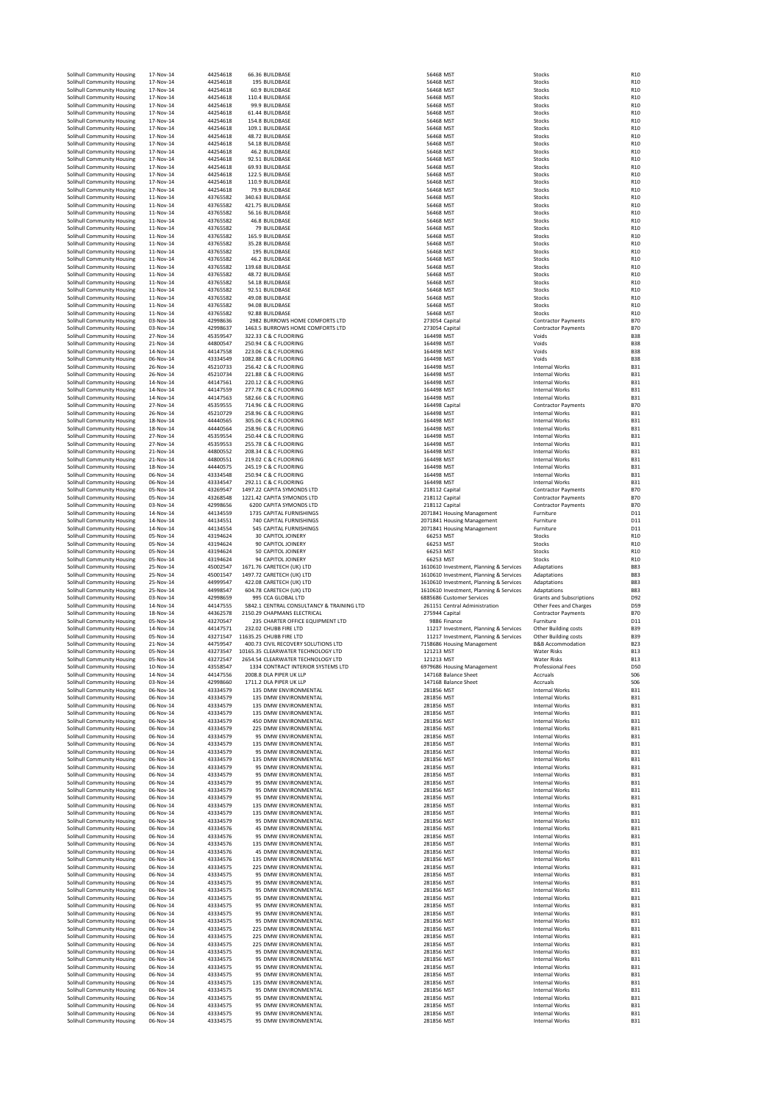|                                                          |                                                                                                                                                                                                                                                                                                                                                                                                                                                                                                                                                                                                                                                                                                                                                                                                                                                                                                                                  |                                                                                                                                                                                                                                                                                                                                                                                                                   |                                                                                                                                                                                                                                                                                                                                                                                                                      |                                                                                                                                                                                                                                                                                                                                                                                                                                                                                                                                                                                                                                                                                                                                                                                       |                                                                                                                                                                                                                                                                                                                                                                                                                                                                                                 | R <sub>10</sub>                                                                                                                                                                                                                                                                                                                                                                                                                                                                                                                                                                                 |
|----------------------------------------------------------|----------------------------------------------------------------------------------------------------------------------------------------------------------------------------------------------------------------------------------------------------------------------------------------------------------------------------------------------------------------------------------------------------------------------------------------------------------------------------------------------------------------------------------------------------------------------------------------------------------------------------------------------------------------------------------------------------------------------------------------------------------------------------------------------------------------------------------------------------------------------------------------------------------------------------------|-------------------------------------------------------------------------------------------------------------------------------------------------------------------------------------------------------------------------------------------------------------------------------------------------------------------------------------------------------------------------------------------------------------------|----------------------------------------------------------------------------------------------------------------------------------------------------------------------------------------------------------------------------------------------------------------------------------------------------------------------------------------------------------------------------------------------------------------------|---------------------------------------------------------------------------------------------------------------------------------------------------------------------------------------------------------------------------------------------------------------------------------------------------------------------------------------------------------------------------------------------------------------------------------------------------------------------------------------------------------------------------------------------------------------------------------------------------------------------------------------------------------------------------------------------------------------------------------------------------------------------------------------|-------------------------------------------------------------------------------------------------------------------------------------------------------------------------------------------------------------------------------------------------------------------------------------------------------------------------------------------------------------------------------------------------------------------------------------------------------------------------------------------------|-------------------------------------------------------------------------------------------------------------------------------------------------------------------------------------------------------------------------------------------------------------------------------------------------------------------------------------------------------------------------------------------------------------------------------------------------------------------------------------------------------------------------------------------------------------------------------------------------|
| Solihull Community Housing                               | 17-Nov-14                                                                                                                                                                                                                                                                                                                                                                                                                                                                                                                                                                                                                                                                                                                                                                                                                                                                                                                        | 44254618                                                                                                                                                                                                                                                                                                                                                                                                          | 195 BUILDBASE                                                                                                                                                                                                                                                                                                                                                                                                        | 56468 MST                                                                                                                                                                                                                                                                                                                                                                                                                                                                                                                                                                                                                                                                                                                                                                             | Stocks                                                                                                                                                                                                                                                                                                                                                                                                                                                                                          | R <sub>10</sub>                                                                                                                                                                                                                                                                                                                                                                                                                                                                                                                                                                                 |
| Solihull Community Housing                               | 17-Nov-14                                                                                                                                                                                                                                                                                                                                                                                                                                                                                                                                                                                                                                                                                                                                                                                                                                                                                                                        | 44254618                                                                                                                                                                                                                                                                                                                                                                                                          | 60.9 BUILDBASE                                                                                                                                                                                                                                                                                                                                                                                                       | 56468 MST                                                                                                                                                                                                                                                                                                                                                                                                                                                                                                                                                                                                                                                                                                                                                                             | Stocks                                                                                                                                                                                                                                                                                                                                                                                                                                                                                          | R <sub>10</sub>                                                                                                                                                                                                                                                                                                                                                                                                                                                                                                                                                                                 |
|                                                          |                                                                                                                                                                                                                                                                                                                                                                                                                                                                                                                                                                                                                                                                                                                                                                                                                                                                                                                                  |                                                                                                                                                                                                                                                                                                                                                                                                                   |                                                                                                                                                                                                                                                                                                                                                                                                                      |                                                                                                                                                                                                                                                                                                                                                                                                                                                                                                                                                                                                                                                                                                                                                                                       |                                                                                                                                                                                                                                                                                                                                                                                                                                                                                                 | R <sub>10</sub>                                                                                                                                                                                                                                                                                                                                                                                                                                                                                                                                                                                 |
|                                                          |                                                                                                                                                                                                                                                                                                                                                                                                                                                                                                                                                                                                                                                                                                                                                                                                                                                                                                                                  |                                                                                                                                                                                                                                                                                                                                                                                                                   |                                                                                                                                                                                                                                                                                                                                                                                                                      |                                                                                                                                                                                                                                                                                                                                                                                                                                                                                                                                                                                                                                                                                                                                                                                       |                                                                                                                                                                                                                                                                                                                                                                                                                                                                                                 | R <sub>10</sub><br>R <sub>10</sub>                                                                                                                                                                                                                                                                                                                                                                                                                                                                                                                                                              |
|                                                          |                                                                                                                                                                                                                                                                                                                                                                                                                                                                                                                                                                                                                                                                                                                                                                                                                                                                                                                                  |                                                                                                                                                                                                                                                                                                                                                                                                                   |                                                                                                                                                                                                                                                                                                                                                                                                                      |                                                                                                                                                                                                                                                                                                                                                                                                                                                                                                                                                                                                                                                                                                                                                                                       |                                                                                                                                                                                                                                                                                                                                                                                                                                                                                                 | R <sub>10</sub>                                                                                                                                                                                                                                                                                                                                                                                                                                                                                                                                                                                 |
|                                                          |                                                                                                                                                                                                                                                                                                                                                                                                                                                                                                                                                                                                                                                                                                                                                                                                                                                                                                                                  |                                                                                                                                                                                                                                                                                                                                                                                                                   |                                                                                                                                                                                                                                                                                                                                                                                                                      |                                                                                                                                                                                                                                                                                                                                                                                                                                                                                                                                                                                                                                                                                                                                                                                       |                                                                                                                                                                                                                                                                                                                                                                                                                                                                                                 | R <sub>10</sub>                                                                                                                                                                                                                                                                                                                                                                                                                                                                                                                                                                                 |
| Solihull Community Housing                               | 17-Nov-14                                                                                                                                                                                                                                                                                                                                                                                                                                                                                                                                                                                                                                                                                                                                                                                                                                                                                                                        | 44254618                                                                                                                                                                                                                                                                                                                                                                                                          | 48.72 BUILDBASE                                                                                                                                                                                                                                                                                                                                                                                                      | 56468 MST                                                                                                                                                                                                                                                                                                                                                                                                                                                                                                                                                                                                                                                                                                                                                                             | Stocks                                                                                                                                                                                                                                                                                                                                                                                                                                                                                          | R <sub>10</sub>                                                                                                                                                                                                                                                                                                                                                                                                                                                                                                                                                                                 |
| Solihull Community Housing                               | 17-Nov-14                                                                                                                                                                                                                                                                                                                                                                                                                                                                                                                                                                                                                                                                                                                                                                                                                                                                                                                        |                                                                                                                                                                                                                                                                                                                                                                                                                   |                                                                                                                                                                                                                                                                                                                                                                                                                      |                                                                                                                                                                                                                                                                                                                                                                                                                                                                                                                                                                                                                                                                                                                                                                                       | Stocks                                                                                                                                                                                                                                                                                                                                                                                                                                                                                          | R <sub>10</sub>                                                                                                                                                                                                                                                                                                                                                                                                                                                                                                                                                                                 |
|                                                          |                                                                                                                                                                                                                                                                                                                                                                                                                                                                                                                                                                                                                                                                                                                                                                                                                                                                                                                                  |                                                                                                                                                                                                                                                                                                                                                                                                                   |                                                                                                                                                                                                                                                                                                                                                                                                                      |                                                                                                                                                                                                                                                                                                                                                                                                                                                                                                                                                                                                                                                                                                                                                                                       |                                                                                                                                                                                                                                                                                                                                                                                                                                                                                                 | R <sub>10</sub>                                                                                                                                                                                                                                                                                                                                                                                                                                                                                                                                                                                 |
|                                                          |                                                                                                                                                                                                                                                                                                                                                                                                                                                                                                                                                                                                                                                                                                                                                                                                                                                                                                                                  |                                                                                                                                                                                                                                                                                                                                                                                                                   |                                                                                                                                                                                                                                                                                                                                                                                                                      |                                                                                                                                                                                                                                                                                                                                                                                                                                                                                                                                                                                                                                                                                                                                                                                       |                                                                                                                                                                                                                                                                                                                                                                                                                                                                                                 | R <sub>10</sub><br>R <sub>10</sub>                                                                                                                                                                                                                                                                                                                                                                                                                                                                                                                                                              |
|                                                          |                                                                                                                                                                                                                                                                                                                                                                                                                                                                                                                                                                                                                                                                                                                                                                                                                                                                                                                                  |                                                                                                                                                                                                                                                                                                                                                                                                                   |                                                                                                                                                                                                                                                                                                                                                                                                                      |                                                                                                                                                                                                                                                                                                                                                                                                                                                                                                                                                                                                                                                                                                                                                                                       |                                                                                                                                                                                                                                                                                                                                                                                                                                                                                                 | R <sub>10</sub>                                                                                                                                                                                                                                                                                                                                                                                                                                                                                                                                                                                 |
| Solihull Community Housing                               | 17-Nov-14                                                                                                                                                                                                                                                                                                                                                                                                                                                                                                                                                                                                                                                                                                                                                                                                                                                                                                                        | 44254618                                                                                                                                                                                                                                                                                                                                                                                                          | 110.9 BUILDBASE                                                                                                                                                                                                                                                                                                                                                                                                      | 56468 MST                                                                                                                                                                                                                                                                                                                                                                                                                                                                                                                                                                                                                                                                                                                                                                             | Stocks                                                                                                                                                                                                                                                                                                                                                                                                                                                                                          | R <sub>10</sub>                                                                                                                                                                                                                                                                                                                                                                                                                                                                                                                                                                                 |
| Solihull Community Housing                               | 17-Nov-14                                                                                                                                                                                                                                                                                                                                                                                                                                                                                                                                                                                                                                                                                                                                                                                                                                                                                                                        | 44254618                                                                                                                                                                                                                                                                                                                                                                                                          | 79.9 BUILDBASE                                                                                                                                                                                                                                                                                                                                                                                                       | 56468 MST                                                                                                                                                                                                                                                                                                                                                                                                                                                                                                                                                                                                                                                                                                                                                                             | Stocks                                                                                                                                                                                                                                                                                                                                                                                                                                                                                          | R <sub>10</sub>                                                                                                                                                                                                                                                                                                                                                                                                                                                                                                                                                                                 |
| Solihull Community Housing                               | 11-Nov-14                                                                                                                                                                                                                                                                                                                                                                                                                                                                                                                                                                                                                                                                                                                                                                                                                                                                                                                        | 43765582                                                                                                                                                                                                                                                                                                                                                                                                          | 340.63 BUILDBASE                                                                                                                                                                                                                                                                                                                                                                                                     | 56468 MST                                                                                                                                                                                                                                                                                                                                                                                                                                                                                                                                                                                                                                                                                                                                                                             | Stocks                                                                                                                                                                                                                                                                                                                                                                                                                                                                                          | R <sub>10</sub>                                                                                                                                                                                                                                                                                                                                                                                                                                                                                                                                                                                 |
| Solihull Community Housing                               |                                                                                                                                                                                                                                                                                                                                                                                                                                                                                                                                                                                                                                                                                                                                                                                                                                                                                                                                  |                                                                                                                                                                                                                                                                                                                                                                                                                   |                                                                                                                                                                                                                                                                                                                                                                                                                      |                                                                                                                                                                                                                                                                                                                                                                                                                                                                                                                                                                                                                                                                                                                                                                                       |                                                                                                                                                                                                                                                                                                                                                                                                                                                                                                 | R <sub>10</sub>                                                                                                                                                                                                                                                                                                                                                                                                                                                                                                                                                                                 |
|                                                          |                                                                                                                                                                                                                                                                                                                                                                                                                                                                                                                                                                                                                                                                                                                                                                                                                                                                                                                                  |                                                                                                                                                                                                                                                                                                                                                                                                                   |                                                                                                                                                                                                                                                                                                                                                                                                                      |                                                                                                                                                                                                                                                                                                                                                                                                                                                                                                                                                                                                                                                                                                                                                                                       |                                                                                                                                                                                                                                                                                                                                                                                                                                                                                                 | R <sub>10</sub><br>R <sub>10</sub>                                                                                                                                                                                                                                                                                                                                                                                                                                                                                                                                                              |
|                                                          |                                                                                                                                                                                                                                                                                                                                                                                                                                                                                                                                                                                                                                                                                                                                                                                                                                                                                                                                  |                                                                                                                                                                                                                                                                                                                                                                                                                   |                                                                                                                                                                                                                                                                                                                                                                                                                      |                                                                                                                                                                                                                                                                                                                                                                                                                                                                                                                                                                                                                                                                                                                                                                                       |                                                                                                                                                                                                                                                                                                                                                                                                                                                                                                 | R <sub>10</sub>                                                                                                                                                                                                                                                                                                                                                                                                                                                                                                                                                                                 |
| Solihull Community Housing                               | 11-Nov-14                                                                                                                                                                                                                                                                                                                                                                                                                                                                                                                                                                                                                                                                                                                                                                                                                                                                                                                        |                                                                                                                                                                                                                                                                                                                                                                                                                   |                                                                                                                                                                                                                                                                                                                                                                                                                      |                                                                                                                                                                                                                                                                                                                                                                                                                                                                                                                                                                                                                                                                                                                                                                                       |                                                                                                                                                                                                                                                                                                                                                                                                                                                                                                 | R <sub>10</sub>                                                                                                                                                                                                                                                                                                                                                                                                                                                                                                                                                                                 |
| Solihull Community Housing                               | 11-Nov-14                                                                                                                                                                                                                                                                                                                                                                                                                                                                                                                                                                                                                                                                                                                                                                                                                                                                                                                        | 43765582                                                                                                                                                                                                                                                                                                                                                                                                          | 35.28 BUILDBASE                                                                                                                                                                                                                                                                                                                                                                                                      | 56468 MST                                                                                                                                                                                                                                                                                                                                                                                                                                                                                                                                                                                                                                                                                                                                                                             | Stocks                                                                                                                                                                                                                                                                                                                                                                                                                                                                                          | R <sub>10</sub>                                                                                                                                                                                                                                                                                                                                                                                                                                                                                                                                                                                 |
| Solihull Community Housing                               | 11-Nov-14                                                                                                                                                                                                                                                                                                                                                                                                                                                                                                                                                                                                                                                                                                                                                                                                                                                                                                                        | 43765582                                                                                                                                                                                                                                                                                                                                                                                                          | 195 BUILDBASE                                                                                                                                                                                                                                                                                                                                                                                                        | 56468 MST                                                                                                                                                                                                                                                                                                                                                                                                                                                                                                                                                                                                                                                                                                                                                                             | Stocks                                                                                                                                                                                                                                                                                                                                                                                                                                                                                          | R <sub>10</sub>                                                                                                                                                                                                                                                                                                                                                                                                                                                                                                                                                                                 |
|                                                          |                                                                                                                                                                                                                                                                                                                                                                                                                                                                                                                                                                                                                                                                                                                                                                                                                                                                                                                                  |                                                                                                                                                                                                                                                                                                                                                                                                                   |                                                                                                                                                                                                                                                                                                                                                                                                                      |                                                                                                                                                                                                                                                                                                                                                                                                                                                                                                                                                                                                                                                                                                                                                                                       |                                                                                                                                                                                                                                                                                                                                                                                                                                                                                                 | R <sub>10</sub>                                                                                                                                                                                                                                                                                                                                                                                                                                                                                                                                                                                 |
|                                                          |                                                                                                                                                                                                                                                                                                                                                                                                                                                                                                                                                                                                                                                                                                                                                                                                                                                                                                                                  |                                                                                                                                                                                                                                                                                                                                                                                                                   |                                                                                                                                                                                                                                                                                                                                                                                                                      |                                                                                                                                                                                                                                                                                                                                                                                                                                                                                                                                                                                                                                                                                                                                                                                       |                                                                                                                                                                                                                                                                                                                                                                                                                                                                                                 | R <sub>10</sub><br>R <sub>10</sub>                                                                                                                                                                                                                                                                                                                                                                                                                                                                                                                                                              |
|                                                          |                                                                                                                                                                                                                                                                                                                                                                                                                                                                                                                                                                                                                                                                                                                                                                                                                                                                                                                                  |                                                                                                                                                                                                                                                                                                                                                                                                                   |                                                                                                                                                                                                                                                                                                                                                                                                                      |                                                                                                                                                                                                                                                                                                                                                                                                                                                                                                                                                                                                                                                                                                                                                                                       |                                                                                                                                                                                                                                                                                                                                                                                                                                                                                                 | R <sub>10</sub>                                                                                                                                                                                                                                                                                                                                                                                                                                                                                                                                                                                 |
| Solihull Community Housing                               | 11-Nov-14                                                                                                                                                                                                                                                                                                                                                                                                                                                                                                                                                                                                                                                                                                                                                                                                                                                                                                                        | 43765582                                                                                                                                                                                                                                                                                                                                                                                                          | 92.51 BUILDBASE                                                                                                                                                                                                                                                                                                                                                                                                      | 56468 MST                                                                                                                                                                                                                                                                                                                                                                                                                                                                                                                                                                                                                                                                                                                                                                             | Stocks                                                                                                                                                                                                                                                                                                                                                                                                                                                                                          | R <sub>10</sub>                                                                                                                                                                                                                                                                                                                                                                                                                                                                                                                                                                                 |
| Solihull Community Housing                               | 11-Nov-14                                                                                                                                                                                                                                                                                                                                                                                                                                                                                                                                                                                                                                                                                                                                                                                                                                                                                                                        | 43765582                                                                                                                                                                                                                                                                                                                                                                                                          | 49.08 BUILDBASE                                                                                                                                                                                                                                                                                                                                                                                                      | 56468 MST                                                                                                                                                                                                                                                                                                                                                                                                                                                                                                                                                                                                                                                                                                                                                                             | Stocks                                                                                                                                                                                                                                                                                                                                                                                                                                                                                          | R <sub>10</sub>                                                                                                                                                                                                                                                                                                                                                                                                                                                                                                                                                                                 |
| Solihull Community Housing                               |                                                                                                                                                                                                                                                                                                                                                                                                                                                                                                                                                                                                                                                                                                                                                                                                                                                                                                                                  |                                                                                                                                                                                                                                                                                                                                                                                                                   |                                                                                                                                                                                                                                                                                                                                                                                                                      |                                                                                                                                                                                                                                                                                                                                                                                                                                                                                                                                                                                                                                                                                                                                                                                       |                                                                                                                                                                                                                                                                                                                                                                                                                                                                                                 | R <sub>10</sub>                                                                                                                                                                                                                                                                                                                                                                                                                                                                                                                                                                                 |
|                                                          |                                                                                                                                                                                                                                                                                                                                                                                                                                                                                                                                                                                                                                                                                                                                                                                                                                                                                                                                  |                                                                                                                                                                                                                                                                                                                                                                                                                   |                                                                                                                                                                                                                                                                                                                                                                                                                      |                                                                                                                                                                                                                                                                                                                                                                                                                                                                                                                                                                                                                                                                                                                                                                                       |                                                                                                                                                                                                                                                                                                                                                                                                                                                                                                 | R <sub>10</sub><br><b>B70</b>                                                                                                                                                                                                                                                                                                                                                                                                                                                                                                                                                                   |
|                                                          |                                                                                                                                                                                                                                                                                                                                                                                                                                                                                                                                                                                                                                                                                                                                                                                                                                                                                                                                  |                                                                                                                                                                                                                                                                                                                                                                                                                   |                                                                                                                                                                                                                                                                                                                                                                                                                      |                                                                                                                                                                                                                                                                                                                                                                                                                                                                                                                                                                                                                                                                                                                                                                                       |                                                                                                                                                                                                                                                                                                                                                                                                                                                                                                 | <b>B70</b>                                                                                                                                                                                                                                                                                                                                                                                                                                                                                                                                                                                      |
| Solihull Community Housing                               | 27-Nov-14                                                                                                                                                                                                                                                                                                                                                                                                                                                                                                                                                                                                                                                                                                                                                                                                                                                                                                                        | 45359547                                                                                                                                                                                                                                                                                                                                                                                                          | 322.33 C & C FLOORING                                                                                                                                                                                                                                                                                                                                                                                                | 164498 MST                                                                                                                                                                                                                                                                                                                                                                                                                                                                                                                                                                                                                                                                                                                                                                            | Voids                                                                                                                                                                                                                                                                                                                                                                                                                                                                                           | <b>B38</b>                                                                                                                                                                                                                                                                                                                                                                                                                                                                                                                                                                                      |
| Solihull Community Housing                               | 21-Nov-14                                                                                                                                                                                                                                                                                                                                                                                                                                                                                                                                                                                                                                                                                                                                                                                                                                                                                                                        | 44800547                                                                                                                                                                                                                                                                                                                                                                                                          | 250.94 C & C FLOORING                                                                                                                                                                                                                                                                                                                                                                                                | 164498 MST                                                                                                                                                                                                                                                                                                                                                                                                                                                                                                                                                                                                                                                                                                                                                                            | Voids                                                                                                                                                                                                                                                                                                                                                                                                                                                                                           | <b>B38</b>                                                                                                                                                                                                                                                                                                                                                                                                                                                                                                                                                                                      |
| Solihull Community Housing                               | 14-Nov-14                                                                                                                                                                                                                                                                                                                                                                                                                                                                                                                                                                                                                                                                                                                                                                                                                                                                                                                        | 44147558                                                                                                                                                                                                                                                                                                                                                                                                          | 223.06 C & C FLOORING                                                                                                                                                                                                                                                                                                                                                                                                | 164498 MST                                                                                                                                                                                                                                                                                                                                                                                                                                                                                                                                                                                                                                                                                                                                                                            | Voids                                                                                                                                                                                                                                                                                                                                                                                                                                                                                           | <b>B38</b>                                                                                                                                                                                                                                                                                                                                                                                                                                                                                                                                                                                      |
|                                                          |                                                                                                                                                                                                                                                                                                                                                                                                                                                                                                                                                                                                                                                                                                                                                                                                                                                                                                                                  |                                                                                                                                                                                                                                                                                                                                                                                                                   |                                                                                                                                                                                                                                                                                                                                                                                                                      |                                                                                                                                                                                                                                                                                                                                                                                                                                                                                                                                                                                                                                                                                                                                                                                       |                                                                                                                                                                                                                                                                                                                                                                                                                                                                                                 | <b>B38</b>                                                                                                                                                                                                                                                                                                                                                                                                                                                                                                                                                                                      |
|                                                          | 26-Nov-14                                                                                                                                                                                                                                                                                                                                                                                                                                                                                                                                                                                                                                                                                                                                                                                                                                                                                                                        |                                                                                                                                                                                                                                                                                                                                                                                                                   |                                                                                                                                                                                                                                                                                                                                                                                                                      |                                                                                                                                                                                                                                                                                                                                                                                                                                                                                                                                                                                                                                                                                                                                                                                       |                                                                                                                                                                                                                                                                                                                                                                                                                                                                                                 | <b>B31</b><br><b>B31</b>                                                                                                                                                                                                                                                                                                                                                                                                                                                                                                                                                                        |
| Solihull Community Housing                               | 14-Nov-14                                                                                                                                                                                                                                                                                                                                                                                                                                                                                                                                                                                                                                                                                                                                                                                                                                                                                                                        | 44147561                                                                                                                                                                                                                                                                                                                                                                                                          | 220.12 C & C FLOORING                                                                                                                                                                                                                                                                                                                                                                                                | 164498 MST                                                                                                                                                                                                                                                                                                                                                                                                                                                                                                                                                                                                                                                                                                                                                                            | <b>Internal Works</b>                                                                                                                                                                                                                                                                                                                                                                                                                                                                           | <b>B31</b>                                                                                                                                                                                                                                                                                                                                                                                                                                                                                                                                                                                      |
| Solihull Community Housing                               | 14-Nov-14                                                                                                                                                                                                                                                                                                                                                                                                                                                                                                                                                                                                                                                                                                                                                                                                                                                                                                                        | 44147559                                                                                                                                                                                                                                                                                                                                                                                                          | 277.78 C & C FLOORING                                                                                                                                                                                                                                                                                                                                                                                                | 164498 MST                                                                                                                                                                                                                                                                                                                                                                                                                                                                                                                                                                                                                                                                                                                                                                            | Internal Works                                                                                                                                                                                                                                                                                                                                                                                                                                                                                  | <b>B31</b>                                                                                                                                                                                                                                                                                                                                                                                                                                                                                                                                                                                      |
| Solihull Community Housing                               | 14-Nov-14                                                                                                                                                                                                                                                                                                                                                                                                                                                                                                                                                                                                                                                                                                                                                                                                                                                                                                                        | 44147563                                                                                                                                                                                                                                                                                                                                                                                                          | 582.66 C & C FLOORING                                                                                                                                                                                                                                                                                                                                                                                                | 164498 MST                                                                                                                                                                                                                                                                                                                                                                                                                                                                                                                                                                                                                                                                                                                                                                            | <b>Internal Works</b>                                                                                                                                                                                                                                                                                                                                                                                                                                                                           | <b>B31</b>                                                                                                                                                                                                                                                                                                                                                                                                                                                                                                                                                                                      |
| Solihull Community Housing                               | 27-Nov-14                                                                                                                                                                                                                                                                                                                                                                                                                                                                                                                                                                                                                                                                                                                                                                                                                                                                                                                        | 45359555                                                                                                                                                                                                                                                                                                                                                                                                          | 714.96 C & C ELOORING                                                                                                                                                                                                                                                                                                                                                                                                | 164498 Capital                                                                                                                                                                                                                                                                                                                                                                                                                                                                                                                                                                                                                                                                                                                                                                        | <b>Contractor Payments</b>                                                                                                                                                                                                                                                                                                                                                                                                                                                                      | <b>B70</b>                                                                                                                                                                                                                                                                                                                                                                                                                                                                                                                                                                                      |
| Solihull Community Housing                               |                                                                                                                                                                                                                                                                                                                                                                                                                                                                                                                                                                                                                                                                                                                                                                                                                                                                                                                                  |                                                                                                                                                                                                                                                                                                                                                                                                                   |                                                                                                                                                                                                                                                                                                                                                                                                                      |                                                                                                                                                                                                                                                                                                                                                                                                                                                                                                                                                                                                                                                                                                                                                                                       |                                                                                                                                                                                                                                                                                                                                                                                                                                                                                                 | <b>B31</b><br><b>B31</b>                                                                                                                                                                                                                                                                                                                                                                                                                                                                                                                                                                        |
|                                                          |                                                                                                                                                                                                                                                                                                                                                                                                                                                                                                                                                                                                                                                                                                                                                                                                                                                                                                                                  |                                                                                                                                                                                                                                                                                                                                                                                                                   |                                                                                                                                                                                                                                                                                                                                                                                                                      |                                                                                                                                                                                                                                                                                                                                                                                                                                                                                                                                                                                                                                                                                                                                                                                       |                                                                                                                                                                                                                                                                                                                                                                                                                                                                                                 | <b>B31</b>                                                                                                                                                                                                                                                                                                                                                                                                                                                                                                                                                                                      |
|                                                          | 27-Nov-14                                                                                                                                                                                                                                                                                                                                                                                                                                                                                                                                                                                                                                                                                                                                                                                                                                                                                                                        | 45359554                                                                                                                                                                                                                                                                                                                                                                                                          | 250.44 C & C FLOORING                                                                                                                                                                                                                                                                                                                                                                                                | 164498 MST                                                                                                                                                                                                                                                                                                                                                                                                                                                                                                                                                                                                                                                                                                                                                                            | Internal Works                                                                                                                                                                                                                                                                                                                                                                                                                                                                                  | <b>B31</b>                                                                                                                                                                                                                                                                                                                                                                                                                                                                                                                                                                                      |
| Solihull Community Housing                               | 27-Nov-14                                                                                                                                                                                                                                                                                                                                                                                                                                                                                                                                                                                                                                                                                                                                                                                                                                                                                                                        | 45359553                                                                                                                                                                                                                                                                                                                                                                                                          | 255.78 C & C FLOORING                                                                                                                                                                                                                                                                                                                                                                                                | 164498 MST                                                                                                                                                                                                                                                                                                                                                                                                                                                                                                                                                                                                                                                                                                                                                                            | Internal Works                                                                                                                                                                                                                                                                                                                                                                                                                                                                                  | <b>B31</b>                                                                                                                                                                                                                                                                                                                                                                                                                                                                                                                                                                                      |
| Solihull Community Housing                               | 21-Nov-14                                                                                                                                                                                                                                                                                                                                                                                                                                                                                                                                                                                                                                                                                                                                                                                                                                                                                                                        | 44800552                                                                                                                                                                                                                                                                                                                                                                                                          | 208.34 C & C FLOORING                                                                                                                                                                                                                                                                                                                                                                                                | 164498 MST                                                                                                                                                                                                                                                                                                                                                                                                                                                                                                                                                                                                                                                                                                                                                                            | <b>Internal Works</b>                                                                                                                                                                                                                                                                                                                                                                                                                                                                           | <b>B31</b>                                                                                                                                                                                                                                                                                                                                                                                                                                                                                                                                                                                      |
|                                                          |                                                                                                                                                                                                                                                                                                                                                                                                                                                                                                                                                                                                                                                                                                                                                                                                                                                                                                                                  |                                                                                                                                                                                                                                                                                                                                                                                                                   |                                                                                                                                                                                                                                                                                                                                                                                                                      |                                                                                                                                                                                                                                                                                                                                                                                                                                                                                                                                                                                                                                                                                                                                                                                       |                                                                                                                                                                                                                                                                                                                                                                                                                                                                                                 | <b>B31</b>                                                                                                                                                                                                                                                                                                                                                                                                                                                                                                                                                                                      |
|                                                          |                                                                                                                                                                                                                                                                                                                                                                                                                                                                                                                                                                                                                                                                                                                                                                                                                                                                                                                                  |                                                                                                                                                                                                                                                                                                                                                                                                                   |                                                                                                                                                                                                                                                                                                                                                                                                                      |                                                                                                                                                                                                                                                                                                                                                                                                                                                                                                                                                                                                                                                                                                                                                                                       |                                                                                                                                                                                                                                                                                                                                                                                                                                                                                                 | <b>B31</b><br><b>B31</b>                                                                                                                                                                                                                                                                                                                                                                                                                                                                                                                                                                        |
|                                                          |                                                                                                                                                                                                                                                                                                                                                                                                                                                                                                                                                                                                                                                                                                                                                                                                                                                                                                                                  |                                                                                                                                                                                                                                                                                                                                                                                                                   |                                                                                                                                                                                                                                                                                                                                                                                                                      |                                                                                                                                                                                                                                                                                                                                                                                                                                                                                                                                                                                                                                                                                                                                                                                       |                                                                                                                                                                                                                                                                                                                                                                                                                                                                                                 | <b>B31</b>                                                                                                                                                                                                                                                                                                                                                                                                                                                                                                                                                                                      |
| Solihull Community Housing                               | 05-Nov-14                                                                                                                                                                                                                                                                                                                                                                                                                                                                                                                                                                                                                                                                                                                                                                                                                                                                                                                        | 43269547                                                                                                                                                                                                                                                                                                                                                                                                          | 1497.22 CAPITA SYMONDS LTD                                                                                                                                                                                                                                                                                                                                                                                           | 218112 Capital                                                                                                                                                                                                                                                                                                                                                                                                                                                                                                                                                                                                                                                                                                                                                                        | <b>Contractor Payments</b>                                                                                                                                                                                                                                                                                                                                                                                                                                                                      | <b>B70</b>                                                                                                                                                                                                                                                                                                                                                                                                                                                                                                                                                                                      |
| Solihull Community Housing                               | 05-Nov-14                                                                                                                                                                                                                                                                                                                                                                                                                                                                                                                                                                                                                                                                                                                                                                                                                                                                                                                        | 43268548                                                                                                                                                                                                                                                                                                                                                                                                          | 1221.42 CAPITA SYMONDS LTD                                                                                                                                                                                                                                                                                                                                                                                           | 218112 Capital                                                                                                                                                                                                                                                                                                                                                                                                                                                                                                                                                                                                                                                                                                                                                                        | <b>Contractor Payments</b>                                                                                                                                                                                                                                                                                                                                                                                                                                                                      | <b>B70</b>                                                                                                                                                                                                                                                                                                                                                                                                                                                                                                                                                                                      |
|                                                          |                                                                                                                                                                                                                                                                                                                                                                                                                                                                                                                                                                                                                                                                                                                                                                                                                                                                                                                                  |                                                                                                                                                                                                                                                                                                                                                                                                                   |                                                                                                                                                                                                                                                                                                                                                                                                                      |                                                                                                                                                                                                                                                                                                                                                                                                                                                                                                                                                                                                                                                                                                                                                                                       |                                                                                                                                                                                                                                                                                                                                                                                                                                                                                                 | <b>B70</b>                                                                                                                                                                                                                                                                                                                                                                                                                                                                                                                                                                                      |
|                                                          |                                                                                                                                                                                                                                                                                                                                                                                                                                                                                                                                                                                                                                                                                                                                                                                                                                                                                                                                  |                                                                                                                                                                                                                                                                                                                                                                                                                   |                                                                                                                                                                                                                                                                                                                                                                                                                      |                                                                                                                                                                                                                                                                                                                                                                                                                                                                                                                                                                                                                                                                                                                                                                                       |                                                                                                                                                                                                                                                                                                                                                                                                                                                                                                 |                                                                                                                                                                                                                                                                                                                                                                                                                                                                                                                                                                                                 |
| Solihull Community Housing                               | 14-Nov-14                                                                                                                                                                                                                                                                                                                                                                                                                                                                                                                                                                                                                                                                                                                                                                                                                                                                                                                        | 44134559                                                                                                                                                                                                                                                                                                                                                                                                          | 1735 CAPITAL FURNISHINGS                                                                                                                                                                                                                                                                                                                                                                                             | 2071841 Housing Management                                                                                                                                                                                                                                                                                                                                                                                                                                                                                                                                                                                                                                                                                                                                                            | Furniture                                                                                                                                                                                                                                                                                                                                                                                                                                                                                       | D11                                                                                                                                                                                                                                                                                                                                                                                                                                                                                                                                                                                             |
| Solihull Community Housing                               | 14-Nov-14                                                                                                                                                                                                                                                                                                                                                                                                                                                                                                                                                                                                                                                                                                                                                                                                                                                                                                                        | 44134551                                                                                                                                                                                                                                                                                                                                                                                                          | 740 CAPITAL FURNISHINGS                                                                                                                                                                                                                                                                                                                                                                                              | 2071841 Housing Management                                                                                                                                                                                                                                                                                                                                                                                                                                                                                                                                                                                                                                                                                                                                                            | Furniture                                                                                                                                                                                                                                                                                                                                                                                                                                                                                       | D11                                                                                                                                                                                                                                                                                                                                                                                                                                                                                                                                                                                             |
| Solihull Community Housing                               | 14-Nov-14<br>05-Nov-14                                                                                                                                                                                                                                                                                                                                                                                                                                                                                                                                                                                                                                                                                                                                                                                                                                                                                                           | 44134554<br>43194624                                                                                                                                                                                                                                                                                                                                                                                              | 545 CAPITAL FURNISHINGS                                                                                                                                                                                                                                                                                                                                                                                              | 2071841 Housing Management<br>66253 MST                                                                                                                                                                                                                                                                                                                                                                                                                                                                                                                                                                                                                                                                                                                                               | Furniture<br>Stocks                                                                                                                                                                                                                                                                                                                                                                                                                                                                             | D11<br>R <sub>10</sub>                                                                                                                                                                                                                                                                                                                                                                                                                                                                                                                                                                          |
| Solihull Community Housing<br>Solihull Community Housing | 05-Nov-14                                                                                                                                                                                                                                                                                                                                                                                                                                                                                                                                                                                                                                                                                                                                                                                                                                                                                                                        | 43194624                                                                                                                                                                                                                                                                                                                                                                                                          | 30 CAPITOL JOINERY<br>90 CAPITOL JOINERY                                                                                                                                                                                                                                                                                                                                                                             | 66253 MST                                                                                                                                                                                                                                                                                                                                                                                                                                                                                                                                                                                                                                                                                                                                                                             | Stocks                                                                                                                                                                                                                                                                                                                                                                                                                                                                                          | R <sub>10</sub>                                                                                                                                                                                                                                                                                                                                                                                                                                                                                                                                                                                 |
| Solihull Community Housing                               | 05-Nov-14                                                                                                                                                                                                                                                                                                                                                                                                                                                                                                                                                                                                                                                                                                                                                                                                                                                                                                                        | 43194624                                                                                                                                                                                                                                                                                                                                                                                                          | 50 CAPITOL JOINERY                                                                                                                                                                                                                                                                                                                                                                                                   | 66253 MST                                                                                                                                                                                                                                                                                                                                                                                                                                                                                                                                                                                                                                                                                                                                                                             | Stocks                                                                                                                                                                                                                                                                                                                                                                                                                                                                                          | R <sub>10</sub>                                                                                                                                                                                                                                                                                                                                                                                                                                                                                                                                                                                 |
| Solihull Community Housing                               | 05-Nov-14                                                                                                                                                                                                                                                                                                                                                                                                                                                                                                                                                                                                                                                                                                                                                                                                                                                                                                                        | 43194624                                                                                                                                                                                                                                                                                                                                                                                                          | 94 CAPITOL JOINERY                                                                                                                                                                                                                                                                                                                                                                                                   | 66253 MST                                                                                                                                                                                                                                                                                                                                                                                                                                                                                                                                                                                                                                                                                                                                                                             | Stocks                                                                                                                                                                                                                                                                                                                                                                                                                                                                                          | R <sub>10</sub>                                                                                                                                                                                                                                                                                                                                                                                                                                                                                                                                                                                 |
| Solihull Community Housing                               | 25-Nov-14                                                                                                                                                                                                                                                                                                                                                                                                                                                                                                                                                                                                                                                                                                                                                                                                                                                                                                                        | 45002547                                                                                                                                                                                                                                                                                                                                                                                                          | 1671.76 CARETECH (UK) LTD                                                                                                                                                                                                                                                                                                                                                                                            | 1610610 Investment, Planning & Services                                                                                                                                                                                                                                                                                                                                                                                                                                                                                                                                                                                                                                                                                                                                               | Adaptations                                                                                                                                                                                                                                                                                                                                                                                                                                                                                     | <b>B83</b>                                                                                                                                                                                                                                                                                                                                                                                                                                                                                                                                                                                      |
| Solihull Community Housing                               | 25-Nov-14                                                                                                                                                                                                                                                                                                                                                                                                                                                                                                                                                                                                                                                                                                                                                                                                                                                                                                                        | 45001547                                                                                                                                                                                                                                                                                                                                                                                                          | 1497.72 CARETECH (UK) LTD                                                                                                                                                                                                                                                                                                                                                                                            | 1610610 Investment, Planning & Services                                                                                                                                                                                                                                                                                                                                                                                                                                                                                                                                                                                                                                                                                                                                               | Adaptations                                                                                                                                                                                                                                                                                                                                                                                                                                                                                     | <b>B83</b>                                                                                                                                                                                                                                                                                                                                                                                                                                                                                                                                                                                      |
| Solihull Community Housing                               | 25-Nov-14                                                                                                                                                                                                                                                                                                                                                                                                                                                                                                                                                                                                                                                                                                                                                                                                                                                                                                                        | 44999547                                                                                                                                                                                                                                                                                                                                                                                                          | 422.08 CARETECH (UK) LTD                                                                                                                                                                                                                                                                                                                                                                                             | 1610610 Investment, Planning & Services                                                                                                                                                                                                                                                                                                                                                                                                                                                                                                                                                                                                                                                                                                                                               | Adaptations                                                                                                                                                                                                                                                                                                                                                                                                                                                                                     | <b>B83</b><br><b>B83</b>                                                                                                                                                                                                                                                                                                                                                                                                                                                                                                                                                                        |
| Solihull Community Housing<br>Solihull Community Housing | 25-Nov-14<br>03-Nov-14                                                                                                                                                                                                                                                                                                                                                                                                                                                                                                                                                                                                                                                                                                                                                                                                                                                                                                           | 44998547<br>42998659                                                                                                                                                                                                                                                                                                                                                                                              | 604.78 CARETECH (UK) LTD<br>995 CCA GLOBAL LTD                                                                                                                                                                                                                                                                                                                                                                       | 1610610 Investment, Planning & Services<br>6885686 Customer Services                                                                                                                                                                                                                                                                                                                                                                                                                                                                                                                                                                                                                                                                                                                  | Adaptations<br><b>Grants and Subscriptions</b>                                                                                                                                                                                                                                                                                                                                                                                                                                                  | D92                                                                                                                                                                                                                                                                                                                                                                                                                                                                                                                                                                                             |
| Solihull Community Housing                               | 14-Nov-14                                                                                                                                                                                                                                                                                                                                                                                                                                                                                                                                                                                                                                                                                                                                                                                                                                                                                                                        | 44147555                                                                                                                                                                                                                                                                                                                                                                                                          | 5842.1 CENTRAL CONSULTANCY & TRAINING LTD                                                                                                                                                                                                                                                                                                                                                                            | 261151 Central Administration                                                                                                                                                                                                                                                                                                                                                                                                                                                                                                                                                                                                                                                                                                                                                         | Other Fees and Charges                                                                                                                                                                                                                                                                                                                                                                                                                                                                          | D <sub>59</sub>                                                                                                                                                                                                                                                                                                                                                                                                                                                                                                                                                                                 |
| Solihull Community Housing                               | 18-Nov-14                                                                                                                                                                                                                                                                                                                                                                                                                                                                                                                                                                                                                                                                                                                                                                                                                                                                                                                        | 44362578                                                                                                                                                                                                                                                                                                                                                                                                          | 2150.29 CHAPMANS ELECTRICAL                                                                                                                                                                                                                                                                                                                                                                                          | 275944 Capital                                                                                                                                                                                                                                                                                                                                                                                                                                                                                                                                                                                                                                                                                                                                                                        | <b>Contractor Payments</b>                                                                                                                                                                                                                                                                                                                                                                                                                                                                      | <b>B70</b>                                                                                                                                                                                                                                                                                                                                                                                                                                                                                                                                                                                      |
| Solihull Community Housing                               | 05-Nov-14                                                                                                                                                                                                                                                                                                                                                                                                                                                                                                                                                                                                                                                                                                                                                                                                                                                                                                                        | 43270547                                                                                                                                                                                                                                                                                                                                                                                                          | 235 CHARTER OFFICE EQUIPMENT LTD                                                                                                                                                                                                                                                                                                                                                                                     | 9886 Finance                                                                                                                                                                                                                                                                                                                                                                                                                                                                                                                                                                                                                                                                                                                                                                          | Furniture                                                                                                                                                                                                                                                                                                                                                                                                                                                                                       | D11                                                                                                                                                                                                                                                                                                                                                                                                                                                                                                                                                                                             |
| Solihull Community Housing                               | 14-Nov-14<br>05-Nov-14                                                                                                                                                                                                                                                                                                                                                                                                                                                                                                                                                                                                                                                                                                                                                                                                                                                                                                           | 44147571<br>43271547                                                                                                                                                                                                                                                                                                                                                                                              | 232.02 CHUBB FIRE LTD<br>11635.25 CHUBB FIRE LTD                                                                                                                                                                                                                                                                                                                                                                     | 11217 Investment, Planning & Services                                                                                                                                                                                                                                                                                                                                                                                                                                                                                                                                                                                                                                                                                                                                                 | Other Building costs                                                                                                                                                                                                                                                                                                                                                                                                                                                                            | <b>B39</b><br><b>B39</b>                                                                                                                                                                                                                                                                                                                                                                                                                                                                                                                                                                        |
| Solihull Community Housing<br>Solihull Community Housing | 21-Nov-14                                                                                                                                                                                                                                                                                                                                                                                                                                                                                                                                                                                                                                                                                                                                                                                                                                                                                                                        | 44759547                                                                                                                                                                                                                                                                                                                                                                                                          | 400.73 CIVIL RECOVERY SOLUTIONS LTD                                                                                                                                                                                                                                                                                                                                                                                  | 11217 Investment, Planning & Services<br>7158686 Housing Management                                                                                                                                                                                                                                                                                                                                                                                                                                                                                                                                                                                                                                                                                                                   | Other Building costs<br><b>B&amp;B Accommodation</b>                                                                                                                                                                                                                                                                                                                                                                                                                                            | <b>B23</b>                                                                                                                                                                                                                                                                                                                                                                                                                                                                                                                                                                                      |
| Solihull Community Housing                               | 05-Nov-14                                                                                                                                                                                                                                                                                                                                                                                                                                                                                                                                                                                                                                                                                                                                                                                                                                                                                                                        | 43273547                                                                                                                                                                                                                                                                                                                                                                                                          | 10165.35 CLEARWATER TECHNOLOGY LTD                                                                                                                                                                                                                                                                                                                                                                                   | 121213 MST                                                                                                                                                                                                                                                                                                                                                                                                                                                                                                                                                                                                                                                                                                                                                                            | <b>Water Risks</b>                                                                                                                                                                                                                                                                                                                                                                                                                                                                              | <b>B13</b>                                                                                                                                                                                                                                                                                                                                                                                                                                                                                                                                                                                      |
| Solihull Community Housing                               | $05 - N$ ov-14                                                                                                                                                                                                                                                                                                                                                                                                                                                                                                                                                                                                                                                                                                                                                                                                                                                                                                                   | 43272547                                                                                                                                                                                                                                                                                                                                                                                                          | 2654.54 CLEARWATER TECHNOLOGY LTD                                                                                                                                                                                                                                                                                                                                                                                    | 121213 MST                                                                                                                                                                                                                                                                                                                                                                                                                                                                                                                                                                                                                                                                                                                                                                            | <b>Water Risks</b>                                                                                                                                                                                                                                                                                                                                                                                                                                                                              | <b>B13</b>                                                                                                                                                                                                                                                                                                                                                                                                                                                                                                                                                                                      |
| Solihull Community Housing                               | 10-Nov-14                                                                                                                                                                                                                                                                                                                                                                                                                                                                                                                                                                                                                                                                                                                                                                                                                                                                                                                        | 43558547                                                                                                                                                                                                                                                                                                                                                                                                          | 1334 CONTRACT INTERIOR SYSTEMS LTD                                                                                                                                                                                                                                                                                                                                                                                   | 6979686 Housing Management                                                                                                                                                                                                                                                                                                                                                                                                                                                                                                                                                                                                                                                                                                                                                            | <b>Professional Fees</b><br>Accruals                                                                                                                                                                                                                                                                                                                                                                                                                                                            | D <sub>5</sub> C                                                                                                                                                                                                                                                                                                                                                                                                                                                                                                                                                                                |
| Solihull Community Housing<br>Solihull Community Housing | 14-Nov-14<br>03-Nov-14                                                                                                                                                                                                                                                                                                                                                                                                                                                                                                                                                                                                                                                                                                                                                                                                                                                                                                           | 44147556<br>42998660                                                                                                                                                                                                                                                                                                                                                                                              | 2008.8 DLA PIPER UK LLP<br>1711.2 DLA PIPER UK LLP                                                                                                                                                                                                                                                                                                                                                                   | 147168 Balance Sheet<br>147168 Balance Sheet                                                                                                                                                                                                                                                                                                                                                                                                                                                                                                                                                                                                                                                                                                                                          | Accruals                                                                                                                                                                                                                                                                                                                                                                                                                                                                                        | S06<br>S06                                                                                                                                                                                                                                                                                                                                                                                                                                                                                                                                                                                      |
| Solihull Community Housing                               | 06-Nov-14                                                                                                                                                                                                                                                                                                                                                                                                                                                                                                                                                                                                                                                                                                                                                                                                                                                                                                                        | 43334579                                                                                                                                                                                                                                                                                                                                                                                                          | 135 DMW ENVIRONMENTAL                                                                                                                                                                                                                                                                                                                                                                                                | 281856 MST                                                                                                                                                                                                                                                                                                                                                                                                                                                                                                                                                                                                                                                                                                                                                                            | <b>Internal Works</b>                                                                                                                                                                                                                                                                                                                                                                                                                                                                           | <b>B31</b>                                                                                                                                                                                                                                                                                                                                                                                                                                                                                                                                                                                      |
| Solihull Community Housing                               | 06-Nov-14                                                                                                                                                                                                                                                                                                                                                                                                                                                                                                                                                                                                                                                                                                                                                                                                                                                                                                                        | 43334579                                                                                                                                                                                                                                                                                                                                                                                                          | 135 DMW ENVIRONMENTAL                                                                                                                                                                                                                                                                                                                                                                                                | 281856 MST                                                                                                                                                                                                                                                                                                                                                                                                                                                                                                                                                                                                                                                                                                                                                                            | Internal Works                                                                                                                                                                                                                                                                                                                                                                                                                                                                                  | <b>B31</b>                                                                                                                                                                                                                                                                                                                                                                                                                                                                                                                                                                                      |
| Solihull Community Housing                               | 06-Nov-14                                                                                                                                                                                                                                                                                                                                                                                                                                                                                                                                                                                                                                                                                                                                                                                                                                                                                                                        | 43334579                                                                                                                                                                                                                                                                                                                                                                                                          | 135 DMW ENVIRONMENTAL                                                                                                                                                                                                                                                                                                                                                                                                | 281856 MST                                                                                                                                                                                                                                                                                                                                                                                                                                                                                                                                                                                                                                                                                                                                                                            | Internal Works                                                                                                                                                                                                                                                                                                                                                                                                                                                                                  | <b>B31</b>                                                                                                                                                                                                                                                                                                                                                                                                                                                                                                                                                                                      |
| Solihull Community Housing                               | 06-Nov-14                                                                                                                                                                                                                                                                                                                                                                                                                                                                                                                                                                                                                                                                                                                                                                                                                                                                                                                        | 43334579                                                                                                                                                                                                                                                                                                                                                                                                          | 135 DMW ENVIRONMENTAL                                                                                                                                                                                                                                                                                                                                                                                                | 281856 MST                                                                                                                                                                                                                                                                                                                                                                                                                                                                                                                                                                                                                                                                                                                                                                            | Internal Works                                                                                                                                                                                                                                                                                                                                                                                                                                                                                  | <b>B31</b>                                                                                                                                                                                                                                                                                                                                                                                                                                                                                                                                                                                      |
| Solihull Community Housing<br>Solihull Community Housing | 06-Nov-14<br>06-Nov-14                                                                                                                                                                                                                                                                                                                                                                                                                                                                                                                                                                                                                                                                                                                                                                                                                                                                                                           | 43334579<br>43334579                                                                                                                                                                                                                                                                                                                                                                                              | 450 DMW ENVIRONMENTAL<br>225 DMW ENVIRONMENTAL                                                                                                                                                                                                                                                                                                                                                                       | 281856 MST<br>281856 MST                                                                                                                                                                                                                                                                                                                                                                                                                                                                                                                                                                                                                                                                                                                                                              | <b>Internal Works</b><br><b>Internal Works</b>                                                                                                                                                                                                                                                                                                                                                                                                                                                  | <b>B31</b><br><b>B31</b>                                                                                                                                                                                                                                                                                                                                                                                                                                                                                                                                                                        |
| Solihull Community Housing                               | 06-Nov-14                                                                                                                                                                                                                                                                                                                                                                                                                                                                                                                                                                                                                                                                                                                                                                                                                                                                                                                        | 43334579                                                                                                                                                                                                                                                                                                                                                                                                          | 95 DMW ENVIRONMENTAL                                                                                                                                                                                                                                                                                                                                                                                                 | 281856 MST                                                                                                                                                                                                                                                                                                                                                                                                                                                                                                                                                                                                                                                                                                                                                                            | <b>Internal Works</b>                                                                                                                                                                                                                                                                                                                                                                                                                                                                           | <b>B31</b>                                                                                                                                                                                                                                                                                                                                                                                                                                                                                                                                                                                      |
| Solihull Community Housing                               | 06-Nov-14                                                                                                                                                                                                                                                                                                                                                                                                                                                                                                                                                                                                                                                                                                                                                                                                                                                                                                                        | 43334579                                                                                                                                                                                                                                                                                                                                                                                                          | 135 DMW ENVIRONMENTAL                                                                                                                                                                                                                                                                                                                                                                                                | 281856 MST                                                                                                                                                                                                                                                                                                                                                                                                                                                                                                                                                                                                                                                                                                                                                                            | <b>Internal Works</b>                                                                                                                                                                                                                                                                                                                                                                                                                                                                           | <b>B31</b>                                                                                                                                                                                                                                                                                                                                                                                                                                                                                                                                                                                      |
| Solihull Community Housing                               | 06-Nov-14<br>06-Nov-14                                                                                                                                                                                                                                                                                                                                                                                                                                                                                                                                                                                                                                                                                                                                                                                                                                                                                                           | 43334579<br>43334579                                                                                                                                                                                                                                                                                                                                                                                              | 95 DMW ENVIRONMENTAL<br>135 DMW ENVIRONMENTAL                                                                                                                                                                                                                                                                                                                                                                        | 281856 MST<br>281856 MST                                                                                                                                                                                                                                                                                                                                                                                                                                                                                                                                                                                                                                                                                                                                                              | <b>Internal Works</b><br><b>Internal Works</b>                                                                                                                                                                                                                                                                                                                                                                                                                                                  | <b>B31</b><br><b>B31</b>                                                                                                                                                                                                                                                                                                                                                                                                                                                                                                                                                                        |
| Solihull Community Housing<br>Solihull Community Housing | $06-Nov-14$                                                                                                                                                                                                                                                                                                                                                                                                                                                                                                                                                                                                                                                                                                                                                                                                                                                                                                                      | 43334579                                                                                                                                                                                                                                                                                                                                                                                                          | 95 DMW ENVIRONMENTAL                                                                                                                                                                                                                                                                                                                                                                                                 | 281856 MST                                                                                                                                                                                                                                                                                                                                                                                                                                                                                                                                                                                                                                                                                                                                                                            | <b>Internal Works</b>                                                                                                                                                                                                                                                                                                                                                                                                                                                                           | <b>B31</b>                                                                                                                                                                                                                                                                                                                                                                                                                                                                                                                                                                                      |
| Solihull Community Housing                               | 06-Nov-14                                                                                                                                                                                                                                                                                                                                                                                                                                                                                                                                                                                                                                                                                                                                                                                                                                                                                                                        | 43334579                                                                                                                                                                                                                                                                                                                                                                                                          | 95 DMW ENVIRONMENTAL                                                                                                                                                                                                                                                                                                                                                                                                 | 281856 MST                                                                                                                                                                                                                                                                                                                                                                                                                                                                                                                                                                                                                                                                                                                                                                            | <b>Internal Works</b>                                                                                                                                                                                                                                                                                                                                                                                                                                                                           | <b>B31</b>                                                                                                                                                                                                                                                                                                                                                                                                                                                                                                                                                                                      |
| Solihull Community Housing                               | 06-Nov-14                                                                                                                                                                                                                                                                                                                                                                                                                                                                                                                                                                                                                                                                                                                                                                                                                                                                                                                        | 43334579                                                                                                                                                                                                                                                                                                                                                                                                          | 95 DMW ENVIRONMENTAL                                                                                                                                                                                                                                                                                                                                                                                                 | 281856 MST                                                                                                                                                                                                                                                                                                                                                                                                                                                                                                                                                                                                                                                                                                                                                                            | Internal Works                                                                                                                                                                                                                                                                                                                                                                                                                                                                                  | <b>B31</b>                                                                                                                                                                                                                                                                                                                                                                                                                                                                                                                                                                                      |
| Solihull Community Housing                               | 06-Nov-14                                                                                                                                                                                                                                                                                                                                                                                                                                                                                                                                                                                                                                                                                                                                                                                                                                                                                                                        | 43334579                                                                                                                                                                                                                                                                                                                                                                                                          | 95 DMW ENVIRONMENTAL                                                                                                                                                                                                                                                                                                                                                                                                 | 281856 MST                                                                                                                                                                                                                                                                                                                                                                                                                                                                                                                                                                                                                                                                                                                                                                            | Internal Works                                                                                                                                                                                                                                                                                                                                                                                                                                                                                  | <b>B31</b>                                                                                                                                                                                                                                                                                                                                                                                                                                                                                                                                                                                      |
| Solihull Community Housing                               | 06-Nov-14                                                                                                                                                                                                                                                                                                                                                                                                                                                                                                                                                                                                                                                                                                                                                                                                                                                                                                                        | 43334579                                                                                                                                                                                                                                                                                                                                                                                                          | 95 DMW FNVIRONMENTAL                                                                                                                                                                                                                                                                                                                                                                                                 | 281856 MST<br>281856 MST                                                                                                                                                                                                                                                                                                                                                                                                                                                                                                                                                                                                                                                                                                                                                              | <b>Internal Works</b>                                                                                                                                                                                                                                                                                                                                                                                                                                                                           | <b>B31</b>                                                                                                                                                                                                                                                                                                                                                                                                                                                                                                                                                                                      |
| Solihull Community Housing<br>Solihull Community Housing | 06-Nov-14<br>06-Nov-14                                                                                                                                                                                                                                                                                                                                                                                                                                                                                                                                                                                                                                                                                                                                                                                                                                                                                                           | 43334579<br>43334579                                                                                                                                                                                                                                                                                                                                                                                              | 135 DMW ENVIRONMENTAL<br>135 DMW ENVIRONMENTAL                                                                                                                                                                                                                                                                                                                                                                       | 281856 MST                                                                                                                                                                                                                                                                                                                                                                                                                                                                                                                                                                                                                                                                                                                                                                            | Internal Works<br>Internal Works                                                                                                                                                                                                                                                                                                                                                                                                                                                                | <b>B31</b><br><b>B31</b>                                                                                                                                                                                                                                                                                                                                                                                                                                                                                                                                                                        |
| Solihull Community Housing                               | 06-Nov-14                                                                                                                                                                                                                                                                                                                                                                                                                                                                                                                                                                                                                                                                                                                                                                                                                                                                                                                        | 43334579                                                                                                                                                                                                                                                                                                                                                                                                          | 95 DMW ENVIRONMENTAL                                                                                                                                                                                                                                                                                                                                                                                                 | 281856 MST                                                                                                                                                                                                                                                                                                                                                                                                                                                                                                                                                                                                                                                                                                                                                                            | Internal Works                                                                                                                                                                                                                                                                                                                                                                                                                                                                                  | <b>B31</b>                                                                                                                                                                                                                                                                                                                                                                                                                                                                                                                                                                                      |
| Solihull Community Housing                               | 06-Nov-14                                                                                                                                                                                                                                                                                                                                                                                                                                                                                                                                                                                                                                                                                                                                                                                                                                                                                                                        | 43334576                                                                                                                                                                                                                                                                                                                                                                                                          | 45 DMW ENVIRONMENTAL                                                                                                                                                                                                                                                                                                                                                                                                 | 281856 MST                                                                                                                                                                                                                                                                                                                                                                                                                                                                                                                                                                                                                                                                                                                                                                            | Internal Works                                                                                                                                                                                                                                                                                                                                                                                                                                                                                  | <b>B31</b>                                                                                                                                                                                                                                                                                                                                                                                                                                                                                                                                                                                      |
| Solihull Community Housing                               | 06-Nov-14                                                                                                                                                                                                                                                                                                                                                                                                                                                                                                                                                                                                                                                                                                                                                                                                                                                                                                                        | 43334576                                                                                                                                                                                                                                                                                                                                                                                                          | 95 DMW ENVIRONMENTAL                                                                                                                                                                                                                                                                                                                                                                                                 | 281856 MST                                                                                                                                                                                                                                                                                                                                                                                                                                                                                                                                                                                                                                                                                                                                                                            | <b>Internal Works</b>                                                                                                                                                                                                                                                                                                                                                                                                                                                                           | <b>B31</b>                                                                                                                                                                                                                                                                                                                                                                                                                                                                                                                                                                                      |
| Solihull Community Housing                               | 06-Nov-14<br>06-Nov-14                                                                                                                                                                                                                                                                                                                                                                                                                                                                                                                                                                                                                                                                                                                                                                                                                                                                                                           | 43334576<br>43334576                                                                                                                                                                                                                                                                                                                                                                                              | 135 DMW ENVIRONMENTAL<br>45 DMW ENVIRONMENTAL                                                                                                                                                                                                                                                                                                                                                                        | 281856 MST                                                                                                                                                                                                                                                                                                                                                                                                                                                                                                                                                                                                                                                                                                                                                                            | Internal Works<br><b>Internal Works</b>                                                                                                                                                                                                                                                                                                                                                                                                                                                         | <b>B31</b><br><b>B31</b>                                                                                                                                                                                                                                                                                                                                                                                                                                                                                                                                                                        |
| Solihull Community Housing<br>Solihull Community Housing | 06-Nov-14                                                                                                                                                                                                                                                                                                                                                                                                                                                                                                                                                                                                                                                                                                                                                                                                                                                                                                                        | 43334576                                                                                                                                                                                                                                                                                                                                                                                                          | 135 DMW ENVIRONMENTAL                                                                                                                                                                                                                                                                                                                                                                                                | 281856 MST<br>281856 MST                                                                                                                                                                                                                                                                                                                                                                                                                                                                                                                                                                                                                                                                                                                                                              | <b>Internal Works</b>                                                                                                                                                                                                                                                                                                                                                                                                                                                                           | <b>B31</b>                                                                                                                                                                                                                                                                                                                                                                                                                                                                                                                                                                                      |
| Solihull Community Housing                               | 06-Nov-14                                                                                                                                                                                                                                                                                                                                                                                                                                                                                                                                                                                                                                                                                                                                                                                                                                                                                                                        | 43334575                                                                                                                                                                                                                                                                                                                                                                                                          | 225 DMW ENVIRONMENTAL                                                                                                                                                                                                                                                                                                                                                                                                | 281856 MST                                                                                                                                                                                                                                                                                                                                                                                                                                                                                                                                                                                                                                                                                                                                                                            | <b>Internal Works</b>                                                                                                                                                                                                                                                                                                                                                                                                                                                                           | <b>B31</b>                                                                                                                                                                                                                                                                                                                                                                                                                                                                                                                                                                                      |
| Solihull Community Housing                               | 06-Nov-14                                                                                                                                                                                                                                                                                                                                                                                                                                                                                                                                                                                                                                                                                                                                                                                                                                                                                                                        | 43334575                                                                                                                                                                                                                                                                                                                                                                                                          | 95 DMW ENVIRONMENTAL                                                                                                                                                                                                                                                                                                                                                                                                 | 281856 MST                                                                                                                                                                                                                                                                                                                                                                                                                                                                                                                                                                                                                                                                                                                                                                            | Internal Works                                                                                                                                                                                                                                                                                                                                                                                                                                                                                  | <b>B31</b>                                                                                                                                                                                                                                                                                                                                                                                                                                                                                                                                                                                      |
| Solihull Community Housing                               | 06-Nov-14                                                                                                                                                                                                                                                                                                                                                                                                                                                                                                                                                                                                                                                                                                                                                                                                                                                                                                                        | 43334575                                                                                                                                                                                                                                                                                                                                                                                                          | 95 DMW ENVIRONMENTAL                                                                                                                                                                                                                                                                                                                                                                                                 | 281856 MST                                                                                                                                                                                                                                                                                                                                                                                                                                                                                                                                                                                                                                                                                                                                                                            | Internal Works                                                                                                                                                                                                                                                                                                                                                                                                                                                                                  | <b>B31</b>                                                                                                                                                                                                                                                                                                                                                                                                                                                                                                                                                                                      |
| Solihull Community Housing                               | 06-Nov-14                                                                                                                                                                                                                                                                                                                                                                                                                                                                                                                                                                                                                                                                                                                                                                                                                                                                                                                        | 43334575                                                                                                                                                                                                                                                                                                                                                                                                          | 95 DMW ENVIRONMENTAL                                                                                                                                                                                                                                                                                                                                                                                                 | 281856 MST                                                                                                                                                                                                                                                                                                                                                                                                                                                                                                                                                                                                                                                                                                                                                                            | Internal Works                                                                                                                                                                                                                                                                                                                                                                                                                                                                                  | <b>B31</b>                                                                                                                                                                                                                                                                                                                                                                                                                                                                                                                                                                                      |
| Solihull Community Housing<br>Solihull Community Housing | 06-Nov-14<br>06-Nov-14                                                                                                                                                                                                                                                                                                                                                                                                                                                                                                                                                                                                                                                                                                                                                                                                                                                                                                           | 43334575<br>43334575                                                                                                                                                                                                                                                                                                                                                                                              | 95 DMW ENVIRONMENTAL<br>95 DMW ENVIRONMENTAL                                                                                                                                                                                                                                                                                                                                                                         | 281856 MST<br>281856 MST                                                                                                                                                                                                                                                                                                                                                                                                                                                                                                                                                                                                                                                                                                                                                              | Internal Works<br>Internal Works                                                                                                                                                                                                                                                                                                                                                                                                                                                                | <b>B31</b><br><b>B31</b>                                                                                                                                                                                                                                                                                                                                                                                                                                                                                                                                                                        |
| Solihull Community Housing                               | 06-Nov-14                                                                                                                                                                                                                                                                                                                                                                                                                                                                                                                                                                                                                                                                                                                                                                                                                                                                                                                        | 43334575                                                                                                                                                                                                                                                                                                                                                                                                          | 95 DMW ENVIRONMENTAL                                                                                                                                                                                                                                                                                                                                                                                                 | 281856 MST                                                                                                                                                                                                                                                                                                                                                                                                                                                                                                                                                                                                                                                                                                                                                                            | Internal Works                                                                                                                                                                                                                                                                                                                                                                                                                                                                                  | <b>B31</b>                                                                                                                                                                                                                                                                                                                                                                                                                                                                                                                                                                                      |
| Solihull Community Housing                               | 06-Nov-14                                                                                                                                                                                                                                                                                                                                                                                                                                                                                                                                                                                                                                                                                                                                                                                                                                                                                                                        | 43334575                                                                                                                                                                                                                                                                                                                                                                                                          | 95 DMW ENVIRONMENTAL                                                                                                                                                                                                                                                                                                                                                                                                 | 281856 MST                                                                                                                                                                                                                                                                                                                                                                                                                                                                                                                                                                                                                                                                                                                                                                            | Internal Works                                                                                                                                                                                                                                                                                                                                                                                                                                                                                  | <b>B31</b>                                                                                                                                                                                                                                                                                                                                                                                                                                                                                                                                                                                      |
| Solihull Community Housing                               | 06-Nov-14                                                                                                                                                                                                                                                                                                                                                                                                                                                                                                                                                                                                                                                                                                                                                                                                                                                                                                                        | 43334575                                                                                                                                                                                                                                                                                                                                                                                                          | 225 DMW ENVIRONMENTAL                                                                                                                                                                                                                                                                                                                                                                                                | 281856 MST                                                                                                                                                                                                                                                                                                                                                                                                                                                                                                                                                                                                                                                                                                                                                                            | <b>Internal Works</b>                                                                                                                                                                                                                                                                                                                                                                                                                                                                           | <b>B31</b>                                                                                                                                                                                                                                                                                                                                                                                                                                                                                                                                                                                      |
| Solihull Community Housing                               | 06-Nov-14                                                                                                                                                                                                                                                                                                                                                                                                                                                                                                                                                                                                                                                                                                                                                                                                                                                                                                                        | 43334575                                                                                                                                                                                                                                                                                                                                                                                                          | 225 DMW ENVIRONMENTAL                                                                                                                                                                                                                                                                                                                                                                                                | 281856 MST                                                                                                                                                                                                                                                                                                                                                                                                                                                                                                                                                                                                                                                                                                                                                                            | <b>Internal Works</b>                                                                                                                                                                                                                                                                                                                                                                                                                                                                           | <b>B31</b>                                                                                                                                                                                                                                                                                                                                                                                                                                                                                                                                                                                      |
| Solihull Community Housing                               | 06-Nov-14<br>06-Nov-14                                                                                                                                                                                                                                                                                                                                                                                                                                                                                                                                                                                                                                                                                                                                                                                                                                                                                                           | 43334575                                                                                                                                                                                                                                                                                                                                                                                                          | 225 DMW ENVIRONMENTAL<br>95 DMW ENVIRONMENTAL                                                                                                                                                                                                                                                                                                                                                                        | 281856 MST                                                                                                                                                                                                                                                                                                                                                                                                                                                                                                                                                                                                                                                                                                                                                                            | <b>Internal Works</b><br><b>Internal Works</b>                                                                                                                                                                                                                                                                                                                                                                                                                                                  | <b>B31</b><br><b>B31</b>                                                                                                                                                                                                                                                                                                                                                                                                                                                                                                                                                                        |
| Solihull Community Housing<br>Solihull Community Housing | 06-Nov-14                                                                                                                                                                                                                                                                                                                                                                                                                                                                                                                                                                                                                                                                                                                                                                                                                                                                                                                        | 43334575<br>43334575                                                                                                                                                                                                                                                                                                                                                                                              | 95 DMW ENVIRONMENTAL                                                                                                                                                                                                                                                                                                                                                                                                 | 281856 MST<br>281856 MST                                                                                                                                                                                                                                                                                                                                                                                                                                                                                                                                                                                                                                                                                                                                                              | <b>Internal Works</b>                                                                                                                                                                                                                                                                                                                                                                                                                                                                           | <b>B31</b>                                                                                                                                                                                                                                                                                                                                                                                                                                                                                                                                                                                      |
| Solihull Community Housing                               | 06-Nov-14                                                                                                                                                                                                                                                                                                                                                                                                                                                                                                                                                                                                                                                                                                                                                                                                                                                                                                                        | 43334575                                                                                                                                                                                                                                                                                                                                                                                                          | 95 DMW ENVIRONMENTAL                                                                                                                                                                                                                                                                                                                                                                                                 | 281856 MST                                                                                                                                                                                                                                                                                                                                                                                                                                                                                                                                                                                                                                                                                                                                                                            | <b>Internal Works</b>                                                                                                                                                                                                                                                                                                                                                                                                                                                                           | <b>B31</b>                                                                                                                                                                                                                                                                                                                                                                                                                                                                                                                                                                                      |
| Solihull Community Housing                               | 06-Nov-14                                                                                                                                                                                                                                                                                                                                                                                                                                                                                                                                                                                                                                                                                                                                                                                                                                                                                                                        | 43334575                                                                                                                                                                                                                                                                                                                                                                                                          | 95 DMW ENVIRONMENTAL                                                                                                                                                                                                                                                                                                                                                                                                 | 281856 MST                                                                                                                                                                                                                                                                                                                                                                                                                                                                                                                                                                                                                                                                                                                                                                            | Internal Works                                                                                                                                                                                                                                                                                                                                                                                                                                                                                  | <b>B31</b>                                                                                                                                                                                                                                                                                                                                                                                                                                                                                                                                                                                      |
| Solihull Community Housing                               | 06-Nov-14                                                                                                                                                                                                                                                                                                                                                                                                                                                                                                                                                                                                                                                                                                                                                                                                                                                                                                                        | 43334575                                                                                                                                                                                                                                                                                                                                                                                                          | 135 DMW ENVIRONMENTAL                                                                                                                                                                                                                                                                                                                                                                                                | 281856 MST                                                                                                                                                                                                                                                                                                                                                                                                                                                                                                                                                                                                                                                                                                                                                                            | Internal Works                                                                                                                                                                                                                                                                                                                                                                                                                                                                                  | <b>B31</b>                                                                                                                                                                                                                                                                                                                                                                                                                                                                                                                                                                                      |
| Solihull Community Housing                               | 06-Nov-14                                                                                                                                                                                                                                                                                                                                                                                                                                                                                                                                                                                                                                                                                                                                                                                                                                                                                                                        | 43334575                                                                                                                                                                                                                                                                                                                                                                                                          | 95 DMW ENVIRONMENTAL                                                                                                                                                                                                                                                                                                                                                                                                 | 281856 MST                                                                                                                                                                                                                                                                                                                                                                                                                                                                                                                                                                                                                                                                                                                                                                            | <b>Internal Works</b>                                                                                                                                                                                                                                                                                                                                                                                                                                                                           | <b>B31</b><br><b>B31</b>                                                                                                                                                                                                                                                                                                                                                                                                                                                                                                                                                                        |
| Solihull Community Housing<br>Solihull Community Housing | 06-Nov-14<br>06-Nov-14                                                                                                                                                                                                                                                                                                                                                                                                                                                                                                                                                                                                                                                                                                                                                                                                                                                                                                           | 43334575<br>43334575                                                                                                                                                                                                                                                                                                                                                                                              | 95 DMW ENVIRONMENTAL<br>95 DMW ENVIRONMENTAL                                                                                                                                                                                                                                                                                                                                                                         | 281856 MST<br>281856 MST                                                                                                                                                                                                                                                                                                                                                                                                                                                                                                                                                                                                                                                                                                                                                              | Internal Works<br>Internal Works                                                                                                                                                                                                                                                                                                                                                                                                                                                                | <b>B31</b>                                                                                                                                                                                                                                                                                                                                                                                                                                                                                                                                                                                      |
| Solihull Community Housing<br>Solihull Community Housing | 06-Nov-14<br>06-Nov-14                                                                                                                                                                                                                                                                                                                                                                                                                                                                                                                                                                                                                                                                                                                                                                                                                                                                                                           | 43334575<br>43334575                                                                                                                                                                                                                                                                                                                                                                                              | 95 DMW ENVIRONMENTAL<br>95 DMW ENVIRONMENTAL                                                                                                                                                                                                                                                                                                                                                                         | 281856 MST<br>281856 MST                                                                                                                                                                                                                                                                                                                                                                                                                                                                                                                                                                                                                                                                                                                                                              | Internal Works<br>Internal Works                                                                                                                                                                                                                                                                                                                                                                                                                                                                | <b>B31</b><br><b>B31</b>                                                                                                                                                                                                                                                                                                                                                                                                                                                                                                                                                                        |
|                                                          | Solihull Community Housing<br>Solihull Community Housing<br>Solihull Community Housing<br>Solihull Community Housing<br>Solihull Community Housing<br>Solihull Community Housing<br>Solihull Community Housing<br>Solihull Community Housing<br>Solihull Community Housing<br>Solihull Community Housing<br>Solihull Community Housing<br>Solihull Community Housing<br>Solihull Community Housing<br>Solihull Community Housing<br>Solihull Community Housing<br>Solihull Community Housing<br>Solihull Community Housing<br>Solihull Community Housing<br>Solihull Community Housing<br>Solihull Community Housing<br>Solihull Community Housing<br>Solihull Community Housing<br>Solihull Community Housing<br>Solihull Community Housing<br>Solihull Community Housing<br>Solihull Community Housing<br>Solihull Community Housing<br>Solihull Community Housing<br>Solihull Community Housing<br>Solihull Community Housing | 17-Nov-14<br>17-Nov-14<br>17-Nov-14<br>17-Nov-14<br>17-Nov-14<br>17-Nov-14<br>17-Nov-14<br>17-Nov-14<br>17-Nov-14<br>17-Nov-14<br>11-Nov-14<br>11-Nov-14<br>11-Nov-14<br>11-Nov-14<br>11-Nov-14<br>11-Nov-14<br>11-Nov-14<br>11-Nov-14<br>11-Nov-14<br>11-Nov-14<br>03-Nov-14<br>03-Nov-14<br>$06-Nov-14$<br>26-Nov-14<br>26-Nov-14<br>18-Nov-14<br>18-Nov-14<br>21-Nov-14<br>18-Nov-14<br>06-Nov-14<br>06-Nov-14 | 44254618<br>44254618<br>44254618<br>44254618<br>44254618<br>44254618<br>44254618<br>44254618<br>44254618<br>44254618<br>44254618<br>43765582<br>43765582<br>43765582<br>43765582<br>43765582<br>43765582<br>43765582<br>43765582<br>43765582<br>43765582<br>43765582<br>42998636<br>42998637<br>43334549<br>45210733<br>45210734<br>45210729<br>44440565<br>44440564<br>44800551<br>44440575<br>43334548<br>43334547 | 66.36 BUILDBASE<br>110.4 BUILDBASE<br>99.9 BUILDBASE<br>61.44 BUILDBASE<br>154.8 BUILDBASE<br>109.1 BUILDBASE<br>54.18 BUILDBASE<br>46.2 BUILDBASE<br>92.51 BUILDBASE<br>69.93 BUILDBASE<br>122.5 BUILDBASE<br>421.75 BUILDBASE<br>56.16 BUILDBASE<br>46.8 BUILDBASE<br>79 BUILDBASE<br>165.9 BUILDBASE<br>46.2 BUILDBASE<br>139.68 BUILDBASE<br>48.72 BUILDBASE<br>54.18 BUILDBASE<br>94.08 BUILDBASE<br>92.88 BUILDBASE<br>2982 BURROWS HOME COMFORTS LTD<br>1463.5 BURROWS HOME COMFORTS LTD<br>1082.88 C & C FLOORING<br>256.42 C & C FLOORING<br>221.88 C & C FLOORING<br>258.96 C & C FLOORING<br>305.06 C & C FLOORING<br>258.96 C & C FLOORING<br>219.02 C & C FLOORING<br>245.19 C & C FLOORING<br>250.94 C & C FLOORING<br>292.11 C & C FLOORING<br>6200 CAPITA SYMONDS LTD | 56468 MST<br>56468 MST<br>56468 MST<br>56468 MST<br>56468 MST<br>56468 MST<br>56468 MST<br>56468 MST<br><b>56468 MST</b><br>56468 MST<br>56468 MST<br><b>56468 MST</b><br><b>56468 MST</b><br>56468 MST<br>56468 MST<br>56468 MST<br>56468 MST<br>56468 MST<br>56468 MST<br>56468 MST<br>56468 MST<br>56468 MST<br>273054 Capital<br>273054 Capital<br>164498 MST<br>164498 MST<br>164498 MST<br>164498 MST<br>164498 MST<br>164498 MST<br>164498 MST<br>164498 MST<br>164498 MST<br>164498 MST | Stocks<br>Stocks<br>Stocks<br>Stocks<br>Stocks<br>Stocks<br>Stocks<br>Stocks<br>Stocks<br>Stocks<br>Stocks<br>Stocks<br>Stocks<br>Stocks<br>Stocks<br>Stocks<br>Stocks<br>Stocks<br>Stocks<br>Stocks<br>Stocks<br><b>Contractor Payments</b><br><b>Contractor Payments</b><br>Voids<br><b>Internal Works</b><br><b>Internal Works</b><br>Internal Works<br>Internal Works<br>Internal Works<br><b>Internal Works</b><br><b>Internal Works</b><br><b>Internal Works</b><br>Internal Works<br>Solihull Community Housing<br>03-Nov-14<br>42998656<br>218112 Capital<br><b>Contractor Payments</b> |

| 56468 MST              |                                                                                                            |
|------------------------|------------------------------------------------------------------------------------------------------------|
| 56468 MST<br>56468 MST |                                                                                                            |
| 56468 MST              |                                                                                                            |
| 56468 MST              |                                                                                                            |
| 56468 MST<br>56468 MST |                                                                                                            |
| 56468 MST              |                                                                                                            |
| 56468 MST              |                                                                                                            |
| 56468 MST<br>56468 MST |                                                                                                            |
| 56468 MST              |                                                                                                            |
| 56468 MST              |                                                                                                            |
| 56468 MST<br>56468 MST |                                                                                                            |
| 56468 MST              |                                                                                                            |
| 56468 MST              |                                                                                                            |
| 56468 MST<br>56468 MST |                                                                                                            |
| 56468 MST              |                                                                                                            |
| 56468 MST              |                                                                                                            |
| 56468 MST<br>56468 MST |                                                                                                            |
| 56468 MST              |                                                                                                            |
| 56468 MST<br>56468 MST |                                                                                                            |
| 56468 MST              |                                                                                                            |
| 56468 MST              |                                                                                                            |
| 56468 MST<br>56468 MST |                                                                                                            |
| 56468 MST              |                                                                                                            |
| 56468 MST              |                                                                                                            |
|                        | 73054 Capital<br>73054 Capital                                                                             |
| 64498 MST              |                                                                                                            |
| 64498 MST              |                                                                                                            |
| 64498 MST<br>64498 MST |                                                                                                            |
| 64498 MST              |                                                                                                            |
| 64498 MST              |                                                                                                            |
| 64498 MST<br>64498 MST |                                                                                                            |
| 64498 MST              |                                                                                                            |
|                        | 64498 Capital                                                                                              |
| 64498 MST<br>64498 MST |                                                                                                            |
| 64498 MST              |                                                                                                            |
| 64498 MST              |                                                                                                            |
| 64498 MST<br>64498 MST |                                                                                                            |
| 64498 MST              |                                                                                                            |
| 64498 MST<br>64498 MST |                                                                                                            |
| 64498 MST              |                                                                                                            |
|                        | 18112 Capital                                                                                              |
|                        | 18112 Capital<br>18112 Capital                                                                             |
|                        | 71841 Housing Management                                                                                   |
|                        | 71841 Housing Management                                                                                   |
| 66253 MST              | 71841 Housing Management                                                                                   |
| 66253 MST              |                                                                                                            |
| 66253 MST              |                                                                                                            |
| 66253 MST              |                                                                                                            |
|                        |                                                                                                            |
|                        | 10610 Investment, Planning & Services<br>10610 Investment, Planning & Services                             |
|                        | 10610 Investment, Planning & Services                                                                      |
|                        | 10610 Investment, Planning & Services                                                                      |
|                        | 85686 Customer Services<br>61151 Central Administration                                                    |
|                        | 75944 Capital                                                                                              |
|                        | 9886 Finance                                                                                               |
|                        |                                                                                                            |
|                        | 11217 Investment, Planning & Services<br>11217 Investment, Planning & Services<br>58686 Housing Management |
| 21213 MST<br>1<br>2    |                                                                                                            |
|                        | 79686 Housing Management                                                                                   |
|                        | 47168 Balance Sheet                                                                                        |
| 81856 MST              | 47168 Balance Sheet                                                                                        |
| 81856 MST              |                                                                                                            |
| 81856 MST              |                                                                                                            |
| 81856 MST<br>81856 MST |                                                                                                            |
| 81856 MST              |                                                                                                            |
| 81856 MST              |                                                                                                            |
| 81856 MST<br>81856 MST |                                                                                                            |
| 81856 MST              |                                                                                                            |
| 81856 MST<br>81856 MST |                                                                                                            |
| 81856 MST              |                                                                                                            |
| 81856 MST              |                                                                                                            |
| 81856 MST              |                                                                                                            |
| 81856 MST<br>81856 MST |                                                                                                            |
| 81856 MST              |                                                                                                            |
| 81856 MST              |                                                                                                            |
| 81856 MST<br>81856 MST |                                                                                                            |
| 81856 MST              |                                                                                                            |
| 81856 MST<br>81856 MST |                                                                                                            |
| 81856 MST              |                                                                                                            |
| 81856 MST              |                                                                                                            |
| 81856 MST<br>81856 MST |                                                                                                            |
| 81856 MST              |                                                                                                            |
| 81856 MST              |                                                                                                            |
| 81856 MST<br>81856 MST |                                                                                                            |
| 81856 MST              |                                                                                                            |
| 81856 MST              |                                                                                                            |
| 81856 MST<br>81856 MST |                                                                                                            |
| 81856 MST              |                                                                                                            |
| 81856 MST              |                                                                                                            |
| 81856 MST<br>81856 MST |                                                                                                            |
| 81856 MST              |                                                                                                            |
| 81856 MST<br>81856 MST |                                                                                                            |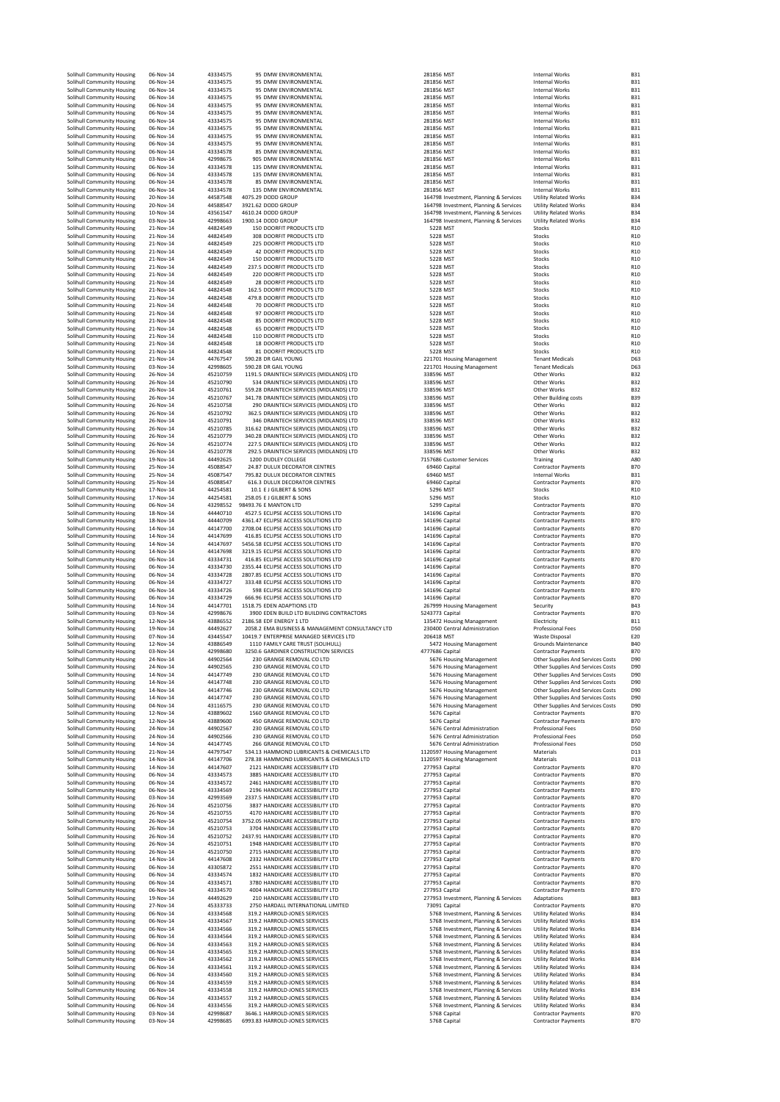| Solihull Community Housing                               | 06-Nov-14              | 43334575             | 95 DMW ENVIRONMENTAL                                                                        | 281856 MST                                                                   | Internal Works                                                         | <b>B31</b>                         |
|----------------------------------------------------------|------------------------|----------------------|---------------------------------------------------------------------------------------------|------------------------------------------------------------------------------|------------------------------------------------------------------------|------------------------------------|
| Solihull Community Housing                               | $06 - Nov - 14$        | 43334575             | 95 DMW ENVIRONMENTAL                                                                        | 281856 MST                                                                   | <b>Internal Works</b>                                                  | <b>B31</b>                         |
| Solihull Community Housing                               | 06-Nov-14              | 43334575             | 95 DMW ENVIRONMENTAL                                                                        | 281856 MST                                                                   | <b>Internal Works</b>                                                  | <b>B31</b>                         |
| Solihull Community Housing<br>Solihull Community Housing | 06-Nov-14<br>06-Nov-14 | 43334575<br>43334575 | 95 DMW ENVIRONMENTAL<br>95 DMW ENVIRONMENTAL                                                | 281856 MST<br>281856 MST                                                     | Internal Works<br>Internal Works                                       | <b>B31</b><br><b>B31</b>           |
| Solihull Community Housing                               | 06-Nov-14              | 43334575             | 95 DMW ENVIRONMENTAL                                                                        | 281856 MST                                                                   | <b>Internal Works</b>                                                  | <b>B31</b>                         |
| Solihull Community Housing                               | 06-Nov-14              | 43334575             | 95 DMW ENVIRONMENTAL                                                                        | 281856 MST                                                                   | Internal Works                                                         | <b>B31</b>                         |
| Solihull Community Housing                               | 06-Nov-14              | 43334575             | 95 DMW ENVIRONMENTAL                                                                        | 281856 MST                                                                   | Internal Works                                                         | <b>B31</b>                         |
| Solihull Community Housing                               | 06-Nov-14              | 43334575             | 95 DMW ENVIRONMENTAL                                                                        | 281856 MST                                                                   | Internal Works                                                         | <b>B31</b>                         |
| Solihull Community Housing                               | 06-Nov-14              | 43334575             | 95 DMW ENVIRONMENTAL                                                                        | 281856 MST                                                                   | <b>Internal Works</b>                                                  | <b>B31</b>                         |
| Solihull Community Housing                               | 06-Nov-14<br>03-Nov-14 | 43334578<br>42998675 | 85 DMW FNVIRONMENTAL<br>905 DMW ENVIRONMENTAL                                               | 281856 MST<br>281856 MST                                                     | Internal Works<br><b>Internal Works</b>                                | <b>B31</b><br><b>B31</b>           |
| Solihull Community Housing<br>Solihull Community Housing | 06-Nov-14              | 43334578             | 135 DMW ENVIRONMENTAL                                                                       | 281856 MST                                                                   | <b>Internal Works</b>                                                  | <b>B31</b>                         |
| Solihull Community Housing                               | 06-Nov-14              | 43334578             | 135 DMW ENVIRONMENTAL                                                                       | 281856 MST                                                                   | <b>Internal Works</b>                                                  | <b>B31</b>                         |
| Solihull Community Housing                               | 06-Nov-14              | 43334578             | 85 DMW ENVIRONMENTAL                                                                        | 281856 MST                                                                   | <b>Internal Works</b>                                                  | <b>B31</b>                         |
| Solihull Community Housing                               | 06-Nov-14              | 43334578             | 135 DMW ENVIRONMENTAL                                                                       | 281856 MST                                                                   | Internal Works                                                         | <b>B31</b>                         |
| Solihull Community Housing                               | 20-Nov-14              | 44587548             | 4075.29 DODD GROUP                                                                          | 164798 Investment, Planning & Services                                       | <b>Utility Related Works</b>                                           | <b>B34</b>                         |
| Solihull Community Housing                               | 20-Nov-14              | 44588547             | 3921.62 DODD GROUP                                                                          | 164798 Investment, Planning & Services                                       | <b>Utility Related Works</b>                                           | <b>B34</b>                         |
| Solihull Community Housing                               | 10-Nov-14              | 43561547             | 4610.24 DODD GROUP                                                                          | 164798 Investment, Planning & Services                                       | <b>Utility Related Works</b>                                           | <b>B34</b>                         |
| Solihull Community Housing                               | 03-Nov-14              | 42998663             | 1900.14 DODD GROUP                                                                          | 164798 Investment, Planning & Services                                       | <b>Utility Related Works</b>                                           | <b>B34</b>                         |
| Solihull Community Housing<br>Solihull Community Housing | 21-Nov-14<br>21-Nov-14 | 44824549<br>44824549 | 150 DOORFIT PRODUCTS LTD<br>308 DOORFIT PRODUCTS LTD                                        | 5228 MST<br>5228 MST                                                         | Stocks<br>Stocks                                                       | R <sub>10</sub><br>R <sub>10</sub> |
| Solihull Community Housing                               | 21-Nov-14              | 44824549             | 225 DOORFIT PRODUCTS LTD                                                                    | 5228 MST                                                                     | Stocks                                                                 | R <sub>10</sub>                    |
| Solihull Community Housing                               | 21-Nov-14              | 44824549             | <b>42 DOORFIT PRODUCTS LTD</b>                                                              | 5228 MST                                                                     | Stocks                                                                 | R <sub>10</sub>                    |
| Solihull Community Housing                               | 21-Nov-14              | 44824549             | 150 DOORFIT PRODUCTS LTD                                                                    | 5228 MST                                                                     | Stocks                                                                 | R <sub>10</sub>                    |
| Solihull Community Housing                               | 21-Nov-14              | 44824549             | 237.5 DOORFIT PRODUCTS LTD                                                                  | 5228 MST                                                                     | Stocks                                                                 | R <sub>10</sub>                    |
| Solihull Community Housing                               | 21-Nov-14              | 44824549             | 220 DOORFIT PRODUCTS LTD                                                                    | 5228 MST                                                                     | Stocks                                                                 | R10                                |
| Solihull Community Housing                               | 21-Nov-14              | 44824549             | 28 DOORFIT PRODUCTS LTD                                                                     | 5228 MST                                                                     | Stocks                                                                 | R10                                |
| Solihull Community Housing                               | 21-Nov-14              | 44824548             | 162.5 DOORFIT PRODUCTS LTD                                                                  | 5228 MST                                                                     | Stocks                                                                 | R <sub>10</sub>                    |
| Solihull Community Housing<br>Solihull Community Housing | 21-Nov-14<br>21-Nov-14 | 44824548<br>44824548 | 479.8 DOORFIT PRODUCTS LTD<br>70 DOORFIT PRODUCTS LTD                                       | 5228 MST<br>5228 MST                                                         | Stocks<br>Stocks                                                       | R <sub>10</sub><br>R <sub>10</sub> |
| Solihull Community Housing                               | 21-Nov-14              | 44824548             | 97 DOORFIT PRODUCTS LTD                                                                     | 5228 MST                                                                     | Stocks                                                                 | R <sub>10</sub>                    |
| Solihull Community Housing                               | 21-Nov-14              | 44824548             | 85 DOORFIT PRODUCTS LTD                                                                     | 5228 MST                                                                     | Stocks                                                                 | R <sub>10</sub>                    |
| Solihull Community Housing                               | 21-Nov-14              | 44824548             | 65 DOORFIT PRODUCTS LTD                                                                     | 5228 MST                                                                     | Stocks                                                                 | R <sub>10</sub>                    |
| Solihull Community Housing                               | 21-Nov-14              | 44824548             | 110 DOORFIT PRODUCTS LTD                                                                    | 5228 MST                                                                     | Stocks                                                                 | R <sub>10</sub>                    |
| Solihull Community Housing                               | 21-Nov-14              | 44824548             | <b>18 DOORFIT PRODUCTS LTD</b>                                                              | 5228 MST                                                                     | Stocks                                                                 | R <sub>10</sub>                    |
| Solihull Community Housing                               | 21-Nov-14              | 44824548             | 81 DOORFIT PRODUCTS LTD                                                                     | 5228 MST                                                                     | Stocks                                                                 | R <sub>10</sub>                    |
| Solihull Community Housing                               | 21-Nov-14              | 44767547             | 590.28 DR GAIL YOUNG                                                                        | 221701 Housing Management                                                    | <b>Tenant Medicals</b>                                                 | D63                                |
| Solihull Community Housing<br>Solihull Community Housing | 03-Nov-14<br>26-Nov-14 | 42998605<br>45210759 | 590.28 DR GAIL YOUNG<br>1191.5 DRAINTECH SERVICES (MIDLANDS) LTD                            | 221701 Housing Management<br>338596 MST                                      | <b>Tenant Medicals</b><br>Other Works                                  | D63<br><b>B32</b>                  |
| Solihull Community Housing                               | 26-Nov-14              | 45210790             | 534 DRAINTECH SERVICES (MIDLANDS) LTD                                                       | 338596 MST                                                                   | Other Works                                                            | <b>B32</b>                         |
| Solihull Community Housing                               | 26-Nov-14              | 45210761             | 559.28 DRAINTECH SERVICES (MIDLANDS) LTD                                                    | 338596 MST                                                                   | Other Works                                                            | <b>B32</b>                         |
| Solihull Community Housing                               | 26-Nov-14              | 45210767             | 341.78 DRAINTECH SERVICES (MIDLANDS) LTD                                                    | 338596 MST                                                                   | Other Building costs                                                   | <b>B39</b>                         |
| Solihull Community Housing                               | 26-Nov-14              | 45210758             | 290 DRAINTECH SERVICES (MIDLANDS) LTD                                                       | 338596 MST                                                                   | Other Works                                                            | <b>B32</b>                         |
| Solihull Community Housing                               | 26-Nov-14              | 45210792             | 362.5 DRAINTECH SERVICES (MIDLANDS) LTD                                                     | 338596 MST                                                                   | Other Works                                                            | <b>B32</b>                         |
| Solihull Community Housing                               | 26-Nov-14              | 45210791             | 346 DRAINTECH SERVICES (MIDLANDS) LTD                                                       | 338596 MST                                                                   | Other Works                                                            | <b>B32</b>                         |
| Solihull Community Housing                               | 26-Nov-14              | 45210785             | 316.62 DRAINTECH SERVICES (MIDLANDS) LTD                                                    | 338596 MST                                                                   | Other Works                                                            | <b>B32</b>                         |
| Solihull Community Housing                               | 26-Nov-14              | 45210779             | 340.28 DRAINTECH SERVICES (MIDLANDS) LTD                                                    | 338596 MST                                                                   | Other Works                                                            | <b>B32</b>                         |
| Solihull Community Housing                               | 26-Nov-14              | 45210774             | 227.5 DRAINTECH SERVICES (MIDLANDS) LTD                                                     | 338596 MST                                                                   | Other Works                                                            | <b>B32</b>                         |
| Solihull Community Housing<br>Solihull Community Housing | 26-Nov-14<br>19-Nov-14 | 45210778<br>44492625 | 292.5 DRAINTECH SERVICES (MIDLANDS) LTD<br>1200 DUDLEY COLLEGE                              | 338596 MST<br>7157686 Customer Services                                      | Other Works<br>Training                                                | <b>B32</b><br>A <sub>80</sub>      |
| Solihull Community Housing                               | 25-Nov-14              | 45088547             | 24.87 DULUX DECORATOR CENTRES                                                               | 69460 Capital                                                                | <b>Contractor Payments</b>                                             | <b>B70</b>                         |
| Solihull Community Housing                               | 25-Nov-14              | 45087547             | 795.82 DULUX DECORATOR CENTRES                                                              | 69460 MST                                                                    | <b>Internal Works</b>                                                  | <b>B31</b>                         |
| Solihull Community Housing                               | 25-Nov-14              | 45088547             | <b>616.3 DULUX DECORATOR CENTRES</b>                                                        | 69460 Capital                                                                | <b>Contractor Payments</b>                                             | <b>B70</b>                         |
| Solihull Community Housing                               | 17-Nov-14              | 44254581             | 10.1 E J GILBERT & SONS                                                                     | 5296 MST                                                                     | Stocks                                                                 | R <sub>10</sub>                    |
| Solihull Community Housing                               | 17-Nov-14              | 44254581             | 258.05 E J GILBERT & SONS                                                                   | 5296 MST                                                                     | Stocks                                                                 | R <sub>10</sub>                    |
| Solihull Community Housing                               | 06-Nov-14              | 43298552             | 98493.76 E MANTON LTD                                                                       | 5299 Capital                                                                 | <b>Contractor Payments</b>                                             | <b>B70</b>                         |
| Solihull Community Housing                               | 18-Nov-14              | 44440710             | 4527.5 ECLIPSE ACCESS SOLUTIONS LTD                                                         | 141696 Capital                                                               | <b>Contractor Payments</b>                                             | <b>B70</b>                         |
| Solihull Community Housing                               | 18-Nov-14              | 44440709             | 4361.47 ECLIPSE ACCESS SOLUTIONS LTD                                                        | 141696 Capital                                                               | <b>Contractor Payments</b>                                             | <b>B70</b>                         |
| Solihull Community Housing                               | 14-Nov-14<br>14-Nov-14 | 44147700<br>44147699 | 2708.04 ECLIPSE ACCESS SOLUTIONS LTD                                                        | 141696 Capital                                                               | <b>Contractor Payments</b>                                             | <b>B70</b><br><b>B70</b>           |
| Solihull Community Housing<br>Solihull Community Housing | 14-Nov-14              | 44147697             | 416.85 ECLIPSE ACCESS SOLUTIONS LTD<br>5456.58 ECLIPSE ACCESS SOLUTIONS LTD                 | 141696 Capital<br>141696 Capital                                             | <b>Contractor Payments</b><br><b>Contractor Payments</b>               | <b>B70</b>                         |
| Solihull Community Housing                               | 14-Nov-14              | 44147698             | 3219.15 ECLIPSE ACCESS SOLUTIONS LTD                                                        | 141696 Capital                                                               | <b>Contractor Payments</b>                                             | <b>B70</b>                         |
| Solihull Community Housing                               | 06-Nov-14              | 43334731             | 416.85 ECLIPSE ACCESS SOLUTIONS LTD                                                         | 141696 Capital                                                               | <b>Contractor Payments</b>                                             | <b>B70</b>                         |
|                                                          |                        |                      |                                                                                             |                                                                              |                                                                        |                                    |
| Solihull Community Housing                               | 06-Nov-14              | 43334730             | 2355.44 ECLIPSE ACCESS SOLUTIONS LTD                                                        | 141696 Capital                                                               | <b>Contractor Payments</b>                                             | <b>B70</b>                         |
| Solihull Community Housing                               | 06-Nov-14              | 43334728             | 2807.85 ECLIPSE ACCESS SOLUTIONS LTD                                                        | 141696 Capital                                                               | <b>Contractor Payments</b>                                             | <b>B70</b>                         |
| Solihull Community Housing                               | 06-Nov-14              | 43334727             | 333.48 ECLIPSE ACCESS SOLUTIONS LTD                                                         | 141696 Capital                                                               | <b>Contractor Payments</b>                                             | <b>B70</b>                         |
| Solihull Community Housing                               | 06-Nov-14              | 43334726             | 598 ECLIPSE ACCESS SOLUTIONS LTD                                                            | 141696 Capital                                                               | <b>Contractor Payments</b>                                             | <b>B70</b>                         |
| Solihull Community Housing                               | 06-Nov-14              | 43334729             | 666.96 ECLIPSE ACCESS SOLUTIONS LTD                                                         | 141696 Capital                                                               | <b>Contractor Payments</b>                                             | <b>B70</b>                         |
| Solihull Community Housing                               | 14-Nov-14              | 44147701             | 1518.75 EDEN ADAPTIONS LTD                                                                  | 267999 Housing Management                                                    | Security                                                               | <b>B43</b>                         |
| Solihull Community Housing                               | 03-Nov-14              | 42998676             | 3900 EDEN BUILD LTD BUILDING CONTRACTORS                                                    | 5243773 Capital                                                              | <b>Contractor Payments</b>                                             | <b>B70</b>                         |
| Solihull Community Housing                               | 12-Nov-14              | 43886552             | 2186.58 EDF ENERGY 1 LTD                                                                    | 135472 Housing Management<br>230400 Central Administration                   | Electricity                                                            | <b>B11</b><br>D <sub>5</sub> C     |
| Solihull Community Housing<br>Solihull Community Housing | 19-Nov-14<br>07-Nov-14 | 44492627<br>43445547 | 2058.2 EMA BUSINESS & MANAGEMENT CONSULTANCY LTD<br>10419.7 ENTERPRISE MANAGED SERVICES LTD | 206418 MST                                                                   | Professional Fees<br><b>Waste Disposal</b>                             | E20                                |
| Solihull Community Housing                               | $12 - Nov - 14$        | 43886549             | 1110 FAMILY CARE TRUST (SOLIHULL)                                                           | 5472 Housing Management                                                      | <b>Grounds Maintenance</b>                                             | <b>B40</b>                         |
| Solihull Community Housing                               | 03-Nov-14              | 42998680             | 3250.6 GARDINER CONSTRUCTION SERVICES                                                       | 4777686 Capital                                                              | <b>Contractor Payments</b>                                             | <b>B70</b>                         |
| Solihull Community Housing                               | $24 - N$ OV-14         | 44902564             | 230 GRANGE REMOVAL CO LTD                                                                   | 5676 Housing Management                                                      | Other Supplies And Services Costs                                      | D <sub>90</sub>                    |
| Solihull Community Housing                               | 24-Nov-14              | 44902565             | 230 GRANGE REMOVAL CO LTD                                                                   | 5676 Housing Management                                                      | Other Supplies And Services Costs                                      | D <sub>90</sub>                    |
| Solihull Community Housing                               | 14-Nov-14              | 44147749             | 230 GRANGE REMOVAL CO LTD                                                                   | 5676 Housing Management                                                      | Other Supplies And Services Costs                                      | D <sub>90</sub>                    |
| Solihull Community Housing                               | 14-Nov-14              | 44147748             | 230 GRANGE REMOVAL CO LTD                                                                   | 5676 Housing Management                                                      | Other Supplies And Services Costs                                      | D <sub>90</sub>                    |
| Solihull Community Housing<br>Solihull Community Housing | 14-Nov-14<br>14-Nov-14 | 44147746<br>44147747 | 230 GRANGE REMOVAL CO LTD<br>230 GRANGE REMOVAL CO LTD                                      | 5676 Housing Management<br>5676 Housing Management                           | Other Supplies And Services Costs<br>Other Supplies And Services Costs | D <sub>90</sub><br>D <sub>90</sub> |
| Solihull Community Housing                               | 04-Nov-14              | 43116575             | 230 GRANGE REMOVAL CO LTD                                                                   | 5676 Housing Management                                                      | Other Supplies And Services Costs                                      | D <sub>90</sub>                    |
| Solihull Community Housing                               | 12-Nov-14              | 43889602             | 1560 GRANGE REMOVAL CO LTD                                                                  | 5676 Capital                                                                 | <b>Contractor Payments</b>                                             | <b>B70</b>                         |
| Solihull Community Housing                               | 12-Nov-14              | 43889600             | 450 GRANGE REMOVAL CO LTD                                                                   | 5676 Capital                                                                 | <b>Contractor Payments</b>                                             | <b>B70</b>                         |
| Solihull Community Housing                               | 24-Nov-14              | 44902567             | 230 GRANGE REMOVAL CO LTD                                                                   | 5676 Central Administration                                                  | <b>Professional Fees</b>                                               | D <sub>5</sub> C                   |
| Solihull Community Housing                               | 24-Nov-14              | 44902566             | 230 GRANGE REMOVAL CO LTD                                                                   | 5676 Central Administration                                                  | <b>Professional Fees</b>                                               | D <sub>5</sub> C                   |
| Solihull Community Housing<br>Solihull Community Housing | 14-Nov-14<br>21-Nov-14 | 44147745<br>44797547 | 266 GRANGE REMOVAL CO LTD<br>534.13 HAMMOND LUBRICANTS & CHEMICALS LTD                      | 5676 Central Administration<br>1120597 Housing Management                    | <b>Professional Fees</b><br>Materials                                  | D <sub>5</sub> C<br>D13            |
| Solihull Community Housing                               | $14 - Nov - 14$        | 44147706             | 278.38 HAMMOND LUBRICANTS & CHEMICALS LTD                                                   | 1120597 Housing Management                                                   | Materials                                                              | D13                                |
| Solihull Community Housing                               | 14-Nov-14              | 44147607             | 2121 HANDICARE ACCESSIBILITY LTD                                                            | 277953 Capital                                                               | <b>Contractor Payments</b>                                             | <b>B70</b>                         |
| Solihull Community Housing                               | 06-Nov-14              | 43334573             | 3885 HANDICARE ACCESSIBILITY LTD                                                            | 277953 Capital                                                               | <b>Contractor Payments</b>                                             | <b>B70</b>                         |
| Solihull Community Housing                               | 06-Nov-14              | 43334572             | 2461 HANDICARE ACCESSIBILITY LTD                                                            | 277953 Capital                                                               | <b>Contractor Payments</b>                                             | <b>B70</b>                         |
| Solihull Community Housing                               | 06-Nov-14              | 43334569             | 2196 HANDICARE ACCESSIBILITY LTD                                                            | 277953 Capital                                                               | <b>Contractor Payments</b>                                             | <b>B70</b>                         |
| Solihull Community Housing                               | 03-Nov-14              | 42993569             | 2337.5 HANDICARE ACCESSIBILITY LTD                                                          | 277953 Capital                                                               | <b>Contractor Payments</b>                                             | <b>B70</b>                         |
| Solihull Community Housing<br>Solihull Community Housing | 26-Nov-14              | 45210756             | 3837 HANDICARE ACCESSIBILITY LTD<br>4170 HANDICARE ACCESSIBILITY LTD                        | 277953 Capital                                                               | <b>Contractor Payments</b>                                             | <b>B70</b>                         |
| Solihull Community Housing                               | 26-Nov-14<br>26-Nov-14 | 45210755<br>45210754 | 3752.05 HANDICARE ACCESSIBILITY LTD                                                         | 277953 Capital<br>277953 Capital                                             | <b>Contractor Payments</b><br><b>Contractor Payments</b>               | <b>B70</b><br><b>B70</b>           |
| Solihull Community Housing                               | 26-Nov-14              | 45210753             | 3704 HANDICARE ACCESSIBILITY LTD                                                            | 277953 Capital                                                               | <b>Contractor Payments</b>                                             | <b>B70</b>                         |
| Solihull Community Housing                               | 26-Nov-14              | 45210752             | 2437.91 HANDICARE ACCESSIBILITY LTD                                                         | 277953 Capital                                                               | <b>Contractor Payments</b>                                             | <b>B70</b>                         |
| Solihull Community Housing                               | 26-Nov-14              | 45210751             | 1948 HANDICARE ACCESSIBILITY LTD                                                            | 277953 Capital                                                               | <b>Contractor Payments</b>                                             | <b>B70</b>                         |
| Solihull Community Housing                               | 26-Nov-14              | 45210750             | 2715 HANDICARE ACCESSIBILITY LTD                                                            | 277953 Capital                                                               | <b>Contractor Payments</b>                                             | <b>B70</b>                         |
| Solihull Community Housing                               | 14-Nov-14              | 44147608             | 2332 HANDICARE ACCESSIBILITY LTD                                                            | 277953 Capital                                                               | <b>Contractor Payments</b>                                             | <b>B70</b>                         |
| Solihull Community Housing                               | 06-Nov-14              | 43305872             | 2551 HANDICARE ACCESSIBILITY LTD                                                            | 277953 Capital                                                               | <b>Contractor Payments</b>                                             | <b>B70</b>                         |
| Solihull Community Housing                               | 06-Nov-14              | 43334574             | 1832 HANDICARE ACCESSIBILITY LTD                                                            | 277953 Capital                                                               | <b>Contractor Payments</b>                                             | <b>B70</b>                         |
| Solihull Community Housing<br>Solihull Community Housing | 06-Nov-14<br>06-Nov-14 | 43334571<br>43334570 | 3780 HANDICARE ACCESSIBILITY LTD<br>4004 HANDICARE ACCESSIBILITY LTD                        | 277953 Capital<br>277953 Capital                                             | <b>Contractor Payments</b><br><b>Contractor Payments</b>               | <b>B70</b><br><b>B70</b>           |
| Solihull Community Housing                               | 19-Nov-14              | 44492629             | 210 HANDICARE ACCESSIBILITY LTD                                                             | 277953 Investment, Planning & Services                                       | Adaptations                                                            | <b>B83</b>                         |
| Solihull Community Housing                               | 27-Nov-14              | 45333733             | 2750 HARDALL INTERNATIONAL LIMITED                                                          | 73091 Capital                                                                | Contractor Payments                                                    | <b>B70</b>                         |
| Solihull Community Housing                               | 06-Nov-14              | 43334568             | 319.2 HARROLD-JONES SERVICES                                                                | 5768 Investment, Planning & Services                                         | <b>Utility Related Works</b>                                           | <b>B34</b>                         |
| Solihull Community Housing                               | 06-Nov-14              | 43334567             | 319.2 HARROLD-JONES SERVICES                                                                | 5768 Investment, Planning & Services                                         | <b>Utility Related Works</b>                                           | <b>B34</b>                         |
| Solihull Community Housing                               | 06-Nov-14              | 43334566             | 319.2 HARROLD-JONES SERVICES                                                                | 5768 Investment, Planning & Services                                         | <b>Utility Related Works</b>                                           | <b>B34</b>                         |
| Solihull Community Housing                               | 06-Nov-14              | 43334564             | 319.2 HARROLD-JONES SERVICES                                                                | 5768 Investment, Planning & Services                                         | <b>Utility Related Works</b>                                           | <b>B34</b>                         |
| Solihull Community Housing                               | 06-Nov-14              | 43334563             | 319.2 HARROLD-JONES SERVICES                                                                | 5768 Investment, Planning & Services                                         | <b>Utility Related Works</b>                                           | <b>B34</b>                         |
| Solihull Community Housing                               | 06-Nov-14<br>06-Nov-14 | 43334565<br>43334562 | 319.2 HARROLD-JONES SERVICES                                                                | 5768 Investment, Planning & Services                                         | <b>Utility Related Works</b>                                           | <b>B34</b><br><b>B34</b>           |
| Solihull Community Housing<br>Solihull Community Housing | 06-Nov-14              | 43334561             | 319.2 HARROLD-JONES SERVICES<br>319.2 HARROLD-JONES SERVICES                                | 5768 Investment, Planning & Services<br>5768 Investment, Planning & Services | <b>Utility Related Works</b><br><b>Utility Related Works</b>           | <b>B34</b>                         |
| Solihull Community Housing                               | 06-Nov-14              | 43334560             | 319.2 HARROLD-JONES SERVICES                                                                | 5768 Investment, Planning & Services                                         | <b>Utility Related Works</b>                                           | <b>B34</b>                         |
| Solihull Community Housing                               | 06-Nov-14              | 43334559             | 319.2 HARROLD-JONES SERVICES                                                                | 5768 Investment, Planning & Services                                         | <b>Utility Related Works</b>                                           | <b>B34</b>                         |
| Solihull Community Housing                               | 06-Nov-14              | 43334558             | 319.2 HARROLD-JONES SERVICES                                                                | 5768 Investment, Planning & Services                                         | <b>Utility Related Works</b>                                           | <b>B34</b>                         |
| Solihull Community Housing                               | 06-Nov-14              | 43334557             | 319.2 HARROLD-JONES SERVICES                                                                | 5768 Investment, Planning & Services                                         | <b>Utility Related Works</b>                                           | <b>B34</b>                         |
| Solihull Community Housing                               | 06-Nov-14              | 43334556             | 319.2 HARROLD-JONES SERVICES                                                                | 5768 Investment, Planning & Services                                         | <b>Utility Related Works</b>                                           | <b>B34</b>                         |
| Solihull Community Housing                               | 03-Nov-14              | 42998687             | 3646.1 HARROLD-JONES SERVICES                                                               | 5768 Capital                                                                 | <b>Contractor Payments</b>                                             | <b>B70</b>                         |
| Solihull Community Housing                               | 03-Nov-14              | 42998685             | 6993.83 HARROLD-JONES SERVICES                                                              | 5768 Capital                                                                 | <b>Contractor Payments</b>                                             | <b>B70</b>                         |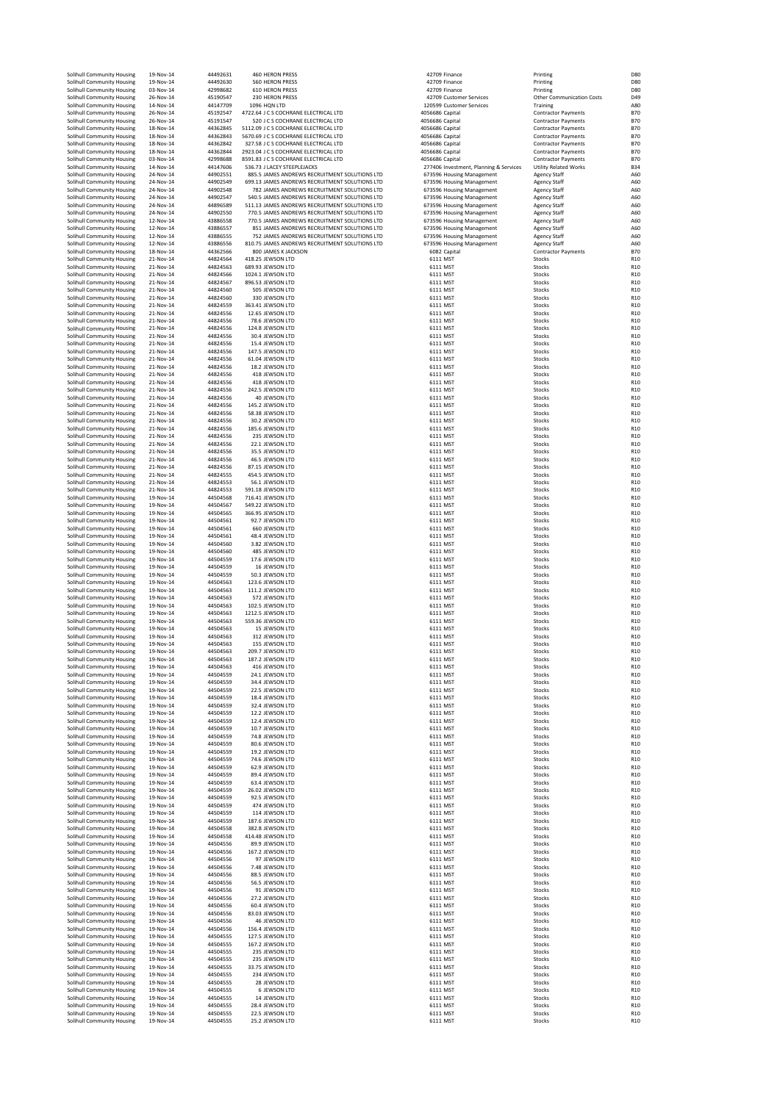| Solihull Community Housing                               | 19-Nov-14              | 44492631             | <b>460 HERON PRESS</b>                                                                          | 42709 Finance                                          | Printing                                          | D80                                |
|----------------------------------------------------------|------------------------|----------------------|-------------------------------------------------------------------------------------------------|--------------------------------------------------------|---------------------------------------------------|------------------------------------|
| Solihull Community Housing                               | 19-Nov-14              | 44492630             | <b>560 HERON PRESS</b>                                                                          | 42709 Finance                                          | Printing                                          | D80                                |
| Solihull Community Housing                               | 03-Nov-14              | 42998682             | <b>610 HERON PRESS</b>                                                                          | 42709 Finance                                          | Printing                                          | D80                                |
| Solihull Community Housing                               | 26-Nov-14              | 45190547             | 230 HERON PRESS                                                                                 | 42709 Customer Services                                | <b>Other Communication Costs</b>                  | D <sub>49</sub>                    |
| Solihull Community Housing                               | 14-Nov-14              | 44147709             | 1096 HON LTD                                                                                    | 120599 Customer Services                               | Training                                          | A <sub>80</sub>                    |
| Solihull Community Housing                               | 26-Nov-14              | 45192547             | 4722.64 J C S COCHRANE ELECTRICAL LTD                                                           | 4056686 Capital                                        | <b>Contractor Payments</b>                        | <b>B70</b><br><b>B70</b>           |
| Solihull Community Housing<br>Solihull Community Housing | 26-Nov-14<br>18-Nov-14 | 45191547<br>44362845 | 520 J C S COCHRANE ELECTRICAL LTD<br>5112.09 J C S COCHRANE ELECTRICAL LTD                      | 4056686 Capital<br>4056686 Capital                     | Contractor Payments<br><b>Contractor Payments</b> | <b>B70</b>                         |
| Solihull Community Housing                               | 18-Nov-14              | 44362843             | 5670.69 J C S COCHRANE ELECTRICAL LTD                                                           | 4056686 Capital                                        | <b>Contractor Payments</b>                        | <b>B70</b>                         |
| Solihull Community Housing                               | 18-Nov-14              | 44362842             | 327.58 J C S COCHRANE ELECTRICAL LTD                                                            | 4056686 Capital                                        | <b>Contractor Payments</b>                        | <b>B70</b>                         |
| Solihull Community Housing                               | 18-Nov-14              | 44362844             | 2923.04 J C S COCHRANE ELECTRICAL LTD                                                           | 4056686 Capital                                        | <b>Contractor Payments</b>                        | <b>B70</b>                         |
| Solihull Community Housing                               | 03-Nov-14              | 42998688             | 8591.83 J C S COCHRANE ELECTRICAL LTD                                                           | 4056686 Capital                                        | <b>Contractor Payments</b>                        | <b>B70</b>                         |
| Solihull Community Housing                               | 14-Nov-14              | 44147606             | 536.73 J LACEY STEEPLEJACKS                                                                     | 277406 Investment, Planning & Services                 | <b>Utility Related Works</b>                      | <b>B34</b>                         |
| Solihull Community Housing<br>Solihull Community Housing | 24-Nov-14<br>24-Nov-14 | 44902551<br>44902549 | 885.5 JAMES ANDREWS RECRUITMENT SOLUTIONS LTD<br>699.13 JAMES ANDREWS RECRUITMENT SOLUTIONS LTD | 673596 Housing Management<br>673596 Housing Management | <b>Agency Staff</b><br><b>Agency Staff</b>        | A60<br>A60                         |
| Solihull Community Housing                               | 24-Nov-14              | 44902548             | 782 JAMES ANDREWS RECRUITMENT SOLUTIONS LTD                                                     | 673596 Housing Management                              | <b>Agency Staff</b>                               | A60                                |
| Solihull Community Housing                               | 24-Nov-14              | 44902547             | 540.5 JAMES ANDREWS RECRUITMENT SOLUTIONS LTD                                                   | 673596 Housing Management                              | <b>Agency Staff</b>                               | A60                                |
| Solihull Community Housing                               | 24-Nov-14              | 44896589             | 511.13 JAMES ANDREWS RECRUITMENT SOLUTIONS LTD                                                  | 673596 Housing Management                              | <b>Agency Staff</b>                               | A60                                |
| Solihull Community Housing                               | 24-Nov-14              | 44902550             | 770.5 JAMES ANDREWS RECRUITMENT SOLUTIONS LTD                                                   | 673596 Housing Management                              | <b>Agency Staff</b>                               | A60                                |
| Solihull Community Housing                               | 12-Nov-14              | 43886558             | 770.5 JAMES ANDREWS RECRUITMENT SOLUTIONS LTD                                                   | 673596 Housing Management                              | <b>Agency Staff</b>                               | A60                                |
| Solihull Community Housing                               | 12-Nov-14              | 43886557             | 851 JAMES ANDREWS RECRUITMENT SOLUTIONS LTD                                                     | 673596 Housing Management                              | <b>Agency Staff</b>                               | A60                                |
| Solihull Community Housing<br>Solihull Community Housing | 12-Nov-14<br>12-Nov-14 | 43886555<br>43886556 | 752 JAMES ANDREWS RECRUITMENT SOLUTIONS LTD<br>810.75 JAMES ANDREWS RECRUITMENT SOLUTIONS LTD   | 673596 Housing Management<br>673596 Housing Management | <b>Agency Staff</b><br><b>Agency Staff</b>        | A60<br>A60                         |
| Solihull Community Housing                               | 18-Nov-14              | 44362566             | 800 JAMES K JACKSON                                                                             | 6082 Capital                                           | <b>Contractor Payments</b>                        | <b>B70</b>                         |
| Solihull Community Housing                               | 21-Nov-14              | 44824564             | 418.25 JEWSON LTD                                                                               | 6111 MST                                               | Stocks                                            | R10                                |
| Solihull Community Housing                               | 21-Nov-14              | 44824563             | 689.93 JEWSON LTD                                                                               | 6111 MST                                               | Stocks                                            | R10                                |
| Solihull Community Housing                               | 21-Nov-14              | 44824566             | 1024.1 JEWSON LTD                                                                               | 6111 MST                                               | Stocks                                            | R <sub>10</sub>                    |
| Solihull Community Housing                               | 21-Nov-14              | 44824567             | 896.53 JEWSON LTD                                                                               | 6111 MST                                               | Stocks                                            | R <sub>10</sub><br>R <sub>10</sub> |
| Solihull Community Housing<br>Solihull Community Housing | 21-Nov-14<br>21-Nov-14 | 44824560<br>44824560 | 505 JEWSON LTD<br>330 JEWSON LTD                                                                | 6111 MST<br>6111 MST                                   | Stocks<br>Stocks                                  | R <sub>10</sub>                    |
| Solihull Community Housing                               | 21-Nov-14              | 44824559             | 363.41 JEWSON LTD                                                                               | 6111 MST                                               | Stocks                                            | R <sub>10</sub>                    |
| Solihull Community Housing                               | 21-Nov-14              | 44824556             | 12.65 JEWSON LTD                                                                                | 6111 MST                                               | Stocks                                            | R <sub>10</sub>                    |
| Solihull Community Housing                               | 21-Nov-14              | 44824556             | 78.6 JEWSON LTD                                                                                 | 6111 MST                                               | Stocks                                            | R <sub>10</sub>                    |
| Solihull Community Housing                               | 21-Nov-14              | 44824556             | 124.8 JEWSON LTD                                                                                | 6111 MST                                               | Stocks                                            | R10                                |
| Solihull Community Housing                               | 21-Nov-14              | 44824556             | 30.4 JEWSON LTD                                                                                 | 6111 MST                                               | Stocks                                            | R <sub>10</sub>                    |
| Solihull Community Housing                               | 21-Nov-14              | 44824556             | 15.4 JEWSON LTD                                                                                 | 6111 MST                                               | Stocks                                            | R <sub>10</sub>                    |
| Solihull Community Housing<br>Solihull Community Housing | 21-Nov-14<br>21-Nov-14 | 44824556<br>44824556 | 147.5 JEWSON LTD<br>61.04 JEWSON LTD                                                            | 6111 MST<br>6111 MST                                   | Stocks<br>Stocks                                  | R <sub>10</sub><br>R <sub>10</sub> |
| Solihull Community Housing                               | 21-Nov-14              | 44824556             | 18.2 JEWSON LTD                                                                                 | 6111 MST                                               | Stocks                                            | R <sub>10</sub>                    |
| Solihull Community Housing                               | 21-Nov-14              | 44824556             | 418 JEWSON LTD                                                                                  | 6111 MST                                               | Stocks                                            | R <sub>10</sub>                    |
| Solihull Community Housing                               | 21-Nov-14              | 44824556             | 418 JEWSON LTD                                                                                  | 6111 MST                                               | Stocks                                            | R <sub>10</sub>                    |
| Solihull Community Housing                               | 21-Nov-14              | 44824556             | 242.5 JEWSON LTD                                                                                | 6111 MST                                               | Stocks                                            | R <sub>10</sub>                    |
| Solihull Community Housing                               | 21-Nov-14              | 44824556             | 40 JEWSON LTD                                                                                   | 6111 MST                                               | Stocks                                            | R10                                |
| Solihull Community Housing<br>Solihull Community Housing | 21-Nov-14<br>21-Nov-14 | 44824556<br>44824556 | 145.2 JEWSON LTD<br>58.38 JEWSON LTD                                                            | 6111 MST<br>6111 MST                                   | Stocks<br>Stocks                                  | R10<br>R <sub>10</sub>             |
| Solihull Community Housing                               | 21-Nov-14              | 44824556             | 30.2 JEWSON LTD                                                                                 | 6111 MST                                               | Stocks                                            | R <sub>10</sub>                    |
| Solihull Community Housing                               | 21-Nov-14              | 44824556             | 185.6 JEWSON LTD                                                                                | 6111 MST                                               | Stocks                                            | R <sub>10</sub>                    |
| Solihull Community Housing                               | 21-Nov-14              | 44824556             | 235 IEWSON LTD                                                                                  | 6111 MST                                               | Stocks                                            | R <sub>10</sub>                    |
| Solihull Community Housing                               | 21-Nov-14              | 44824556             | 22.1 JEWSON LTD                                                                                 | 6111 MST                                               | Stocks                                            | R <sub>10</sub>                    |
| Solihull Community Housing                               | 21-Nov-14              | 44824556             | 35.5 JEWSON LTD                                                                                 | 6111 MST                                               | Stocks                                            | R <sub>10</sub>                    |
| Solihull Community Housing<br>Solihull Community Housing | 21-Nov-14<br>21-Nov-14 | 44824556<br>44824556 | 46.5 JEWSON LTD<br>87.15 JEWSON LTD                                                             | 6111 MST<br>6111 MST                                   | Stocks<br>Stocks                                  | R <sub>10</sub><br>R10             |
| Solihull Community Housing                               | 21-Nov-14              | 44824555             | 454.5 JEWSON LTD                                                                                | 6111 MST                                               | Stocks                                            | R10                                |
| Solihull Community Housing                               | 21-Nov-14              | 44824553             | 56.1 JEWSON LTD                                                                                 | 6111 MST                                               | Stocks                                            | R10                                |
| Solihull Community Housing                               | 21-Nov-14              | 44824553             | 591.18 JEWSON LTD                                                                               | 6111 MST                                               | Stocks                                            | R <sub>10</sub>                    |
| Solihull Community Housing                               | 19-Nov-14              | 44504568             | 716.41 JEWSON LTD                                                                               | 6111 MST                                               | Stocks                                            | R <sub>10</sub>                    |
| Solihull Community Housing                               | 19-Nov-14              | 44504567             | 549.22 JEWSON LTD                                                                               | 6111 MST                                               | Stocks                                            | R <sub>10</sub>                    |
| Solihull Community Housing                               | 19-Nov-14              | 44504565             | 366.95 JEWSON LTD                                                                               | 6111 MST                                               | Stocks                                            | R <sub>10</sub>                    |
| Solihull Community Housing<br>Solihull Community Housing | 19-Nov-14<br>19-Nov-14 | 44504561<br>44504561 | 92.7 JEWSON LTD<br>660 JEWSON LTD                                                               | 6111 MST<br>6111 MST                                   | Stocks<br>Stocks                                  | R <sub>10</sub><br>R <sub>10</sub> |
| Solihull Community Housing                               | 19-Nov-14              | 44504561             | 48.4 JEWSON LTD                                                                                 | 6111 MST                                               | Stocks                                            | R <sub>10</sub>                    |
| Solihull Community Housing                               | 19-Nov-14              | 44504560             | 3.82 JEWSON LTD                                                                                 | 6111 MST                                               | Stocks                                            | R10                                |
| Solihull Community Housing                               | 19-Nov-14              | 44504560             | 485 JEWSON LTD                                                                                  | 6111 MST                                               | Stocks                                            | R10                                |
| Solihull Community Housing                               | 19-Nov-14              | 44504559             | 17.6 JEWSON LTD                                                                                 | 6111 MST                                               | Stocks                                            | R <sub>10</sub>                    |
| Solihull Community Housing                               | 19-Nov-14              | 44504559             | 16 JEWSON LTD                                                                                   | 6111 MST                                               | Stocks                                            | R <sub>10</sub>                    |
| Solihull Community Housing<br>Solihull Community Housing | 19-Nov-14<br>19-Nov-14 | 44504559<br>44504563 | 50.3 JEWSON LTD<br>123.6 JEWSON LTD                                                             | 6111 MST<br>6111 MST                                   | Stocks<br>Stocks                                  | R <sub>10</sub><br>R <sub>10</sub> |
| Solihull Community Housing                               | 19-Nov-14              | 44504563             | 111.2 JEWSON LTD                                                                                | 6111 MST                                               | Stocks                                            | R <sub>10</sub>                    |
| Solihull Community Housing                               | 19-Nov-14              | 44504563             | 572 JEWSON LTD                                                                                  | 6111 MST                                               | Stocks                                            | R <sub>10</sub>                    |
| Solihull Community Housing                               | 19-Nov-14              | 44504563             | 102.5 JEWSON LTD                                                                                | 6111 MST                                               | Stocks                                            | R <sub>10</sub>                    |
| Solihull Community Housing                               | 19-Nov-14              | 44504563             | 1212.5 JEWSON LTD                                                                               | 6111 MST                                               | Stocks                                            | R <sub>10</sub>                    |
| Solihull Community Housing                               | 19-Nov-14              | 44504563             | 559.36 JEWSON LTD                                                                               | 6111 MST                                               | Stocks                                            | R <sub>10</sub>                    |
| Solihull Community Housing                               | 19-Nov-14<br>19-Nov-14 | 44504563<br>44504563 | 15 JEWSON LTD<br>312 JEWSON LTD                                                                 | 6111 MST<br>6111 MST                                   | Stocks<br>Stocks                                  | R <sub>10</sub><br>R <sub>10</sub> |
| Solihull Community Housing<br>Solihull Community Housing | 19-Nov-14              | 44504563             | 155 JEWSON LTD                                                                                  | 6111 MST                                               | Stocks                                            | R <sub>10</sub>                    |
| Solihull Community Housing                               | 19-Nov-14              | 44504563             | 209.7 JEWSON LTD                                                                                | 6111 MST                                               | Stocks                                            | R <sub>10</sub>                    |
| Solihull Community Housing                               | 19-Nov-14              | 44504563             | 187.2 IEWSON LTD                                                                                | 6111 MST                                               | Stocks                                            | R10                                |
| Solihull Community Housing                               | 19-Nov-14              | 44504563             | 416 IFWSON ITD                                                                                  | 6111 MST                                               | Stocks                                            | R <sub>10</sub>                    |
| Solihull Community Housing                               | 19-Nov-14              | 44504559             | 24.1 JEWSON LTD                                                                                 | 6111 MST                                               | Stocks                                            | R <sub>10</sub>                    |
| Solihull Community Housing<br>Solihull Community Housing | 19-Nov-14<br>19-Nov-14 | 44504559<br>44504559 | 34.4 JEWSON LTD<br>22.5 JEWSON LTD                                                              | 6111 MST<br>6111 MST                                   | Stocks<br>Stocks                                  | R10<br>R10                         |
| Solihull Community Housing                               | 19-Nov-14              | 44504559             | 18.4 JEWSON LTD                                                                                 | 6111 MST                                               | Stocks                                            | R <sub>10</sub>                    |
| Solihull Community Housing                               | 19-Nov-14              | 44504559             | 32.4 JEWSON LTD                                                                                 | 6111 MST                                               | Stocks                                            | R <sub>10</sub>                    |
| Solihull Community Housing                               | 19-Nov-14              | 44504559             | 12.2 JEWSON LTD                                                                                 | 6111 MST                                               | Stocks                                            | R <sub>10</sub>                    |
| Solihull Community Housing                               | 19-Nov-14              | 44504559             | 12.4 JEWSON LTD                                                                                 | 6111 MST                                               | Stocks                                            | R <sub>10</sub>                    |
| Solihull Community Housing                               | 19-Nov-14<br>19-Nov-14 | 44504559<br>44504559 | 10.7 JEWSON LTD<br>74.8 JEWSON LTD                                                              | 6111 MST<br>6111 MST                                   | Stocks                                            | R <sub>10</sub><br>R <sub>10</sub> |
| Solihull Community Housing<br>Solihull Community Housing | 19-Nov-14              | 44504559             | 80.6 JEWSON LTD                                                                                 | 6111 MST                                               | Stocks<br>Stocks                                  | R <sub>10</sub>                    |
| Solihull Community Housing                               | 19-Nov-14              | 44504559             | 19.2 JEWSON LTD                                                                                 | 6111 MST                                               | Stocks                                            | R10                                |
| Solihull Community Housing                               | 19-Nov-14              | 44504559             | 74.6 JEWSON LTD                                                                                 | 6111 MST                                               | Stocks                                            | R10                                |
| Solihull Community Housing                               | 19-Nov-14              | 44504559             | 62.9 JEWSON LTD                                                                                 | 6111 MST<br>6111 MST                                   | Stocks                                            | R <sub>10</sub>                    |
| Solihull Community Housing<br>Solihull Community Housing | 19-Nov-14<br>19-Nov-14 | 44504559<br>44504559 | 89.4 JEWSON LTD<br>63.4 JEWSON LTD                                                              | 6111 MST                                               | Stocks<br>Stocks                                  | R <sub>10</sub><br>R <sub>10</sub> |
| Solihull Community Housing                               | 19-Nov-14              | 44504559             | 26.02 JEWSON LTD                                                                                | 6111 MST                                               | Stocks                                            | R <sub>10</sub>                    |
| Solihull Community Housing                               | 19-Nov-14              | 44504559             | 92.5 JEWSON LTD                                                                                 | 6111 MST                                               | Stocks                                            | R <sub>10</sub>                    |
| Solihull Community Housing                               | 19-Nov-14              | 44504559             | 474 JEWSON LTD                                                                                  | 6111 MST                                               | Stocks                                            | R <sub>10</sub>                    |
| Solihull Community Housing                               | 19-Nov-14              | 44504559             | 114 JEWSON LTD                                                                                  | 6111 MST                                               | Stocks                                            | R <sub>10</sub>                    |
| Solihull Community Housing                               | 19-Nov-14              | 44504559             | 187.6 JEWSON LTD                                                                                | 6111 MST                                               | Stocks                                            | R <sub>10</sub>                    |
| Solihull Community Housing<br>Solihull Community Housing | 19-Nov-14<br>19-Nov-14 | 44504558<br>44504558 | 382.8 JEWSON LTD<br>414.48 JEWSON LTD                                                           | 6111 MST<br>6111 MST                                   | Stocks<br>Stocks                                  | R <sub>10</sub><br>R <sub>10</sub> |
| Solihull Community Housing                               | 19-Nov-14              | 44504556             | 89.9 JEWSON LTD                                                                                 | 6111 MST                                               | Stocks                                            | R <sub>10</sub>                    |
| Solihull Community Housing                               | 19-Nov-14              | 44504556             | 167.2 JEWSON LTD                                                                                | 6111 MST                                               | Stocks                                            | R <sub>10</sub>                    |
| Solihull Community Housing                               | 19-Nov-14              | 44504556             | 97 JEWSON LTD                                                                                   | 6111 MST                                               | Stocks                                            | R <sub>10</sub>                    |
| Solihull Community Housing                               | 19-Nov-14              | 44504556             | 7.48 JEWSON LTD                                                                                 | 6111 MST                                               | Stocks                                            | R <sub>10</sub>                    |
| Solihull Community Housing<br>Solihull Community Housing | 19-Nov-14<br>19-Nov-14 | 44504556<br>44504556 | 88.5 JEWSON LTD<br>56.5 JEWSON LTD                                                              | 6111 MST<br>6111 MST                                   | Stocks<br>Stocks                                  | R <sub>10</sub><br>R <sub>10</sub> |
| Solihull Community Housing                               | 19-Nov-14              | 44504556             | 91 JEWSON LTD                                                                                   | 6111 MST                                               | Stocks                                            | R10                                |
| Solihull Community Housing                               | 19-Nov-14              | 44504556             | 27.2 JEWSON LTD                                                                                 | 6111 MST                                               | Stocks                                            | R <sub>10</sub>                    |
| Solihull Community Housing                               | 19-Nov-14              | 44504556             | 60.4 JEWSON LTD                                                                                 | 6111 MST                                               | Stocks                                            | R <sub>10</sub>                    |
| Solihull Community Housing                               | 19-Nov-14              | 44504556             | 83.03 JEWSON LTD                                                                                | 6111 MST                                               | Stocks                                            | R <sub>10</sub>                    |
| Solihull Community Housing                               | 19-Nov-14              | 44504556             | 46 JEWSON LTD                                                                                   | 6111 MST                                               | Stocks                                            | R <sub>10</sub>                    |
| Solihull Community Housing                               | 19-Nov-14              | 44504556             | 156.4 JEWSON LTD                                                                                | 6111 MST                                               | Stocks                                            | R <sub>10</sub>                    |
| Solihull Community Housing<br>Solihull Community Housing | 19-Nov-14<br>19-Nov-14 | 44504555<br>44504555 | 127.5 JEWSON LTD<br>167.2 JEWSON LTD                                                            | 6111 MST<br>6111 MST                                   | Stocks<br>Stocks                                  | R <sub>10</sub><br>R <sub>10</sub> |
| Solihull Community Housing                               | 19-Nov-14              | 44504555             | 235 JEWSON LTD                                                                                  | 6111 MST                                               | Stocks                                            | R <sub>10</sub>                    |
| Solihull Community Housing                               | 19-Nov-14              | 44504555             | 235 JEWSON LTD                                                                                  | 6111 MST                                               | Stocks                                            | R10                                |
| Solihull Community Housing                               | 19-Nov-14              | 44504555             | 33.75 JEWSON LTD                                                                                | 6111 MST                                               | Stocks                                            | R10                                |
| Solihull Community Housing                               | 19-Nov-14              | 44504555             | 234 JEWSON LTD                                                                                  | 6111 MST                                               | Stocks                                            | R <sub>10</sub>                    |
| Solihull Community Housing                               | 19-Nov-14              | 44504555             | 28 JEWSON LTD                                                                                   | 6111 MST                                               | Stocks                                            | R <sub>10</sub>                    |
| Solihull Community Housing<br>Solihull Community Housing | 19-Nov-14<br>19-Nov-14 | 44504555<br>44504555 | 6 JEWSON LTD<br>14 JEWSON LTD                                                                   | 6111 MST<br>6111 MST                                   | Stocks<br>Stocks                                  | R <sub>10</sub><br>R <sub>10</sub> |
| Solihull Community Housing                               | 19-Nov-14              | 44504555             | 28.4 JEWSON LTD                                                                                 | 6111 MST                                               | Stocks                                            | R <sub>10</sub>                    |
| Solihull Community Housing                               | 19-Nov-14              | 44504555             | 22.5 JEWSON LTD                                                                                 | 6111 MST                                               | Stocks                                            | R <sub>10</sub>                    |
| Solihull Community Housing                               | 19-Nov-14              | 44504555             | 25.2 JEWSON LTD                                                                                 | 6111 MST                                               | Stocks                                            | R <sub>10</sub>                    |

|                 | 09 Finance                                                  |
|-----------------|-------------------------------------------------------------|
|                 | 09 Finance                                                  |
|                 | 09 Finance<br>09 Customer Services                          |
|                 | 99 Customer Services                                        |
|                 | <b>86 Capital</b>                                           |
|                 | <b>86 Capital</b>                                           |
|                 | <b>86 Capital</b><br><b>86 Capital</b>                      |
|                 | <b>86 Capital</b>                                           |
|                 | <b>86 Capital</b>                                           |
|                 | <b>86 Capital</b>                                           |
|                 | 06 Investment, Planning & Services<br>96 Housing Management |
|                 | 96 Housing Management                                       |
|                 | 96 Housing Management                                       |
|                 | 96 Housing Management                                       |
|                 | 96 Housing Management                                       |
|                 | 96 Housing Management<br>96 Housing Management              |
|                 | 96 Housing Management                                       |
|                 | 96 Housing Management                                       |
|                 | 96 Housing Management                                       |
|                 | <b>82 Capital</b><br>11 MST                                 |
|                 | 11 MST                                                      |
|                 | 11 MST                                                      |
|                 | 11 MST<br>11 MST                                            |
|                 | 11 MST                                                      |
|                 | 11 MST                                                      |
|                 | 11 MST                                                      |
|                 | 11 MST                                                      |
|                 | 11 MST<br>11 MST                                            |
|                 | 11 MST                                                      |
|                 | 11 MST                                                      |
|                 | 11 MST                                                      |
|                 | 11 MST<br>11 MST                                            |
|                 | 11 MST                                                      |
|                 | 11 MST                                                      |
|                 | 11 MST                                                      |
|                 | 11 MST                                                      |
| 11<br>11        | MST<br>MST                                                  |
| $\overline{11}$ | <b>MST</b>                                                  |
|                 | 11 MST                                                      |
|                 | 11 MST                                                      |
|                 | 11 MST<br>11 MST                                            |
|                 | 11 MST                                                      |
|                 | 11 MST                                                      |
|                 | 11 MST                                                      |
|                 | 11 MST                                                      |
|                 | 11 MST<br>11 MST                                            |
|                 | 11 MST                                                      |
|                 | 11 MST                                                      |
|                 | 11 MST                                                      |
|                 | 11 MST<br>11 MST                                            |
|                 | 11 MST                                                      |
|                 | 11 MST                                                      |
|                 | 11 MST                                                      |
|                 | 11 MST<br>11 MST                                            |
|                 | 11 MST                                                      |
|                 | 11 MST                                                      |
| 11              | MST                                                         |
| 11              | MST                                                         |
| 11<br>11        | <b>MST</b><br>MST                                           |
|                 | 11 MST                                                      |
|                 | 11 MST                                                      |
|                 | 11 MST                                                      |
| 1<br>L          | 11 MST                                                      |
|                 | 11 MST                                                      |
|                 | 11 MST                                                      |
|                 | 11 MST                                                      |
|                 | 11 MST<br>11 MST                                            |
|                 | 11 MST                                                      |
|                 | 11 MST                                                      |
|                 | 11 MST                                                      |
|                 | 11 MST<br>11 MST                                            |
|                 | 11 MST                                                      |
|                 | 11 MST                                                      |
|                 | 11 MST                                                      |
|                 | 11 MST<br>11 MST                                            |
|                 | 11 MST                                                      |
|                 | 11 MST                                                      |
| 11              | <b>MST</b>                                                  |
| 11              | <b>MST</b>                                                  |
| $\overline{11}$ | <b>MST</b><br>11 MST                                        |
|                 | 11 MST                                                      |
|                 | 11 MST                                                      |
|                 | 11 MST                                                      |
|                 | 11 MST<br>11 MST                                            |
|                 | 11 MST                                                      |
|                 | 11 MST                                                      |
|                 | 11 MST                                                      |
|                 | 11 MST                                                      |
|                 | 11 MST<br>11 MST                                            |
|                 | 11 MST                                                      |
|                 | 11 MST                                                      |
|                 | 11 MST                                                      |
|                 | 11 MST<br>11 MST                                            |
|                 | 11 MST                                                      |
|                 | 11 MST                                                      |
|                 | 11 MST                                                      |
|                 | 11 MST                                                      |
|                 |                                                             |
|                 | 11 MST                                                      |
|                 | MST<br>11 MST                                               |
| 11<br>11        | <b>MST</b><br>11 MST                                        |

| Ï<br>Í                       |
|------------------------------|
| j                            |
|                              |
|                              |
|                              |
|                              |
|                              |
|                              |
| ₿                            |
|                              |
| A                            |
| A                            |
| A<br>A                       |
|                              |
|                              |
| É                            |
|                              |
| l<br>1                       |
|                              |
|                              |
|                              |
|                              |
|                              |
|                              |
| Ŕ                            |
| Ŕ                            |
| Ŕ<br>Ŕ                       |
| Ŕ                            |
| Ŕ                            |
|                              |
| 1                            |
| 1<br>l                       |
| R1<br>l<br>R<br>1            |
| I<br>R1<br>I                 |
| R<br>1<br>l                  |
| R<br>l<br>1<br>R<br>l        |
|                              |
|                              |
|                              |
|                              |
| l                            |
|                              |
| Ŕ                            |
| R<br>R                       |
| R                            |
| Ŕ                            |
|                              |
|                              |
|                              |
|                              |
| 1<br>p<br>₹<br>1             |
| i                            |
| .<br>R1<br>l<br>j<br>R1<br>J |
| R10                          |
| R10                          |
| R1<br>$\overline{1}$<br>R1   |
| $\overline{1}$<br>R1         |
| R1<br>j<br>R1                |
| R1<br>j<br>i                 |
| R1<br>R1<br>J                |
| R1<br>J                      |
| R1<br>R1                     |
| R1                           |
| R1<br>Í<br>R10<br>j          |
| R1<br>j                      |
| R10<br>h<br>R10              |
| h<br>R10                     |
| R10                          |
| n10<br>R10<br>R10<br>R10     |
| R1                           |
| R10<br>ĺ<br>R10              |
| R10<br>l                     |
| R10<br>R <sub>10</sub>       |
| R10                          |
| R10<br>R10                   |
| R10                          |
| R10<br>j                     |
| .<br>R1(<br>R1<br>J          |
| R1<br>J                      |
| R1<br>١<br>R1                |
| R1                           |
| R1<br>R1                     |
| R1                           |
| R1<br>R1<br>١                |
|                              |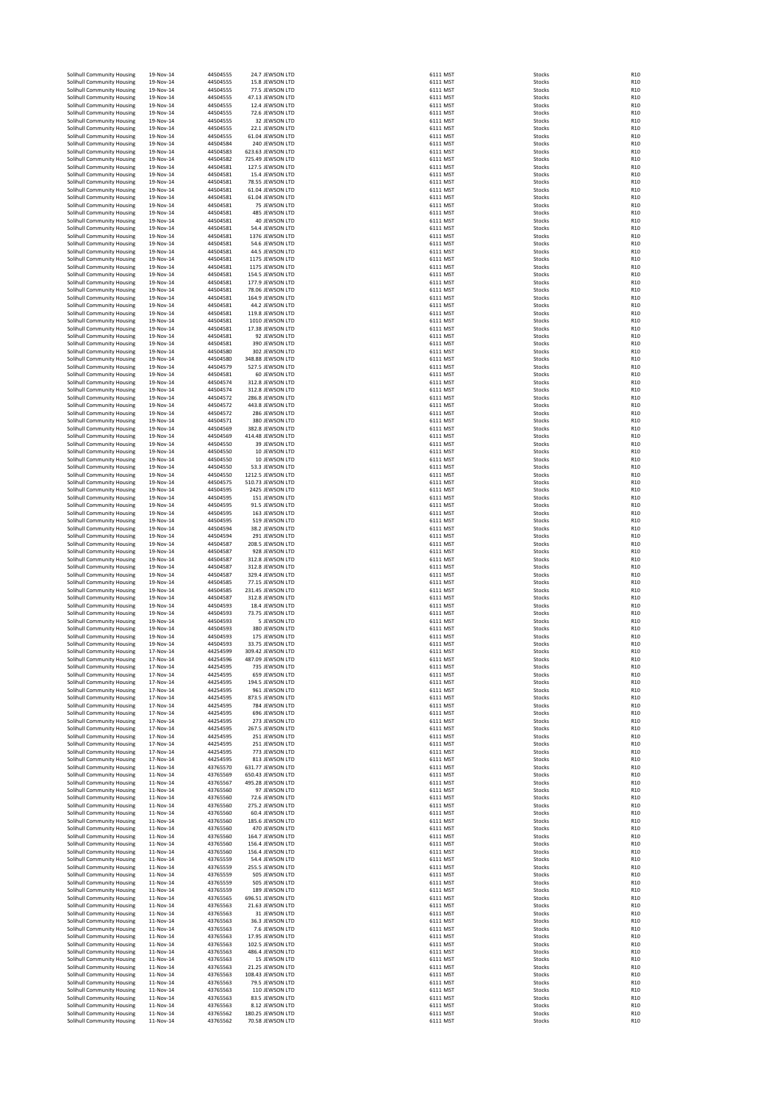| Solihull Community Housing                               | 19-Nov-14                    | 44504555             | 24.7 JEWSON LTD                        | 6111 MST             | Stocks                  | R <sub>1</sub> C                     |
|----------------------------------------------------------|------------------------------|----------------------|----------------------------------------|----------------------|-------------------------|--------------------------------------|
| Solihull Community Housing                               | 19-Nov-14                    | 44504555             | 15.8 JEWSON LTD                        | 6111 MST             | Stocks                  | R <sub>1</sub> C                     |
| Solihull Community Housing                               | 19-Nov-14                    | 44504555             | 77.5 JEWSON LTD                        | 6111 MST             | Stocks                  | R <sub>10</sub>                      |
| Solihull Community Housing                               | 19-Nov-14                    | 44504555             | 47.13 JEWSON LTD                       | 6111 MST             | Stocks                  | R <sub>10</sub><br>R <sub>10</sub>   |
| Solihull Community Housing<br>Solihull Community Housing | 19-Nov-14<br>19-Nov-14       | 44504555<br>44504555 | 12.4 JEWSON LTD<br>72.6 JEWSON LTD     | 6111 MST<br>6111 MST | Stocks<br>Stocks        | R <sub>10</sub>                      |
| Solihull Community Housing                               | 19-Nov-14                    | 44504555             | 32 JEWSON LTD                          | 6111 MST             | Stocks                  | R <sub>1</sub> C                     |
| Solihull Community Housing                               | 19-Nov-14                    | 44504555             | 22.1 JEWSON LTD                        | 6111 MST             | Stocks                  | R <sub>10</sub>                      |
| Solihull Community Housing                               | 19-Nov-14                    | 44504555             | 61.04 JEWSON LTD                       | 6111 MST             | Stocks                  | R <sub>10</sub>                      |
| Solihull Community Housing<br>Solihull Community Housing | 19-Nov-14<br>19-Nov-14       | 44504584<br>44504583 | 240 JEWSON LTD<br>623.63 JEWSON LTD    | 6111 MST<br>6111 MST | Stocks<br>Stocks        | R <sub>1</sub> C<br>R <sub>1</sub> C |
| Solihull Community Housing                               | 19-Nov-14                    | 44504582             | 725.49 JEWSON LTD                      | 6111 MST             | Stocks                  | R <sub>1</sub> C                     |
| Solihull Community Housing                               | 19-Nov-14                    | 44504581             | 127.5 IEWSON LTD                       | 6111 MST             | Stocks                  | R <sub>1</sub> C                     |
| Solihull Community Housing                               | 19-Nov-14                    | 44504581             | 15.4 JEWSON LTD                        | 6111 MST             | Stocks                  | R <sub>10</sub>                      |
| Solihull Community Housing                               | 19-Nov-14                    | 44504581             | 78.55 JEWSON LTD                       | 6111 MST             | Stocks                  | R <sub>10</sub>                      |
| Solihull Community Housing<br>Solihull Community Housing | 19-Nov-14<br>19-Nov-14       | 44504581<br>44504581 | 61.04 JEWSON LTD<br>61.04 JEWSON LTD   | 6111 MST<br>6111 MST | Stocks<br>Stocks        | R <sub>10</sub><br>R <sub>10</sub>   |
| Solihull Community Housing                               | 19-Nov-14                    | 44504581             | 75 JEWSON LTD                          | 6111 MST             | Stocks                  | R <sub>10</sub>                      |
| Solihull Community Housing                               | 19-Nov-14                    | 44504581             | 485 JEWSON LTD                         | 6111 MST             | Stocks                  | R <sub>1</sub> C                     |
| Solihull Community Housing                               | 19-Nov-14                    | 44504581             | 40 JEWSON LTD                          | 6111 MST             | Stocks                  | R <sub>1</sub> C                     |
| Solihull Community Housing                               | 19-Nov-14                    | 44504581             | 54.4 JEWSON LTD                        | 6111 MST             | Stocks                  | R <sub>10</sub>                      |
| Solihull Community Housing                               | 19-Nov-14<br>19-Nov-14       | 44504581             | 1376 JEWSON LTD                        | 6111 MST             | Stocks                  | R <sub>10</sub>                      |
| Solihull Community Housing<br>Solihull Community Housing | 19-Nov-14                    | 44504581<br>44504581 | 54.6 JEWSON LTD<br>44.5 JEWSON LTD     | 6111 MST<br>6111 MST | Stocks<br>Stocks        | R <sub>1</sub> C<br>R <sub>10</sub>  |
| Solihull Community Housing                               | 19-Nov-14                    | 44504581             | 1175 JEWSON LTD                        | 6111 MST             | Stocks                  | R <sub>10</sub>                      |
| Solihull Community Housing                               | 19-Nov-14                    | 44504581             | 1175 JEWSON LTD                        | 6111 MST             | Stocks                  | R <sub>10</sub>                      |
| Solihull Community Housing                               | 19-Nov-14                    | 44504581             | 154.5 JEWSON LTD                       | 6111 MST             | Stocks                  | R <sub>10</sub>                      |
| Solihull Community Housing                               | 19-Nov-14                    | 44504581             | 177.9 JEWSON LTD                       | 6111 MST             | Stocks                  | R <sub>1</sub> C<br>R <sub>1</sub> C |
| Solihull Community Housing<br>Solihull Community Housing | 19-Nov-14<br>19-Nov-14       | 44504581<br>44504581 | 78.06 JEWSON LTD<br>164.9 JEWSON LTD   | 6111 MST<br>6111 MST | Stocks<br>Stocks        | R <sub>1</sub> C                     |
| Solihull Community Housing                               | 19-Nov-14                    | 44504581             | 44.2 JEWSON LTD                        | 6111 MST             | Stocks                  | R <sub>10</sub>                      |
| Solihull Community Housing                               | 19-Nov-14                    | 44504581             | 119.8 JEWSON LTD                       | 6111 MST             | Stocks                  | R <sub>1</sub> C                     |
| Solihull Community Housing                               | 19-Nov-14                    | 44504581             | 1010 JEWSON LTD                        | 6111 MST             | Stocks                  | R <sub>10</sub>                      |
| Solihull Community Housing                               | 19-Nov-14                    | 44504581             | 17.38 JEWSON LTD                       | 6111 MST             | Stocks                  | R <sub>10</sub>                      |
| Solihull Community Housing<br>Solihull Community Housing | 19-Nov-14<br>19-Nov-14       | 44504581<br>44504581 | 92 JEWSON LTD<br>390 JEWSON LTD        | 6111 MST<br>6111 MST | Stocks<br>Stocks        | R <sub>1</sub> C<br>R <sub>1</sub> C |
| Solihull Community Housing                               | 19-Nov-14                    | 44504580             | 302 JEWSON LTD                         | 6111 MST             | Stocks                  | R <sub>1</sub> C                     |
| Solihull Community Housing                               | 19-Nov-14                    | 44504580             | 348.88 JEWSON LTD                      | 6111 MST             | Stocks                  | R <sub>1</sub> C                     |
| Solihull Community Housing                               | 19-Nov-14                    | 44504579             | 527.5 IEWSON LTD                       | 6111 MST             | Stocks                  | R <sub>1</sub> C                     |
| Solihull Community Housing                               | 19-Nov-14                    | 44504581             | 60 JEWSON LTD                          | 6111 MST<br>6111 MST | Stocks                  | R <sub>10</sub>                      |
| Solihull Community Housing<br>Solihull Community Housing | 19-Nov-14<br>19-Nov-14       | 44504574<br>44504574 | 312.8 JEWSON LTD<br>312.8 JEWSON LTD   | 6111 MST             | Stocks<br>Stocks        | R <sub>10</sub><br>R <sub>10</sub>   |
| Solihull Community Housing                               | 19-Nov-14                    | 44504572             | 286.8 JEWSON LTD                       | 6111 MST             | Stocks                  | R <sub>10</sub>                      |
| Solihull Community Housing                               | 19-Nov-14                    | 44504572             | 443.8 JEWSON LTD                       | 6111 MST             | Stocks                  | R <sub>10</sub>                      |
| Solihull Community Housing                               | 19-Nov-14                    | 44504572             | 286 JEWSON LTD                         | 6111 MST             | Stocks                  | R <sub>1</sub> C                     |
| Solihull Community Housing                               | 19-Nov-14                    | 44504571             | 380 JEWSON LTD                         | 6111 MST             | Stocks                  | R <sub>1</sub> C                     |
| Solihull Community Housing<br>Solihull Community Housing | 19-Nov-14<br>19-Nov-14       | 44504569             | 382.8 JEWSON LTD                       | 6111 MST<br>6111 MST | Stocks<br>Stocks        | R <sub>1</sub> C<br>R <sub>1</sub> C |
| Solihull Community Housing                               | 19-Nov-14                    | 44504569<br>44504550 | 414.48 JEWSON LTD<br>39 JEWSON LTD     | 6111 MST             | Stocks                  | R <sub>1</sub> C                     |
| Solihull Community Housing                               | 19-Nov-14                    | 44504550             | 10 JEWSON LTD                          | 6111 MST             | Stocks                  | R <sub>1</sub> C                     |
| Solihull Community Housing                               | 19-Nov-14                    | 44504550             | 10 JEWSON LTD                          | 6111 MST             | Stocks                  | R <sub>10</sub>                      |
| Solihull Community Housing                               | 19-Nov-14                    | 44504550             | 53.3 JEWSON LTD                        | 6111 MST             | Stocks                  | R <sub>10</sub>                      |
| Solihull Community Housing<br>Solihull Community Housing | 19-Nov-14<br>19-Nov-14       | 44504550<br>44504575 | 1212.5 JEWSON LTD<br>510.73 JEWSON LTD | 6111 MST<br>6111 MST | Stocks<br>Stocks        | R <sub>10</sub><br>R <sub>10</sub>   |
| Solihull Community Housing                               | 19-Nov-14                    | 44504595             | 2425 JEWSON LTD                        | 6111 MST             | Stocks                  | R <sub>10</sub>                      |
| Solihull Community Housing                               | 19-Nov-14                    | 44504595             | 151 JEWSON LTD                         | 6111 MST             | Stocks                  | R1C                                  |
| Solihull Community Housing                               | 19-Nov-14                    | 44504595             | 91.5 JEWSON LTD                        | 6111 MST             | Stocks                  | R <sub>1</sub> C                     |
| Solihull Community Housing                               | 19-Nov-14                    | 44504595             | 163 JEWSON LTD                         | 6111 MST             | Stocks                  | R <sub>1</sub> C                     |
| Solihull Community Housing<br>Solihull Community Housing | 19-Nov-14<br>19-Nov-14       | 44504595<br>44504594 | 519 JEWSON LTD<br>38.2 JEWSON LTD      | 6111 MST<br>6111 MST | Stocks<br>Stocks        | R <sub>10</sub><br>R <sub>10</sub>   |
| Solihull Community Housing                               | 19-Nov-14                    | 44504594             | 291 JEWSON LTD                         | 6111 MST             | Stocks                  | R <sub>1</sub> C                     |
| Solihull Community Housing                               | 19-Nov-14                    | 44504587             | 208.5 JEWSON LTD                       | 6111 MST             | Stocks                  | R <sub>1</sub> C                     |
| Solihull Community Housing                               | 19-Nov-14                    | 44504587             | 928 JEWSON LTD                         | 6111 MST             | Stocks                  | R <sub>1</sub> C                     |
| Solihull Community Housing                               | 19-Nov-14                    | 44504587             | 312.8 JEWSON LTD                       | 6111 MST             | Stocks                  | R <sub>1</sub> C                     |
| Solihull Community Housing<br>Solihull Community Housing | 19-Nov-14<br>19-Nov-14       | 44504587<br>44504587 | 312.8 JEWSON LTD<br>329.4 JEWSON LTD   | 6111 MST<br>6111 MST | Stocks<br>Stocks        | R <sub>1</sub> C<br>R <sub>1</sub> C |
| Solihull Community Housing                               | 19-Nov-14                    | 44504585             | 77.15 JEWSON LTD                       | 6111 MST             | Stocks                  | R <sub>10</sub>                      |
| Solihull Community Housing                               | 19-Nov-14                    | 44504585             | 231.45 JEWSON LTD                      | 6111 MST             | Stocks                  | R <sub>10</sub>                      |
| Solihull Community Housing                               | 19-Nov-14                    | 44504587             | 312.8 JEWSON LTD                       | 6111 MST             | Stocks                  | R <sub>10</sub>                      |
| Solihull Community Housing                               | 19-Nov-14                    | 44504593             | 18.4 JEWSON LTD                        | 6111 MST             | Stocks                  | R <sub>1</sub> C                     |
| Solihull Community Housing<br>Solihull Community Housing | 19-Nov-14<br>19-Nov-14       | 44504593<br>44504593 | 73.75 JEWSON LTD<br>5 JEWSON LTD       | 6111 MST<br>6111 MST | Stocks<br>Stocks        | R <sub>10</sub><br>R <sub>10</sub>   |
| Solihull Community Housing                               | 19-Nov-14                    | 44504593             | 380 JEWSON LTD                         | 6111 MST             | Stocks                  | R <sub>10</sub>                      |
| Solihull Community Housing                               | 19-Nov-14                    | 44504593             | 175 JEWSON LTD                         | 6111 MST             | Stocks                  | R <sub>1</sub> C                     |
| Solihull Community Housing                               | 19-Nov-14                    | 44504593             | 33.75 JEWSON LTD                       | 6111 MST             | Stocks                  | R <sub>1</sub> C                     |
| Solihull Community Housing                               | 17-Nov-14                    | 44254599             | 309.42 JEWSON LTD<br>487.09 IEWSON LTD | 6111 MST             | Stocks                  | R <sub>1</sub> C                     |
| Solihull Community Housing<br>Solihull Community Housing | $17 - Nov - 14$<br>17-Nov-14 | 44254596<br>44254595 | 735 JEWSON LTD                         | 6111 MST<br>6111 MST | <b>Stocks</b><br>Stocks | <b>R10</b><br>R <sub>10</sub>        |
| Solihull Community Housing                               | 17-Nov-14                    | 44254595             | 659 JEWSON LTD                         | 6111 MST             | Stocks                  | R <sub>10</sub>                      |
| Solihull Community Housing                               | 17-Nov-14                    | 44254595             | 194.5 JEWSON LTD                       | 6111 MST             | Stocks                  | R <sub>10</sub>                      |
| Solihull Community Housing                               | 17-Nov-14                    | 44254595             | 961 JEWSON LTD                         | 6111 MST             | Stocks                  | R <sub>10</sub>                      |
| Solihull Community Housing<br>Solihull Community Housing | 17-Nov-14<br>17-Nov-14       | 44254595<br>44254595 | 873.5 JEWSON LTD<br>784 JEWSON LTD     | 6111 MST<br>6111 MST | Stocks<br>Stocks        | R <sub>10</sub><br>R <sub>1</sub> C  |
| Solihull Community Housing                               | 17-Nov-14                    | 44254595             | 696 JEWSON LTD                         | 6111 MST             | Stocks                  | R <sub>1</sub> C                     |
| Solihull Community Housing                               | 17-Nov-14                    | 44254595             | 273 JEWSON LTD                         | 6111 MST             | Stocks                  | R <sub>1</sub> C                     |
| Solihull Community Housing                               | 17-Nov-14                    | 44254595             | 267.5 JEWSON LTD                       | 6111 MST             | Stocks                  | R <sub>1</sub> C                     |
| Solihull Community Housing                               | 17-Nov-14                    | 44254595             | 251 JEWSON LTD                         | 6111 MST             | Stocks                  | R <sub>1</sub> C                     |
| Solihull Community Housing<br>Solihull Community Housing | 17-Nov-14<br>17-Nov-14       | 44254595<br>44254595 | 251 JEWSON LTD<br>773 JEWSON LTD       | 6111 MST<br>6111 MST | Stocks<br>Stocks        | R <sub>1</sub> C<br>R <sub>1</sub> C |
| Solihull Community Housing                               | 17-Nov-14                    | 44254595             | 813 JEWSON LTD                         | 6111 MST             | Stocks                  | R <sub>10</sub>                      |
| Solihull Community Housing                               | 11-Nov-14                    | 43765570             | 631.77 JEWSON LTD                      | 6111 MST             | Stocks                  | R <sub>10</sub>                      |
| Solihull Community Housing                               | 11-Nov-14                    | 43765569             | 650.43 JEWSON LTD                      | 6111 MST             | Stocks                  | R <sub>1</sub> C                     |
| Solihull Community Housing                               | 11-Nov-14                    | 43765567             | 495.28 JEWSON LTD                      | 6111 MST<br>6111 MST | Stocks                  | R <sub>1</sub> C<br>R <sub>1</sub> C |
| Solihull Community Housing<br>Solihull Community Housing | 11-Nov-14<br>11-Nov-14       | 43765560<br>43765560 | 97 JEWSON LTD<br>72.6 JEWSON LTD       | 6111 MST             | Stocks<br>Stocks        | R <sub>10</sub>                      |
| Solihull Community Housing                               | 11-Nov-14                    | 43765560             | 275.2 JEWSON LTD                       | 6111 MST             | Stocks                  | R <sub>1</sub> C                     |
| Solihull Community Housing                               | 11-Nov-14                    | 43765560             | 60.4 JEWSON LTD                        | 6111 MST             | Stocks                  | R <sub>10</sub>                      |
| Solihull Community Housing                               | 11-Nov-14                    | 43765560             | 185.6 JEWSON LTD                       | 6111 MST             | Stocks                  | R <sub>10</sub>                      |
| Solihull Community Housing                               | 11-Nov-14                    | 43765560             | 470 JEWSON LTD                         | 6111 MST             | Stocks                  | R <sub>1</sub> C                     |
| Solihull Community Housing<br>Solihull Community Housing | 11-Nov-14<br>11-Nov-14       | 43765560<br>43765560 | 164.7 JEWSON LTD<br>156.4 JEWSON LTD   | 6111 MST<br>6111 MST | Stocks<br>Stocks        | R <sub>1</sub> C<br>R <sub>1</sub> C |
| Solihull Community Housing                               | 11-Nov-14                    | 43765560             | 156.4 JEWSON LTD                       | 6111 MST             | Stocks                  | R1C                                  |
| Solihull Community Housing                               | 11-Nov-14                    | 43765559             | 54.4 JEWSON LTD                        | 6111 MST             | Stocks                  | R1C                                  |
| Solihull Community Housing                               | 11-Nov-14                    | 43765559             | 255.5 JEWSON LTD                       | 6111 MST             | Stocks                  | R <sub>10</sub>                      |
| Solihull Community Housing<br>Solihull Community Housing | 11-Nov-14<br>11-Nov-14       | 43765559<br>43765559 | 505 JEWSON LTD<br>505 JEWSON LTD       | 6111 MST<br>6111 MST | Stocks<br>Stocks        | R <sub>10</sub><br>R <sub>10</sub>   |
| Solihull Community Housing                               | 11-Nov-14                    | 43765559             | 189 JEWSON LTD                         | 6111 MST             | Stocks                  | R <sub>10</sub>                      |
| Solihull Community Housing                               | 11-Nov-14                    | 43765565             | 696.51 JEWSON LTD                      | 6111 MST             | Stocks                  | R <sub>1</sub> C                     |
| Solihull Community Housing                               | 11-Nov-14                    | 43765563             | 21.63 JEWSON LTD                       | 6111 MST             | Stocks                  | R <sub>10</sub>                      |
| Solihull Community Housing                               | 11-Nov-14                    | 43765563             | 31 JEWSON LTD                          | 6111 MST             | Stocks                  | R <sub>10</sub>                      |
| Solihull Community Housing<br>Solihull Community Housing | 11-Nov-14<br>11-Nov-14       | 43765563<br>43765563 | 36.3 JEWSON LTD<br>7.6 JEWSON LTD      | 6111 MST<br>6111 MST | Stocks<br>Stocks        | R <sub>1</sub> C<br>R <sub>1</sub> C |
| Solihull Community Housing                               | 11-Nov-14                    | 43765563             | 17.95 JEWSON LTD                       | 6111 MST             | Stocks                  | R <sub>1</sub> C                     |
| Solihull Community Housing                               | 11-Nov-14                    | 43765563             | 102.5 JEWSON LTD                       | 6111 MST             | Stocks                  | R <sub>1</sub> C                     |
| Solihull Community Housing                               | 11-Nov-14                    | 43765563             | 486.4 JEWSON LTD                       | 6111 MST             | Stocks                  | R <sub>1</sub> C                     |
| Solihull Community Housing                               | 11-Nov-14                    | 43765563             | 15 JEWSON LTD                          | 6111 MST             | Stocks                  | R <sub>10</sub>                      |
| Solihull Community Housing<br>Solihull Community Housing | 11-Nov-14<br>11-Nov-14       | 43765563<br>43765563 | 21.25 JEWSON LTD<br>108.43 JEWSON LTD  | 6111 MST<br>6111 MST | Stocks<br>Stocks        | R <sub>10</sub><br>R <sub>10</sub>   |
| Solihull Community Housing                               | 11-Nov-14                    | 43765563             | 79.5 JEWSON LTD                        | 6111 MST             | Stocks                  | R <sub>10</sub>                      |
| Solihull Community Housing                               | 11-Nov-14                    | 43765563             | 110 JEWSON LTD                         | 6111 MST             | Stocks                  | R1C                                  |
| Solihull Community Housing                               | 11-Nov-14                    | 43765563             | 83.5 JEWSON LTD                        | 6111 MST             | Stocks                  | R <sub>1</sub> C                     |
| Solihull Community Housing<br>Solihull Community Housing | 11-Nov-14<br>11-Nov-14       | 43765563<br>43765562 | 8.12 JEWSON LTD<br>180.25 JEWSON LTD   | 6111 MST<br>6111 MST | Stocks<br>Stocks        | R <sub>10</sub><br>R <sub>10</sub>   |
| Solihull Community Housing                               | 11-Nov-14                    | 43765562             | 70.58 JEWSON LTD                       | 6111 MST             | Stocks                  | R <sub>1</sub> C                     |
|                                                          |                              |                      |                                        |                      |                         |                                      |

| $\frac{111}{1}$                                                                              | <b>MST</b>                                                                                                                                                                                                                                                                                             |
|----------------------------------------------------------------------------------------------|--------------------------------------------------------------------------------------------------------------------------------------------------------------------------------------------------------------------------------------------------------------------------------------------------------|
| 5111                                                                                         | M<br>s                                                                                                                                                                                                                                                                                                 |
| $\frac{1}{111}$                                                                              | M                                                                                                                                                                                                                                                                                                      |
| 5111                                                                                         | M:                                                                                                                                                                                                                                                                                                     |
| 3111                                                                                         | M                                                                                                                                                                                                                                                                                                      |
| 3111 M                                                                                       |                                                                                                                                                                                                                                                                                                        |
| 111 MST                                                                                      |                                                                                                                                                                                                                                                                                                        |
|                                                                                              | 111 MST                                                                                                                                                                                                                                                                                                |
|                                                                                              | 111 MST                                                                                                                                                                                                                                                                                                |
| 111 MST                                                                                      | 111 MST                                                                                                                                                                                                                                                                                                |
| 3111 MST                                                                                     |                                                                                                                                                                                                                                                                                                        |
| 111 MST                                                                                      |                                                                                                                                                                                                                                                                                                        |
| 111 MST                                                                                      |                                                                                                                                                                                                                                                                                                        |
|                                                                                              |                                                                                                                                                                                                                                                                                                        |
| ات<br>111 MST<br>111 MST                                                                     |                                                                                                                                                                                                                                                                                                        |
| i11                                                                                          | M                                                                                                                                                                                                                                                                                                      |
| $\frac{1}{11}$                                                                               | MST                                                                                                                                                                                                                                                                                                    |
| 1111 M51<br>1111 M51<br>1111 M51<br>1111 M51<br>1111 M51<br>1111 M51<br>1111 M51<br>1111 M51 |                                                                                                                                                                                                                                                                                                        |
|                                                                                              |                                                                                                                                                                                                                                                                                                        |
|                                                                                              |                                                                                                                                                                                                                                                                                                        |
|                                                                                              |                                                                                                                                                                                                                                                                                                        |
|                                                                                              |                                                                                                                                                                                                                                                                                                        |
|                                                                                              |                                                                                                                                                                                                                                                                                                        |
|                                                                                              |                                                                                                                                                                                                                                                                                                        |
|                                                                                              |                                                                                                                                                                                                                                                                                                        |
|                                                                                              |                                                                                                                                                                                                                                                                                                        |
| 3111 M                                                                                       |                                                                                                                                                                                                                                                                                                        |
| 3111 M                                                                                       |                                                                                                                                                                                                                                                                                                        |
| 3111 M                                                                                       |                                                                                                                                                                                                                                                                                                        |
|                                                                                              | 111 MST                                                                                                                                                                                                                                                                                                |
|                                                                                              | 111 MST                                                                                                                                                                                                                                                                                                |
|                                                                                              | 5111 MST<br>5111 MST                                                                                                                                                                                                                                                                                   |
| 111 MST                                                                                      |                                                                                                                                                                                                                                                                                                        |
| 111 MST                                                                                      |                                                                                                                                                                                                                                                                                                        |
| $\frac{1}{2}$<br>$\frac{1}{2}$ MST                                                           |                                                                                                                                                                                                                                                                                                        |
| 111 MST                                                                                      |                                                                                                                                                                                                                                                                                                        |
| 111 MST                                                                                      |                                                                                                                                                                                                                                                                                                        |
| ات:<br>111 MST<br>111 MST                                                                    |                                                                                                                                                                                                                                                                                                        |
|                                                                                              |                                                                                                                                                                                                                                                                                                        |
| $\frac{1}{11}$                                                                               | MS                                                                                                                                                                                                                                                                                                     |
| 3111<br>3111                                                                                 | $\overline{MS}$<br><b>MST</b>                                                                                                                                                                                                                                                                          |
| MSI ساء MSI<br>1111 MST<br>1111 MST<br>1111 MST<br>1111 MST<br>1111 MST                      |                                                                                                                                                                                                                                                                                                        |
|                                                                                              |                                                                                                                                                                                                                                                                                                        |
|                                                                                              |                                                                                                                                                                                                                                                                                                        |
|                                                                                              |                                                                                                                                                                                                                                                                                                        |
|                                                                                              |                                                                                                                                                                                                                                                                                                        |
|                                                                                              | ا د<br>MST                                                                                                                                                                                                                                                                                             |
| i111<br>i111                                                                                 | $\frac{1}{M}$<br><sub>ST</sub>                                                                                                                                                                                                                                                                         |
| 3111 M                                                                                       |                                                                                                                                                                                                                                                                                                        |
| 3111 M                                                                                       |                                                                                                                                                                                                                                                                                                        |
| 111 MST                                                                                      |                                                                                                                                                                                                                                                                                                        |
| .<br>111 MST                                                                                 | 111 MST                                                                                                                                                                                                                                                                                                |
|                                                                                              | 111 MST                                                                                                                                                                                                                                                                                                |
|                                                                                              |                                                                                                                                                                                                                                                                                                        |
|                                                                                              | 5111 MST<br>5111 MST                                                                                                                                                                                                                                                                                   |
| ,111 MS<br>,111 MST<br>,111 MST                                                              |                                                                                                                                                                                                                                                                                                        |
|                                                                                              |                                                                                                                                                                                                                                                                                                        |
| 111 MST<br>111 MST                                                                           |                                                                                                                                                                                                                                                                                                        |
|                                                                                              |                                                                                                                                                                                                                                                                                                        |
| ات:<br>111 MST<br>111 MST                                                                    |                                                                                                                                                                                                                                                                                                        |
| 5111                                                                                         | MS                                                                                                                                                                                                                                                                                                     |
| 5111                                                                                         | MS                                                                                                                                                                                                                                                                                                     |
| 5111<br>$\frac{1}{11}$                                                                       | MS <sub>1</sub>                                                                                                                                                                                                                                                                                        |
| 3111                                                                                         | MST<br>MST<br>MST<br>MST                                                                                                                                                                                                                                                                               |
| 3111                                                                                         |                                                                                                                                                                                                                                                                                                        |
| i11                                                                                          |                                                                                                                                                                                                                                                                                                        |
| ;<br>111<br>;111                                                                             | اکان<br>MST                                                                                                                                                                                                                                                                                            |
|                                                                                              | M:                                                                                                                                                                                                                                                                                                     |
| 5111                                                                                         | MST<br>ادان <sub>-</sub><br>111 MST:<br>-                                                                                                                                                                                                                                                              |
| 111 MST                                                                                      |                                                                                                                                                                                                                                                                                                        |
| 111 MS                                                                                       |                                                                                                                                                                                                                                                                                                        |
|                                                                                              |                                                                                                                                                                                                                                                                                                        |
|                                                                                              |                                                                                                                                                                                                                                                                                                        |
|                                                                                              |                                                                                                                                                                                                                                                                                                        |
|                                                                                              |                                                                                                                                                                                                                                                                                                        |
|                                                                                              |                                                                                                                                                                                                                                                                                                        |
|                                                                                              |                                                                                                                                                                                                                                                                                                        |
|                                                                                              |                                                                                                                                                                                                                                                                                                        |
|                                                                                              |                                                                                                                                                                                                                                                                                                        |
|                                                                                              |                                                                                                                                                                                                                                                                                                        |
|                                                                                              |                                                                                                                                                                                                                                                                                                        |
|                                                                                              |                                                                                                                                                                                                                                                                                                        |
|                                                                                              |                                                                                                                                                                                                                                                                                                        |
|                                                                                              |                                                                                                                                                                                                                                                                                                        |
|                                                                                              |                                                                                                                                                                                                                                                                                                        |
|                                                                                              |                                                                                                                                                                                                                                                                                                        |
|                                                                                              |                                                                                                                                                                                                                                                                                                        |
|                                                                                              |                                                                                                                                                                                                                                                                                                        |
|                                                                                              |                                                                                                                                                                                                                                                                                                        |
|                                                                                              |                                                                                                                                                                                                                                                                                                        |
|                                                                                              | 1111 MST<br>1111 MST<br>1111 MST<br>1111 MST<br>1111 MST<br>1111 MST<br>1111 MST<br>1111 MST<br>1111 MST<br>1111 MST<br>1111 MST<br>1111 MST<br>1111 MST<br>1111 MST<br>1111 MST<br>1111 MST<br>1111 MST<br>1111 MST<br>1111 MST<br>1111 MST<br>1111 MST<br>1111 MST<br>1111 MST<br>1111 MST<br>1111 M |
|                                                                                              |                                                                                                                                                                                                                                                                                                        |
|                                                                                              |                                                                                                                                                                                                                                                                                                        |
|                                                                                              |                                                                                                                                                                                                                                                                                                        |
|                                                                                              | 111 MST<br>111 MST<br>111 MST<br>111 MST                                                                                                                                                                                                                                                               |
|                                                                                              |                                                                                                                                                                                                                                                                                                        |
|                                                                                              |                                                                                                                                                                                                                                                                                                        |
|                                                                                              |                                                                                                                                                                                                                                                                                                        |
|                                                                                              |                                                                                                                                                                                                                                                                                                        |
|                                                                                              |                                                                                                                                                                                                                                                                                                        |
|                                                                                              |                                                                                                                                                                                                                                                                                                        |
|                                                                                              |                                                                                                                                                                                                                                                                                                        |
|                                                                                              |                                                                                                                                                                                                                                                                                                        |
|                                                                                              |                                                                                                                                                                                                                                                                                                        |
|                                                                                              |                                                                                                                                                                                                                                                                                                        |
|                                                                                              |                                                                                                                                                                                                                                                                                                        |
|                                                                                              |                                                                                                                                                                                                                                                                                                        |
|                                                                                              | 11111 MST<br>11111 MST<br>11111 MST<br>11111 MST<br>1111 MST<br>1111 MST<br>1111 MST<br>1111 MST<br>1111 MST<br>1111 MST<br>1111 MST                                                                                                                                                                   |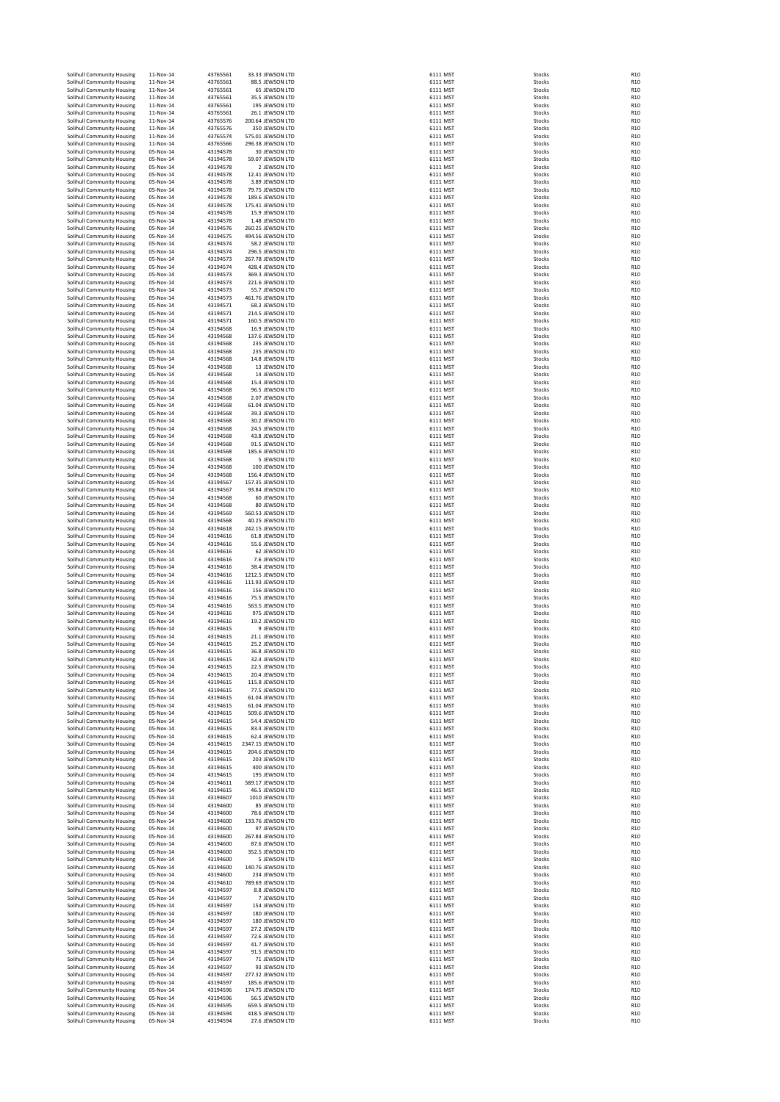| Solihull Community Housing                               | 11-Nov-14                  | 43765561             | 33.33 JEWSON LTD                       | 6111 MST             | Stocks                  | R <sub>1</sub> C                     |
|----------------------------------------------------------|----------------------------|----------------------|----------------------------------------|----------------------|-------------------------|--------------------------------------|
| Solihull Community Housing                               | 11-Nov-14                  | 43765561             | 88.5 JEWSON LTD                        | 6111 MST             | Stocks                  | R <sub>1</sub> C                     |
| Solihull Community Housing                               | 11-Nov-14                  | 43765561             | 65 JEWSON LTD                          | 6111 MST             | Stocks                  | R <sub>10</sub>                      |
| Solihull Community Housing<br>Solihull Community Housing | 11-Nov-14<br>11-Nov-14     | 43765561<br>43765561 | 35.5 JEWSON LTD<br>195 JEWSON LTD      | 6111 MST<br>6111 MST | Stocks<br>Stocks        | R <sub>10</sub><br>R <sub>10</sub>   |
| Solihull Community Housing                               | 11-Nov-14                  | 43765561             | 26.1 JEWSON LTD                        | 6111 MST             | Stocks                  | R <sub>10</sub>                      |
| Solihull Community Housing                               | 11-Nov-14                  | 43765576             | 200.64 JEWSON LTD                      | 6111 MST             | Stocks                  | R <sub>1</sub> C                     |
| Solihull Community Housing                               | 11-Nov-14                  | 43765576             | 350 JEWSON LTD                         | 6111 MST             | Stocks                  | R <sub>10</sub>                      |
| Solihull Community Housing                               | 11-Nov-14                  | 43765574             | 575.01 JEWSON LTD                      | 6111 MST             | Stocks                  | R <sub>10</sub>                      |
| Solihull Community Housing<br>Solihull Community Housing | 11-Nov-14<br>05-Nov-14     | 43765566<br>43194578 | 296.38 JEWSON LTD<br>30 JEWSON LTD     | 6111 MST<br>6111 MST | Stocks<br>Stocks        | R <sub>1</sub> C<br>R <sub>1</sub> C |
| Solihull Community Housing                               | 05-Nov-14                  | 43194578             | 59.07 JEWSON LTD                       | 6111 MST             | Stocks                  | R <sub>1</sub> C                     |
| Solihull Community Housing                               | 05-Nov-14                  | 43194578             | 2 JEWSON LTD                           | 6111 MST             | Stocks                  | R <sub>1</sub> C                     |
| Solihull Community Housing                               | 05-Nov-14                  | 43194578             | 12.41 JEWSON LTD                       | 6111 MST             | Stocks                  | R <sub>10</sub>                      |
| Solihull Community Housing                               | 05-Nov-14                  | 43194578             | 3.89 JEWSON LTD                        | 6111 MST             | Stocks                  | R <sub>10</sub>                      |
| Solihull Community Housing<br>Solihull Community Housing | 05-Nov-14<br>05-Nov-14     | 43194578<br>43194578 | 79.75 JEWSON LTD<br>189.6 JEWSON LTD   | 6111 MST<br>6111 MST | Stocks<br>Stocks        | R <sub>10</sub><br>R <sub>10</sub>   |
| Solihull Community Housing                               | 05-Nov-14                  | 43194578             | 175.41 JEWSON LTD                      | 6111 MST             | Stocks                  | R <sub>10</sub>                      |
| Solihull Community Housing                               | 05-Nov-14                  | 43194578             | 15.9 JEWSON LTD                        | 6111 MST             | Stocks                  | R <sub>1</sub> C                     |
| Solihull Community Housing                               | 05-Nov-14                  | 43194578             | 1.48 JEWSON LTD                        | 6111 MST             | Stocks                  | R <sub>1</sub> C                     |
| Solihull Community Housing                               | 05-Nov-14                  | 43194576             | 260.25 JEWSON LTD                      | 6111 MST             | Stocks                  | R <sub>10</sub>                      |
| Solihull Community Housing<br>Solihull Community Housing | 05-Nov-14<br>05-Nov-14     | 43194575             | 494.56 JEWSON LTD                      | 6111 MST<br>6111 MST | Stocks                  | R <sub>10</sub><br>R <sub>1</sub> C  |
| Solihull Community Housing                               | 05-Nov-14                  | 43194574<br>43194574 | 58.2 JEWSON LTD<br>296.5 JEWSON LTD    | 6111 MST             | Stocks<br>Stocks        | R <sub>10</sub>                      |
| Solihull Community Housing                               | 05-Nov-14                  | 43194573             | 267.78 JEWSON LTD                      | 6111 MST             | Stocks                  | R <sub>10</sub>                      |
| Solihull Community Housing                               | 05-Nov-14                  | 43194574             | 428.4 JEWSON LTD                       | 6111 MST             | Stocks                  | R <sub>10</sub>                      |
| Solihull Community Housing                               | 05-Nov-14                  | 43194573             | 369.3 JEWSON LTD                       | 6111 MST             | Stocks                  | R <sub>10</sub>                      |
| Solihull Community Housing<br>Solihull Community Housing | 05-Nov-14<br>05-Nov-14     | 43194573<br>43194573 | 221.6 JEWSON LTD<br>55.7 JEWSON LTD    | 6111 MST<br>6111 MST | Stocks<br>Stocks        | R <sub>1</sub> C<br>R <sub>1</sub> C |
| Solihull Community Housing                               | 05-Nov-14                  | 43194573             | 461.76 JEWSON LTD                      | 6111 MST             | Stocks                  | R <sub>1</sub> C                     |
| Solihull Community Housing                               | 05-Nov-14                  | 43194571             | 68.3 JEWSON LTD                        | 6111 MST             | Stocks                  | R <sub>10</sub>                      |
| Solihull Community Housing                               | 05-Nov-14                  | 43194571             | 214.5 JEWSON LTD                       | 6111 MST             | Stocks                  | R <sub>1</sub> C                     |
| Solihull Community Housing                               | 05-Nov-14                  | 43194571             | 160.5 JEWSON LTD                       | 6111 MST             | Stocks                  | R <sub>10</sub>                      |
| Solihull Community Housing<br>Solihull Community Housing | 05-Nov-14<br>05-Nov-14     | 43194568<br>43194568 | 16.9 JEWSON LTD<br>137.6 JEWSON LTD    | 6111 MST<br>6111 MST | Stocks<br>Stocks        | R <sub>10</sub><br>R <sub>1</sub> C  |
| Solihull Community Housing                               | 05-Nov-14                  | 43194568             | 235 JEWSON LTD                         | 6111 MST             | Stocks                  | R <sub>1</sub> C                     |
| Solihull Community Housing                               | 05-Nov-14                  | 43194568             | 235 JEWSON LTD                         | 6111 MST             | Stocks                  | R <sub>1</sub> C                     |
| Solihull Community Housing                               | 05-Nov-14                  | 43194568             | 14.8 JEWSON LTD                        | 6111 MST             | Stocks                  | R <sub>1</sub> C                     |
| Solihull Community Housing<br>Solihull Community Housing | 05-Nov-14<br>05-Nov-14     | 43194568<br>43194568 | 13 JEWSON LTD<br>14 JEWSON LTD         | 6111 MST<br>6111 MST | Stocks<br>Stocks        | R <sub>1</sub> C<br>R <sub>10</sub>  |
| Solihull Community Housing                               | 05-Nov-14                  | 43194568             | 15.4 JEWSON LTD                        | 6111 MST             | Stocks                  | R <sub>10</sub>                      |
| Solihull Community Housing                               | 05-Nov-14                  | 43194568             | 96.5 JEWSON LTD                        | 6111 MST             | Stocks                  | R <sub>10</sub>                      |
| Solihull Community Housing                               | 05-Nov-14                  | 43194568             | 2.07 JEWSON LTD                        | 6111 MST             | Stocks                  | R <sub>10</sub>                      |
| Solihull Community Housing                               | 05-Nov-14                  | 43194568             | 61.04 JEWSON LTD                       | 6111 MST             | Stocks                  | R <sub>10</sub>                      |
| Solihull Community Housing                               | 05-Nov-14<br>05-Nov-14     | 43194568<br>43194568 | 39.3 JEWSON LTD<br>30.2 JEWSON LTD     | 6111 MST<br>6111 MST | Stocks<br>Stocks        | R <sub>1</sub> C<br>R <sub>1</sub> C |
| Solihull Community Housing<br>Solihull Community Housing | 05-Nov-14                  | 43194568             | 24.5 JEWSON LTD                        | 6111 MST             | Stocks                  | R <sub>1</sub> C                     |
| Solihull Community Housing                               | 05-Nov-14                  | 43194568             | 43.8 JEWSON LTD                        | 6111 MST             | Stocks                  | R <sub>1</sub> C                     |
| Solihull Community Housing                               | 05-Nov-14                  | 43194568             | 91.5 JEWSON LTD                        | 6111 MST             | Stocks                  | R <sub>1</sub> C                     |
| Solihull Community Housing                               | 05-Nov-14<br>05-Nov-14     | 43194568             | 185.6 JEWSON LTD                       | 6111 MST             | Stocks                  | R <sub>1</sub> C<br>R <sub>10</sub>  |
| Solihull Community Housing<br>Solihull Community Housing | 05-Nov-14                  | 43194568<br>43194568 | 5 JEWSON LTD<br>100 JEWSON LTD         | 6111 MST<br>6111 MST | Stocks<br>Stocks        | R <sub>10</sub>                      |
| Solihull Community Housing                               | 05-Nov-14                  | 43194568             | 156.4 JEWSON LTD                       | 6111 MST             | Stocks                  | R <sub>10</sub>                      |
| Solihull Community Housing                               | 05-Nov-14                  | 43194567             | 157.35 JEWSON LTD                      | 6111 MST             | Stocks                  | R <sub>10</sub>                      |
| Solihull Community Housing                               | 05-Nov-14                  | 43194567             | 93.84 JEWSON LTD                       | 6111 MST             | Stocks                  | R <sub>10</sub>                      |
| Solihull Community Housing<br>Solihull Community Housing | 05-Nov-14<br>05-Nov-14     | 43194568<br>43194568 | 60 JEWSON LTD<br>80 JEWSON LTD         | 6111 MST<br>6111 MST | Stocks<br>Stocks        | R1C<br>R1C                           |
| Solihull Community Housing                               | 05-Nov-14                  | 43194569             | 560.53 JEWSON LTD                      | 6111 MST             | Stocks                  | R <sub>1</sub> C                     |
| Solihull Community Housing                               | 05-Nov-14                  | 43194568             | 40.25 JEWSON LTD                       | 6111 MST             | Stocks                  | R <sub>10</sub>                      |
| Solihull Community Housing                               | 05-Nov-14                  | 43194618             | 242.15 JEWSON LTD                      | 6111 MST             | Stocks                  | R <sub>10</sub>                      |
| Solihull Community Housing<br>Solihull Community Housing | 05-Nov-14<br>05-Nov-14     | 43194616<br>43194616 | 61.8 JEWSON LTD<br>55.6 JEWSON LTD     | 6111 MST<br>6111 MST | Stocks<br>Stocks        | R <sub>1</sub> C<br>R <sub>1</sub> C |
| Solihull Community Housing                               | 05-Nov-14                  | 43194616             | 62 JEWSON LTD                          | 6111 MST             | Stocks                  | R <sub>1</sub> C                     |
| Solihull Community Housing                               | 05-Nov-14                  | 43194616             | 7.6 JEWSON LTD                         | 6111 MST             | Stocks                  | R <sub>1</sub> C                     |
| Solihull Community Housing                               | 05-Nov-14                  | 43194616             | 38.4 JEWSON LTD                        | 6111 MST             | Stocks                  | R <sub>1</sub> C                     |
| Solihull Community Housing<br>Solihull Community Housing | 05-Nov-14<br>05-Nov-14     | 43194616<br>43194616 | 1212.5 JEWSON LTD<br>111.93 JEWSON LTD | 6111 MST<br>6111 MST | Stocks<br>Stocks        | R <sub>1</sub> C<br>R <sub>10</sub>  |
| Solihull Community Housing                               | 05-Nov-14                  | 43194616             | 156 JEWSON LTD                         | 6111 MST             | Stocks                  | R <sub>10</sub>                      |
| Solihull Community Housing                               | 05-Nov-14                  | 43194616             | 75.5 JEWSON LTD                        | 6111 MST             | Stocks                  | R <sub>10</sub>                      |
| Solihull Community Housing                               | 05-Nov-14                  | 43194616             | 563.5 JEWSON LTD                       | 6111 MST             | Stocks                  | R <sub>1</sub> C                     |
| Solihull Community Housing                               | 05-Nov-14                  | 43194616             | 975 JEWSON LTD                         | 6111 MST             | Stocks                  | R <sub>10</sub>                      |
| Solihull Community Housing<br>Solihull Community Housing | 05-Nov-14<br>05-Nov-14     | 43194616<br>43194615 | 19.2 JEWSON LTD<br>9 JEWSON LTD        | 6111 MST<br>6111 MST | Stocks<br>Stocks        | R <sub>10</sub><br>R <sub>10</sub>   |
| Solihull Community Housing                               | 05-Nov-14                  | 43194615             | 21.1 JEWSON LTD                        | 6111 MST             | Stocks                  | R <sub>1</sub> C                     |
| Solihull Community Housing                               | 05-Nov-14                  | 43194615             | 25.2 JEWSON LTD                        | 6111 MST             | Stocks                  | R <sub>1</sub> C                     |
| Solihull Community Housing<br>Solibull Community Housing | 05-Nov-14<br>$05 - N - 14$ | 43194615             | 36.8 JEWSON LTD<br>32.4 IEWSON LTD     | 6111 MST             | Stocks                  | R <sub>1</sub> C                     |
| Solihull Community Housing                               | 05-Nov-14                  | 43194615<br>43194615 | 22.5 JEWSON LTD                        | 6111 MST<br>6111 MST | <b>Stocks</b><br>Stocks | <b>R10</b><br>R <sub>10</sub>        |
| Solihull Community Housing                               | 05-Nov-14                  | 43194615             | 20.4 JEWSON LTD                        | 6111 MST             | Stocks                  | R <sub>10</sub>                      |
| Solihull Community Housing                               | 05-Nov-14                  | 43194615             | 115.8 JEWSON LTD                       | 6111 MST             | Stocks                  | R <sub>10</sub>                      |
| Solihull Community Housing                               | 05-Nov-14                  | 43194615             | 77.5 JEWSON LTD                        | 6111 MST             | Stocks                  | R <sub>10</sub>                      |
| Solihull Community Housing<br>Solihull Community Housing | 05-Nov-14<br>05-Nov-14     | 43194615<br>43194615 | 61.04 JEWSON LTD<br>61.04 JEWSON LTD   | 6111 MST<br>6111 MST | Stocks<br>Stocks        | R <sub>10</sub><br>R <sub>1</sub> C  |
| Solihull Community Housing                               | 05-Nov-14                  | 43194615             | 509.6 JEWSON LTD                       | 6111 MST             | Stocks                  | R <sub>1</sub> C                     |
| Solihull Community Housing                               | 05-Nov-14                  | 43194615             | 54.4 JEWSON LTD                        | 6111 MST             | Stocks                  | R <sub>1</sub> C                     |
| Solihull Community Housing                               | 05-Nov-14                  | 43194615             | 83.4 JEWSON LTD                        | 6111 MST             | Stocks                  | R <sub>1</sub> C                     |
| Solihull Community Housing<br>Solihull Community Housing | 05-Nov-14                  | 43194615             | 62.4 JEWSON LTD<br>2347.15 JEWSON LTD  | 6111 MST<br>6111 MST | Stocks                  | R <sub>1</sub> C<br>R <sub>1</sub> C |
| Solihull Community Housing                               | 05-Nov-14<br>05-Nov-14     | 43194615<br>43194615 | 204.6 IEWSON LTD                       | 6111 MST             | Stocks<br>Stocks        | R <sub>1</sub> C                     |
| Solihull Community Housing                               | 05-Nov-14                  | 43194615             | 203 JEWSON LTD                         | 6111 MST             | Stocks                  | R <sub>10</sub>                      |
| Solihull Community Housing                               | 05-Nov-14                  | 43194615             | 400 JEWSON LTD                         | 6111 MST             | Stocks                  | R <sub>10</sub>                      |
| Solihull Community Housing                               | 05-Nov-14                  | 43194615<br>43194611 | 195 JEWSON LTD                         | 6111 MST             | Stocks                  | R <sub>1</sub> C<br>R <sub>1</sub> C |
| Solihull Community Housing<br>Solihull Community Housing | 05-Nov-14<br>05-Nov-14     | 43194615             | 589.17 JEWSON LTD<br>46.5 JEWSON LTD   | 6111 MST<br>6111 MST | Stocks<br>Stocks        | R <sub>1</sub> C                     |
| Solihull Community Housing                               | 05-Nov-14                  | 43194607             | 1010 JEWSON LTD                        | 6111 MST             | Stocks                  | R <sub>10</sub>                      |
| Solihull Community Housing                               | 05-Nov-14                  | 43194600             | 85 JEWSON LTD                          | 6111 MST             | Stocks                  | R <sub>1</sub> C                     |
| Solihull Community Housing                               | 05-Nov-14                  | 43194600             | 78.6 JEWSON LTD                        | 6111 MST             | Stocks                  | R <sub>10</sub>                      |
| Solihull Community Housing<br>Solihull Community Housing | 05-Nov-14<br>05-Nov-14     | 43194600<br>43194600 | 133.76 JEWSON LTD<br>97 JEWSON LTD     | 6111 MST<br>6111 MST | Stocks<br>Stocks        | R <sub>10</sub><br>R <sub>1</sub> C  |
| Solihull Community Housing                               | 05-Nov-14                  | 43194600             | 267.84 JEWSON LTD                      | 6111 MST             | Stocks                  | R <sub>1</sub> C                     |
| Solihull Community Housing                               | 05-Nov-14                  | 43194600             | 87.6 JEWSON LTD                        | 6111 MST             | Stocks                  | R <sub>1</sub> C                     |
| Solihull Community Housing                               | 05-Nov-14<br>05-Nov-14     | 43194600             | 352.5 JEWSON LTD                       | 6111 MST             | Stocks                  | R <sub>1</sub> C<br>R <sub>1</sub> C |
| Solihull Community Housing<br>Solihull Community Housing | 05-Nov-14                  | 43194600<br>43194600 | 5 JEWSON LTD<br>140.76 JEWSON LTD      | 6111 MST<br>6111 MST | Stocks<br>Stocks        | R <sub>10</sub>                      |
| Solihull Community Housing                               | 05-Nov-14                  | 43194600             | 234 JEWSON LTD                         | 6111 MST             | Stocks                  | R <sub>10</sub>                      |
| Solihull Community Housing                               | 05-Nov-14                  | 43194610             | 789.69 JEWSON LTD                      | 6111 MST             | Stocks                  | R <sub>10</sub>                      |
| Solihull Community Housing                               | 05-Nov-14                  | 43194597             | 8.8 JEWSON LTD                         | 6111 MST             | Stocks                  | R <sub>10</sub>                      |
| Solihull Community Housing<br>Solihull Community Housing | 05-Nov-14<br>05-Nov-14     | 43194597<br>43194597 | 7 JEWSON LTD<br>154 JEWSON LTD         | 6111 MST<br>6111 MST | Stocks<br>Stocks        | R <sub>1</sub> C<br>R <sub>10</sub>  |
| Solihull Community Housing                               | 05-Nov-14                  | 43194597             | 180 JEWSON LTD                         | 6111 MST             | Stocks                  | R <sub>10</sub>                      |
| Solihull Community Housing                               | 05-Nov-14                  | 43194597             | 180 JEWSON LTD                         | 6111 MST             | Stocks                  | R <sub>1</sub> C                     |
| Solihull Community Housing                               | 05-Nov-14                  | 43194597             | 27.2 JEWSON LTD                        | 6111 MST             | Stocks                  | R <sub>1</sub> C                     |
| Solihull Community Housing<br>Solihull Community Housing | 05-Nov-14<br>05-Nov-14     | 43194597<br>43194597 | 72.6 JEWSON LTD<br>41.7 JEWSON LTD     | 6111 MST<br>6111 MST | Stocks<br>Stocks        | R <sub>1</sub> C<br>R <sub>1</sub> C |
| Solihull Community Housing                               | 05-Nov-14                  | 43194597             | 91.5 JEWSON LTD                        | 6111 MST             | Stocks                  | R <sub>1</sub> C                     |
| Solihull Community Housing                               | 05-Nov-14                  | 43194597             | 71 JEWSON LTD                          | 6111 MST             | Stocks                  | R <sub>10</sub>                      |
| Solihull Community Housing                               | 05-Nov-14                  | 43194597             | 93 JEWSON LTD                          | 6111 MST             | Stocks                  | R <sub>10</sub>                      |
| Solihull Community Housing<br>Solihull Community Housing | 05-Nov-14<br>05-Nov-14     | 43194597<br>43194597 | 277.32 JEWSON LTD<br>185.6 JEWSON LTD  | 6111 MST<br>6111 MST | Stocks<br>Stocks        | R <sub>10</sub><br>R <sub>10</sub>   |
| Solihull Community Housing                               | 05-Nov-14                  | 43194596             | 174.75 JEWSON LTD                      | 6111 MST             | Stocks                  | R1C                                  |
| Solihull Community Housing                               | 05-Nov-14                  | 43194596             | 56.5 JEWSON LTD                        | 6111 MST             | Stocks                  | R <sub>1</sub> C                     |
| Solihull Community Housing                               | 05-Nov-14                  | 43194595             | 659.5 JEWSON LTD                       | 6111 MST             | Stocks                  | R <sub>10</sub>                      |
| Solihull Community Housing                               | 05-Nov-14                  | 43194594             | 418.5 JEWSON LTD                       | 6111 MST             | Stocks                  | R <sub>10</sub><br>R <sub>1</sub> C  |
| Solihull Community Housing                               | 05-Nov-14                  | 43194594             | 27.6 JEWSON LTD                        | 6111 MST             | Stocks                  |                                      |

| L      | <b>MST</b><br>MS                                                                                                           |
|--------|----------------------------------------------------------------------------------------------------------------------------|
| ı<br>ı | ī<br>MS                                                                                                                    |
| l      | Ī<br>MS<br>T                                                                                                               |
| l      | MS<br>T                                                                                                                    |
| l      | MS<br>T                                                                                                                    |
| l      | MST<br>MST<br>MST<br>MST                                                                                                   |
| l      |                                                                                                                            |
| ı      |                                                                                                                            |
|        | L IVIST<br>1 MST<br>1 MST<br>1 MST                                                                                         |
|        |                                                                                                                            |
|        |                                                                                                                            |
|        | ا دוי<br>1 MST<br>1 MST<br>1 MST                                                                                           |
|        |                                                                                                                            |
|        |                                                                                                                            |
|        |                                                                                                                            |
|        | ا سب<br>I MST                                                                                                              |
|        | ا سب<br>I MST                                                                                                              |
|        | l MST                                                                                                                      |
| l      | MST                                                                                                                        |
|        | -<br>L MST                                                                                                                 |
| ı      | ات».<br>MST                                                                                                                |
|        |                                                                                                                            |
|        |                                                                                                                            |
|        |                                                                                                                            |
|        |                                                                                                                            |
|        |                                                                                                                            |
|        |                                                                                                                            |
|        |                                                                                                                            |
|        |                                                                                                                            |
|        |                                                                                                                            |
|        |                                                                                                                            |
|        | L MST<br>L MST<br>L MST<br>L MST<br>L MST<br>L MST<br>L MST<br>L MST<br>L MST<br>L MST<br>L MST<br>L MST<br>L MST<br>L MST |
|        |                                                                                                                            |
|        |                                                                                                                            |
|        |                                                                                                                            |
|        |                                                                                                                            |
|        | L MST                                                                                                                      |
|        | 1 MST                                                                                                                      |
|        |                                                                                                                            |
|        | l MST<br>l MST                                                                                                             |
|        | ا سبب<br>I MST                                                                                                             |
|        |                                                                                                                            |
|        | nist<br>LMST                                                                                                               |
|        | l MST                                                                                                                      |
|        |                                                                                                                            |
|        |                                                                                                                            |
|        |                                                                                                                            |
|        |                                                                                                                            |
|        |                                                                                                                            |
|        |                                                                                                                            |
|        |                                                                                                                            |
|        |                                                                                                                            |
|        | L MST<br>L MST<br>L MST<br>L MST<br>L MST<br>L MST<br>L MST<br>L MST<br>L MST<br>L MST<br>L MST<br>L MST                   |
|        |                                                                                                                            |
|        |                                                                                                                            |
|        |                                                                                                                            |
|        |                                                                                                                            |
|        |                                                                                                                            |
|        |                                                                                                                            |
|        | L MI3T<br>L MST<br>L MST<br>L MST                                                                                          |
|        |                                                                                                                            |
|        | ا دוי<br>1 MST<br>1 MST<br>1 MST                                                                                           |
|        |                                                                                                                            |
|        |                                                                                                                            |
|        | ا سب<br>I MST                                                                                                              |
|        | -<br>L MST                                                                                                                 |
| l      | <b>MST</b>                                                                                                                 |
| ı      | MST                                                                                                                        |
|        | n<br>I MST                                                                                                                 |
|        | 1 MST                                                                                                                      |
| ı      | <b>MST</b>                                                                                                                 |
| l      | .<br>М:                                                                                                                    |
| l      | <b>MST</b>                                                                                                                 |
| l      | MS<br>1                                                                                                                    |
| l      | <b>MST</b>                                                                                                                 |
| ı      | MS<br>Ī                                                                                                                    |
| l      | MS<br>ī                                                                                                                    |
| l<br>l | <b>MST</b><br><b>MST</b>                                                                                                   |
| ı      | <b>MST</b>                                                                                                                 |
| ı      | <b>MST</b>                                                                                                                 |
| ı      | <b>MST</b>                                                                                                                 |
| l      | <b>MST</b>                                                                                                                 |
| l      | <b>MST</b>                                                                                                                 |
| l      | <b>MST</b>                                                                                                                 |
| l      | <b>MST</b>                                                                                                                 |
| l      | <b>MST</b>                                                                                                                 |
| l      | <b>MST</b>                                                                                                                 |
|        | l MST<br>l MST                                                                                                             |
|        | -<br>LMST                                                                                                                  |
|        | -<br>LMST                                                                                                                  |
|        | n<br>I MST                                                                                                                 |
| l      | MST                                                                                                                        |
| ı      | ivisit<br>MST<br>MST<br>MST<br>MST                                                                                         |
| l      |                                                                                                                            |
| l      |                                                                                                                            |
| l      | $\overline{\mathsf{MS}}$<br>Ī                                                                                              |
| l      | MST                                                                                                                        |
| l      |                                                                                                                            |
| ı      |                                                                                                                            |
| l      | MST<br>MST<br>MST<br>MST                                                                                                   |
| l      | <b>MST</b>                                                                                                                 |
| ı      | <b>MST</b>                                                                                                                 |
| ı      |                                                                                                                            |
| ı      |                                                                                                                            |
| ı      |                                                                                                                            |
| ı      | MST<br>MST<br>MST<br>MST<br>MST                                                                                            |
| l      | MS <sub>1</sub>                                                                                                            |
| l      | <br>MST                                                                                                                    |
| l      | <b>MST</b>                                                                                                                 |
| l      | <b>MST</b>                                                                                                                 |
| l      | <b>MST</b>                                                                                                                 |
| l<br>ı | MST<br>MST                                                                                                                 |
|        | ادس<br>1 MST                                                                                                               |
|        | l MST                                                                                                                      |
| ı      | MST                                                                                                                        |
| ı      | MS1                                                                                                                        |
| ı      | M <sub>S</sub>                                                                                                             |
|        |                                                                                                                            |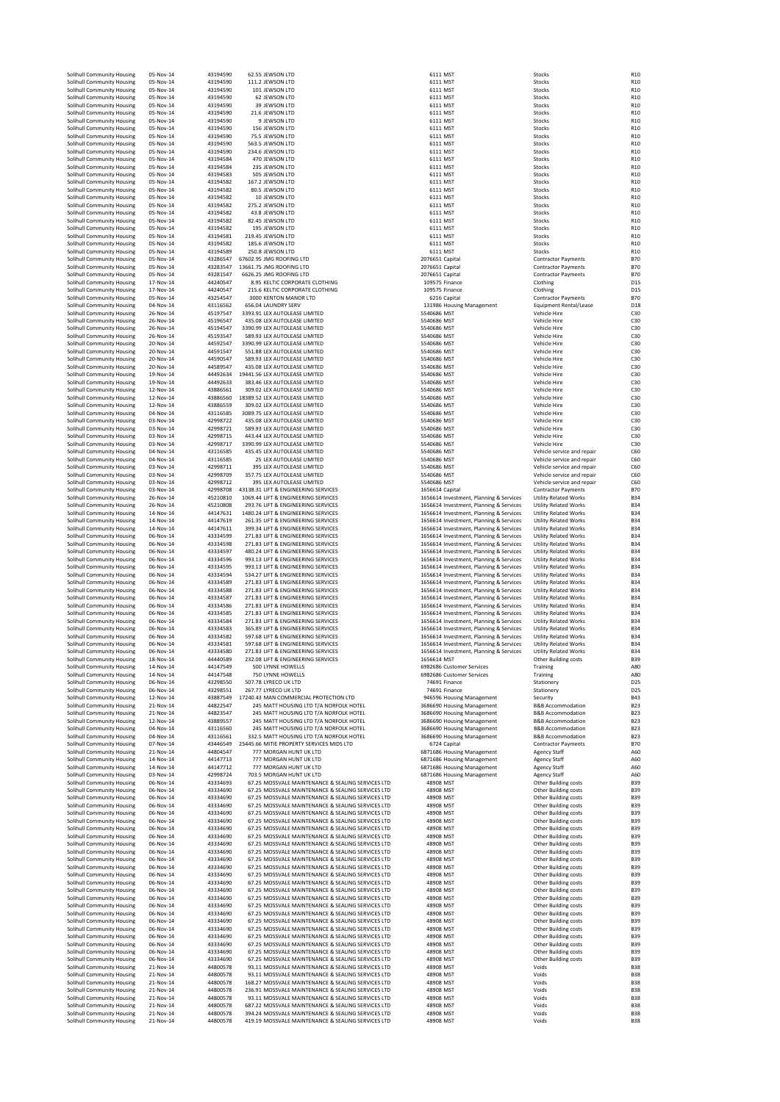| Solihull Community Housing                               | 05-Nov-14              | 43194590             | 62.55 JEWSON LTD                                                                                         |                            | 6111 MST                                                                           | Stocks                                                       | R10                                |
|----------------------------------------------------------|------------------------|----------------------|----------------------------------------------------------------------------------------------------------|----------------------------|------------------------------------------------------------------------------------|--------------------------------------------------------------|------------------------------------|
| Solihull Community Housing<br>Solihull Community Housing | 05-Nov-14<br>05-Nov-14 | 43194590<br>43194590 | 111.2 JEWSON LTD<br>101 JEWSON LTD                                                                       |                            | 6111 MST<br>6111 MST                                                               | Stocks<br>Stocks                                             | R10<br>R <sub>10</sub>             |
| Solihull Community Housing                               | 05-Nov-14              | 43194590             | 62 JEWSON LTD                                                                                            |                            | 6111 MST                                                                           | Stocks                                                       | R <sub>10</sub>                    |
| Solihull Community Housing                               | 05-Nov-14              | 43194590             | 39 JEWSON LTD                                                                                            |                            | 6111 MST                                                                           | Stocks                                                       | R <sub>10</sub>                    |
| Solihull Community Housing                               | 05-Nov-14              | 43194590             | 21.6 JEWSON LTD                                                                                          |                            | 6111 MST                                                                           | Stocks                                                       | R <sub>10</sub>                    |
| Solihull Community Housing                               | 05-Nov-14              | 43194590             | 9 JEWSON LTD                                                                                             |                            | 6111 MST                                                                           | Stocks                                                       | R <sub>10</sub>                    |
| Solihull Community Housing<br>Solihull Community Housing | 05-Nov-14<br>05-Nov-14 | 43194590<br>43194590 | 156 JEWSON LTD<br>75.5 JEWSON LTD                                                                        |                            | 6111 MST<br>6111 MST                                                               | Stocks<br>Stocks                                             | R <sub>10</sub><br>R <sub>10</sub> |
| Solihull Community Housing                               | 05-Nov-14              | 43194590             | 563.5 JEWSON LTD                                                                                         |                            | 6111 MST                                                                           | Stocks                                                       | R10                                |
| Solihull Community Housing                               | 05-Nov-14              | 43194590             | 234.6 JEWSON LTD                                                                                         |                            | 6111 MST                                                                           | Stocks                                                       | R10                                |
| Solihull Community Housing                               | 05-Nov-14              | 43194584             | 470 JEWSON LTD                                                                                           |                            | 6111 MST                                                                           | Stocks                                                       | R <sub>10</sub>                    |
| Solihull Community Housing                               | 05-Nov-14<br>05-Nov-14 | 43194584<br>43194583 | 235 JEWSON LTD<br>505 JEWSON LTD                                                                         |                            | 6111 MST<br>6111 MST                                                               | Stocks<br>Stocks                                             | R <sub>10</sub><br>R <sub>10</sub> |
| Solihull Community Housing<br>Solihull Community Housing | 05-Nov-14              | 43194582             | 167.2 JEWSON LTD                                                                                         |                            | 6111 MST                                                                           | Stocks                                                       | R <sub>10</sub>                    |
| Solihull Community Housing                               | 05-Nov-14              | 43194582             | 80.5 JEWSON LTD                                                                                          |                            | 6111 MST                                                                           | Stocks                                                       | R <sub>10</sub>                    |
| Solihull Community Housing                               | 05-Nov-14              | 43194582             | 10 JEWSON LTD                                                                                            |                            | 6111 MST                                                                           | Stocks                                                       | R <sub>10</sub>                    |
| Solihull Community Housing                               | 05-Nov-14              | 43194582             | 275.2 JEWSON LTD                                                                                         |                            | 6111 MST                                                                           | Stocks                                                       | R <sub>10</sub>                    |
| Solihull Community Housing                               | 05-Nov-14              | 43194582             | 43.8 JEWSON LTD                                                                                          |                            | 6111 MST                                                                           | Stocks                                                       | R10                                |
| Solihull Community Housing<br>Solihull Community Housing | 05-Nov-14<br>05-Nov-14 | 43194582<br>43194582 | 82.45 JEWSON LTD<br>195 JEWSON LTD                                                                       |                            | 6111 MST<br>6111 MST                                                               | Stocks<br>Stocks                                             | R <sub>10</sub><br>R <sub>10</sub> |
| Solihull Community Housing                               | 05-Nov-14              | 43194581             | 219.45 JEWSON LTD                                                                                        |                            | 6111 MST                                                                           | Stocks                                                       | R <sub>10</sub>                    |
| Solihull Community Housing                               | 05-Nov-14              | 43194582             | 185.6 JEWSON LTD                                                                                         |                            | 6111 MST                                                                           | Stocks                                                       | R <sub>10</sub>                    |
| Solihull Community Housing                               | 05-Nov-14              | 43194589             | 250.8 JEWSON LTD                                                                                         |                            | 6111 MST                                                                           | Stocks                                                       | R <sub>10</sub>                    |
| Solihull Community Housing<br>Solihull Community Housing | 05-Nov-14<br>05-Nov-14 | 43286547<br>43283547 | 67602.95 JMG ROOFING LTD<br>13661.75 JMG ROOFING LTD                                                     |                            | 2076651 Capital<br>2076651 Capital                                                 | <b>Contractor Payments</b><br><b>Contractor Payments</b>     | <b>B70</b><br><b>B70</b>           |
| Solihull Community Housing                               | 05-Nov-14              | 43281547             | 6626.25 JMG ROOFING LTD                                                                                  |                            | 2076651 Capital                                                                    | <b>Contractor Payments</b>                                   | <b>B70</b>                         |
| Solihull Community Housing                               | 17-Nov-14              | 44240547             | 8.95 KELTIC CORPORATE CLOTHING                                                                           |                            | 109575 Finance                                                                     | Clothing                                                     | D15                                |
| Solihull Community Housing                               | 17-Nov-14              | 44240547             | 215.6 KELTIC CORPORATE CLOTHING                                                                          |                            | 109575 Finance                                                                     | Clothing                                                     | D15                                |
| Solihull Community Housing                               | 05-Nov-14              | 43254547             | 3000 KENTON MANOR LTD                                                                                    |                            | 6216 Capital                                                                       | <b>Contractor Payments</b>                                   | <b>B70</b>                         |
| Solihull Community Housing<br>Solihull Community Housing | 04-Nov-14<br>26-Nov-14 | 43116562<br>45197547 | 656.04 LAUNDRY SERV<br>3393.91 LEX AUTOLEASE LIMITED                                                     | 5540686 MST                | 131986 Housing Management                                                          | <b>Equipment Rental/Lease</b><br>Vehicle Hire                | D <sub>18</sub><br>C30             |
| Solihull Community Housing                               | 26-Nov-14              | 45196547             | 435.08 LEX AUTOLEASE LIMITED                                                                             | 5540686 MST                |                                                                                    | Vehicle Hire                                                 | C30                                |
| Solihull Community Housing                               | 26-Nov-14              | 45194547             | 3390.99 LEX AUTOLEASE LIMITED                                                                            | 5540686 MST                |                                                                                    | Vehicle Hire                                                 | C30                                |
| Solihull Community Housing                               | 26-Nov-14              | 45193547             | 589.93 LEX AUTOLEASE LIMITED                                                                             | 5540686 MST                |                                                                                    | Vehicle Hire                                                 | C <sub>30</sub>                    |
| Solihull Community Housing                               | 20-Nov-14              | 44592547             | 3390.99 LEX AUTOLEASE LIMITED                                                                            | 5540686 MST                |                                                                                    | Vehicle Hire                                                 | C30                                |
| Solihull Community Housing<br>Solihull Community Housing | 20-Nov-14<br>20-Nov-14 | 44591547<br>44590547 | 551.88 LEX AUTOLEASE LIMITED<br>589.93 LEX AUTOLEASE LIMITED                                             | 5540686 MST<br>5540686 MST |                                                                                    | Vehicle Hire<br><b>Vehicle Hire</b>                          | C30<br>C30                         |
| Solihull Community Housing                               | 20-Nov-14              | 44589547             | 435.08 LEX AUTOLEASE LIMITED                                                                             | 5540686 MST                |                                                                                    | Vehicle Hire                                                 | C30                                |
| Solihull Community Housing                               | 19-Nov-14              | 44492634             | 19441.56 LEX AUTOLEASE LIMITED                                                                           | 5540686 MST                |                                                                                    | Vehicle Hire                                                 | C30                                |
| Solihull Community Housing                               | 19-Nov-14              | 44492633             | 383.46 LEX AUTOLEASE LIMITED                                                                             | 5540686 MST                |                                                                                    | Vehicle Hire                                                 | C30                                |
| Solihull Community Housing                               | 12-Nov-14              | 43886561             | 309.02 LEX AUTOLEASE LIMITED                                                                             | 5540686 MST                |                                                                                    | Vehicle Hire                                                 | C30<br>C30                         |
| Solihull Community Housing<br>Solihull Community Housing | 12-Nov-14<br>12-Nov-14 | 43886560<br>43886559 | 18389.52 LEX AUTOLEASE LIMITED<br>309.02 LEX AUTOLEASE LIMITED                                           | 5540686 MST<br>5540686 MST |                                                                                    | Vehicle Hire<br>Vehicle Hire                                 | C30                                |
| Solihull Community Housing                               | 04-Nov-14              | 43116585             | 3089.75 LEX AUTOLEASE LIMITED                                                                            | 5540686 MST                |                                                                                    | Vehicle Hire                                                 | C30                                |
| Solihull Community Housing                               | 03-Nov-14              | 42998722             | 435.08 LEX AUTOLEASE LIMITED                                                                             | 5540686 MST                |                                                                                    | Vehicle Hire                                                 | C30                                |
| Solihull Community Housing                               | 03-Nov-14              | 42998721             | 589.93 LEX AUTOLEASE LIMITED                                                                             | 5540686 MST                |                                                                                    | Vehicle Hire                                                 | C30                                |
| Solihull Community Housing<br>Solihull Community Housing | 03-Nov-14<br>03-Nov-14 | 42998715<br>42998717 | 443.44 LEX AUTOLEASE LIMITED<br>3390.99 LEX AUTOLEASE LIMITED                                            | 5540686 MST<br>5540686 MST |                                                                                    | Vehicle Hire<br>Vehicle Hire                                 | C <sub>30</sub><br>C30             |
| Solihull Community Housing                               | 04-Nov-14              | 43116585             | 435.45 LEX AUTOLEASE LIMITED                                                                             | 5540686 MST                |                                                                                    | Vehicle service and repair                                   | C60                                |
| Solihull Community Housing                               | 04-Nov-14              | 43116585             | 25 LEX AUTOLEASE LIMITED                                                                                 | 5540686 MST                |                                                                                    | Vehicle service and repair                                   | C60                                |
| Solihull Community Housing                               | 03-Nov-14              | 42998711             | 395 LEX AUTOLEASE LIMITED                                                                                | 5540686 MST                |                                                                                    | Vehicle service and repair                                   | C60                                |
| Solihull Community Housing<br>Solihull Community Housing | 03-Nov-14<br>03-Nov-14 | 42998709<br>42998712 | 357.75 LEX AUTOLEASE LIMITED<br>395 LEX AUTOLEASE LIMITED                                                | 5540686 MST<br>5540686 MST |                                                                                    | Vehicle service and repair<br>Vehicle service and repair     | C60<br>C60                         |
| Solihull Community Housing                               | 03-Nov-14              | 42998708             | 43138.31 LIFT & ENGINEERING SERVICES                                                                     |                            | 1656614 Capital                                                                    | <b>Contractor Payments</b>                                   | <b>B70</b>                         |
| Solihull Community Housing                               | 26-Nov-14              | 45210810             | 1069.44 LIFT & ENGINEERING SERVICES                                                                      |                            | 1656614 Investment, Planning & Services                                            | <b>Utility Related Works</b>                                 | <b>B34</b>                         |
| Solihull Community Housing                               | 26-Nov-14              | 45210808             | 293.76 LIFT & ENGINEERING SERVICES                                                                       |                            | 1656614 Investment, Planning & Services                                            | <b>Utility Related Works</b>                                 | <b>B34</b>                         |
| Solihull Community Housing<br>Solihull Community Housing | 14-Nov-14<br>14-Nov-14 | 44147631<br>44147619 | 1480.24 LIFT & ENGINEERING SERVICES<br>261.35 LIFT & ENGINEERING SERVICES                                |                            | 1656614 Investment, Planning & Services<br>1656614 Investment, Planning & Services | <b>Utility Related Works</b><br><b>Utility Related Works</b> | <b>B34</b><br><b>B34</b>           |
| Solihull Community Housing                               | 14-Nov-14              | 44147611             | 399.34 LIFT & ENGINEERING SERVICES                                                                       |                            | 1656614 Investment, Planning & Services                                            | <b>Utility Related Works</b>                                 | <b>B34</b>                         |
| Solihull Community Housing                               | 06-Nov-14              | 43334599             | 271.83 LIFT & ENGINEERING SERVICES                                                                       |                            | 1656614 Investment, Planning & Services                                            | <b>Utility Related Works</b>                                 | <b>B34</b>                         |
| Solihull Community Housing                               | 06-Nov-14              | 43334598             | 271.83 LIFT & ENGINEERING SERVICES                                                                       |                            | 1656614 Investment, Planning & Services                                            | <b>Utility Related Works</b>                                 | <b>B34</b>                         |
| Solihull Community Housing                               | 06-Nov-14              | 43334597             | 480.24 LIFT & ENGINEERING SERVICES                                                                       |                            | 1656614 Investment, Planning & Services                                            | <b>Utility Related Works</b>                                 | <b>B34</b>                         |
| Solihull Community Housing<br>Solihull Community Housing | 06-Nov-14<br>06-Nov-14 | 43334596<br>43334595 | 993.13 LIFT & ENGINEERING SERVICES<br>993.13 LIFT & ENGINEERING SERVICES                                 |                            | 1656614 Investment, Planning & Services<br>1656614 Investment, Planning & Services | <b>Utility Related Works</b><br><b>Utility Related Works</b> | <b>B34</b><br><b>B34</b>           |
| Solihull Community Housing                               | 06-Nov-14              | 43334594             | 534.27 LIFT & ENGINEERING SERVICES                                                                       |                            | 1656614 Investment, Planning & Services                                            | <b>Utility Related Works</b>                                 | <b>B34</b>                         |
| Solihull Community Housing                               | 06-Nov-14              | 43334589             | 271.83 LIFT & ENGINEERING SERVICES                                                                       |                            | 1656614 Investment, Planning & Services                                            | <b>Utility Related Works</b>                                 | <b>B34</b>                         |
| Solihull Community Housing                               | 06-Nov-14              | 43334588             | 271.83 LIFT & ENGINEERING SERVICES                                                                       |                            | 1656614 Investment, Planning & Services                                            | <b>Utility Related Works</b>                                 | <b>B34</b>                         |
| Solihull Community Housing<br>Solihull Community Housing | 06-Nov-14<br>06-Nov-14 | 43334587<br>43334586 | 271.83 LIFT & ENGINEERING SERVICES<br>271.83 LIFT & ENGINEERING SERVICES                                 |                            | 1656614 Investment, Planning & Services<br>1656614 Investment, Planning & Services | <b>Utility Related Works</b><br><b>Utility Related Works</b> | <b>B34</b><br><b>B34</b>           |
| Solihull Community Housing                               | 06-Nov-14              | 43334585             | 271.83 LIFT & ENGINEERING SERVICES                                                                       |                            | 1656614 Investment, Planning & Services                                            | <b>Utility Related Works</b>                                 | <b>B34</b>                         |
| Solihull Community Housing                               | 06-Nov-14              | 43334584             | 271.83 LIFT & ENGINEERING SERVICES                                                                       |                            | 1656614 Investment, Planning & Services                                            | <b>Utility Related Works</b>                                 | <b>B34</b>                         |
| Solihull Community Housing                               | 06-Nov-14              | 43334583             | 365.89 LIFT & ENGINEERING SERVICES                                                                       |                            | 1656614 Investment, Planning & Services                                            | <b>Utility Related Works</b>                                 | <b>B34</b>                         |
| Solihull Community Housing<br>Solihull Community Housing | 06-Nov-14<br>06-Nov-14 | 43334582<br>43334581 | 597.68 LIFT & ENGINEERING SERVICES<br>597.68 LIFT & ENGINEERING SERVICES                                 |                            | 1656614 Investment, Planning & Services<br>1656614 Investment, Planning & Services | <b>Utility Related Works</b><br><b>Utility Related Works</b> | <b>B34</b><br><b>B34</b>           |
| Solihull Community Housing                               | 06-Nov-14              | 43334580             | 271.83 LIFT & ENGINEERING SERVICES                                                                       |                            | 1656614 Investment, Planning & Services                                            | <b>Utility Related Works</b>                                 | <b>B34</b>                         |
| Solihull Community Housing                               | 18-Nov-14              | 44440589             | 232.08 LIFT & ENGINEERING SERVICES                                                                       | 1656614 MST                |                                                                                    | Other Building costs                                         | <b>B39</b>                         |
| Solihull Community Housing                               | 14-Nov-14              | 44147549             | 500 LYNNE HOWELLS                                                                                        |                            | 6982686 Customer Services                                                          | Training                                                     | A <sub>80</sub>                    |
| Solihull Community Housing<br>Solihull Community Housing | 14-Nov-14              | 44147548<br>43298550 | 750 LYNNE HOWELLS<br>507.78 LYRECO UK LTD                                                                |                            | 6982686 Customer Services                                                          | Training                                                     | A <sub>80</sub><br>D <sub>25</sub> |
| Solihull Community Housing                               | 06-Nov-14<br>06-Nov-14 | 43298551             | 267.77 LYRECO UK LTD                                                                                     |                            | 74691 Finance<br>74691 Finance                                                     | Stationery<br>Stationery                                     | D <sub>25</sub>                    |
| Solihull Community Housing                               | 12-Nov-14              | 43887549             | 17240.43 MAN COMMERCIAL PROTECTION LTD                                                                   |                            | 946596 Housing Management                                                          | Security                                                     | <b>B43</b>                         |
| Solihull Community Housing                               | 21-Nov-14              | 44822547             | 245 MATT HOUSING LTD T/A NORFOLK HOTEL                                                                   |                            | 3686690 Housing Management                                                         | <b>B&amp;B Accommodation</b>                                 | <b>B23</b>                         |
| Solihull Community Housing                               | 21-Nov-14              | 44823547             | 245 MATT HOUSING LTD T/A NORFOLK HOTEL                                                                   |                            | 3686690 Housing Management                                                         | <b>B&amp;B Accommodation</b>                                 | <b>B23</b>                         |
| Solihull Community Housing<br>Solihull Community Housing | 12-Nov-14<br>04-Nov-14 | 43889557<br>43116560 | 245 MATT HOUSING LTD T/A NORFOLK HOTEL<br>245 MATT HOUSING LTD T/A NORFOLK HOTEL                         |                            | 3686690 Housing Management<br>3686690 Housing Management                           | <b>B&amp;B Accommodation</b><br><b>B&amp;B Accommodation</b> | <b>B23</b><br><b>B23</b>           |
| Solihull Community Housing                               | 04-Nov-14              | 43116561             | 332.5 MATT HOUSING LTD T/A NORFOLK HOTEL                                                                 |                            | 3686690 Housing Management                                                         | <b>B&amp;B Accommodation</b>                                 | <b>B23</b>                         |
| Solihull Community Housing                               | 07-Nov-14              | 43446549             | 25445.66 MITIE PROPERTY SERVICES MIDS LTD                                                                |                            | 6724 Capital                                                                       | <b>Contractor Payments</b>                                   | <b>B70</b>                         |
| Solihull Community Housing                               | 21-Nov-14              | 44804547             | 777 MORGAN HUNT UK LTD                                                                                   |                            | 6871686 Housing Management                                                         | <b>Agency Staff</b>                                          | A60                                |
| Solihull Community Housing<br>Solihull Community Housing | 14-Nov-14<br>14-Nov-14 | 44147713<br>44147712 | 777 MORGAN HUNT UK LTD<br>777 MORGAN HUNT UK LTD                                                         |                            | 6871686 Housing Management<br>6871686 Housing Management                           | <b>Agency Staff</b><br><b>Agency Staff</b>                   | A60<br>A60                         |
| Solihull Community Housing                               | 03-Nov-14              | 42998724             | 703.5 MORGAN HUNT UK LTD                                                                                 |                            | 6871686 Housing Management                                                         | <b>Agency Staff</b>                                          | A60                                |
| Solihull Community Housing                               | 06-Nov-14              | 43334693             | 67.25 MOSSVALE MAINTENANCE & SEALING SERVICES LTD                                                        |                            | 48908 MST                                                                          | Other Building costs                                         | <b>B39</b>                         |
| Solihull Community Housing                               | 06-Nov-14              | 43334690             | 67.25 MOSSVALE MAINTENANCE & SEALING SERVICES LTD                                                        |                            | 48908 MST                                                                          | Other Building costs                                         | <b>B39</b>                         |
| Solihull Community Housing                               | 06-Nov-14<br>06-Nov-14 | 43334690<br>43334690 | 67.25 MOSSVALE MAINTENANCE & SEALING SERVICES LTD<br>67.25 MOSSVALE MAINTENANCE & SEALING SERVICES LTD   |                            | 48908 MST<br>48908 MST                                                             | Other Building costs<br>Other Building costs                 | <b>B39</b><br><b>B39</b>           |
| Solihull Community Housing<br>Solihull Community Housing | 06-Nov-14              | 43334690             | 67.25 MOSSVALE MAINTENANCE & SEALING SERVICES LTD                                                        |                            | 48908 MST                                                                          | Other Building costs                                         | <b>B39</b>                         |
| Solihull Community Housing                               | 06-Nov-14              | 43334690             | 67.25 MOSSVALE MAINTENANCE & SEALING SERVICES LTD                                                        |                            | 48908 MST                                                                          | Other Building costs                                         | <b>B39</b>                         |
| Solihull Community Housing                               | 06-Nov-14              | 43334690             | 67.25 MOSSVALE MAINTENANCE & SEALING SERVICES LTD                                                        |                            | 48908 MST                                                                          | Other Building costs                                         | <b>B39</b>                         |
| Solihull Community Housing                               | 06-Nov-14              | 43334690             | 67.25 MOSSVALE MAINTENANCE & SEALING SERVICES LTD<br>67.25 MOSSVALE MAINTENANCE & SEALING SERVICES LTD   |                            | 48908 MST<br>48908 MST                                                             | Other Building costs                                         | <b>B39</b><br><b>B39</b>           |
| Solihull Community Housing<br>Solihull Community Housing | 06-Nov-14<br>06-Nov-14 | 43334690<br>43334690 | 67.25 MOSSVALE MAINTENANCE & SEALING SERVICES LTD                                                        |                            | 48908 MST                                                                          | Other Building costs<br>Other Building costs                 | <b>B39</b>                         |
| Solihull Community Housing                               | 06-Nov-14              | 43334690             | 67.25 MOSSVALE MAINTENANCE & SEALING SERVICES LTD                                                        |                            | 48908 MST                                                                          | Other Building costs                                         | <b>B39</b>                         |
| Solihull Community Housing                               | 06-Nov-14              | 43334690             | 67.25 MOSSVALE MAINTENANCE & SEALING SERVICES LTD                                                        |                            | 48908 MST                                                                          | Other Building costs                                         | <b>B39</b>                         |
| Solihull Community Housing                               | 06-Nov-14              | 43334690             | 67.25 MOSSVALE MAINTENANCE & SEALING SERVICES LTD                                                        |                            | 48908 MST                                                                          | Other Building costs                                         | <b>B39</b>                         |
| Solihull Community Housing<br>Solihull Community Housing | 06-Nov-14<br>06-Nov-14 | 43334690<br>43334690 | 67.25 MOSSVALE MAINTENANCE & SEALING SERVICES LTD<br>67.25 MOSSVALE MAINTENANCE & SEALING SERVICES LTD   |                            | 48908 MST<br>48908 MST                                                             | Other Building costs<br>Other Building costs                 | <b>B39</b><br><b>B39</b>           |
| Solihull Community Housing                               | 06-Nov-14              | 43334690             | 67.25 MOSSVALE MAINTENANCE & SEALING SERVICES LTD                                                        |                            | 48908 MST                                                                          | Other Building costs                                         | <b>B39</b>                         |
| Solihull Community Housing                               | 06-Nov-14              | 43334690             | 67.25 MOSSVALE MAINTENANCE & SEALING SERVICES LTD                                                        |                            | 48908 MST                                                                          | Other Building costs                                         | <b>B39</b>                         |
| Solihull Community Housing                               | 06-Nov-14              | 43334690             | 67.25 MOSSVALE MAINTENANCE & SEALING SERVICES LTD                                                        |                            | 48908 MST                                                                          | Other Building costs                                         | <b>B39</b>                         |
| Solihull Community Housing                               | 06-Nov-14              | 43334690             | 67.25 MOSSVALE MAINTENANCE & SEALING SERVICES LTD                                                        |                            | 48908 MST                                                                          | Other Building costs                                         | <b>B39</b><br><b>B39</b>           |
| Solihull Community Housing<br>Solihull Community Housing | 06-Nov-14<br>06-Nov-14 | 43334690<br>43334690 | 67.25 MOSSVALE MAINTENANCE & SEALING SERVICES LTD<br>67.25 MOSSVALE MAINTENANCE & SEALING SERVICES LTD   |                            | 48908 MST<br>48908 MST                                                             | Other Building costs<br>Other Building costs                 | <b>B39</b>                         |
| Solihull Community Housing                               | 06-Nov-14              | 43334690             | 67.25 MOSSVALE MAINTENANCE & SEALING SERVICES LTD                                                        |                            | 48908 MST                                                                          | Other Building costs                                         | <b>B39</b>                         |
| Solihull Community Housing                               | 06-Nov-14              | 43334690             | 67.25 MOSSVALE MAINTENANCE & SEALING SERVICES LTD                                                        |                            | 48908 MST                                                                          | Other Building costs                                         | <b>B39</b>                         |
| Solihull Community Housing                               | 06-Nov-14              | 43334690             | 67.25 MOSSVALE MAINTENANCE & SEALING SERVICES LTD                                                        |                            | 48908 MST                                                                          | Other Building costs                                         | <b>B39</b>                         |
| Solihull Community Housing<br>Solihull Community Housing | 21-Nov-14<br>21-Nov-14 | 44800578<br>44800578 | 93.11 MOSSVALE MAINTENANCE & SEALING SERVICES LTD<br>93.11 MOSSVALE MAINTENANCE & SEALING SERVICES LTD   |                            | 48908 MST<br>48908 MST                                                             | Voids<br>Voids                                               | <b>B38</b><br><b>B38</b>           |
| Solihull Community Housing                               | 21-Nov-14              | 44800578             | 168.27 MOSSVALE MAINTENANCE & SEALING SERVICES LTD                                                       |                            | 48908 MST                                                                          | Voids                                                        | <b>B38</b>                         |
| Solihull Community Housing                               | 21-Nov-14              | 44800578             | 236.91 MOSSVALE MAINTENANCE & SEALING SERVICES LTD                                                       |                            | 48908 MST                                                                          | Voids                                                        | <b>B38</b>                         |
| Solihull Community Housing                               | 21-Nov-14              | 44800578             | 93.11 MOSSVALE MAINTENANCE & SEALING SERVICES LTD                                                        |                            | 48908 MST                                                                          | Voids                                                        | <b>B38</b>                         |
| Solihull Community Housing<br>Solihull Community Housing | 21-Nov-14<br>21-Nov-14 | 44800578<br>44800578 | 687.22 MOSSVALE MAINTENANCE & SEALING SERVICES LTD<br>394.24 MOSSVALE MAINTENANCE & SEALING SERVICES LTD |                            | 48908 MST<br>48908 MST                                                             | Voids<br>Voids                                               | <b>B38</b><br><b>B38</b>           |
| Solihull Community Housing                               | 21-Nov-14              | 44800578             | 419.19 MOSSVALE MAINTENANCE & SEALING SERVICES LTD                                                       |                            | 48908 MST                                                                          | Voids                                                        | <b>B38</b>                         |

| 6111 MST<br>6111 MST   |                                                                                | Ś<br>Ś                       |
|------------------------|--------------------------------------------------------------------------------|------------------------------|
| 6111 MST               |                                                                                | Ś                            |
| 6111 MST               |                                                                                | Ś                            |
| 6111 MST<br>6111 MST   |                                                                                | Ś<br>S                       |
| 6111 MST               |                                                                                | Ś                            |
| 6111 MST<br>6111 MST   |                                                                                | Ś<br>Ś                       |
| 6111 MST               |                                                                                | S                            |
| 6111 MST<br>6111 MST   |                                                                                | S<br>S                       |
| 6111 MST               |                                                                                | S                            |
| 6111 MST<br>6111       | MST                                                                            | S<br>Ś                       |
| 6111 MST               |                                                                                | S                            |
| 6111 MST               |                                                                                | Ś                            |
| 6111 MST<br>6111 MST   |                                                                                | Ś<br>S                       |
| 6111 MST               |                                                                                | S                            |
| 6111 MST<br>6111 MST   |                                                                                | S<br>S                       |
| 6111 MST               |                                                                                | S                            |
|                        | 76651 Capital<br>76651 Capital                                                 | $\mathsf{C}$<br>$\mathsf{C}$ |
|                        | 76651 Capital                                                                  | C                            |
|                        | 09575 Finance<br>09575 Finance                                                 | C<br>C                       |
|                        | 6216 Capital                                                                   | C                            |
| 40686 MST              | 31986 Housing Management                                                       | E<br>ν                       |
| 40686 MST              |                                                                                | ν                            |
| 40686 MST<br>40686 MST |                                                                                | V<br>V                       |
| 40686 MST              |                                                                                | $\sqrt{2}$                   |
| 40686 MST<br>40686 MST |                                                                                | $\sqrt{2}$                   |
| 40686 MST              |                                                                                | v<br>V                       |
| 40686 MST<br>40686 MST |                                                                                | V                            |
| 40686 MST              |                                                                                | v<br>V                       |
| 40686 MST              |                                                                                |                              |
| 40686 MST<br>40686 MST |                                                                                |                              |
| 40686 MST              |                                                                                |                              |
| 40686 MST<br>40686 MST |                                                                                | いっかい へいへいかい                  |
| 40686 MST              |                                                                                |                              |
| 40686 MST<br>40686 MST |                                                                                |                              |
| 40686 MST              |                                                                                |                              |
| 40686 MST<br>40686 MST |                                                                                |                              |
|                        | 56614 Capital                                                                  | $\mathsf{C}$                 |
|                        | 56614 Investment, Planning & Services<br>56614 Investment, Planning & Services | L<br>L                       |
|                        | 56614 Investment, Planning & Services                                          | L                            |
|                        | 56614 Investment, Planning & Services                                          | L                            |
|                        | 56614 Investment, Planning & Services<br>56614 Investment, Planning & Services | ι<br>L                       |
|                        | 56614 Investment, Planning & Services                                          | u                            |
|                        | 56614 Investment, Planning & Services<br>56614 Investment, Planning & Services | u<br>Ù                       |
|                        | 56614 Investment, Planning & Services                                          | Ù                            |
|                        | 56614 Investment, Planning & Services<br>56614 Investment, Planning & Services | Ù<br>l                       |
|                        | 56614 Investment, Planning & Services                                          | L                            |
|                        | 56614 Investment, Planning & Services<br>56614 Investment, Planning & Services | L<br>l                       |
|                        | 56614 Investment, Planning & Services                                          | l                            |
|                        | 56614 Investment, Planning & Services<br>56614 Investment, Planning & Services | l<br>u                       |
|                        | 56614 Investment, Planning & Services                                          | L                            |
|                        | 56614 Investment, Planning & Services<br>56614 Investment, Planning & Services | l<br>l                       |
| 56614 MST              |                                                                                | C                            |
|                        | 82686 Customer Services                                                        | T<br>T                       |
|                        | 82686 Customer Services<br>74691 Finance                                       | Ś                            |
|                        | 74691 Finance                                                                  | Ś                            |
|                        | 46596 Housing Management<br>86690 Housing Management                           | Ś<br>e                       |
|                        | 86690 Housing Management                                                       | e                            |
|                        | 86690 Housing Management<br>86690 Housing Management                           | e<br>e                       |
|                        | 86690 Housing Management                                                       | e                            |
|                        | 6724 Capital<br>71686 Housing Management                                       | c<br>A                       |
|                        | 71686 Housing Management                                                       | A                            |
|                        | 371686 Housing Management<br>371686 Housing Management                         | A<br>A                       |
| 48908 MST              |                                                                                | Ċ                            |
| 48908 MST<br>48908 MST |                                                                                | C<br>C                       |
| 48908 MST              |                                                                                | $\mathsf{C}$                 |
| 48908 MST<br>48908 MST |                                                                                | c<br>C                       |
| 48908 MST              |                                                                                | c                            |
| 48908 MST              |                                                                                | C                            |
| 48908 MST<br>48908 MST |                                                                                | C<br>C                       |
| 48908 MST              |                                                                                | C                            |
| 48908 MST<br>48908 MST |                                                                                | C<br>C                       |
| 48908 MST              |                                                                                | C                            |
| 48908 MST<br>48908 MST |                                                                                | C<br>C                       |
| 48908 MST              |                                                                                | $\mathsf{C}$                 |
| 48908 MST<br>48908 MST |                                                                                | $\mathsf{C}$<br>$\mathsf{C}$ |
| 48908 MST              |                                                                                | $\mathsf{C}$                 |
| 48908 MST              |                                                                                | $\mathsf{C}$                 |
| 48908 MST<br>48908 MST |                                                                                |                              |
| 48908 MST              |                                                                                |                              |
| 48908 MST<br>48908 MST |                                                                                |                              |
| 48908 MST              |                                                                                | いというかい                       |
| 48908 MST<br>48908 MST |                                                                                |                              |
| 48908 MST              |                                                                                |                              |
| 48908 MST              |                                                                                |                              |

| ļ<br>I                                 |
|----------------------------------------|
| l                                      |
|                                        |
| ֖֖֖֖֢ׅ֖֖֖֖ׅ֢ׅ֖֚֚֚֚֚֚֚֚֚֚֚֚֚֚֚֚֚֬֓֝     |
| י                                      |
| <br> <br>                              |
|                                        |
|                                        |
|                                        |
|                                        |
| ׅ֘֒                                    |
| R<br>ׅ֘֒                               |
| ׇ֘֒                                    |
| R<br>֚֘֝<br>R<br>֚֘֝                   |
| $\overline{R}$<br>l                    |
|                                        |
| <br>R<br>R<br>R                        |
|                                        |
|                                        |
|                                        |
|                                        |
|                                        |
|                                        |
|                                        |
|                                        |
|                                        |
|                                        |
|                                        |
|                                        |
|                                        |
|                                        |
|                                        |
|                                        |
|                                        |
|                                        |
|                                        |
|                                        |
|                                        |
|                                        |
|                                        |
|                                        |
|                                        |
|                                        |
|                                        |
|                                        |
|                                        |
|                                        |
|                                        |
|                                        |
|                                        |
|                                        |
|                                        |
|                                        |
|                                        |
|                                        |
|                                        |
|                                        |
|                                        |
|                                        |
| l                                      |
|                                        |
|                                        |
|                                        |
|                                        |
|                                        |
|                                        |
|                                        |
|                                        |
| ĺ<br>33<br>4                           |
| B39                                    |
| 3<br>ï                                 |
| 18                                     |
| ,<br>Ï                                 |
| ĺ                                      |
| $\frac{2}{4}$<br>į<br>ׇ֚֚֘֕            |
| $\overline{c}$<br>E<br>ś               |
| $^{12}$<br>E<br>3<br>$^{12}$<br>E<br>3 |
| l                                      |
| é                                      |
| Ó<br>e                                 |
| 6<br>í<br>١                            |
| ï<br>6<br>í<br>١                       |
| A<br>6<br>l<br>١                       |
| ï<br>6<br>í<br>١                       |
| <b>B39</b><br>é                        |
| 39<br>é                                |
| 39<br>B3<br>I9                         |
| B39                                    |
| B3<br>I9                               |
| <b>B39</b>                             |
| B39                                    |
| B39                                    |
| 63S<br>þ                               |
| -<br>B39<br>þ                          |
| B39<br>j                               |
| B39<br>B39                             |
|                                        |
| B3<br>B3                               |
| B3                                     |
| B3                                     |
| B3                                     |
|                                        |
| 3                                      |
| B<br>l                                 |
| í<br>ì<br>Ė                            |
| i<br>i<br>F                            |
| B<br>ä<br>j                            |
| 3<br>B<br>j<br>ļ                       |
| ì<br>ĺ<br>ì<br>j<br>j                  |
| вŝ<br>B3<br>j                          |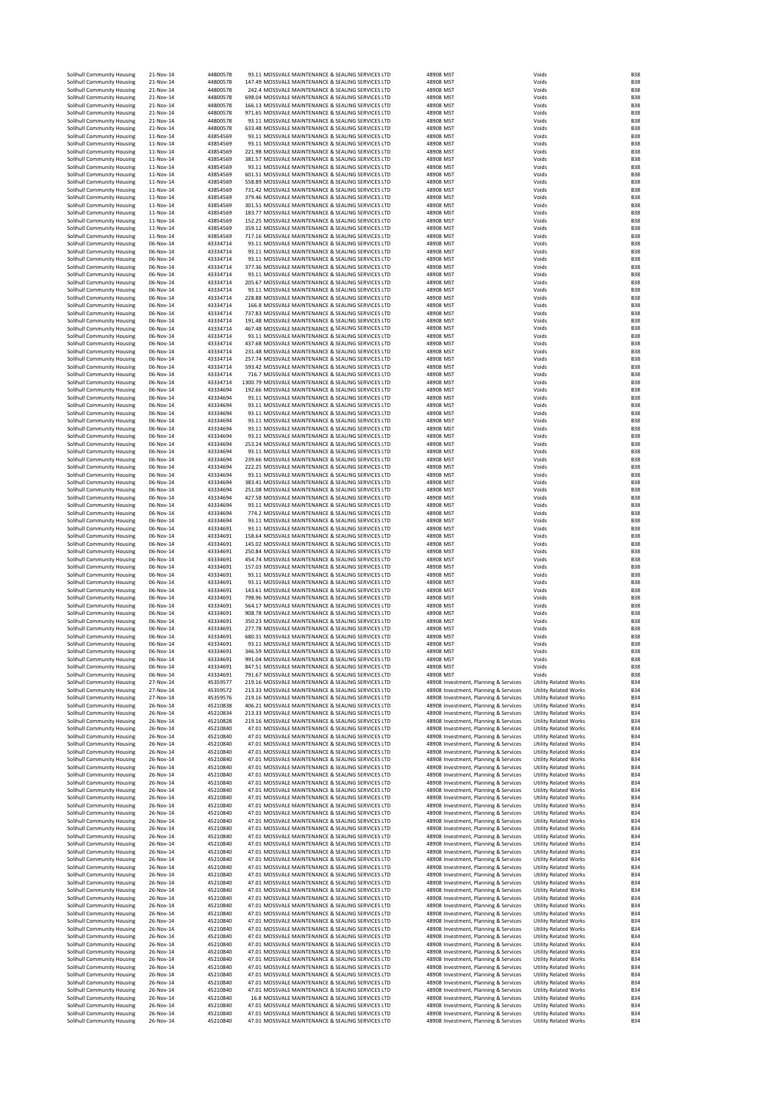| Solihull Community Housing<br>Solihull Community Housing<br>Solihull Community Housing | 21-Nov-14<br>21-Nov-14 | 44800578             |                                                                                                          |                                                                                |                                                              |                          |
|----------------------------------------------------------------------------------------|------------------------|----------------------|----------------------------------------------------------------------------------------------------------|--------------------------------------------------------------------------------|--------------------------------------------------------------|--------------------------|
|                                                                                        |                        | 44800578             | 93.11 MOSSVALE MAINTENANCE & SEALING SERVICES LTD<br>147.49 MOSSVALE MAINTENANCE & SEALING SERVICES LTD  | 48908 MST<br>48908 MST                                                         | Voids<br>Voids                                               | <b>B38</b><br><b>B38</b> |
|                                                                                        | 21-Nov-14              | 44800578             | 242.4 MOSSVALE MAINTENANCE & SEALING SERVICES LTD                                                        | 48908 MST                                                                      | Voids                                                        | <b>B38</b>               |
| Solihull Community Housing                                                             | 21-Nov-14              | 44800578             | 698.04 MOSSVALE MAINTENANCE & SEALING SERVICES LTD                                                       | 48908 MST                                                                      | Voids                                                        | <b>B38</b>               |
| Solihull Community Housing                                                             | 21-Nov-14              | 44800578             | 166.13 MOSSVALE MAINTENANCE & SEALING SERVICES LTD                                                       | 48908 MST                                                                      | Voids                                                        | <b>B38</b>               |
| Solihull Community Housing                                                             | 21-Nov-14              | 44800578             | 971.65 MOSSVALE MAINTENANCE & SEALING SERVICES LTD                                                       | 48908 MST                                                                      | Voids                                                        | <b>B38</b>               |
| Solihull Community Housing                                                             | 21-Nov-14              | 44800578             | 93.11 MOSSVALE MAINTENANCE & SEALING SERVICES LTD                                                        | 48908 MST                                                                      | Voids                                                        | <b>B38</b>               |
| Solihull Community Housing<br>Solihull Community Housing                               | 21-Nov-14<br>11-Nov-14 | 44800578<br>43854569 | 633.48 MOSSVALE MAINTENANCE & SEALING SERVICES LTD<br>93.11 MOSSVALE MAINTENANCE & SEALING SERVICES LTD  | 48908 MST<br>48908 MST                                                         | Voids<br>Voids                                               | <b>B38</b><br><b>B38</b> |
| Solihull Community Housing                                                             | 11-Nov-14              | 43854569             | 93.11 MOSSVALE MAINTENANCE & SEALING SERVICES LTD                                                        | 48908 MST                                                                      | Voids                                                        | <b>B38</b>               |
| Solihull Community Housing                                                             | 11-Nov-14              | 43854569             | 221.98 MOSSVALE MAINTENANCE & SEALING SERVICES LTD                                                       | 48908 MST                                                                      | Voids                                                        | <b>B38</b>               |
| Solihull Community Housing                                                             | 11-Nov-14              | 43854569             | 381.57 MOSSVALE MAINTENANCE & SEALING SERVICES LTD                                                       | 48908 MST                                                                      | Voids                                                        | <b>B38</b>               |
| Solihull Community Housing                                                             | 11-Nov-14              | 43854569             | 93.11 MOSSVALE MAINTENANCE & SEALING SERVICES LTD                                                        | 48908 MST                                                                      | Voids                                                        | <b>B38</b>               |
| Solihull Community Housing                                                             | 11-Nov-14              | 43854569             | 601.51 MOSSVALE MAINTENANCE & SEALING SERVICES LTD                                                       | 48908 MST                                                                      | Voids                                                        | <b>B38</b>               |
| Solihull Community Housing<br>Solihull Community Housing                               | 11-Nov-14<br>11-Nov-14 | 43854569<br>43854569 | 558.89 MOSSVALE MAINTENANCE & SEALING SERVICES LTD<br>731.42 MOSSVALE MAINTENANCE & SEALING SERVICES LTD | 48908 MST<br>48908 MST                                                         | Voids<br>Voids                                               | <b>B38</b><br><b>B38</b> |
| Solihull Community Housing                                                             | 11-Nov-14              | 43854569             | 379.46 MOSSVALE MAINTENANCE & SEALING SERVICES LTD                                                       | 48908 MST                                                                      | Voids                                                        | <b>B38</b>               |
| Solihull Community Housing                                                             | 11-Nov-14              | 43854569             | 301.51 MOSSVALE MAINTENANCE & SEALING SERVICES LTD                                                       | 48908 MST                                                                      | Voids                                                        | <b>B38</b>               |
| Solihull Community Housing                                                             | 11-Nov-14              | 43854569             | 183.77 MOSSVALE MAINTENANCE & SEALING SERVICES LTD                                                       | 48908 MST                                                                      | Voids                                                        | <b>B38</b>               |
| Solihull Community Housing                                                             | 11-Nov-14              | 43854569             | 152.25 MOSSVALE MAINTENANCE & SEALING SERVICES LTD                                                       | 48908 MST                                                                      | Voids                                                        | <b>B38</b>               |
| Solihull Community Housing                                                             | 11-Nov-14              | 43854569             | 359.12 MOSSVALE MAINTENANCE & SEALING SERVICES LTD                                                       | 48908 MST                                                                      | Voids                                                        | <b>B38</b>               |
| Solihull Community Housing<br>Solihull Community Housing                               | 11-Nov-14<br>06-Nov-14 | 43854569<br>43334714 | 717.16 MOSSVALE MAINTENANCE & SEALING SERVICES LTD<br>93.11 MOSSVALE MAINTENANCE & SEALING SERVICES LTD  | 48908 MST<br>48908 MST                                                         | Voids<br>Voids                                               | <b>B38</b><br><b>B38</b> |
| Solihull Community Housing                                                             | 06-Nov-14              | 43334714             | 93.11 MOSSVALE MAINTENANCE & SEALING SERVICES LTD                                                        | 48908 MST                                                                      | Voids                                                        | <b>B38</b>               |
| Solihull Community Housing                                                             | 06-Nov-14              | 43334714             | 93.11 MOSSVALE MAINTENANCE & SEALING SERVICES LTD                                                        | 48908 MST                                                                      | Voids                                                        | <b>B38</b>               |
| Solihull Community Housing                                                             | 06-Nov-14              | 43334714             | 377.36 MOSSVALE MAINTENANCE & SEALING SERVICES LTD                                                       | 48908 MST                                                                      | Voids                                                        | <b>B38</b>               |
| Solihull Community Housing                                                             | 06-Nov-14              | 43334714             | 93.11 MOSSVALE MAINTENANCE & SEALING SERVICES LTD                                                        | 48908 MST                                                                      | Voids                                                        | <b>B38</b>               |
| Solihull Community Housing                                                             | 06-Nov-14              | 43334714             | 205.67 MOSSVALE MAINTENANCE & SEALING SERVICES LTD                                                       | 48908 MST                                                                      | Voids                                                        | <b>B38</b><br><b>B38</b> |
| Solihull Community Housing<br>Solihull Community Housing                               | 06-Nov-14<br>06-Nov-14 | 43334714<br>43334714 | 93.11 MOSSVALE MAINTENANCE & SEALING SERVICES LTD<br>228.88 MOSSVALE MAINTENANCE & SEALING SERVICES LTD  | 48908 MST<br>48908 MST                                                         | Voids<br>Voids                                               | <b>B38</b>               |
| Solihull Community Housing                                                             | 06-Nov-14              | 43334714             | 166.8 MOSSVALE MAINTENANCE & SEALING SERVICES LTD                                                        | 48908 MST                                                                      | Voids                                                        | <b>B38</b>               |
| Solihull Community Housing                                                             | 06-Nov-14              | 43334714             | 737.83 MOSSVALE MAINTENANCE & SEALING SERVICES LTD                                                       | 48908 MST                                                                      | Voids                                                        | <b>B38</b>               |
| Solihull Community Housing                                                             | 06-Nov-14              | 43334714             | 191.48 MOSSVALE MAINTENANCE & SEALING SERVICES LTD                                                       | 48908 MST                                                                      | Voids                                                        | <b>B38</b>               |
| Solihull Community Housing                                                             | 06-Nov-14              | 43334714             | 467.48 MOSSVALE MAINTENANCE & SEALING SERVICES LTD                                                       | 48908 MST                                                                      | Voids                                                        | <b>B38</b>               |
| Solihull Community Housing                                                             | 06-Nov-14<br>06-Nov-14 | 43334714<br>43334714 | 93.11 MOSSVALE MAINTENANCE & SEALING SERVICES LTD<br>437.68 MOSSVALE MAINTENANCE & SEALING SERVICES LTD  | 48908 MST<br>48908 MST                                                         | Voids<br>Voids                                               | <b>B38</b><br><b>B38</b> |
| Solihull Community Housing<br>Solihull Community Housing                               | 06-Nov-14              | 43334714             | 231.48 MOSSVALE MAINTENANCE & SEALING SERVICES LTD                                                       | 48908 MST                                                                      | Voids                                                        | <b>B38</b>               |
| Solihull Community Housing                                                             | 06-Nov-14              | 43334714             | 257.74 MOSSVALE MAINTENANCE & SEALING SERVICES LTD                                                       | 48908 MST                                                                      | Voids                                                        | <b>B38</b>               |
| Solihull Community Housing                                                             | 06-Nov-14              | 43334714             | 593.42 MOSSVALE MAINTENANCE & SEALING SERVICES LTD                                                       | 48908 MST                                                                      | Voids                                                        | <b>B38</b>               |
| Solihull Community Housing                                                             | 06-Nov-14              | 43334714             | 716.7 MOSSVALE MAINTENANCE & SEALING SERVICES LTD                                                        | 48908 MST                                                                      | Voids                                                        | <b>B38</b>               |
| Solihull Community Housing                                                             | 06-Nov-14              | 43334714             | 1300.79 MOSSVALE MAINTENANCE & SEALING SERVICES LTD                                                      | 48908 MST                                                                      | Voids                                                        | <b>B38</b><br><b>B38</b> |
| Solihull Community Housing<br>Solihull Community Housing                               | 06-Nov-14<br>06-Nov-14 | 43334694<br>43334694 | 192.66 MOSSVALE MAINTENANCE & SEALING SERVICES LTD<br>93.11 MOSSVALE MAINTENANCE & SEALING SERVICES LTD  | 48908 MST<br>48908 MST                                                         | Voids<br>Voids                                               | <b>B38</b>               |
| Solihull Community Housing                                                             | 06-Nov-14              | 43334694             | 93.11 MOSSVALE MAINTENANCE & SEALING SERVICES LTD                                                        | 48908 MST                                                                      | Voids                                                        | <b>B38</b>               |
| Solihull Community Housing                                                             | 06-Nov-14              | 43334694             | 93.11 MOSSVALE MAINTENANCE & SEALING SERVICES LTD                                                        | 48908 MST                                                                      | Voids                                                        | <b>B38</b>               |
| Solihull Community Housing                                                             | 06-Nov-14              | 43334694             | 93.11 MOSSVALE MAINTENANCE & SEALING SERVICES LTD                                                        | 48908 MST                                                                      | Voids                                                        | <b>B38</b>               |
| Solihull Community Housing                                                             | 06-Nov-14              | 43334694             | 93.11 MOSSVALE MAINTENANCE & SEALING SERVICES LTD                                                        | 48908 MST                                                                      | Voids                                                        | <b>B38</b>               |
| Solihull Community Housing                                                             | 06-Nov-14              | 43334694             | 93.11 MOSSVALE MAINTENANCE & SEALING SERVICES LTD                                                        | 48908 MST                                                                      | Voids                                                        | <b>B38</b>               |
| Solihull Community Housing<br>Solihull Community Housing                               | 06-Nov-14              | 43334694             | 253.24 MOSSVALE MAINTENANCE & SEALING SERVICES LTD<br>93.11 MOSSVALE MAINTENANCE & SEALING SERVICES LTD  | 48908 MST                                                                      | Voids                                                        | <b>B38</b><br><b>B38</b> |
| Solihull Community Housing                                                             | 06-Nov-14<br>06-Nov-14 | 43334694<br>43334694 | 239.66 MOSSVALE MAINTENANCE & SEALING SERVICES LTD                                                       | 48908 MST<br>48908 MST                                                         | Voids<br>Voids                                               | <b>B38</b>               |
| Solihull Community Housing                                                             | 06-Nov-14              | 43334694             | 222.25 MOSSVALE MAINTENANCE & SEALING SERVICES LTD                                                       | 48908 MST                                                                      | Voids                                                        | <b>B38</b>               |
| Solihull Community Housing                                                             | 06-Nov-14              | 43334694             | 93.11 MOSSVALE MAINTENANCE & SEALING SERVICES LTD                                                        | 48908 MST                                                                      | Voids                                                        | <b>B38</b>               |
| Solihull Community Housing                                                             | 06-Nov-14              | 43334694             | 383.41 MOSSVALE MAINTENANCE & SEALING SERVICES LTD                                                       | 48908 MST                                                                      | Voids                                                        | <b>B38</b>               |
| Solihull Community Housing                                                             | 06-Nov-14              | 43334694             | 251.08 MOSSVALE MAINTENANCE & SEALING SERVICES LTD                                                       | 48908 MST                                                                      | Voids                                                        | <b>B38</b>               |
| Solihull Community Housing<br>Solihull Community Housing                               | 06-Nov-14<br>06-Nov-14 | 43334694<br>43334694 | 427.58 MOSSVALE MAINTENANCE & SEALING SERVICES LTD<br>93.11 MOSSVALE MAINTENANCE & SEALING SERVICES LTD  | 48908 MST<br>48908 MST                                                         | Voids<br>Voids                                               | <b>B38</b><br><b>B38</b> |
| Solihull Community Housing                                                             | 06-Nov-14              | 43334694             | 774.2 MOSSVALE MAINTENANCE & SEALING SERVICES LTD                                                        | 48908 MST                                                                      | Voids                                                        | <b>B38</b>               |
| Solihull Community Housing                                                             | 06-Nov-14              | 43334694             | 93.11 MOSSVALE MAINTENANCE & SEALING SERVICES LTD                                                        | 48908 MST                                                                      | Voids                                                        | <b>B38</b>               |
| Solihull Community Housing                                                             | 06-Nov-14              | 43334691             | 93.11 MOSSVALE MAINTENANCE & SEALING SERVICES LTD                                                        | 48908 MST                                                                      | Voids                                                        | <b>B38</b>               |
| Solihull Community Housing                                                             | 06-Nov-14              | 43334691             | 158.64 MOSSVALE MAINTENANCE & SEALING SERVICES LTD                                                       | 48908 MST                                                                      | Voids                                                        | <b>B38</b>               |
| Solihull Community Housing                                                             | 06-Nov-14              | 43334691             | 145.02 MOSSVALE MAINTENANCE & SEALING SERVICES LTD                                                       | 48908 MST                                                                      | Voids                                                        | <b>B38</b>               |
| Solihull Community Housing<br>Solihull Community Housing                               | 06-Nov-14<br>06-Nov-14 | 43334691<br>43334691 | 250.84 MOSSVALE MAINTENANCE & SEALING SERVICES LTD<br>454.74 MOSSVALE MAINTENANCE & SEALING SERVICES LTD | 48908 MST<br>48908 MST                                                         | Voids<br>Voids                                               | <b>B38</b><br><b>B38</b> |
| Solihull Community Housing                                                             | 06-Nov-14              | 43334691             | 157.03 MOSSVALE MAINTENANCE & SEALING SERVICES LTD                                                       | 48908 MST                                                                      | Voids                                                        | <b>B38</b>               |
| Solihull Community Housing                                                             | 06-Nov-14              | 43334691             | 93.11 MOSSVALE MAINTENANCE & SEALING SERVICES LTD                                                        | 48908 MST                                                                      | Voids                                                        | <b>B38</b>               |
|                                                                                        |                        |                      | 93.11 MOSSVALE MAINTENANCE & SEALING SERVICES LTD                                                        |                                                                                |                                                              | <b>B38</b>               |
| Solihull Community Housing                                                             | 06-Nov-14              | 43334691             |                                                                                                          | 48908 MST                                                                      | Voids                                                        |                          |
| Solihull Community Housing                                                             | 06-Nov-14              | 43334691             | 143.61 MOSSVALE MAINTENANCE & SEALING SERVICES LTD                                                       | 48908 MST                                                                      | Voids                                                        | <b>B38</b>               |
| Solihull Community Housing                                                             | 06-Nov-14              | 43334691             | 798.96 MOSSVALE MAINTENANCE & SEALING SERVICES LTD                                                       | 48908 MST                                                                      | Voids                                                        | <b>B38</b>               |
| Solihull Community Housing                                                             | 06-Nov-14              | 43334691             | 564.17 MOSSVALE MAINTENANCE & SEALING SERVICES LTD                                                       | 48908 MST                                                                      | Voids                                                        | <b>B38</b>               |
| Solihull Community Housing                                                             | 06-Nov-14              | 43334691             | 908.78 MOSSVALE MAINTENANCE & SEALING SERVICES LTD                                                       | 48908 MST                                                                      | Voids                                                        | <b>B38</b><br><b>B38</b> |
| Solihull Community Housing<br>Solihull Community Housing                               | 06-Nov-14<br>06-Nov-14 | 43334691<br>43334691 | 350.23 MOSSVALE MAINTENANCE & SEALING SERVICES LTD<br>277.78 MOSSVALE MAINTENANCE & SEALING SERVICES LTD | 48908 MST<br>48908 MST                                                         | Voids<br>Voids                                               | <b>B38</b>               |
| Solihull Community Housing                                                             | 06-Nov-14              | 43334691             | 680.31 MOSSVALE MAINTENANCE & SEALING SERVICES LTD                                                       | 48908 MST                                                                      | Voids                                                        | <b>B38</b>               |
| Solihull Community Housing                                                             | 06-Nov-14              | 43334691             | 93.11 MOSSVALE MAINTENANCE & SEALING SERVICES LTD                                                        | 48908 MST                                                                      | Voids                                                        | <b>B38</b>               |
| Solihull Community Housing                                                             | 06-Nov-14              | 43334691             | 346.59 MOSSVALE MAINTENANCE & SEALING SERVICES LTD                                                       | 48908 MST                                                                      | Voids                                                        | <b>B38</b>               |
| Solihull Community Housing                                                             | 06-Nov-14              | 43334691             | 991.04 MOSSVALE MAINTENANCE & SEALING SERVICES LTD                                                       | 48908 MST                                                                      | Voids                                                        | <b>B38</b>               |
| Solihull Community Housing<br>Solihull Community Housing                               | 06-Nov-14<br>06-Nov-14 | 43334691<br>43334691 | 847.51 MOSSVALE MAINTENANCE & SEALING SERVICES LTD<br>791.67 MOSSVALE MAINTENANCE & SEALING SERVICES LTD | 48908 MST<br>48908 MST                                                         | Voids<br>Voids                                               | <b>B38</b><br><b>B38</b> |
| Solihull Community Housing                                                             | 27-Nov-14              | 45359577             | 219.16 MOSSVALE MAINTENANCE & SEALING SERVICES LTD                                                       | 48908 Investment, Planning & Services                                          | <b>Utility Related Works</b>                                 | <b>B34</b>               |
| Solihull Community Housing                                                             | 27-Nov-14              | 45359572             | 213.33 MOSSVALE MAINTENANCE & SEALING SERVICES LTD                                                       | 48908 Investment, Planning & Services                                          | <b>Utility Related Works</b>                                 | <b>B34</b>               |
| Solihull Community Housing                                                             | 27-Nov-14              | 45359576             | 219.16 MOSSVALE MAINTENANCE & SEALING SERVICES LTD                                                       | 48908 Investment, Planning & Services                                          | <b>Utility Related Works</b>                                 | <b>B34</b>               |
| Solihull Community Housing                                                             | 26-Nov-14<br>26-Nov-14 | 45210838             | 406.21 MOSSVALE MAINTENANCE & SEALING SERVICES LTD                                                       | 48908 Investment, Planning & Services                                          | <b>Utility Related Works</b><br><b>Utility Related Works</b> | <b>B34</b>               |
| Solihull Community Housing<br>Solihull Community Housing                               | 26-Nov-14              | 45210834<br>45210828 | 213.33 MOSSVALE MAINTENANCE & SEALING SERVICES LTD<br>219.16 MOSSVALE MAINTENANCE & SEALING SERVICES LTD | 48908 Investment, Planning & Services<br>48908 Investment, Planning & Services | <b>Utility Related Works</b>                                 | <b>B34</b><br><b>B34</b> |
| Solihull Community Housing                                                             | 26-Nov-14              | 45210840             | 47.01 MOSSVALE MAINTENANCE & SEALING SERVICES LTD                                                        | 48908 Investment, Planning & Services                                          | <b>Utility Related Works</b>                                 | <b>B34</b>               |
| Solihull Community Housing                                                             | 26-Nov-14              | 45210840             | 47.01 MOSSVALE MAINTENANCE & SEALING SERVICES LTD                                                        | 48908 Investment, Planning & Services                                          | <b>Utility Related Works</b>                                 | <b>B34</b>               |
| Solihull Community Housing                                                             | 26-Nov-14              | 45210840             | 47.01 MOSSVALE MAINTENANCE & SEALING SERVICES LTD                                                        | 48908 Investment, Planning & Services                                          | <b>Utility Related Works</b>                                 | <b>B34</b>               |
| Solihull Community Housing<br>Solihull Community Housing                               | 26-Nov-14<br>26-Nov-14 | 45210840<br>45210840 | 47.01 MOSSVALE MAINTENANCE & SEALING SERVICES LTD<br>47.01 MOSSVALE MAINTENANCE & SEALING SERVICES LTD   | 48908 Investment, Planning & Services<br>48908 Investment, Planning & Services | <b>Utility Related Works</b><br><b>Utility Related Works</b> | <b>B34</b><br><b>B34</b> |
| Solihull Community Housing                                                             | 26-Nov-14              | 45210840             | 47.01 MOSSVALE MAINTENANCE & SEALING SERVICES LTD                                                        | 48908 Investment, Planning & Services                                          | <b>Utility Related Works</b>                                 | <b>B34</b>               |
| Solihull Community Housing                                                             | 26-Nov-14              | 45210840             | 47.01 MOSSVALE MAINTENANCE & SEALING SERVICES LTD                                                        | 48908 Investment, Planning & Services                                          | <b>Utility Related Works</b>                                 | <b>B34</b>               |
| Solihull Community Housing                                                             | 26-Nov-14              | 45210840             | 47.01 MOSSVALE MAINTENANCE & SEALING SERVICES LTD                                                        | 48908 Investment, Planning & Services                                          | <b>Utility Related Works</b>                                 | <b>B34</b>               |
| Solihull Community Housing                                                             | 26-Nov-14              | 45210840             | 47.01 MOSSVALE MAINTENANCE & SEALING SERVICES LTD                                                        | 48908 Investment, Planning & Services                                          | <b>Utility Related Works</b>                                 | <b>B34</b>               |
| Solihull Community Housing                                                             | 26-Nov-14              | 45210840             | 47.01 MOSSVALE MAINTENANCE & SEALING SERVICES LTD                                                        | 48908 Investment, Planning & Services                                          | <b>Utility Related Works</b>                                 | <b>B34</b>               |
| Solihull Community Housing<br>Solihull Community Housing                               | 26-Nov-14<br>26-Nov-14 | 45210840<br>45210840 | 47.01 MOSSVALE MAINTENANCE & SEALING SERVICES LTD<br>47.01 MOSSVALE MAINTENANCE & SEALING SERVICES LTD   | 48908 Investment, Planning & Services<br>48908 Investment, Planning & Services | <b>Utility Related Works</b><br><b>Utility Related Works</b> | <b>B34</b><br><b>B34</b> |
| Solihull Community Housing                                                             | 26-Nov-14              | 45210840             | 47.01 MOSSVALE MAINTENANCE & SEALING SERVICES LTD                                                        | 48908 Investment, Planning & Services                                          | <b>Utility Related Works</b>                                 | <b>B34</b>               |
| Solihull Community Housing                                                             | 26-Nov-14              | 45210840             | 47.01 MOSSVALE MAINTENANCE & SEALING SERVICES LTD                                                        | 48908 Investment, Planning & Services                                          | <b>Utility Related Works</b>                                 | <b>B34</b>               |
| Solihull Community Housing                                                             | 26-Nov-14              | 45210840             | 47.01 MOSSVALE MAINTENANCE & SEALING SERVICES LTD                                                        | 48908 Investment, Planning & Services                                          | <b>Utility Related Works</b>                                 | <b>B34</b>               |
| Solihull Community Housing                                                             | 26-Nov-14<br>26-Nov-14 | 45210840<br>45210840 | 47.01 MOSSVALE MAINTENANCE & SEALING SERVICES LTD<br>47.01 MOSSVALE MAINTENANCE & SEALING SERVICES LTD   | 48908 Investment, Planning & Services                                          | <b>Utility Related Works</b>                                 | <b>B34</b><br><b>B34</b> |
| Solihull Community Housing<br>Solihull Community Housing                               | 26-Nov-14              | 45210840             | 47.01 MOSSVALE MAINTENANCE & SEALING SERVICES LTD                                                        | 48908 Investment, Planning & Services<br>48908 Investment, Planning & Services | <b>Utility Related Works</b><br><b>Utility Related Works</b> | <b>B34</b>               |
| Solihull Community Housing                                                             | 26-Nov-14              | 45210840             | 47.01 MOSSVALE MAINTENANCE & SEALING SERVICES LTD                                                        | 48908 Investment, Planning & Services                                          | <b>Utility Related Works</b>                                 | <b>B34</b>               |
| Solihull Community Housing                                                             | 26-Nov-14              | 45210840             | 47.01 MOSSVALE MAINTENANCE & SEALING SERVICES LTD                                                        | 48908 Investment, Planning & Services                                          | <b>Utility Related Works</b>                                 | <b>B34</b>               |
| Solihull Community Housing                                                             | 26-Nov-14              | 45210840             | 47.01 MOSSVALE MAINTENANCE & SEALING SERVICES LTD                                                        | 48908 Investment, Planning & Services                                          | <b>Utility Related Works</b>                                 | <b>B34</b>               |
| Solihull Community Housing                                                             | 26-Nov-14              | 45210840             | 47.01 MOSSVALE MAINTENANCE & SEALING SERVICES LTD                                                        | 48908 Investment, Planning & Services                                          | <b>Utility Related Works</b>                                 | <b>B34</b>               |
| Solihull Community Housing<br>Solihull Community Housing                               | 26-Nov-14<br>26-Nov-14 | 45210840<br>45210840 | 47.01 MOSSVALE MAINTENANCE & SEALING SERVICES LTD<br>47.01 MOSSVALE MAINTENANCE & SEALING SERVICES LTD   | 48908 Investment, Planning & Services<br>48908 Investment, Planning & Services | <b>Utility Related Works</b><br><b>Utility Related Works</b> | <b>B34</b><br><b>B34</b> |
| Solihull Community Housing                                                             | 26-Nov-14              | 45210840             | 47.01 MOSSVALE MAINTENANCE & SEALING SERVICES LTD                                                        | 48908 Investment, Planning & Services                                          | <b>Utility Related Works</b>                                 | <b>B34</b>               |
| Solihull Community Housing                                                             | 26-Nov-14              | 45210840             | 47.01 MOSSVALE MAINTENANCE & SEALING SERVICES LTD                                                        | 48908 Investment, Planning & Services                                          | <b>Utility Related Works</b>                                 | <b>B34</b>               |
| Solihull Community Housing                                                             | 26-Nov-14              | 45210840             | 47.01 MOSSVALE MAINTENANCE & SEALING SERVICES LTD                                                        | 48908 Investment, Planning & Services                                          | <b>Utility Related Works</b>                                 | <b>B34</b>               |
| Solihull Community Housing                                                             | 26-Nov-14              | 45210840             | 47.01 MOSSVALE MAINTENANCE & SEALING SERVICES LTD                                                        | 48908 Investment, Planning & Services                                          | <b>Utility Related Works</b>                                 | <b>B34</b>               |
| Solihull Community Housing                                                             | 26-Nov-14<br>26-Nov-14 | 45210840<br>45210840 | 47.01 MOSSVALE MAINTENANCE & SEALING SERVICES LTD<br>47.01 MOSSVALE MAINTENANCE & SEALING SERVICES LTD   | 48908 Investment, Planning & Services                                          | <b>Utility Related Works</b><br><b>Utility Related Works</b> | <b>B34</b><br><b>B34</b> |
| Solihull Community Housing<br>Solihull Community Housing                               | 26-Nov-14              | 45210840             | 47.01 MOSSVALE MAINTENANCE & SEALING SERVICES LTD                                                        | 48908 Investment, Planning & Services<br>48908 Investment, Planning & Services | <b>Utility Related Works</b>                                 | <b>B34</b>               |
| Solihull Community Housing                                                             | 26-Nov-14              | 45210840             | 47.01 MOSSVALE MAINTENANCE & SEALING SERVICES LTD                                                        | 48908 Investment, Planning & Services                                          | <b>Utility Related Works</b>                                 | <b>B34</b>               |
| Solihull Community Housing                                                             | 26-Nov-14              | 45210840             | 47.01 MOSSVALE MAINTENANCE & SEALING SERVICES LTD                                                        | 48908 Investment, Planning & Services                                          | <b>Utility Related Works</b>                                 | <b>B34</b>               |
| Solihull Community Housing                                                             | 26-Nov-14              | 45210840             | 47.01 MOSSVALE MAINTENANCE & SEALING SERVICES LTD                                                        | 48908 Investment, Planning & Services                                          | <b>Utility Related Works</b>                                 | <b>B34</b>               |
| Solihull Community Housing                                                             | 26-Nov-14<br>26-Nov-14 | 45210840<br>45210840 | 47.01 MOSSVALE MAINTENANCE & SEALING SERVICES LTD<br>16.8 MOSSVALE MAINTENANCE & SEALING SERVICES LTD    | 48908 Investment, Planning & Services                                          | <b>Utility Related Works</b><br><b>Utility Related Works</b> | <b>B34</b><br><b>B34</b> |
| Solihull Community Housing<br>Solihull Community Housing                               | 26-Nov-14              | 45210840             | 47.01 MOSSVALE MAINTENANCE & SEALING SERVICES LTD                                                        | 48908 Investment, Planning & Services<br>48908 Investment, Planning & Services | <b>Utility Related Works</b>                                 | <b>B34</b>               |
| Solihull Community Housing<br>Solihull Community Housing                               | 26-Nov-14<br>26-Nov-14 | 45210840<br>45210840 | 47.01 MOSSVALE MAINTENANCE & SEALING SERVICES LTD<br>47.01 MOSSVALE MAINTENANCE & SEALING SERVICES LTD   | 48908 Investment, Planning & Services<br>48908 Investment, Planning & Services | <b>Utility Related Works</b><br><b>Utility Related Works</b> | <b>B34</b><br><b>B34</b> |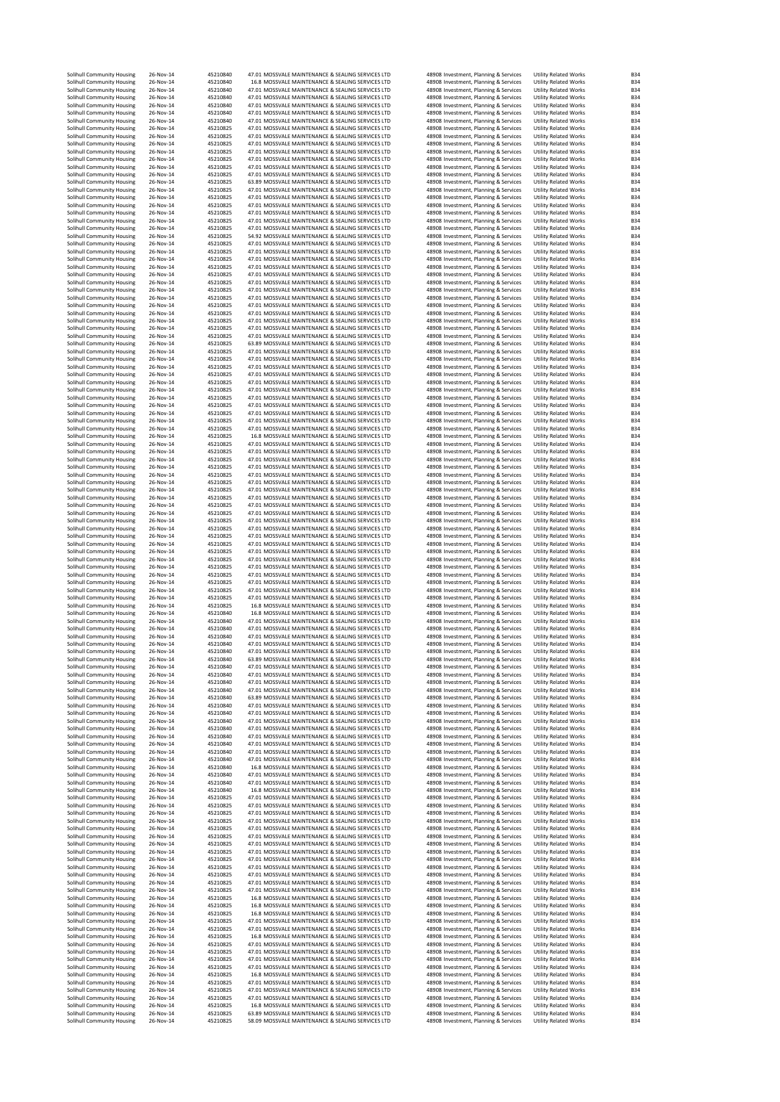| 47.01 MOSSVALE MAINTENANCE & SEALING SERVICES LTD<br>Solihull Community Housing<br>26-Nov-14<br>45210840<br>48908 Investment, Planning & Services<br>16.8 MOSSVALE MAINTENANCE & SEALING SERVICES LTD<br>Solihull Community Housing<br>26-Nov-14<br>45210840<br>48908 Investment, Planning & Services<br>47.01 MOSSVALE MAINTENANCE & SEALING SERVICES LTD<br>26-Nov-14<br>45210840<br>Solihull Community Housing<br>48908 Investment, Planning & Services<br>26-Nov-14<br>45210840<br>47.01 MOSSVALE MAINTENANCE & SEALING SERVICES LTD<br>Solihull Community Housing<br>48908 Investment, Planning & Services<br>26-Nov-14<br>45210840<br>47.01 MOSSVALE MAINTENANCE & SEALING SERVICES LTD<br>Solihull Community Housing<br>48908 Investment, Planning & Services<br>Solihull Community Housing<br>26-Nov-14<br>45210840<br>47.01 MOSSVALE MAINTENANCE & SEALING SERVICES LTD<br>48908 Investment, Planning & Services<br>Solihull Community Housing<br>26-Nov-14<br>45210840<br>47.01 MOSSVALE MAINTENANCE & SEALING SERVICES LTD<br>48908 Investment, Planning & Services<br>Solihull Community Housing<br>26-Nov-14<br>45210825<br>47.01 MOSSVALE MAINTENANCE & SEALING SERVICES LTD<br>48908 Investment, Planning & Services<br>Solihull Community Housing<br>26-Nov-14<br>45210825<br>47.01 MOSSVALE MAINTENANCE & SEALING SERVICES LTD<br>48908 Investment, Planning & Services<br>Solihull Community Housing<br>26-Nov-14<br>45210825<br>47.01 MOSSVALE MAINTENANCE & SEALING SERVICES LTD<br>48908 Investment, Planning & Services<br>Solihull Community Housing<br>26-Nov-14<br>45210825<br>47.01 MOSSVALE MAINTENANCE & SEALING SERVICES LTD<br>48908 Investment, Planning & Services<br>Solihull Community Housing<br>26-Nov-14<br>45210825<br>47.01 MOSSVALE MAINTENANCE & SEALING SERVICES LTD<br>48908 Investment, Planning & Services<br>26-Nov-14<br>45210825<br>47.01 MOSSVALE MAINTENANCE & SEALING SERVICES LTD<br>48908 Investment, Planning & Services<br>Solihull Community Housing<br>Solihull Community Housing<br>26-Nov-14<br>45210825<br>47.01 MOSSVALE MAINTENANCE & SEALING SERVICES LTD<br>48908 Investment, Planning & Services<br>45210825<br>63.89 MOSSVALE MAINTENANCE & SEALING SERVICES LTD<br>Solihull Community Housing<br>26-Nov-14<br>48908 Investment, Planning & Services | <b>Utility Related Works</b><br><b>Utility Related Works</b><br><b>Utility Related Works</b><br><b>Utility Related Works</b><br><b>Utility Related Works</b><br><b>Utility Related Works</b><br><b>Utility Related Works</b><br><b>Utility Related Works</b><br><b>Utility Related Works</b><br><b>Utility Related Works</b><br><b>Utility Related Works</b><br><b>Utility Related Works</b><br><b>Utility Related Works</b> | <b>B34</b><br><b>B34</b><br><b>B34</b><br><b>B34</b><br><b>B34</b><br><b>B34</b><br><b>B34</b><br><b>B34</b><br><b>B34</b><br><b>B34</b> |
|------------------------------------------------------------------------------------------------------------------------------------------------------------------------------------------------------------------------------------------------------------------------------------------------------------------------------------------------------------------------------------------------------------------------------------------------------------------------------------------------------------------------------------------------------------------------------------------------------------------------------------------------------------------------------------------------------------------------------------------------------------------------------------------------------------------------------------------------------------------------------------------------------------------------------------------------------------------------------------------------------------------------------------------------------------------------------------------------------------------------------------------------------------------------------------------------------------------------------------------------------------------------------------------------------------------------------------------------------------------------------------------------------------------------------------------------------------------------------------------------------------------------------------------------------------------------------------------------------------------------------------------------------------------------------------------------------------------------------------------------------------------------------------------------------------------------------------------------------------------------------------------------------------------------------------------------------------------------------------------------------------------------------------------------------------------------------------------------------------------------------------------------------------------------------------------------------------------------------------------------------------------------------------------------------------------------|------------------------------------------------------------------------------------------------------------------------------------------------------------------------------------------------------------------------------------------------------------------------------------------------------------------------------------------------------------------------------------------------------------------------------|------------------------------------------------------------------------------------------------------------------------------------------|
|                                                                                                                                                                                                                                                                                                                                                                                                                                                                                                                                                                                                                                                                                                                                                                                                                                                                                                                                                                                                                                                                                                                                                                                                                                                                                                                                                                                                                                                                                                                                                                                                                                                                                                                                                                                                                                                                                                                                                                                                                                                                                                                                                                                                                                                                                                                        |                                                                                                                                                                                                                                                                                                                                                                                                                              |                                                                                                                                          |
|                                                                                                                                                                                                                                                                                                                                                                                                                                                                                                                                                                                                                                                                                                                                                                                                                                                                                                                                                                                                                                                                                                                                                                                                                                                                                                                                                                                                                                                                                                                                                                                                                                                                                                                                                                                                                                                                                                                                                                                                                                                                                                                                                                                                                                                                                                                        |                                                                                                                                                                                                                                                                                                                                                                                                                              |                                                                                                                                          |
|                                                                                                                                                                                                                                                                                                                                                                                                                                                                                                                                                                                                                                                                                                                                                                                                                                                                                                                                                                                                                                                                                                                                                                                                                                                                                                                                                                                                                                                                                                                                                                                                                                                                                                                                                                                                                                                                                                                                                                                                                                                                                                                                                                                                                                                                                                                        |                                                                                                                                                                                                                                                                                                                                                                                                                              |                                                                                                                                          |
|                                                                                                                                                                                                                                                                                                                                                                                                                                                                                                                                                                                                                                                                                                                                                                                                                                                                                                                                                                                                                                                                                                                                                                                                                                                                                                                                                                                                                                                                                                                                                                                                                                                                                                                                                                                                                                                                                                                                                                                                                                                                                                                                                                                                                                                                                                                        |                                                                                                                                                                                                                                                                                                                                                                                                                              |                                                                                                                                          |
|                                                                                                                                                                                                                                                                                                                                                                                                                                                                                                                                                                                                                                                                                                                                                                                                                                                                                                                                                                                                                                                                                                                                                                                                                                                                                                                                                                                                                                                                                                                                                                                                                                                                                                                                                                                                                                                                                                                                                                                                                                                                                                                                                                                                                                                                                                                        |                                                                                                                                                                                                                                                                                                                                                                                                                              |                                                                                                                                          |
|                                                                                                                                                                                                                                                                                                                                                                                                                                                                                                                                                                                                                                                                                                                                                                                                                                                                                                                                                                                                                                                                                                                                                                                                                                                                                                                                                                                                                                                                                                                                                                                                                                                                                                                                                                                                                                                                                                                                                                                                                                                                                                                                                                                                                                                                                                                        |                                                                                                                                                                                                                                                                                                                                                                                                                              |                                                                                                                                          |
|                                                                                                                                                                                                                                                                                                                                                                                                                                                                                                                                                                                                                                                                                                                                                                                                                                                                                                                                                                                                                                                                                                                                                                                                                                                                                                                                                                                                                                                                                                                                                                                                                                                                                                                                                                                                                                                                                                                                                                                                                                                                                                                                                                                                                                                                                                                        |                                                                                                                                                                                                                                                                                                                                                                                                                              |                                                                                                                                          |
|                                                                                                                                                                                                                                                                                                                                                                                                                                                                                                                                                                                                                                                                                                                                                                                                                                                                                                                                                                                                                                                                                                                                                                                                                                                                                                                                                                                                                                                                                                                                                                                                                                                                                                                                                                                                                                                                                                                                                                                                                                                                                                                                                                                                                                                                                                                        |                                                                                                                                                                                                                                                                                                                                                                                                                              |                                                                                                                                          |
|                                                                                                                                                                                                                                                                                                                                                                                                                                                                                                                                                                                                                                                                                                                                                                                                                                                                                                                                                                                                                                                                                                                                                                                                                                                                                                                                                                                                                                                                                                                                                                                                                                                                                                                                                                                                                                                                                                                                                                                                                                                                                                                                                                                                                                                                                                                        |                                                                                                                                                                                                                                                                                                                                                                                                                              | <b>B34</b>                                                                                                                               |
|                                                                                                                                                                                                                                                                                                                                                                                                                                                                                                                                                                                                                                                                                                                                                                                                                                                                                                                                                                                                                                                                                                                                                                                                                                                                                                                                                                                                                                                                                                                                                                                                                                                                                                                                                                                                                                                                                                                                                                                                                                                                                                                                                                                                                                                                                                                        |                                                                                                                                                                                                                                                                                                                                                                                                                              | <b>B34</b>                                                                                                                               |
|                                                                                                                                                                                                                                                                                                                                                                                                                                                                                                                                                                                                                                                                                                                                                                                                                                                                                                                                                                                                                                                                                                                                                                                                                                                                                                                                                                                                                                                                                                                                                                                                                                                                                                                                                                                                                                                                                                                                                                                                                                                                                                                                                                                                                                                                                                                        |                                                                                                                                                                                                                                                                                                                                                                                                                              | <b>B34</b>                                                                                                                               |
|                                                                                                                                                                                                                                                                                                                                                                                                                                                                                                                                                                                                                                                                                                                                                                                                                                                                                                                                                                                                                                                                                                                                                                                                                                                                                                                                                                                                                                                                                                                                                                                                                                                                                                                                                                                                                                                                                                                                                                                                                                                                                                                                                                                                                                                                                                                        | <b>Utility Related Works</b>                                                                                                                                                                                                                                                                                                                                                                                                 | <b>B34</b>                                                                                                                               |
| 45210825<br>47.01 MOSSVALE MAINTENANCE & SEALING SERVICES LTD<br>Solihull Community Housing<br>26-Nov-14<br>48908 Investment, Planning & Services                                                                                                                                                                                                                                                                                                                                                                                                                                                                                                                                                                                                                                                                                                                                                                                                                                                                                                                                                                                                                                                                                                                                                                                                                                                                                                                                                                                                                                                                                                                                                                                                                                                                                                                                                                                                                                                                                                                                                                                                                                                                                                                                                                      | <b>Utility Related Works</b><br><b>Utility Related Works</b>                                                                                                                                                                                                                                                                                                                                                                 | <b>B34</b><br><b>B34</b>                                                                                                                 |
| Solihull Community Housing<br>26-Nov-14<br>45210825<br>47.01 MOSSVALE MAINTENANCE & SEALING SERVICES LTD<br>48908 Investment, Planning & Services                                                                                                                                                                                                                                                                                                                                                                                                                                                                                                                                                                                                                                                                                                                                                                                                                                                                                                                                                                                                                                                                                                                                                                                                                                                                                                                                                                                                                                                                                                                                                                                                                                                                                                                                                                                                                                                                                                                                                                                                                                                                                                                                                                      | <b>Utility Related Works</b>                                                                                                                                                                                                                                                                                                                                                                                                 | <b>B34</b>                                                                                                                               |
| Solihull Community Housing<br>26-Nov-14<br>45210825<br>47.01 MOSSVALE MAINTENANCE & SEALING SERVICES LTD<br>48908 Investment, Planning & Services                                                                                                                                                                                                                                                                                                                                                                                                                                                                                                                                                                                                                                                                                                                                                                                                                                                                                                                                                                                                                                                                                                                                                                                                                                                                                                                                                                                                                                                                                                                                                                                                                                                                                                                                                                                                                                                                                                                                                                                                                                                                                                                                                                      | <b>Utility Related Works</b>                                                                                                                                                                                                                                                                                                                                                                                                 | <b>B34</b>                                                                                                                               |
| Solihull Community Housing<br>26-Nov-14<br>45210825<br>47.01 MOSSVALE MAINTENANCE & SEALING SERVICES LTD<br>48908 Investment, Planning & Services                                                                                                                                                                                                                                                                                                                                                                                                                                                                                                                                                                                                                                                                                                                                                                                                                                                                                                                                                                                                                                                                                                                                                                                                                                                                                                                                                                                                                                                                                                                                                                                                                                                                                                                                                                                                                                                                                                                                                                                                                                                                                                                                                                      | <b>Utility Related Works</b>                                                                                                                                                                                                                                                                                                                                                                                                 | <b>B34</b>                                                                                                                               |
| 45210825<br>Solihull Community Housing<br>26-Nov-14<br>47.01 MOSSVALE MAINTENANCE & SEALING SERVICES LTD<br>48908 Investment, Planning & Services                                                                                                                                                                                                                                                                                                                                                                                                                                                                                                                                                                                                                                                                                                                                                                                                                                                                                                                                                                                                                                                                                                                                                                                                                                                                                                                                                                                                                                                                                                                                                                                                                                                                                                                                                                                                                                                                                                                                                                                                                                                                                                                                                                      | <b>Utility Related Works</b>                                                                                                                                                                                                                                                                                                                                                                                                 | <b>B34</b>                                                                                                                               |
| 45210825<br>48908 Investment, Planning & Services<br>Solihull Community Housing<br>26-Nov-14<br>47.01 MOSSVALE MAINTENANCE & SEALING SERVICES LTD                                                                                                                                                                                                                                                                                                                                                                                                                                                                                                                                                                                                                                                                                                                                                                                                                                                                                                                                                                                                                                                                                                                                                                                                                                                                                                                                                                                                                                                                                                                                                                                                                                                                                                                                                                                                                                                                                                                                                                                                                                                                                                                                                                      | <b>Utility Related Works</b>                                                                                                                                                                                                                                                                                                                                                                                                 | <b>B34</b>                                                                                                                               |
| Solihull Community Housing<br>26-Nov-14<br>45210825<br>54.92 MOSSVALE MAINTENANCE & SEALING SERVICES LTD<br>48908 Investment, Planning & Services<br>Solihull Community Housing<br>26-Nov-14<br>45210825<br>47.01 MOSSVALE MAINTENANCE & SEALING SERVICES LTD<br>48908 Investment, Planning & Services                                                                                                                                                                                                                                                                                                                                                                                                                                                                                                                                                                                                                                                                                                                                                                                                                                                                                                                                                                                                                                                                                                                                                                                                                                                                                                                                                                                                                                                                                                                                                                                                                                                                                                                                                                                                                                                                                                                                                                                                                 | <b>Utility Related Works</b><br><b>Utility Related Works</b>                                                                                                                                                                                                                                                                                                                                                                 | <b>B34</b><br><b>B34</b>                                                                                                                 |
| Solihull Community Housing<br>26-Nov-14<br>45210825<br>47.01 MOSSVALE MAINTENANCE & SEALING SERVICES LTD<br>48908 Investment, Planning & Services                                                                                                                                                                                                                                                                                                                                                                                                                                                                                                                                                                                                                                                                                                                                                                                                                                                                                                                                                                                                                                                                                                                                                                                                                                                                                                                                                                                                                                                                                                                                                                                                                                                                                                                                                                                                                                                                                                                                                                                                                                                                                                                                                                      | <b>Utility Related Works</b>                                                                                                                                                                                                                                                                                                                                                                                                 | <b>B34</b>                                                                                                                               |
| Solihull Community Housing<br>26-Nov-14<br>45210825<br>47.01 MOSSVALE MAINTENANCE & SEALING SERVICES LTD<br>48908 Investment, Planning & Services                                                                                                                                                                                                                                                                                                                                                                                                                                                                                                                                                                                                                                                                                                                                                                                                                                                                                                                                                                                                                                                                                                                                                                                                                                                                                                                                                                                                                                                                                                                                                                                                                                                                                                                                                                                                                                                                                                                                                                                                                                                                                                                                                                      | <b>Utility Related Works</b>                                                                                                                                                                                                                                                                                                                                                                                                 | <b>B34</b>                                                                                                                               |
| Solihull Community Housing<br>26-Nov-14<br>45210825<br>47.01 MOSSVALE MAINTENANCE & SEALING SERVICES LTD<br>48908 Investment, Planning & Services                                                                                                                                                                                                                                                                                                                                                                                                                                                                                                                                                                                                                                                                                                                                                                                                                                                                                                                                                                                                                                                                                                                                                                                                                                                                                                                                                                                                                                                                                                                                                                                                                                                                                                                                                                                                                                                                                                                                                                                                                                                                                                                                                                      | <b>Utility Related Works</b>                                                                                                                                                                                                                                                                                                                                                                                                 | <b>B34</b>                                                                                                                               |
| 45210825<br>Solihull Community Housing<br>26-Nov-14<br>47.01 MOSSVALE MAINTENANCE & SEALING SERVICES LTD<br>48908 Investment, Planning & Services                                                                                                                                                                                                                                                                                                                                                                                                                                                                                                                                                                                                                                                                                                                                                                                                                                                                                                                                                                                                                                                                                                                                                                                                                                                                                                                                                                                                                                                                                                                                                                                                                                                                                                                                                                                                                                                                                                                                                                                                                                                                                                                                                                      | <b>Utility Related Works</b>                                                                                                                                                                                                                                                                                                                                                                                                 | <b>B34</b>                                                                                                                               |
| Solihull Community Housing<br>45210825<br>47.01 MOSSVALE MAINTENANCE & SEALING SERVICES LTD<br>48908 Investment, Planning & Services<br>26-Nov-14<br>47.01 MOSSVALE MAINTENANCE & SEALING SERVICES LTD                                                                                                                                                                                                                                                                                                                                                                                                                                                                                                                                                                                                                                                                                                                                                                                                                                                                                                                                                                                                                                                                                                                                                                                                                                                                                                                                                                                                                                                                                                                                                                                                                                                                                                                                                                                                                                                                                                                                                                                                                                                                                                                 | <b>Utility Related Works</b>                                                                                                                                                                                                                                                                                                                                                                                                 | <b>B34</b>                                                                                                                               |
| Solihull Community Housing<br>45210825<br>48908 Investment, Planning & Services<br>26-Nov-14<br>Solihull Community Housing<br>45210825<br>47.01 MOSSVALE MAINTENANCE & SEALING SERVICES LTD<br>48908 Investment, Planning & Services<br>26-Nov-14                                                                                                                                                                                                                                                                                                                                                                                                                                                                                                                                                                                                                                                                                                                                                                                                                                                                                                                                                                                                                                                                                                                                                                                                                                                                                                                                                                                                                                                                                                                                                                                                                                                                                                                                                                                                                                                                                                                                                                                                                                                                      | <b>Utility Related Works</b><br><b>Utility Related Works</b>                                                                                                                                                                                                                                                                                                                                                                 | <b>B34</b><br><b>B34</b>                                                                                                                 |
| Solihull Community Housing<br>45210825<br>47.01 MOSSVALE MAINTENANCE & SEALING SERVICES LTD<br>48908 Investment, Planning & Services<br>26-Nov-14                                                                                                                                                                                                                                                                                                                                                                                                                                                                                                                                                                                                                                                                                                                                                                                                                                                                                                                                                                                                                                                                                                                                                                                                                                                                                                                                                                                                                                                                                                                                                                                                                                                                                                                                                                                                                                                                                                                                                                                                                                                                                                                                                                      | <b>Utility Related Works</b>                                                                                                                                                                                                                                                                                                                                                                                                 | <b>B34</b>                                                                                                                               |
| 48908 Investment, Planning & Services<br>Solihull Community Housing<br>26-Nov-14<br>45210825<br>47.01 MOSSVALE MAINTENANCE & SEALING SERVICES LTD                                                                                                                                                                                                                                                                                                                                                                                                                                                                                                                                                                                                                                                                                                                                                                                                                                                                                                                                                                                                                                                                                                                                                                                                                                                                                                                                                                                                                                                                                                                                                                                                                                                                                                                                                                                                                                                                                                                                                                                                                                                                                                                                                                      | <b>Utility Related Works</b>                                                                                                                                                                                                                                                                                                                                                                                                 | <b>B34</b>                                                                                                                               |
| 45210825<br>48908 Investment, Planning & Services<br>Solihull Community Housing<br>26-Nov-14<br>47.01 MOSSVALE MAINTENANCE & SEALING SERVICES LTD                                                                                                                                                                                                                                                                                                                                                                                                                                                                                                                                                                                                                                                                                                                                                                                                                                                                                                                                                                                                                                                                                                                                                                                                                                                                                                                                                                                                                                                                                                                                                                                                                                                                                                                                                                                                                                                                                                                                                                                                                                                                                                                                                                      | <b>Utility Related Works</b>                                                                                                                                                                                                                                                                                                                                                                                                 | <b>B34</b>                                                                                                                               |
| Solihull Community Housing<br>45210825<br>47.01 MOSSVALE MAINTENANCE & SEALING SERVICES LTD<br>48908 Investment, Planning & Services<br>26-Nov-14                                                                                                                                                                                                                                                                                                                                                                                                                                                                                                                                                                                                                                                                                                                                                                                                                                                                                                                                                                                                                                                                                                                                                                                                                                                                                                                                                                                                                                                                                                                                                                                                                                                                                                                                                                                                                                                                                                                                                                                                                                                                                                                                                                      | <b>Utility Related Works</b>                                                                                                                                                                                                                                                                                                                                                                                                 | <b>B34</b>                                                                                                                               |
| Solihull Community Housing<br>26-Nov-14<br>45210825<br>47.01 MOSSVALE MAINTENANCE & SEALING SERVICES LTD<br>48908 Investment, Planning & Services                                                                                                                                                                                                                                                                                                                                                                                                                                                                                                                                                                                                                                                                                                                                                                                                                                                                                                                                                                                                                                                                                                                                                                                                                                                                                                                                                                                                                                                                                                                                                                                                                                                                                                                                                                                                                                                                                                                                                                                                                                                                                                                                                                      | <b>Utility Related Works</b>                                                                                                                                                                                                                                                                                                                                                                                                 | <b>B34</b>                                                                                                                               |
| Solihull Community Housing<br>26-Nov-14<br>45210825<br>63.89 MOSSVALE MAINTENANCE & SEALING SERVICES LTD<br>48908 Investment, Planning & Services<br>Solihull Community Housing<br>26-Nov-14<br>45210825<br>47.01 MOSSVALE MAINTENANCE & SEALING SERVICES LTD<br>48908 Investment, Planning & Services                                                                                                                                                                                                                                                                                                                                                                                                                                                                                                                                                                                                                                                                                                                                                                                                                                                                                                                                                                                                                                                                                                                                                                                                                                                                                                                                                                                                                                                                                                                                                                                                                                                                                                                                                                                                                                                                                                                                                                                                                 | <b>Utility Related Works</b><br><b>Utility Related Works</b>                                                                                                                                                                                                                                                                                                                                                                 | <b>B34</b><br><b>B34</b>                                                                                                                 |
| Solihull Community Housing<br>26-Nov-14<br>45210825<br>47.01 MOSSVALE MAINTENANCE & SEALING SERVICES LTD<br>48908 Investment, Planning & Services                                                                                                                                                                                                                                                                                                                                                                                                                                                                                                                                                                                                                                                                                                                                                                                                                                                                                                                                                                                                                                                                                                                                                                                                                                                                                                                                                                                                                                                                                                                                                                                                                                                                                                                                                                                                                                                                                                                                                                                                                                                                                                                                                                      | <b>Utility Related Works</b>                                                                                                                                                                                                                                                                                                                                                                                                 | <b>B34</b>                                                                                                                               |
| 26-Nov-14<br>45210825<br>47.01 MOSSVALE MAINTENANCE & SEALING SERVICES LTD<br>Solihull Community Housing<br>48908 Investment, Planning & Services                                                                                                                                                                                                                                                                                                                                                                                                                                                                                                                                                                                                                                                                                                                                                                                                                                                                                                                                                                                                                                                                                                                                                                                                                                                                                                                                                                                                                                                                                                                                                                                                                                                                                                                                                                                                                                                                                                                                                                                                                                                                                                                                                                      | <b>Utility Related Works</b>                                                                                                                                                                                                                                                                                                                                                                                                 | <b>B34</b>                                                                                                                               |
| 45210825<br>Solihull Community Housing<br>26-Nov-14<br>47.01 MOSSVALE MAINTENANCE & SEALING SERVICES LTD<br>48908 Investment, Planning & Services                                                                                                                                                                                                                                                                                                                                                                                                                                                                                                                                                                                                                                                                                                                                                                                                                                                                                                                                                                                                                                                                                                                                                                                                                                                                                                                                                                                                                                                                                                                                                                                                                                                                                                                                                                                                                                                                                                                                                                                                                                                                                                                                                                      | <b>Utility Related Works</b>                                                                                                                                                                                                                                                                                                                                                                                                 | <b>B34</b>                                                                                                                               |
| 45210825<br>47.01 MOSSVALE MAINTENANCE & SEALING SERVICES LTD<br>Solihull Community Housing<br>26-Nov-14<br>48908 Investment, Planning & Services                                                                                                                                                                                                                                                                                                                                                                                                                                                                                                                                                                                                                                                                                                                                                                                                                                                                                                                                                                                                                                                                                                                                                                                                                                                                                                                                                                                                                                                                                                                                                                                                                                                                                                                                                                                                                                                                                                                                                                                                                                                                                                                                                                      | <b>Utility Related Works</b>                                                                                                                                                                                                                                                                                                                                                                                                 | <b>B34</b>                                                                                                                               |
| 45210825<br>47.01 MOSSVALE MAINTENANCE & SEALING SERVICES LTD<br>Solihull Community Housing<br>26-Nov-14<br>48908 Investment, Planning & Services                                                                                                                                                                                                                                                                                                                                                                                                                                                                                                                                                                                                                                                                                                                                                                                                                                                                                                                                                                                                                                                                                                                                                                                                                                                                                                                                                                                                                                                                                                                                                                                                                                                                                                                                                                                                                                                                                                                                                                                                                                                                                                                                                                      | <b>Utility Related Works</b>                                                                                                                                                                                                                                                                                                                                                                                                 | <b>B34</b>                                                                                                                               |
| 26-Nov-14<br>45210825<br>47.01 MOSSVALE MAINTENANCE & SEALING SERVICES LTD<br>Solihull Community Housing<br>48908 Investment, Planning & Services<br>Solihull Community Housing<br>26-Nov-14<br>45210825<br>47.01 MOSSVALE MAINTENANCE & SEALING SERVICES LTD<br>48908 Investment, Planning & Services                                                                                                                                                                                                                                                                                                                                                                                                                                                                                                                                                                                                                                                                                                                                                                                                                                                                                                                                                                                                                                                                                                                                                                                                                                                                                                                                                                                                                                                                                                                                                                                                                                                                                                                                                                                                                                                                                                                                                                                                                 | <b>Utility Related Works</b><br><b>Utility Related Works</b>                                                                                                                                                                                                                                                                                                                                                                 | <b>B34</b><br><b>B34</b>                                                                                                                 |
| Solihull Community Housing<br>26-Nov-14<br>45210825<br>47.01 MOSSVALE MAINTENANCE & SEALING SERVICES LTD<br>48908 Investment, Planning & Services                                                                                                                                                                                                                                                                                                                                                                                                                                                                                                                                                                                                                                                                                                                                                                                                                                                                                                                                                                                                                                                                                                                                                                                                                                                                                                                                                                                                                                                                                                                                                                                                                                                                                                                                                                                                                                                                                                                                                                                                                                                                                                                                                                      | <b>Utility Related Works</b>                                                                                                                                                                                                                                                                                                                                                                                                 | <b>B34</b>                                                                                                                               |
| 45210825<br>Solihull Community Housing<br>26-Nov-14<br>47.01 MOSSVALE MAINTENANCE & SEALING SERVICES LTD<br>48908 Investment, Planning & Services                                                                                                                                                                                                                                                                                                                                                                                                                                                                                                                                                                                                                                                                                                                                                                                                                                                                                                                                                                                                                                                                                                                                                                                                                                                                                                                                                                                                                                                                                                                                                                                                                                                                                                                                                                                                                                                                                                                                                                                                                                                                                                                                                                      | <b>Utility Related Works</b>                                                                                                                                                                                                                                                                                                                                                                                                 | <b>B34</b>                                                                                                                               |
| 45210825<br>47.01 MOSSVALE MAINTENANCE & SEALING SERVICES LTD<br>48908 Investment, Planning & Services<br>Solihull Community Housing<br>26-Nov-14                                                                                                                                                                                                                                                                                                                                                                                                                                                                                                                                                                                                                                                                                                                                                                                                                                                                                                                                                                                                                                                                                                                                                                                                                                                                                                                                                                                                                                                                                                                                                                                                                                                                                                                                                                                                                                                                                                                                                                                                                                                                                                                                                                      | <b>Utility Related Works</b>                                                                                                                                                                                                                                                                                                                                                                                                 | <b>B34</b>                                                                                                                               |
| Solihull Community Housing<br>26-Nov-14<br>45210825<br>16.8 MOSSVALE MAINTENANCE & SEALING SERVICES LTD<br>48908 Investment, Planning & Services                                                                                                                                                                                                                                                                                                                                                                                                                                                                                                                                                                                                                                                                                                                                                                                                                                                                                                                                                                                                                                                                                                                                                                                                                                                                                                                                                                                                                                                                                                                                                                                                                                                                                                                                                                                                                                                                                                                                                                                                                                                                                                                                                                       | <b>Utility Related Works</b>                                                                                                                                                                                                                                                                                                                                                                                                 | <b>B34</b>                                                                                                                               |
| Solihull Community Housing<br>26-Nov-14<br>45210825<br>47.01 MOSSVALE MAINTENANCE & SEALING SERVICES LTD<br>48908 Investment, Planning & Services                                                                                                                                                                                                                                                                                                                                                                                                                                                                                                                                                                                                                                                                                                                                                                                                                                                                                                                                                                                                                                                                                                                                                                                                                                                                                                                                                                                                                                                                                                                                                                                                                                                                                                                                                                                                                                                                                                                                                                                                                                                                                                                                                                      | <b>Utility Related Works</b>                                                                                                                                                                                                                                                                                                                                                                                                 | <b>B34</b>                                                                                                                               |
| Solihull Community Housing<br>26-Nov-14<br>45210825<br>47.01 MOSSVALE MAINTENANCE & SEALING SERVICES LTD<br>48908 Investment, Planning & Services                                                                                                                                                                                                                                                                                                                                                                                                                                                                                                                                                                                                                                                                                                                                                                                                                                                                                                                                                                                                                                                                                                                                                                                                                                                                                                                                                                                                                                                                                                                                                                                                                                                                                                                                                                                                                                                                                                                                                                                                                                                                                                                                                                      | <b>Utility Related Works</b>                                                                                                                                                                                                                                                                                                                                                                                                 | <b>B34</b>                                                                                                                               |
| Solihull Community Housing<br>26-Nov-14<br>45210825<br>47.01 MOSSVALE MAINTENANCE & SEALING SERVICES LTD<br>48908 Investment, Planning & Services<br>45210825<br>Solihull Community Housing<br>26-Nov-14<br>47.01 MOSSVALE MAINTENANCE & SEALING SERVICES LTD<br>48908 Investment, Planning & Services                                                                                                                                                                                                                                                                                                                                                                                                                                                                                                                                                                                                                                                                                                                                                                                                                                                                                                                                                                                                                                                                                                                                                                                                                                                                                                                                                                                                                                                                                                                                                                                                                                                                                                                                                                                                                                                                                                                                                                                                                 | Utility Related Works<br>Utility Related Works                                                                                                                                                                                                                                                                                                                                                                               | <b>B34</b><br><b>B34</b>                                                                                                                 |
| 45210825<br>47.01 MOSSVALE MAINTENANCE & SEALING SERVICES LTD<br>Solihull Community Housing<br>26-Nov-14<br>48908 Investment, Planning & Services                                                                                                                                                                                                                                                                                                                                                                                                                                                                                                                                                                                                                                                                                                                                                                                                                                                                                                                                                                                                                                                                                                                                                                                                                                                                                                                                                                                                                                                                                                                                                                                                                                                                                                                                                                                                                                                                                                                                                                                                                                                                                                                                                                      | <b>Utility Related Works</b>                                                                                                                                                                                                                                                                                                                                                                                                 | <b>B34</b>                                                                                                                               |
| 45210825<br>47.01 MOSSVALE MAINTENANCE & SEALING SERVICES LTD<br>Solihull Community Housing<br>26-Nov-14<br>48908 Investment, Planning & Services                                                                                                                                                                                                                                                                                                                                                                                                                                                                                                                                                                                                                                                                                                                                                                                                                                                                                                                                                                                                                                                                                                                                                                                                                                                                                                                                                                                                                                                                                                                                                                                                                                                                                                                                                                                                                                                                                                                                                                                                                                                                                                                                                                      | <b>Utility Related Works</b>                                                                                                                                                                                                                                                                                                                                                                                                 | <b>B34</b>                                                                                                                               |
| 26-Nov-14<br>45210825<br>47.01 MOSSVALE MAINTENANCE & SEALING SERVICES LTD<br>Solihull Community Housing<br>48908 Investment, Planning & Services                                                                                                                                                                                                                                                                                                                                                                                                                                                                                                                                                                                                                                                                                                                                                                                                                                                                                                                                                                                                                                                                                                                                                                                                                                                                                                                                                                                                                                                                                                                                                                                                                                                                                                                                                                                                                                                                                                                                                                                                                                                                                                                                                                      | <b>Utility Related Works</b>                                                                                                                                                                                                                                                                                                                                                                                                 | <b>B34</b>                                                                                                                               |
| Solihull Community Housing<br>26-Nov-14<br>45210825<br>47.01 MOSSVALE MAINTENANCE & SEALING SERVICES LTD<br>48908 Investment, Planning & Services                                                                                                                                                                                                                                                                                                                                                                                                                                                                                                                                                                                                                                                                                                                                                                                                                                                                                                                                                                                                                                                                                                                                                                                                                                                                                                                                                                                                                                                                                                                                                                                                                                                                                                                                                                                                                                                                                                                                                                                                                                                                                                                                                                      | <b>Utility Related Works</b>                                                                                                                                                                                                                                                                                                                                                                                                 | <b>B34</b>                                                                                                                               |
| Solihull Community Housing<br>26-Nov-14<br>45210825<br>47.01 MOSSVALE MAINTENANCE & SEALING SERVICES LTD<br>48908 Investment, Planning & Services                                                                                                                                                                                                                                                                                                                                                                                                                                                                                                                                                                                                                                                                                                                                                                                                                                                                                                                                                                                                                                                                                                                                                                                                                                                                                                                                                                                                                                                                                                                                                                                                                                                                                                                                                                                                                                                                                                                                                                                                                                                                                                                                                                      | <b>Utility Related Works</b>                                                                                                                                                                                                                                                                                                                                                                                                 | <b>B34</b>                                                                                                                               |
| Solihull Community Housing<br>26-Nov-14<br>45210825<br>47.01 MOSSVALE MAINTENANCE & SEALING SERVICES LTD<br>48908 Investment, Planning & Services<br>45210825<br>Solihull Community Housing<br>26-Nov-14<br>47.01 MOSSVALE MAINTENANCE & SEALING SERVICES LTD<br>48908 Investment, Planning & Services                                                                                                                                                                                                                                                                                                                                                                                                                                                                                                                                                                                                                                                                                                                                                                                                                                                                                                                                                                                                                                                                                                                                                                                                                                                                                                                                                                                                                                                                                                                                                                                                                                                                                                                                                                                                                                                                                                                                                                                                                 | <b>Utility Related Works</b><br><b>Utility Related Works</b>                                                                                                                                                                                                                                                                                                                                                                 | <b>B34</b><br><b>B34</b>                                                                                                                 |
| Solihull Community Housing<br>26-Nov-14<br>45210825<br>47.01 MOSSVALE MAINTENANCE & SEALING SERVICES LTD<br>48908 Investment, Planning & Services                                                                                                                                                                                                                                                                                                                                                                                                                                                                                                                                                                                                                                                                                                                                                                                                                                                                                                                                                                                                                                                                                                                                                                                                                                                                                                                                                                                                                                                                                                                                                                                                                                                                                                                                                                                                                                                                                                                                                                                                                                                                                                                                                                      | <b>Utility Related Works</b>                                                                                                                                                                                                                                                                                                                                                                                                 | <b>B34</b>                                                                                                                               |
|                                                                                                                                                                                                                                                                                                                                                                                                                                                                                                                                                                                                                                                                                                                                                                                                                                                                                                                                                                                                                                                                                                                                                                                                                                                                                                                                                                                                                                                                                                                                                                                                                                                                                                                                                                                                                                                                                                                                                                                                                                                                                                                                                                                                                                                                                                                        |                                                                                                                                                                                                                                                                                                                                                                                                                              | <b>B34</b>                                                                                                                               |
| Solihull Community Housing<br>26-Nov-14<br>45210825<br>47.01 MOSSVALE MAINTENANCE & SEALING SERVICES LTD<br>48908 Investment, Planning & Services                                                                                                                                                                                                                                                                                                                                                                                                                                                                                                                                                                                                                                                                                                                                                                                                                                                                                                                                                                                                                                                                                                                                                                                                                                                                                                                                                                                                                                                                                                                                                                                                                                                                                                                                                                                                                                                                                                                                                                                                                                                                                                                                                                      | <b>Utility Related Works</b>                                                                                                                                                                                                                                                                                                                                                                                                 |                                                                                                                                          |
| Solihull Community Housing<br>26-Nov-14<br>45210825<br>47.01 MOSSVALE MAINTENANCE & SEALING SERVICES LTD<br>48908 Investment, Planning & Services                                                                                                                                                                                                                                                                                                                                                                                                                                                                                                                                                                                                                                                                                                                                                                                                                                                                                                                                                                                                                                                                                                                                                                                                                                                                                                                                                                                                                                                                                                                                                                                                                                                                                                                                                                                                                                                                                                                                                                                                                                                                                                                                                                      | <b>Utility Related Works</b>                                                                                                                                                                                                                                                                                                                                                                                                 | <b>B34</b>                                                                                                                               |
| Solihull Community Housing<br>26-Nov-14<br>45210825<br>47.01 MOSSVALE MAINTENANCE & SEALING SERVICES LTD<br>48908 Investment, Planning & Services                                                                                                                                                                                                                                                                                                                                                                                                                                                                                                                                                                                                                                                                                                                                                                                                                                                                                                                                                                                                                                                                                                                                                                                                                                                                                                                                                                                                                                                                                                                                                                                                                                                                                                                                                                                                                                                                                                                                                                                                                                                                                                                                                                      | <b>Utility Related Works</b>                                                                                                                                                                                                                                                                                                                                                                                                 | <b>B34</b>                                                                                                                               |
| 26-Nov-14<br>45210825<br>47.01 MOSSVALE MAINTENANCE & SEALING SERVICES LTD<br>48908 Investment, Planning & Services<br>Solihull Community Housing                                                                                                                                                                                                                                                                                                                                                                                                                                                                                                                                                                                                                                                                                                                                                                                                                                                                                                                                                                                                                                                                                                                                                                                                                                                                                                                                                                                                                                                                                                                                                                                                                                                                                                                                                                                                                                                                                                                                                                                                                                                                                                                                                                      | <b>Utility Related Works</b>                                                                                                                                                                                                                                                                                                                                                                                                 | <b>B34</b>                                                                                                                               |
| 45210825<br>Solihull Community Housing<br>26-Nov-14<br>47.01 MOSSVALE MAINTENANCE & SEALING SERVICES LTD<br>48908 Investment, Planning & Services                                                                                                                                                                                                                                                                                                                                                                                                                                                                                                                                                                                                                                                                                                                                                                                                                                                                                                                                                                                                                                                                                                                                                                                                                                                                                                                                                                                                                                                                                                                                                                                                                                                                                                                                                                                                                                                                                                                                                                                                                                                                                                                                                                      | <b>Utility Related Works</b>                                                                                                                                                                                                                                                                                                                                                                                                 | <b>B34</b>                                                                                                                               |
| 45210825<br>47.01 MOSSVALE MAINTENANCE & SEALING SERVICES LTD<br>Solihull Community Housing<br>26-Nov-14<br>48908 Investment, Planning & Services<br>45210825<br>47.01 MOSSVALE MAINTENANCE & SEALING SERVICES LTD<br>26-Nov-14<br>48908 Investment, Planning & Services                                                                                                                                                                                                                                                                                                                                                                                                                                                                                                                                                                                                                                                                                                                                                                                                                                                                                                                                                                                                                                                                                                                                                                                                                                                                                                                                                                                                                                                                                                                                                                                                                                                                                                                                                                                                                                                                                                                                                                                                                                               | <b>Utility Related Works</b><br><b>Utility Related Works</b>                                                                                                                                                                                                                                                                                                                                                                 | <b>B34</b><br><b>B34</b>                                                                                                                 |
| Solihull Community Housing<br>Solihull Community Housing<br>26-Nov-14<br>45210825<br>47.01 MOSSVALE MAINTENANCE & SEALING SERVICES LTD<br>48908 Investment, Planning & Services                                                                                                                                                                                                                                                                                                                                                                                                                                                                                                                                                                                                                                                                                                                                                                                                                                                                                                                                                                                                                                                                                                                                                                                                                                                                                                                                                                                                                                                                                                                                                                                                                                                                                                                                                                                                                                                                                                                                                                                                                                                                                                                                        | <b>Utility Related Works</b>                                                                                                                                                                                                                                                                                                                                                                                                 | <b>B34</b>                                                                                                                               |
| Solihull Community Housing<br>26-Nov-14<br>45210825<br>47.01 MOSSVALE MAINTENANCE & SEALING SERVICES LTD<br>48908 Investment, Planning & Services                                                                                                                                                                                                                                                                                                                                                                                                                                                                                                                                                                                                                                                                                                                                                                                                                                                                                                                                                                                                                                                                                                                                                                                                                                                                                                                                                                                                                                                                                                                                                                                                                                                                                                                                                                                                                                                                                                                                                                                                                                                                                                                                                                      | <b>Utility Related Works</b>                                                                                                                                                                                                                                                                                                                                                                                                 | <b>B34</b>                                                                                                                               |
| Solihull Community Housing<br>26-Nov-14<br>45210825<br>16.8 MOSSVALE MAINTENANCE & SEALING SERVICES LTD<br>48908 Investment, Planning & Services                                                                                                                                                                                                                                                                                                                                                                                                                                                                                                                                                                                                                                                                                                                                                                                                                                                                                                                                                                                                                                                                                                                                                                                                                                                                                                                                                                                                                                                                                                                                                                                                                                                                                                                                                                                                                                                                                                                                                                                                                                                                                                                                                                       | <b>Utility Related Works</b>                                                                                                                                                                                                                                                                                                                                                                                                 | <b>B34</b>                                                                                                                               |
| 48908 Investment, Planning & Services<br>Solihull Community Housing<br>26-Nov-14<br>45210840<br>16.8 MOSSVALE MAINTENANCE & SEALING SERVICES LTD                                                                                                                                                                                                                                                                                                                                                                                                                                                                                                                                                                                                                                                                                                                                                                                                                                                                                                                                                                                                                                                                                                                                                                                                                                                                                                                                                                                                                                                                                                                                                                                                                                                                                                                                                                                                                                                                                                                                                                                                                                                                                                                                                                       | <b>Utility Related Works</b>                                                                                                                                                                                                                                                                                                                                                                                                 | <b>B34</b>                                                                                                                               |
| 47.01 MOSSVALE MAINTENANCE & SEALING SERVICES LTD<br>48908 Investment, Planning & Services<br>Solihull Community Housing<br>26-Nov-14<br>45210840                                                                                                                                                                                                                                                                                                                                                                                                                                                                                                                                                                                                                                                                                                                                                                                                                                                                                                                                                                                                                                                                                                                                                                                                                                                                                                                                                                                                                                                                                                                                                                                                                                                                                                                                                                                                                                                                                                                                                                                                                                                                                                                                                                      | <b>Utility Related Works</b>                                                                                                                                                                                                                                                                                                                                                                                                 | <b>B34</b><br><b>B34</b>                                                                                                                 |
| Solihull Community Housing<br>45210840<br>47.01 MOSSVALE MAINTENANCE & SEALING SERVICES LTD<br>48908 Investment, Planning & Services<br>26-Nov-14<br>Solihull Community Housing<br>26-Nov-14<br>45210840<br>47.01 MOSSVALE MAINTENANCE & SEALING SERVICES LTD<br>48908 Investment, Planning & Services                                                                                                                                                                                                                                                                                                                                                                                                                                                                                                                                                                                                                                                                                                                                                                                                                                                                                                                                                                                                                                                                                                                                                                                                                                                                                                                                                                                                                                                                                                                                                                                                                                                                                                                                                                                                                                                                                                                                                                                                                 | <b>Utility Related Works</b><br><b>Utility Related Works</b>                                                                                                                                                                                                                                                                                                                                                                 | <b>B34</b>                                                                                                                               |
| Solihull Community Housing<br>26-Nov-14<br>45210840<br>47.01 MOSSVALE MAINTENANCE & SEALING SERVICES LTD<br>48908 Investment, Planning & Services                                                                                                                                                                                                                                                                                                                                                                                                                                                                                                                                                                                                                                                                                                                                                                                                                                                                                                                                                                                                                                                                                                                                                                                                                                                                                                                                                                                                                                                                                                                                                                                                                                                                                                                                                                                                                                                                                                                                                                                                                                                                                                                                                                      | <b>Utility Related Works</b>                                                                                                                                                                                                                                                                                                                                                                                                 | <b>B34</b>                                                                                                                               |
| 48908 Investment, Planning & Services<br>Solihull Community Housing<br>26-Nov-14<br>45210840<br>47.01 MOSSVALE MAINTENANCE & SEALING SERVICES LTD                                                                                                                                                                                                                                                                                                                                                                                                                                                                                                                                                                                                                                                                                                                                                                                                                                                                                                                                                                                                                                                                                                                                                                                                                                                                                                                                                                                                                                                                                                                                                                                                                                                                                                                                                                                                                                                                                                                                                                                                                                                                                                                                                                      | <b>Utility Related Works</b>                                                                                                                                                                                                                                                                                                                                                                                                 | <b>B34</b>                                                                                                                               |
| Solihull Community Housing<br>26-Nov-14<br>45210840<br>63.89 MOSSVALE MAINTENANCE & SEALING SERVICES LTD<br>48908 Investment, Planning & Services                                                                                                                                                                                                                                                                                                                                                                                                                                                                                                                                                                                                                                                                                                                                                                                                                                                                                                                                                                                                                                                                                                                                                                                                                                                                                                                                                                                                                                                                                                                                                                                                                                                                                                                                                                                                                                                                                                                                                                                                                                                                                                                                                                      | <b>Utility Related Works</b>                                                                                                                                                                                                                                                                                                                                                                                                 | B34                                                                                                                                      |
| 47.01 MOSSVALE MAINTENANCE & SEALING SERVICES LTD<br>Solihull Community Housing<br>26-Nov-14<br>45210840<br>48908 Investment, Planning & Services                                                                                                                                                                                                                                                                                                                                                                                                                                                                                                                                                                                                                                                                                                                                                                                                                                                                                                                                                                                                                                                                                                                                                                                                                                                                                                                                                                                                                                                                                                                                                                                                                                                                                                                                                                                                                                                                                                                                                                                                                                                                                                                                                                      | <b>Utility Related Works</b>                                                                                                                                                                                                                                                                                                                                                                                                 | <b>B34</b>                                                                                                                               |
| 47.01 MOSSVALE MAINTENANCE & SEALING SERVICES LTD<br>Solihull Community Housing<br>26-Nov-14<br>45210840<br>48908 Investment, Planning & Services<br>Solihull Community Housing<br>47.01 MOSSVALE MAINTENANCE & SEALING SERVICES LTD<br>26-Nov-14<br>45210840<br>48908 Investment, Planning & Services                                                                                                                                                                                                                                                                                                                                                                                                                                                                                                                                                                                                                                                                                                                                                                                                                                                                                                                                                                                                                                                                                                                                                                                                                                                                                                                                                                                                                                                                                                                                                                                                                                                                                                                                                                                                                                                                                                                                                                                                                 | <b>Utility Related Works</b><br><b>Utility Related Works</b>                                                                                                                                                                                                                                                                                                                                                                 | <b>B34</b><br><b>B34</b>                                                                                                                 |
| Solihull Community Housing<br>47.01 MOSSVALE MAINTENANCE & SEALING SERVICES LTD<br>48908 Investment, Planning & Services<br>26-Nov-14<br>45210840                                                                                                                                                                                                                                                                                                                                                                                                                                                                                                                                                                                                                                                                                                                                                                                                                                                                                                                                                                                                                                                                                                                                                                                                                                                                                                                                                                                                                                                                                                                                                                                                                                                                                                                                                                                                                                                                                                                                                                                                                                                                                                                                                                      | <b>Utility Related Works</b>                                                                                                                                                                                                                                                                                                                                                                                                 | <b>B34</b>                                                                                                                               |
| Solihull Community Housing<br>63.89 MOSSVALE MAINTENANCE & SEALING SERVICES LTD<br>48908 Investment, Planning & Services<br>26-Nov-14<br>45210840                                                                                                                                                                                                                                                                                                                                                                                                                                                                                                                                                                                                                                                                                                                                                                                                                                                                                                                                                                                                                                                                                                                                                                                                                                                                                                                                                                                                                                                                                                                                                                                                                                                                                                                                                                                                                                                                                                                                                                                                                                                                                                                                                                      | <b>Utility Related Works</b>                                                                                                                                                                                                                                                                                                                                                                                                 | <b>B34</b>                                                                                                                               |
| Solihull Community Housing<br>26-Nov-14<br>45210840<br>47.01 MOSSVALE MAINTENANCE & SEALING SERVICES LTD<br>48908 Investment, Planning & Services                                                                                                                                                                                                                                                                                                                                                                                                                                                                                                                                                                                                                                                                                                                                                                                                                                                                                                                                                                                                                                                                                                                                                                                                                                                                                                                                                                                                                                                                                                                                                                                                                                                                                                                                                                                                                                                                                                                                                                                                                                                                                                                                                                      | <b>Utility Related Works</b>                                                                                                                                                                                                                                                                                                                                                                                                 | <b>B34</b>                                                                                                                               |
| Solihull Community Housing<br>26-Nov-14<br>45210840<br>47.01 MOSSVALE MAINTENANCE & SEALING SERVICES LTD<br>48908 Investment, Planning & Services                                                                                                                                                                                                                                                                                                                                                                                                                                                                                                                                                                                                                                                                                                                                                                                                                                                                                                                                                                                                                                                                                                                                                                                                                                                                                                                                                                                                                                                                                                                                                                                                                                                                                                                                                                                                                                                                                                                                                                                                                                                                                                                                                                      | <b>Utility Related Works</b>                                                                                                                                                                                                                                                                                                                                                                                                 | <b>B34</b>                                                                                                                               |
| Solihull Community Housing<br>47.01 MOSSVALE MAINTENANCE & SEALING SERVICES LTD<br>48908 Investment, Planning & Services<br>26-Nov-14<br>45210840<br>Solihull Community Housing<br>26-Nov-14<br>45210840<br>47.01 MOSSVALE MAINTENANCE & SEALING SERVICES LTD<br>48908 Investment, Planning & Services                                                                                                                                                                                                                                                                                                                                                                                                                                                                                                                                                                                                                                                                                                                                                                                                                                                                                                                                                                                                                                                                                                                                                                                                                                                                                                                                                                                                                                                                                                                                                                                                                                                                                                                                                                                                                                                                                                                                                                                                                 | <b>Utility Related Works</b><br><b>Utility Related Works</b>                                                                                                                                                                                                                                                                                                                                                                 | <b>B34</b><br><b>B34</b>                                                                                                                 |
| Solihull Community Housing<br>26-Nov-14<br>45210840<br>47.01 MOSSVALE MAINTENANCE & SEALING SERVICES LTD<br>48908 Investment, Planning & Services                                                                                                                                                                                                                                                                                                                                                                                                                                                                                                                                                                                                                                                                                                                                                                                                                                                                                                                                                                                                                                                                                                                                                                                                                                                                                                                                                                                                                                                                                                                                                                                                                                                                                                                                                                                                                                                                                                                                                                                                                                                                                                                                                                      | <b>Utility Related Works</b>                                                                                                                                                                                                                                                                                                                                                                                                 | <b>B34</b>                                                                                                                               |
| Solihull Community Housing<br>26-Nov-14<br>45210840<br>47.01 MOSSVALE MAINTENANCE & SEALING SERVICES LTD<br>48908 Investment, Planning & Services                                                                                                                                                                                                                                                                                                                                                                                                                                                                                                                                                                                                                                                                                                                                                                                                                                                                                                                                                                                                                                                                                                                                                                                                                                                                                                                                                                                                                                                                                                                                                                                                                                                                                                                                                                                                                                                                                                                                                                                                                                                                                                                                                                      | <b>Utility Related Works</b>                                                                                                                                                                                                                                                                                                                                                                                                 | <b>B34</b>                                                                                                                               |
| Solihull Community Housing<br>26-Nov-14<br>45210840<br>47.01 MOSSVALE MAINTENANCE & SEALING SERVICES LTD<br>48908 Investment, Planning & Services                                                                                                                                                                                                                                                                                                                                                                                                                                                                                                                                                                                                                                                                                                                                                                                                                                                                                                                                                                                                                                                                                                                                                                                                                                                                                                                                                                                                                                                                                                                                                                                                                                                                                                                                                                                                                                                                                                                                                                                                                                                                                                                                                                      | <b>Utility Related Works</b>                                                                                                                                                                                                                                                                                                                                                                                                 | <b>B34</b>                                                                                                                               |
| Solihull Community Housing<br>45210840<br>47.01 MOSSVALE MAINTENANCE & SEALING SERVICES LTD<br>26-Nov-14<br>48908 Investment, Planning & Services                                                                                                                                                                                                                                                                                                                                                                                                                                                                                                                                                                                                                                                                                                                                                                                                                                                                                                                                                                                                                                                                                                                                                                                                                                                                                                                                                                                                                                                                                                                                                                                                                                                                                                                                                                                                                                                                                                                                                                                                                                                                                                                                                                      | <b>Utility Related Works</b>                                                                                                                                                                                                                                                                                                                                                                                                 | <b>B34</b>                                                                                                                               |
| Solihull Community Housing<br>45210840<br>16.8 MOSSVALE MAINTENANCE & SEALING SERVICES LTD<br>26-Nov-14<br>48908 Investment, Planning & Services<br>Solihull Community Housing<br>45210840<br>47.01 MOSSVALE MAINTENANCE & SEALING SERVICES LTD<br>48908 Investment, Planning & Services<br>26-Nov-14                                                                                                                                                                                                                                                                                                                                                                                                                                                                                                                                                                                                                                                                                                                                                                                                                                                                                                                                                                                                                                                                                                                                                                                                                                                                                                                                                                                                                                                                                                                                                                                                                                                                                                                                                                                                                                                                                                                                                                                                                  | <b>Utility Related Works</b><br><b>Utility Related Works</b>                                                                                                                                                                                                                                                                                                                                                                 | <b>B34</b><br><b>B34</b>                                                                                                                 |
| 47.01 MOSSVALE MAINTENANCE & SEALING SERVICES LTD<br>Solihull Community Housing<br>45210840<br>48908 Investment, Planning & Services<br>26-Nov-14                                                                                                                                                                                                                                                                                                                                                                                                                                                                                                                                                                                                                                                                                                                                                                                                                                                                                                                                                                                                                                                                                                                                                                                                                                                                                                                                                                                                                                                                                                                                                                                                                                                                                                                                                                                                                                                                                                                                                                                                                                                                                                                                                                      | <b>Utility Related Works</b>                                                                                                                                                                                                                                                                                                                                                                                                 | <b>B34</b>                                                                                                                               |
| 45210840<br>Solihull Community Housing<br>26-Nov-14<br>16.8 MOSSVALE MAINTENANCE & SEALING SERVICES LTD<br>48908 Investment, Planning & Services                                                                                                                                                                                                                                                                                                                                                                                                                                                                                                                                                                                                                                                                                                                                                                                                                                                                                                                                                                                                                                                                                                                                                                                                                                                                                                                                                                                                                                                                                                                                                                                                                                                                                                                                                                                                                                                                                                                                                                                                                                                                                                                                                                       | <b>Utility Related Works</b>                                                                                                                                                                                                                                                                                                                                                                                                 | <b>B34</b>                                                                                                                               |
| Solihull Community Housing<br>45210825<br>47.01 MOSSVALE MAINTENANCE & SEALING SERVICES LTD<br>26-Nov-14<br>48908 Investment, Planning & Services                                                                                                                                                                                                                                                                                                                                                                                                                                                                                                                                                                                                                                                                                                                                                                                                                                                                                                                                                                                                                                                                                                                                                                                                                                                                                                                                                                                                                                                                                                                                                                                                                                                                                                                                                                                                                                                                                                                                                                                                                                                                                                                                                                      | <b>Utility Related Works</b>                                                                                                                                                                                                                                                                                                                                                                                                 | <b>B34</b>                                                                                                                               |
| Solihull Community Housing<br>26-Nov-14<br>45210825<br>47.01 MOSSVALE MAINTENANCE & SEALING SERVICES LTD<br>48908 Investment, Planning & Services<br>45210825                                                                                                                                                                                                                                                                                                                                                                                                                                                                                                                                                                                                                                                                                                                                                                                                                                                                                                                                                                                                                                                                                                                                                                                                                                                                                                                                                                                                                                                                                                                                                                                                                                                                                                                                                                                                                                                                                                                                                                                                                                                                                                                                                          | <b>Utility Related Works</b>                                                                                                                                                                                                                                                                                                                                                                                                 | <b>B34</b><br><b>B34</b>                                                                                                                 |
| Solihull Community Housing<br>26-Nov-14<br>47.01 MOSSVALE MAINTENANCE & SEALING SERVICES LTD<br>48908 Investment, Planning & Services<br>47.01 MOSSVALE MAINTENANCE & SEALING SERVICES LTD<br>Solihull Community Housing<br>26-Nov-14<br>45210825<br>48908 Investment, Planning & Services                                                                                                                                                                                                                                                                                                                                                                                                                                                                                                                                                                                                                                                                                                                                                                                                                                                                                                                                                                                                                                                                                                                                                                                                                                                                                                                                                                                                                                                                                                                                                                                                                                                                                                                                                                                                                                                                                                                                                                                                                             | <b>Utility Related Works</b><br><b>Utility Related Works</b>                                                                                                                                                                                                                                                                                                                                                                 | <b>B34</b>                                                                                                                               |
| Solihull Community Housing<br>26-Nov-14<br>45210825<br>47.01 MOSSVALE MAINTENANCE & SEALING SERVICES LTD<br>48908 Investment, Planning & Services                                                                                                                                                                                                                                                                                                                                                                                                                                                                                                                                                                                                                                                                                                                                                                                                                                                                                                                                                                                                                                                                                                                                                                                                                                                                                                                                                                                                                                                                                                                                                                                                                                                                                                                                                                                                                                                                                                                                                                                                                                                                                                                                                                      | <b>Utility Related Works</b>                                                                                                                                                                                                                                                                                                                                                                                                 | <b>B34</b>                                                                                                                               |
| Solihull Community Housing<br>26-Nov-14<br>45210825<br>47.01 MOSSVALE MAINTENANCE & SEALING SERVICES LTD<br>48908 Investment, Planning & Services                                                                                                                                                                                                                                                                                                                                                                                                                                                                                                                                                                                                                                                                                                                                                                                                                                                                                                                                                                                                                                                                                                                                                                                                                                                                                                                                                                                                                                                                                                                                                                                                                                                                                                                                                                                                                                                                                                                                                                                                                                                                                                                                                                      | <b>Utility Related Works</b>                                                                                                                                                                                                                                                                                                                                                                                                 | <b>B34</b>                                                                                                                               |
| Solihull Community Housing<br>26-Nov-14<br>45210825<br>47.01 MOSSVALE MAINTENANCE & SEALING SERVICES LTD<br>48908 Investment, Planning & Services                                                                                                                                                                                                                                                                                                                                                                                                                                                                                                                                                                                                                                                                                                                                                                                                                                                                                                                                                                                                                                                                                                                                                                                                                                                                                                                                                                                                                                                                                                                                                                                                                                                                                                                                                                                                                                                                                                                                                                                                                                                                                                                                                                      | <b>Utility Related Works</b>                                                                                                                                                                                                                                                                                                                                                                                                 | <b>B34</b>                                                                                                                               |
| 45210825<br>47.01 MOSSVALE MAINTENANCE & SEALING SERVICES LTD<br>48908 Investment, Planning & Services<br>Solihull Community Housing<br>26-Nov-14<br>45210825<br>47.01 MOSSVALE MAINTENANCE & SEALING SERVICES LTD                                                                                                                                                                                                                                                                                                                                                                                                                                                                                                                                                                                                                                                                                                                                                                                                                                                                                                                                                                                                                                                                                                                                                                                                                                                                                                                                                                                                                                                                                                                                                                                                                                                                                                                                                                                                                                                                                                                                                                                                                                                                                                     | <b>Utility Related Works</b>                                                                                                                                                                                                                                                                                                                                                                                                 | <b>B34</b><br><b>B34</b>                                                                                                                 |
| Solihull Community Housing<br>48908 Investment, Planning & Services<br>26-Nov-14<br>47.01 MOSSVALE MAINTENANCE & SEALING SERVICES LTD<br>Solihull Community Housing<br>26-Nov-14<br>45210825<br>48908 Investment, Planning & Services                                                                                                                                                                                                                                                                                                                                                                                                                                                                                                                                                                                                                                                                                                                                                                                                                                                                                                                                                                                                                                                                                                                                                                                                                                                                                                                                                                                                                                                                                                                                                                                                                                                                                                                                                                                                                                                                                                                                                                                                                                                                                  | <b>Utility Related Works</b><br><b>Utility Related Works</b>                                                                                                                                                                                                                                                                                                                                                                 | <b>B34</b>                                                                                                                               |
| 47.01 MOSSVALE MAINTENANCE & SEALING SERVICES LTD<br>Solihull Community Housing<br>26-Nov-14<br>45210825<br>48908 Investment, Planning & Services                                                                                                                                                                                                                                                                                                                                                                                                                                                                                                                                                                                                                                                                                                                                                                                                                                                                                                                                                                                                                                                                                                                                                                                                                                                                                                                                                                                                                                                                                                                                                                                                                                                                                                                                                                                                                                                                                                                                                                                                                                                                                                                                                                      | <b>Utility Related Works</b>                                                                                                                                                                                                                                                                                                                                                                                                 | <b>B34</b>                                                                                                                               |
| Solihull Community Housing<br>26-Nov-14<br>45210825<br>47.01 MOSSVALE MAINTENANCE & SEALING SERVICES LTD<br>48908 Investment, Planning & Services                                                                                                                                                                                                                                                                                                                                                                                                                                                                                                                                                                                                                                                                                                                                                                                                                                                                                                                                                                                                                                                                                                                                                                                                                                                                                                                                                                                                                                                                                                                                                                                                                                                                                                                                                                                                                                                                                                                                                                                                                                                                                                                                                                      | <b>Utility Related Works</b>                                                                                                                                                                                                                                                                                                                                                                                                 | <b>B34</b>                                                                                                                               |
| Solihull Community Housing<br>45210825<br>47.01 MOSSVALE MAINTENANCE & SEALING SERVICES LTD<br>26-Nov-14<br>48908 Investment, Planning & Services                                                                                                                                                                                                                                                                                                                                                                                                                                                                                                                                                                                                                                                                                                                                                                                                                                                                                                                                                                                                                                                                                                                                                                                                                                                                                                                                                                                                                                                                                                                                                                                                                                                                                                                                                                                                                                                                                                                                                                                                                                                                                                                                                                      | <b>Utility Related Works</b>                                                                                                                                                                                                                                                                                                                                                                                                 | <b>B34</b>                                                                                                                               |
| Solihull Community Housing<br>26-Nov-14<br>45210825<br>16.8 MOSSVALE MAINTENANCE & SEALING SERVICES LTD<br>48908 Investment, Planning & Services<br>Solihull Community Housing<br>26-Nov-14<br>45210825<br>16.8 MOSSVALE MAINTENANCE & SEALING SERVICES LTD<br>48908 Investment, Planning & Services                                                                                                                                                                                                                                                                                                                                                                                                                                                                                                                                                                                                                                                                                                                                                                                                                                                                                                                                                                                                                                                                                                                                                                                                                                                                                                                                                                                                                                                                                                                                                                                                                                                                                                                                                                                                                                                                                                                                                                                                                   | <b>Utility Related Works</b><br><b>Utility Related Works</b>                                                                                                                                                                                                                                                                                                                                                                 | <b>B34</b><br><b>B34</b>                                                                                                                 |
| Solihull Community Housing<br>26-Nov-14<br>45210825<br>16.8 MOSSVALE MAINTENANCE & SEALING SERVICES LTD<br>48908 Investment, Planning & Services                                                                                                                                                                                                                                                                                                                                                                                                                                                                                                                                                                                                                                                                                                                                                                                                                                                                                                                                                                                                                                                                                                                                                                                                                                                                                                                                                                                                                                                                                                                                                                                                                                                                                                                                                                                                                                                                                                                                                                                                                                                                                                                                                                       | <b>Utility Related Works</b>                                                                                                                                                                                                                                                                                                                                                                                                 | <b>B34</b>                                                                                                                               |
| 47.01 MOSSVALE MAINTENANCE & SEALING SERVICES LTD<br>Solihull Community Housing<br>26-Nov-14<br>45210825<br>48908 Investment, Planning & Services                                                                                                                                                                                                                                                                                                                                                                                                                                                                                                                                                                                                                                                                                                                                                                                                                                                                                                                                                                                                                                                                                                                                                                                                                                                                                                                                                                                                                                                                                                                                                                                                                                                                                                                                                                                                                                                                                                                                                                                                                                                                                                                                                                      | <b>Utility Related Works</b>                                                                                                                                                                                                                                                                                                                                                                                                 | <b>B34</b>                                                                                                                               |
| Solihull Community Housing<br>26-Nov-14<br>45210825<br>47.01 MOSSVALE MAINTENANCE & SEALING SERVICES LTD<br>48908 Investment, Planning & Services                                                                                                                                                                                                                                                                                                                                                                                                                                                                                                                                                                                                                                                                                                                                                                                                                                                                                                                                                                                                                                                                                                                                                                                                                                                                                                                                                                                                                                                                                                                                                                                                                                                                                                                                                                                                                                                                                                                                                                                                                                                                                                                                                                      | <b>Utility Related Works</b>                                                                                                                                                                                                                                                                                                                                                                                                 | <b>B34</b>                                                                                                                               |
| Solihull Community Housing<br>26-Nov-14<br>45210825<br>16.8 MOSSVALE MAINTENANCE & SEALING SERVICES LTD<br>48908 Investment, Planning & Services                                                                                                                                                                                                                                                                                                                                                                                                                                                                                                                                                                                                                                                                                                                                                                                                                                                                                                                                                                                                                                                                                                                                                                                                                                                                                                                                                                                                                                                                                                                                                                                                                                                                                                                                                                                                                                                                                                                                                                                                                                                                                                                                                                       | <b>Utility Related Works</b>                                                                                                                                                                                                                                                                                                                                                                                                 | <b>B34</b>                                                                                                                               |
| Solihull Community Housing<br>26-Nov-14<br>45210825<br>47.01 MOSSVALE MAINTENANCE & SEALING SERVICES LTD<br>48908 Investment, Planning & Services<br>47.01 MOSSVALE MAINTENANCE & SEALING SERVICES LTD                                                                                                                                                                                                                                                                                                                                                                                                                                                                                                                                                                                                                                                                                                                                                                                                                                                                                                                                                                                                                                                                                                                                                                                                                                                                                                                                                                                                                                                                                                                                                                                                                                                                                                                                                                                                                                                                                                                                                                                                                                                                                                                 | <b>Utility Related Works</b>                                                                                                                                                                                                                                                                                                                                                                                                 | <b>B34</b><br><b>B34</b>                                                                                                                 |
| Solihull Community Housing<br>26-Nov-14<br>45210825<br>48908 Investment, Planning & Services<br>Solihull Community Housing<br>45210825<br>47.01 MOSSVALE MAINTENANCE & SEALING SERVICES LTD<br>48908 Investment, Planning & Services<br>26-Nov-14                                                                                                                                                                                                                                                                                                                                                                                                                                                                                                                                                                                                                                                                                                                                                                                                                                                                                                                                                                                                                                                                                                                                                                                                                                                                                                                                                                                                                                                                                                                                                                                                                                                                                                                                                                                                                                                                                                                                                                                                                                                                      | <b>Utility Related Works</b><br><b>Utility Related Works</b>                                                                                                                                                                                                                                                                                                                                                                 | <b>B34</b>                                                                                                                               |
| 47.01 MOSSVALE MAINTENANCE & SEALING SERVICES LTD<br>Solihull Community Housing<br>26-Nov-14<br>45210825<br>48908 Investment, Planning & Services                                                                                                                                                                                                                                                                                                                                                                                                                                                                                                                                                                                                                                                                                                                                                                                                                                                                                                                                                                                                                                                                                                                                                                                                                                                                                                                                                                                                                                                                                                                                                                                                                                                                                                                                                                                                                                                                                                                                                                                                                                                                                                                                                                      | <b>Utility Related Works</b>                                                                                                                                                                                                                                                                                                                                                                                                 | <b>B34</b>                                                                                                                               |
| 16.8 MOSSVALE MAINTENANCE & SEALING SERVICES LTD<br>Solihull Community Housing<br>26-Nov-14<br>45210825<br>48908 Investment, Planning & Services                                                                                                                                                                                                                                                                                                                                                                                                                                                                                                                                                                                                                                                                                                                                                                                                                                                                                                                                                                                                                                                                                                                                                                                                                                                                                                                                                                                                                                                                                                                                                                                                                                                                                                                                                                                                                                                                                                                                                                                                                                                                                                                                                                       | <b>Utility Related Works</b>                                                                                                                                                                                                                                                                                                                                                                                                 | <b>B34</b>                                                                                                                               |
| Solihull Community Housing<br>47.01 MOSSVALE MAINTENANCE & SEALING SERVICES LTD<br>26-Nov-14<br>45210825<br>48908 Investment, Planning & Services                                                                                                                                                                                                                                                                                                                                                                                                                                                                                                                                                                                                                                                                                                                                                                                                                                                                                                                                                                                                                                                                                                                                                                                                                                                                                                                                                                                                                                                                                                                                                                                                                                                                                                                                                                                                                                                                                                                                                                                                                                                                                                                                                                      | <b>Utility Related Works</b>                                                                                                                                                                                                                                                                                                                                                                                                 | <b>B34</b>                                                                                                                               |
| Solihull Community Housing<br>45210825<br>47.01 MOSSVALE MAINTENANCE & SEALING SERVICES LTD<br>48908 Investment, Planning & Services<br>26-Nov-14                                                                                                                                                                                                                                                                                                                                                                                                                                                                                                                                                                                                                                                                                                                                                                                                                                                                                                                                                                                                                                                                                                                                                                                                                                                                                                                                                                                                                                                                                                                                                                                                                                                                                                                                                                                                                                                                                                                                                                                                                                                                                                                                                                      | <b>Utility Related Works</b>                                                                                                                                                                                                                                                                                                                                                                                                 | <b>B34</b>                                                                                                                               |
| Solihull Community Housing<br>26-Nov-14<br>45210825<br>47.01 MOSSVALE MAINTENANCE & SEALING SERVICES LTD<br>48908 Investment, Planning & Services<br>Solihull Community Housing<br>26-Nov-14<br>45210825<br>16.8 MOSSVALE MAINTENANCE & SEALING SERVICES LTD<br>48908 Investment, Planning & Services                                                                                                                                                                                                                                                                                                                                                                                                                                                                                                                                                                                                                                                                                                                                                                                                                                                                                                                                                                                                                                                                                                                                                                                                                                                                                                                                                                                                                                                                                                                                                                                                                                                                                                                                                                                                                                                                                                                                                                                                                  | <b>Utility Related Works</b><br><b>Utility Related Works</b>                                                                                                                                                                                                                                                                                                                                                                 | <b>B34</b><br><b>B34</b>                                                                                                                 |
| Solihull Community Housing<br>26-Nov-14<br>45210825<br>63.89 MOSSVALE MAINTENANCE & SEALING SERVICES LTD<br>48908 Investment, Planning & Services<br>Solihull Community Housing<br>26-Nov-14<br>45210825<br>58.09 MOSSVALE MAINTENANCE & SEALING SERVICES LTD<br>48908 Investment, Planning & Services                                                                                                                                                                                                                                                                                                                                                                                                                                                                                                                                                                                                                                                                                                                                                                                                                                                                                                                                                                                                                                                                                                                                                                                                                                                                                                                                                                                                                                                                                                                                                                                                                                                                                                                                                                                                                                                                                                                                                                                                                 | <b>Utility Related Works</b><br><b>Utility Related Works</b>                                                                                                                                                                                                                                                                                                                                                                 | <b>B34</b><br><b>B34</b>                                                                                                                 |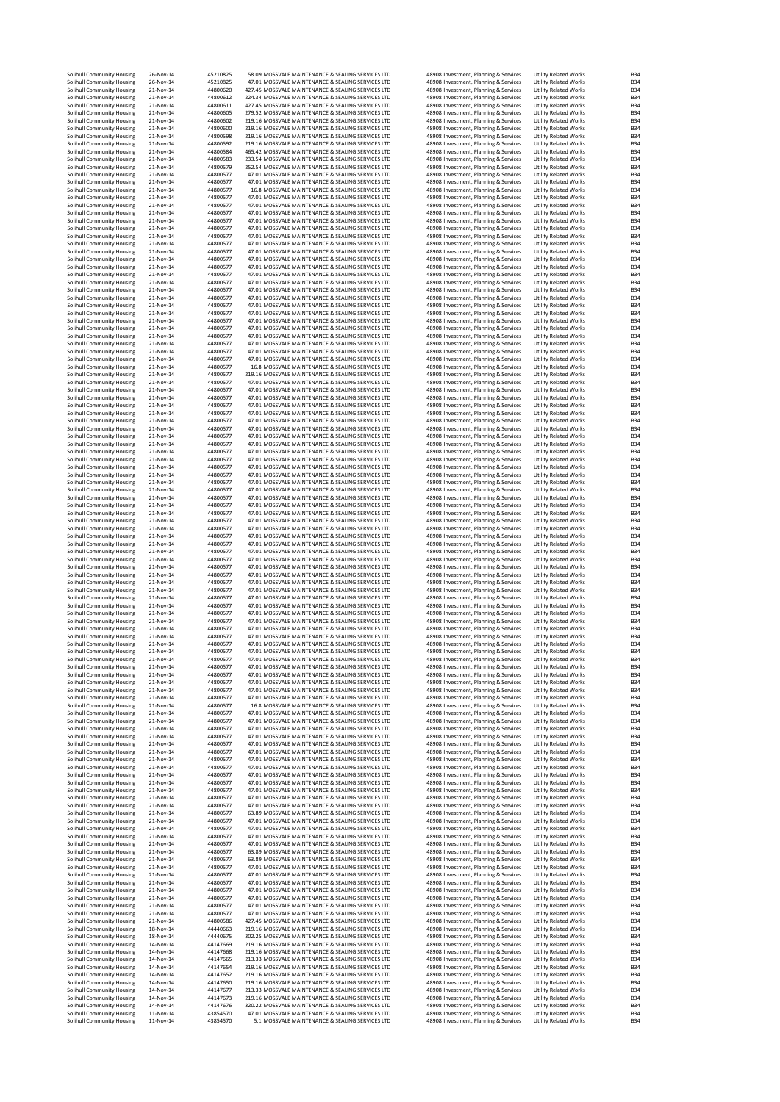| Solihull Community Housing                               | 26-Nov-14              | 45210825             | 58.09 MOSSVALE MAINTENANCE & SEALING SERVICES LTD                                                        |                                                 | 48908 Investment, Planning & Services                                          | <b>Utility Related Works</b>                                 | <b>B34</b>               |
|----------------------------------------------------------|------------------------|----------------------|----------------------------------------------------------------------------------------------------------|-------------------------------------------------|--------------------------------------------------------------------------------|--------------------------------------------------------------|--------------------------|
| Solihull Community Housing                               | 26-Nov-14              | 45210825             | 47.01 MOSSVALE MAINTENANCE & SEALING SERVICES LTD                                                        |                                                 | 48908 Investment, Planning & Services                                          | <b>Utility Related Works</b>                                 | <b>B34</b>               |
| Solihull Community Housing                               | 21-Nov-14              | 44800620             | 427.45 MOSSVALE MAINTENANCE & SEALING SERVICES LTD                                                       |                                                 | 48908 Investment, Planning & Services                                          | <b>Utility Related Works</b>                                 | <b>B34</b>               |
| Solihull Community Housing                               | 21-Nov-14              | 44800612             | 224.34 MOSSVALE MAINTENANCE & SEALING SERVICES LTD                                                       |                                                 | 48908 Investment, Planning & Services                                          | <b>Utility Related Works</b>                                 | <b>B34</b>               |
| Solihull Community Housing                               | 21-Nov-14              | 44800611             | 427.45 MOSSVALE MAINTENANCE & SEALING SERVICES LTD                                                       |                                                 | 48908 Investment, Planning & Services                                          | <b>Utility Related Works</b>                                 | <b>B34</b>               |
| Solihull Community Housing<br>Solihull Community Housing | 21-Nov-14<br>21-Nov-14 | 44800605<br>44800602 | 279.52 MOSSVALE MAINTENANCE & SEALING SERVICES LTD<br>219.16 MOSSVALE MAINTENANCE & SEALING SERVICES LTD |                                                 | 48908 Investment, Planning & Services<br>48908 Investment, Planning & Services | <b>Utility Related Works</b><br><b>Utility Related Works</b> | <b>B34</b><br><b>B34</b> |
| Solihull Community Housing                               | 21-Nov-14              | 44800600             | 219.16 MOSSVALE MAINTENANCE & SEALING SERVICES LTD                                                       |                                                 | 48908 Investment, Planning & Services                                          | <b>Utility Related Works</b>                                 | <b>B34</b>               |
| Solihull Community Housing                               | 21-Nov-14              | 44800598             | 219.16 MOSSVALE MAINTENANCE & SEALING SERVICES LTD                                                       |                                                 | 48908 Investment, Planning & Services                                          | <b>Utility Related Works</b>                                 | <b>B34</b>               |
| Solihull Community Housing                               | 21-Nov-14              | 44800592             | 219.16 MOSSVALE MAINTENANCE & SEALING SERVICES LTD                                                       |                                                 | 48908 Investment, Planning & Services                                          | <b>Utility Related Works</b>                                 | <b>B34</b>               |
| Solihull Community Housing                               | 21-Nov-14              | 44800584             | 465.42 MOSSVALE MAINTENANCE & SEALING SERVICES LTD                                                       |                                                 | 48908 Investment, Planning & Services                                          | <b>Utility Related Works</b>                                 | <b>B34</b>               |
| Solihull Community Housing                               | 21-Nov-14              | 44800583             | 233.54 MOSSVALE MAINTENANCE & SEALING SERVICES LTD                                                       |                                                 | 48908 Investment, Planning & Services                                          | <b>Utility Related Works</b>                                 | <b>B34</b>               |
| Solihull Community Housing<br>Solihull Community Housing | 21-Nov-14<br>21-Nov-14 | 44800579<br>44800577 | 252.54 MOSSVALE MAINTENANCE & SEALING SERVICES LTD<br>47.01 MOSSVALE MAINTENANCE & SEALING SERVICES LTD  |                                                 | 48908 Investment, Planning & Services<br>48908 Investment, Planning & Services | <b>Utility Related Works</b><br><b>Utility Related Works</b> | <b>B34</b><br><b>B34</b> |
| Solihull Community Housing                               | 21-Nov-14              | 44800577             | 47.01 MOSSVALE MAINTENANCE & SEALING SERVICES LTD                                                        |                                                 | 48908 Investment, Planning & Services                                          | <b>Utility Related Works</b>                                 | <b>B34</b>               |
| Solihull Community Housing                               | 21-Nov-14              | 44800577             | 16.8 MOSSVALE MAINTENANCE & SEALING SERVICES LTD                                                         |                                                 | 48908 Investment, Planning & Services                                          | <b>Utility Related Works</b>                                 | <b>B34</b>               |
| Solihull Community Housing                               | 21-Nov-14              | 44800577             | 47.01 MOSSVALE MAINTENANCE & SEALING SERVICES LTD                                                        |                                                 | 48908 Investment, Planning & Services                                          | <b>Utility Related Works</b>                                 | <b>B34</b>               |
| Solihull Community Housing                               | 21-Nov-14              | 44800577             | 47.01 MOSSVALE MAINTENANCE & SEALING SERVICES LTD                                                        |                                                 | 48908 Investment, Planning & Services                                          | <b>Utility Related Works</b>                                 | <b>B34</b>               |
| Solihull Community Housing                               | 21-Nov-14              | 44800577             | 47.01 MOSSVALE MAINTENANCE & SEALING SERVICES LTD                                                        |                                                 | 48908 Investment, Planning & Services                                          | <b>Utility Related Works</b>                                 | <b>B34</b>               |
| Solihull Community Housing<br>Solihull Community Housing | 21-Nov-14<br>21-Nov-14 | 44800577<br>44800577 | 47.01 MOSSVALE MAINTENANCE & SEALING SERVICES LTD<br>47.01 MOSSVALE MAINTENANCE & SEALING SERVICES LTD   |                                                 | 48908 Investment, Planning & Services<br>48908 Investment, Planning & Services | <b>Utility Related Works</b><br><b>Utility Related Works</b> | <b>B34</b><br><b>B34</b> |
| Solihull Community Housing                               | 21-Nov-14              | 44800577             | 47.01 MOSSVALE MAINTENANCE & SEALING SERVICES LTD                                                        |                                                 | 48908 Investment, Planning & Services                                          | <b>Utility Related Works</b>                                 | <b>B34</b>               |
| Solihull Community Housing                               | 21-Nov-14              | 44800577             | 47.01 MOSSVALE MAINTENANCE & SEALING SERVICES LTD                                                        |                                                 | 48908 Investment, Planning & Services                                          | <b>Utility Related Works</b>                                 | <b>B34</b>               |
| Solihull Community Housing                               | 21-Nov-14              | 44800577             | 47.01 MOSSVALE MAINTENANCE & SEALING SERVICES LTD                                                        |                                                 | 48908 Investment, Planning & Services                                          | <b>Utility Related Works</b>                                 | <b>B34</b>               |
| Solihull Community Housing                               | 21-Nov-14              | 44800577             | 47.01 MOSSVALE MAINTENANCE & SEALING SERVICES LTD                                                        |                                                 | 48908 Investment, Planning & Services                                          | <b>Utility Related Works</b>                                 | <b>B34</b>               |
| Solihull Community Housing                               | 21-Nov-14<br>21-Nov-14 | 44800577<br>44800577 | 47.01 MOSSVALE MAINTENANCE & SEALING SERVICES LTD<br>47.01 MOSSVALE MAINTENANCE & SEALING SERVICES LTD   |                                                 | 48908 Investment, Planning & Services                                          | <b>Utility Related Works</b>                                 | <b>B34</b><br><b>B34</b> |
| Solihull Community Housing<br>Solihull Community Housing | 21-Nov-14              | 44800577             | 47.01 MOSSVALE MAINTENANCE & SEALING SERVICES LTD                                                        |                                                 | 48908 Investment, Planning & Services<br>48908 Investment, Planning & Services | <b>Utility Related Works</b><br><b>Utility Related Works</b> | <b>B34</b>               |
| Solihull Community Housing                               | 21-Nov-14              | 44800577             | 47.01 MOSSVALE MAINTENANCE & SEALING SERVICES LTD                                                        |                                                 | 48908 Investment, Planning & Services                                          | <b>Utility Related Works</b>                                 | <b>B34</b>               |
| Solihull Community Housing                               | 21-Nov-14              | 44800577             | 47.01 MOSSVALE MAINTENANCE & SEALING SERVICES LTD                                                        |                                                 | 48908 Investment, Planning & Services                                          | <b>Utility Related Works</b>                                 | <b>B34</b>               |
| Solihull Community Housing                               | 21-Nov-14              | 44800577             | 47.01 MOSSVALE MAINTENANCE & SEALING SERVICES LTD                                                        |                                                 | 48908 Investment, Planning & Services                                          | <b>Utility Related Works</b>                                 | <b>B34</b>               |
| Solihull Community Housing                               | 21-Nov-14              | 44800577             | 47.01 MOSSVALE MAINTENANCE & SEALING SERVICES LTD                                                        |                                                 | 48908 Investment, Planning & Services                                          | <b>Utility Related Works</b>                                 | <b>B34</b><br><b>B34</b> |
| Solihull Community Housing<br>Solihull Community Housing | 21-Nov-14<br>21-Nov-14 | 44800577<br>44800577 | 47.01 MOSSVALE MAINTENANCE & SEALING SERVICES LTD<br>47.01 MOSSVALE MAINTENANCE & SEALING SERVICES LTD   |                                                 | 48908 Investment, Planning & Services<br>48908 Investment, Planning & Services | <b>Utility Related Works</b><br><b>Utility Related Works</b> | <b>B34</b>               |
| Solihull Community Housing                               | 21-Nov-14              | 44800577             | 47.01 MOSSVALE MAINTENANCE & SEALING SERVICES LTD                                                        |                                                 | 48908 Investment, Planning & Services                                          | <b>Utility Related Works</b>                                 | <b>B34</b>               |
| Solihull Community Housing                               | 21-Nov-14              | 44800577             | 47.01 MOSSVALE MAINTENANCE & SEALING SERVICES LTD                                                        |                                                 | 48908 Investment, Planning & Services                                          | <b>Utility Related Works</b>                                 | <b>B34</b>               |
| Solihull Community Housing                               | 21-Nov-14              | 44800577             | 47.01 MOSSVALE MAINTENANCE & SEALING SERVICES LTD                                                        |                                                 | 48908 Investment, Planning & Services                                          | <b>Utility Related Works</b>                                 | <b>B34</b>               |
| Solihull Community Housing                               | 21-Nov-14              | 44800577             | 47.01 MOSSVALE MAINTENANCE & SEALING SERVICES LTD                                                        |                                                 | 48908 Investment, Planning & Services                                          | <b>Utility Related Works</b>                                 | <b>B34</b>               |
| Solihull Community Housing<br>Solihull Community Housing | 21-Nov-14<br>21-Nov-14 | 44800577<br>44800577 | 16.8 MOSSVALE MAINTENANCE & SEALING SERVICES LTD<br>219.16 MOSSVALE MAINTENANCE & SEALING SERVICES LTD   |                                                 | 48908 Investment, Planning & Services<br>48908 Investment, Planning & Services | <b>Utility Related Works</b><br><b>Utility Related Works</b> | <b>B34</b><br><b>B34</b> |
| Solihull Community Housing                               | 21-Nov-14              | 44800577             | 47.01 MOSSVALE MAINTENANCE & SEALING SERVICES LTD                                                        |                                                 | 48908 Investment, Planning & Services                                          | <b>Utility Related Works</b>                                 | <b>B34</b>               |
| Solihull Community Housing                               | 21-Nov-14              | 44800577             | 47.01 MOSSVALE MAINTENANCE & SEALING SERVICES LTD                                                        |                                                 | 48908 Investment, Planning & Services                                          | <b>Utility Related Works</b>                                 | <b>B34</b>               |
| Solihull Community Housing                               | 21-Nov-14              | 44800577             | 47.01 MOSSVALE MAINTENANCE & SEALING SERVICES LTD                                                        |                                                 | 48908 Investment, Planning & Services                                          | <b>Utility Related Works</b>                                 | <b>B34</b>               |
| Solihull Community Housing                               | 21-Nov-14              | 44800577             | 47.01 MOSSVALE MAINTENANCE & SEALING SERVICES LTD                                                        |                                                 | 48908 Investment, Planning & Services                                          | <b>Utility Related Works</b>                                 | <b>B34</b>               |
| Solihull Community Housing                               | 21-Nov-14              | 44800577             | 47.01 MOSSVALE MAINTENANCE & SEALING SERVICES LTD                                                        |                                                 | 48908 Investment, Planning & Services                                          | <b>Utility Related Works</b>                                 | <b>B34</b>               |
| Solihull Community Housing                               | 21-Nov-14<br>21-Nov-14 | 44800577<br>44800577 | 47.01 MOSSVALE MAINTENANCE & SEALING SERVICES LTD<br>47.01 MOSSVALE MAINTENANCE & SEALING SERVICES LTD   |                                                 | 48908 Investment, Planning & Services                                          | <b>Utility Related Works</b><br><b>Utility Related Works</b> | <b>B34</b><br><b>B34</b> |
| Solihull Community Housing<br>Solihull Community Housing | 21-Nov-14              | 44800577             | 47.01 MOSSVALE MAINTENANCE & SEALING SERVICES LTD                                                        |                                                 | 48908 Investment, Planning & Services<br>48908 Investment, Planning & Services | <b>Utility Related Works</b>                                 | <b>B34</b>               |
| Solihull Community Housing                               | 21-Nov-14              | 44800577             | 47.01 MOSSVALE MAINTENANCE & SEALING SERVICES LTD                                                        |                                                 | 48908 Investment, Planning & Services                                          | <b>Utility Related Works</b>                                 | <b>B34</b>               |
| Solihull Community Housing                               | 21-Nov-14              | 44800577             | 47.01 MOSSVALE MAINTENANCE & SEALING SERVICES LTD                                                        |                                                 | 48908 Investment, Planning & Services                                          | <b>Utility Related Works</b>                                 | <b>B34</b>               |
| Solihull Community Housing                               | 21-Nov-14              | 44800577             | 47.01 MOSSVALE MAINTENANCE & SEALING SERVICES LTD                                                        |                                                 | 48908 Investment, Planning & Services                                          | <b>Utility Related Works</b>                                 | <b>B34</b>               |
| Solihull Community Housing                               | 21-Nov-14              | 44800577             | 47.01 MOSSVALE MAINTENANCE & SEALING SERVICES LTD                                                        |                                                 | 48908 Investment, Planning & Services                                          | <b>Utility Related Works</b>                                 | <b>B34</b>               |
| Solihull Community Housing<br>Solihull Community Housing | 21-Nov-14<br>21-Nov-14 | 44800577<br>44800577 | 47.01 MOSSVALE MAINTENANCE & SEALING SERVICES LTD<br>47.01 MOSSVALE MAINTENANCE & SEALING SERVICES LTD   |                                                 | 48908 Investment, Planning & Services<br>48908 Investment, Planning & Services | <b>Utility Related Works</b><br><b>Utility Related Works</b> | <b>B34</b><br><b>B34</b> |
| Solihull Community Housing                               | 21-Nov-14              | 44800577             | 47.01 MOSSVALE MAINTENANCE & SEALING SERVICES LTD                                                        |                                                 | 48908 Investment, Planning & Services                                          | <b>Utility Related Works</b>                                 | <b>B34</b>               |
| Solihull Community Housing                               | 21-Nov-14              | 44800577             | 47.01 MOSSVALE MAINTENANCE & SEALING SERVICES LTD                                                        |                                                 | 48908 Investment, Planning & Services                                          | <b>Utility Related Works</b>                                 | <b>B34</b>               |
| Solihull Community Housing                               | 21-Nov-14              | 44800577             | 47.01 MOSSVALE MAINTENANCE & SEALING SERVICES LTD                                                        |                                                 | 48908 Investment, Planning & Services                                          | <b>Utility Related Works</b>                                 | <b>B34</b>               |
| Solihull Community Housing                               | 21-Nov-14              | 44800577             | 47.01 MOSSVALE MAINTENANCE & SEALING SERVICES LTD                                                        |                                                 | 48908 Investment, Planning & Services                                          | <b>Utility Related Works</b>                                 | <b>B34</b>               |
| Solihull Community Housing                               | 21-Nov-14              | 44800577             | 47.01 MOSSVALE MAINTENANCE & SEALING SERVICES LTD                                                        |                                                 | 48908 Investment, Planning & Services                                          | <b>Utility Related Works</b>                                 | <b>B34</b><br><b>B34</b> |
| Solihull Community Housing<br>Solihull Community Housing | 21-Nov-14<br>21-Nov-14 | 44800577<br>44800577 | 47.01 MOSSVALE MAINTENANCE & SEALING SERVICES LTD<br>47.01 MOSSVALE MAINTENANCE & SEALING SERVICES LTD   |                                                 | 48908 Investment, Planning & Services<br>48908 Investment, Planning & Services | <b>Utility Related Works</b><br><b>Utility Related Works</b> | <b>B34</b>               |
| Solihull Community Housing                               | 21-Nov-14              | 44800577             | 47.01 MOSSVALE MAINTENANCE & SEALING SERVICES LTD                                                        |                                                 | 48908 Investment, Planning & Services                                          | <b>Utility Related Works</b>                                 | <b>B34</b>               |
| Solihull Community Housing                               | 21-Nov-14              | 44800577             | 47.01 MOSSVALE MAINTENANCE & SEALING SERVICES LTD                                                        |                                                 | 48908 Investment, Planning & Services                                          | <b>Utility Related Works</b>                                 | <b>B34</b>               |
| Solihull Community Housing                               | 21-Nov-14              | 44800577             | 47.01 MOSSVALE MAINTENANCE & SEALING SERVICES LTD                                                        |                                                 | 48908 Investment, Planning & Services                                          | <b>Utility Related Works</b>                                 | <b>B34</b>               |
| Solihull Community Housing                               | 21-Nov-14              | 44800577             | 47.01 MOSSVALE MAINTENANCE & SEALING SERVICES LTD                                                        |                                                 | 48908 Investment, Planning & Services                                          | <b>Utility Related Works</b>                                 | <b>B34</b>               |
| Solihull Community Housing<br>Solihull Community Housing | 21-Nov-14<br>21-Nov-14 | 44800577<br>44800577 | 47.01 MOSSVALE MAINTENANCE & SEALING SERVICES LTD<br>47.01 MOSSVALE MAINTENANCE & SEALING SERVICES LTD   |                                                 | 48908 Investment, Planning & Services<br>48908 Investment, Planning & Services | <b>Utility Related Works</b><br><b>Utility Related Works</b> | <b>B34</b><br><b>B34</b> |
| Solihull Community Housing                               | 21-Nov-14              | 44800577             | 47.01 MOSSVALE MAINTENANCE & SEALING SERVICES LTD                                                        |                                                 | 48908 Investment, Planning & Services                                          | <b>Utility Related Works</b>                                 | <b>B34</b>               |
| Solihull Community Housing                               | 21-Nov-14              | 44800577             | 47.01 MOSSVALE MAINTENANCE & SEALING SERVICES LTD                                                        |                                                 | 48908 Investment, Planning & Services                                          | <b>Utility Related Works</b>                                 | <b>B34</b>               |
| Solihull Community Housing                               | 21-Nov-14              | 44800577             | 47.01 MOSSVALE MAINTENANCE & SEALING SERVICES LTD                                                        |                                                 | 48908 Investment, Planning & Services                                          | <b>Utility Related Works</b>                                 | <b>B34</b>               |
| Solihull Community Housing                               | 21-Nov-14              | 44800577             | 47.01 MOSSVALE MAINTENANCE & SEALING SERVICES LTD                                                        |                                                 | 48908 Investment, Planning & Services                                          | <b>Utility Related Works</b>                                 | <b>B34</b>               |
| Solihull Community Housing<br>Solihull Community Housing | 21-Nov-14<br>21-Nov-14 | 44800577<br>44800577 | 47.01 MOSSVALE MAINTENANCE & SEALING SERVICES LTD<br>47.01 MOSSVALE MAINTENANCE & SEALING SERVICES LTD   |                                                 | 48908 Investment, Planning & Services<br>48908 Investment, Planning & Services | <b>Utility Related Works</b><br><b>Utility Related Works</b> | <b>B34</b><br><b>B34</b> |
| Solihull Community Housing                               | 21-Nov-14              | 44800577             | 47.01 MOSSVALE MAINTENANCE & SEALING SERVICES LTD                                                        |                                                 | 48908 Investment, Planning & Services                                          | <b>Utility Related Works</b>                                 | <b>B34</b>               |
| Solihull Community Housing                               | 21-Nov-14              | 44800577             | 47.01 MOSSVALE MAINTENANCE & SEALING SERVICES LTD                                                        |                                                 | 48908 Investment, Planning & Services                                          | <b>Utility Related Works</b>                                 | <b>B34</b>               |
| Solihull Community Housing                               | 21-Nov-14              | 44800577             | 47.01 MOSSVALE MAINTENANCE & SEALING SERVICES LTD                                                        |                                                 | 48908 Investment, Planning & Services                                          | <b>Utility Related Works</b>                                 | <b>B34</b>               |
| Solihull Community Housing                               | 21-Nov-14              | 44800577             | 47.01 MOSSVALE MAINTENANCE & SEALING SERVICES LTD                                                        |                                                 | 48908 Investment, Planning & Services                                          | Utility Related Works                                        | B34                      |
| Solihull Community Housing<br>Solihull Community Housing | 21-Nov-14<br>21-Nov-14 | 44800577<br>44800577 | 47.01 MOSSVALE MAINTENANCE & SEALING SERVICES LTD<br>47.01 MOSSVALE MAINTENANCE & SEALING SERVICES LTD   |                                                 | 48908 Investment, Planning & Services<br>48908 Investment, Planning & Services | <b>Utility Related Works</b><br><b>Utility Related Works</b> | <b>B34</b><br><b>B34</b> |
| Solihull Community Housing                               | 21-Nov-14              | 44800577             | 47.01 MOSSVALE MAINTENANCE & SEALING SERVICES LTD                                                        |                                                 | 48908 Investment, Planning & Services                                          | <b>Utility Related Works</b>                                 | <b>B34</b>               |
| Solihull Community Housing                               | 21-Nov-14              | 44800577             | 47.01 MOSSVALE MAINTENANCE & SEALING SERVICES LTD                                                        |                                                 | 48908 Investment, Planning & Services                                          | <b>Utility Related Works</b>                                 | <b>B34</b>               |
| Solihull Community Housing                               | 21-Nov-14              | 44800577             | 47.01 MOSSVALE MAINTENANCE & SEALING SERVICES LTD                                                        |                                                 | 48908 Investment, Planning & Services                                          | <b>Utility Related Works</b>                                 | <b>B34</b>               |
| Solihull Community Housing                               | 21-Nov-14              | 44800577             | 16.8 MOSSVALE MAINTENANCE & SEALING SERVICES LTD                                                         |                                                 | 48908 Investment, Planning & Services                                          | <b>Utility Related Works</b>                                 | <b>B34</b>               |
| Solihull Community Housing<br>Solihull Community Housing | 21-Nov-14<br>21-Nov-14 | 44800577<br>44800577 | 47.01 MOSSVALE MAINTENANCE & SEALING SERVICES LTD<br>47.01 MOSSVALE MAINTENANCE & SEALING SERVICES LTD   |                                                 | 48908 Investment, Planning & Services                                          | <b>Utility Related Works</b><br><b>Utility Related Works</b> | <b>B34</b><br><b>B34</b> |
| Solihull Community Housing                               | 21-Nov-14              | 44800577             | 47.01 MOSSVALE MAINTENANCE & SEALING SERVICES LTD                                                        |                                                 | 48908 Investment, Planning & Services<br>48908 Investment, Planning & Services | <b>Utility Related Works</b>                                 | <b>B34</b>               |
| Solihull Community Housing                               | 21-Nov-14              | 44800577             | 47.01 MOSSVALE MAINTENANCE & SEALING SERVICES LTD                                                        |                                                 | 48908 Investment, Planning & Services                                          | <b>Utility Related Works</b>                                 | <b>B34</b>               |
| Solihull Community Housing                               | 21-Nov-14              | 44800577             | 47.01 MOSSVALE MAINTENANCE & SEALING SERVICES LTD                                                        |                                                 | 48908 Investment, Planning & Services                                          | <b>Utility Related Works</b>                                 | <b>B34</b>               |
| Solihull Community Housing                               | 21-Nov-14<br>21-Nov-14 | 44800577<br>44800577 | 47.01 MOSSVALE MAINTENANCE & SEALING SERVICES LTD<br>47.01 MOSSVALE MAINTENANCE & SEALING SERVICES LTD   |                                                 | 48908 Investment, Planning & Services                                          | <b>Utility Related Works</b>                                 | <b>B34</b><br><b>B34</b> |
| Solihull Community Housing<br>Solihull Community Housing | 21-Nov-14              | 44800577             | 47.01 MOSSVALE MAINTENANCE & SEALING SERVICES LTD                                                        |                                                 | 48908 Investment, Planning & Services<br>48908 Investment, Planning & Services | <b>Utility Related Works</b><br><b>Utility Related Works</b> | <b>B34</b>               |
| Solihull Community Housing                               | 21-Nov-14              | 44800577             | 47.01 MOSSVALE MAINTENANCE & SEALING SERVICES LTD                                                        |                                                 | 48908 Investment, Planning & Services                                          | <b>Utility Related Works</b>                                 | <b>B34</b>               |
| Solihull Community Housing                               | 21-Nov-14              | 44800577             | 47.01 MOSSVALE MAINTENANCE & SEALING SERVICES LTD                                                        |                                                 | 48908 Investment, Planning & Services                                          | <b>Utility Related Works</b>                                 | <b>B34</b>               |
| Solihull Community Housing                               | 21-Nov-14              | 44800577             | 47.01 MOSSVALE MAINTENANCE & SEALING SERVICES LTD                                                        |                                                 | 48908 Investment, Planning & Services                                          | <b>Utility Related Works</b>                                 | <b>B34</b>               |
| Solihull Community Housing                               | 21-Nov-14<br>21-Nov-14 | 44800577             | 47.01 MOSSVALE MAINTENANCE & SEALING SERVICES LTD                                                        |                                                 | 48908 Investment, Planning & Services                                          | <b>Utility Related Works</b>                                 | <b>B34</b>               |
| Solihull Community Housing<br>Solihull Community Housing | 21-Nov-14              | 44800577<br>44800577 | 47.01 MOSSVALE MAINTENANCE & SEALING SERVICES LTD<br>63.89 MOSSVALE MAINTENANCE & SEALING SERVICES LTD   |                                                 | 48908 Investment, Planning & Services<br>48908 Investment, Planning & Services | <b>Utility Related Works</b><br><b>Utility Related Works</b> | <b>B34</b><br><b>B34</b> |
| Solihull Community Housing                               | 21-Nov-14              | 44800577             | 47.01 MOSSVALE MAINTENANCE & SEALING SERVICES LTD                                                        |                                                 | 48908 Investment, Planning & Services                                          | <b>Utility Related Works</b>                                 | <b>B34</b>               |
| Solihull Community Housing                               | 21-Nov-14              | 44800577             | 47.01 MOSSVALE MAINTENANCE & SEALING SERVICES LTD                                                        |                                                 | 48908 Investment, Planning & Services                                          | <b>Utility Related Works</b>                                 | <b>B34</b>               |
| Solihull Community Housing                               | 21-Nov-14              | 44800577             | 47.01 MOSSVALE MAINTENANCE & SEALING SERVICES LTD                                                        |                                                 | 48908 Investment, Planning & Services                                          | <b>Utility Related Works</b>                                 | <b>B34</b>               |
| Solihull Community Housing                               | 21-Nov-14              | 44800577             | 47.01 MOSSVALE MAINTENANCE & SEALING SERVICES LTD                                                        |                                                 | 48908 Investment, Planning & Services                                          | <b>Utility Related Works</b>                                 | <b>B34</b>               |
| Solihull Community Housing<br>Solihull Community Housing | 21-Nov-14<br>21-Nov-14 | 44800577<br>44800577 | 63.89 MOSSVALE MAINTENANCE & SEALING SERVICES LTD<br>63.89 MOSSVALE MAINTENANCE & SEALING SERVICES LTD   |                                                 | 48908 Investment, Planning & Services<br>48908 Investment, Planning & Services | <b>Utility Related Works</b><br><b>Utility Related Works</b> | <b>B34</b><br><b>B34</b> |
| Solihull Community Housing                               | 21-Nov-14              | 44800577             | 47.01 MOSSVALE MAINTENANCE & SEALING SERVICES LTD                                                        |                                                 | 48908 Investment, Planning & Services                                          | <b>Utility Related Works</b>                                 | <b>B34</b>               |
| Solihull Community Housing                               | 21-Nov-14              | 44800577             | 47.01 MOSSVALE MAINTENANCE & SEALING SERVICES LTD                                                        |                                                 | 48908 Investment, Planning & Services                                          | <b>Utility Related Works</b>                                 | <b>B34</b>               |
| Solihull Community Housing                               | 21-Nov-14              | 44800577             | 47.01 MOSSVALE MAINTENANCE & SEALING SERVICES LTD                                                        |                                                 | 48908 Investment, Planning & Services                                          | <b>Utility Related Works</b>                                 | <b>B34</b>               |
| Solihull Community Housing                               | 21-Nov-14              | 44800577             | 47.01 MOSSVALE MAINTENANCE & SEALING SERVICES LTD                                                        |                                                 | 48908 Investment, Planning & Services                                          | <b>Utility Related Works</b>                                 | <b>B34</b>               |
| Solihull Community Housing<br>Solihull Community Housing | 21-Nov-14<br>21-Nov-14 | 44800577<br>44800577 | 47.01 MOSSVALE MAINTENANCE & SEALING SERVICES LTD<br>47.01 MOSSVALE MAINTENANCE & SEALING SERVICES LTD   |                                                 | 48908 Investment, Planning & Services<br>48908 Investment, Planning & Services | <b>Utility Related Works</b><br><b>Utility Related Works</b> | <b>B34</b><br><b>B34</b> |
| Solihull Community Housing                               | 21-Nov-14              | 44800577             | 47.01 MOSSVALE MAINTENANCE & SEALING SERVICES LTD                                                        |                                                 | 48908 Investment, Planning & Services                                          | <b>Utility Related Works</b>                                 | <b>B34</b>               |
| Solihull Community Housing                               | 21-Nov-14              | 44800586             | 427.45 MOSSVALE MAINTENANCE & SEALING SERVICES LTD                                                       |                                                 | 48908 Investment, Planning & Services                                          | <b>Utility Related Works</b>                                 | <b>B34</b>               |
| Solihull Community Housing                               | 18-Nov-14              | 44440663             | 219.16 MOSSVALE MAINTENANCE & SEALING SERVICES LTD                                                       |                                                 | 48908 Investment, Planning & Services                                          | <b>Utility Related Works</b>                                 | <b>B34</b>               |
| Solihull Community Housing                               | 18-Nov-14              | 44440675             | 302.25 MOSSVALE MAINTENANCE & SEALING SERVICES LTD                                                       |                                                 | 48908 Investment, Planning & Services                                          | <b>Utility Related Works</b>                                 | <b>B34</b>               |
| Solihull Community Housing<br>Solihull Community Housing | 14-Nov-14<br>14-Nov-14 | 44147669<br>44147668 | 219.16 MOSSVALE MAINTENANCE & SEALING SERVICES LTD<br>219.16 MOSSVALE MAINTENANCE & SEALING SERVICES LTD |                                                 | 48908 Investment, Planning & Services<br>48908 Investment, Planning & Services | <b>Utility Related Works</b><br><b>Utility Related Works</b> | <b>B34</b><br><b>B34</b> |
| Solihull Community Housing                               | 14-Nov-14              | 44147665             | 213.33 MOSSVALE MAINTENANCE & SEALING SERVICES LTD                                                       |                                                 | 48908 Investment, Planning & Services                                          | <b>Utility Related Works</b>                                 | <b>B34</b>               |
| Solihull Community Housing                               | 14-Nov-14              | 44147654             | 219.16 MOSSVALE MAINTENANCE & SEALING SERVICES LTD                                                       |                                                 | 48908 Investment, Planning & Services                                          | <b>Utility Related Works</b>                                 | <b>B34</b>               |
| Solihull Community Housing                               | 14-Nov-14              | 44147652             | 219.16 MOSSVALE MAINTENANCE & SEALING SERVICES LTD                                                       |                                                 | 48908 Investment, Planning & Services                                          | <b>Utility Related Works</b>                                 | <b>B34</b>               |
| Solihull Community Housing                               | 14-Nov-14              | 44147650             | 219.16 MOSSVALE MAINTENANCE & SEALING SERVICES LTD                                                       |                                                 | 48908 Investment, Planning & Services                                          | <b>Utility Related Works</b>                                 | <b>B34</b>               |
| Solihull Community Housing<br>Solihull Community Housing | 14-Nov-14<br>14-Nov-14 | 44147677<br>44147673 | 213.33 MOSSVALE MAINTENANCE & SEALING SERVICES LTD<br>219.16 MOSSVALE MAINTENANCE & SEALING SERVICES LTD |                                                 | 48908 Investment, Planning & Services<br>48908 Investment, Planning & Services | <b>Utility Related Works</b><br><b>Utility Related Works</b> | <b>B34</b><br><b>B34</b> |
| Solihull Community Housing                               | 14-Nov-14              | 44147676             | 320.22 MOSSVALE MAINTENANCE & SEALING SERVICES LTD                                                       |                                                 | 48908 Investment, Planning & Services                                          | <b>Utility Related Works</b>                                 | <b>B34</b>               |
| Solihull Community Housing                               | 11-Nov-14              | 43854570             | 47.01 MOSSVALE MAINTENANCE & SEALING SERVICES LTD                                                        |                                                 | 48908 Investment, Planning & Services                                          | <b>Utility Related Works</b>                                 | <b>B34</b>               |
| Solihull Community Housing                               | 11-Nov-14              | 43854570             |                                                                                                          | 5.1 MOSSVALE MAINTENANCE & SEALING SERVICES LTD | 48908 Investment, Planning & Services                                          | <b>Utility Related Works</b>                                 | <b>B34</b>               |
|                                                          |                        |                      |                                                                                                          |                                                 |                                                                                |                                                              |                          |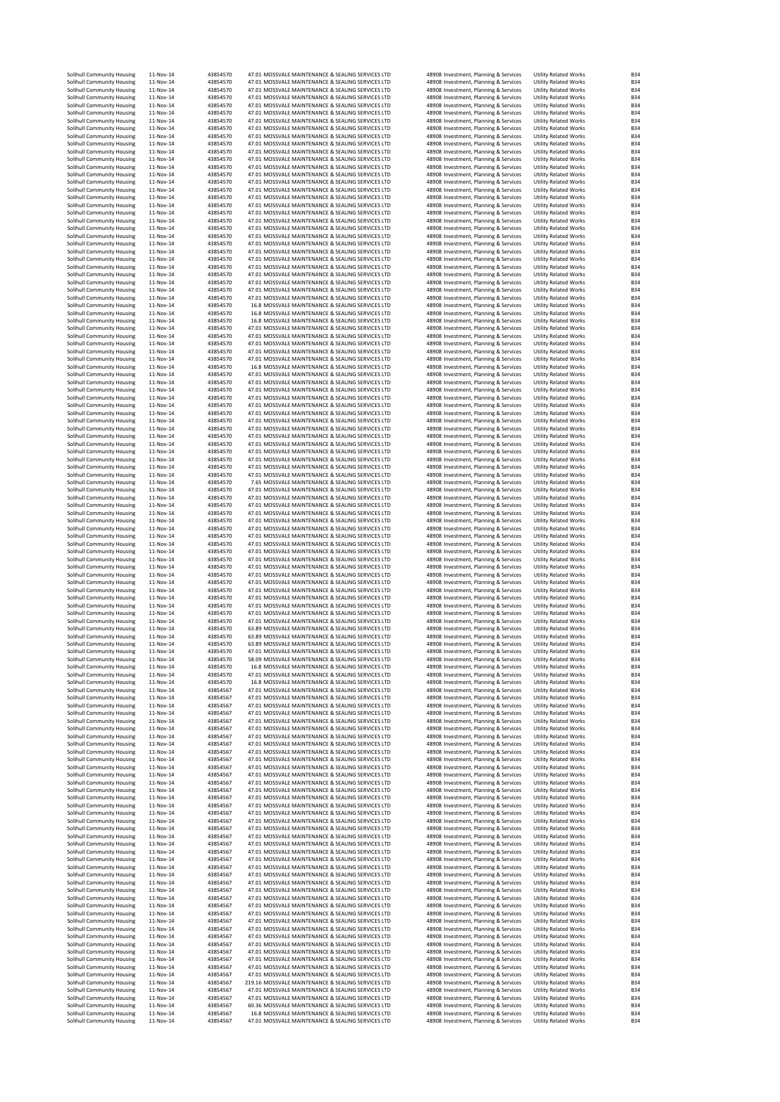| Solihull Community Housing<br>Solihull Community Housing | 11-Nov-14<br>11-Nov-14 | 43854570<br>43854570 | 47.01 MOSSVALE MAINTENANCE & SEALING SERVICES LTD<br>47.01 MOSSVALE MAINTENANCE & SEALING SERVICES LTD | 48908 Investment, Planning & Services<br>48908 Investment, Planning & Services                                          | <b>Utility Related Works</b><br><b>Utility Related Works</b> | <b>B34</b><br><b>B34</b>                             |
|----------------------------------------------------------|------------------------|----------------------|--------------------------------------------------------------------------------------------------------|-------------------------------------------------------------------------------------------------------------------------|--------------------------------------------------------------|------------------------------------------------------|
| Solihull Community Housing                               | 11-Nov-14              | 43854570             | 47.01 MOSSVALE MAINTENANCE & SEALING SERVICES LTD                                                      | 48908 Investment, Planning & Services                                                                                   | <b>Utility Related Works</b>                                 | <b>B34</b>                                           |
| Solihull Community Housing                               | 11-Nov-14              | 43854570             | 47.01 MOSSVALE MAINTENANCE & SEALING SERVICES LTD                                                      | 48908 Investment, Planning & Services                                                                                   | <b>Utility Related Works</b>                                 | <b>B34</b>                                           |
| Solihull Community Housing                               | 11-Nov-14              | 43854570             | 47.01 MOSSVALE MAINTENANCE & SEALING SERVICES LTD<br>47.01 MOSSVALE MAINTENANCE & SEALING SERVICES LTD | 48908 Investment, Planning & Services                                                                                   | <b>Utility Related Works</b>                                 | <b>B34</b>                                           |
| Solihull Community Housing<br>Solihull Community Housing | 11-Nov-14<br>11-Nov-14 | 43854570<br>43854570 | 47.01 MOSSVALE MAINTENANCE & SEALING SERVICES LTD                                                      | 48908 Investment, Planning & Services<br>48908 Investment, Planning & Services                                          | <b>Utility Related Works</b><br><b>Utility Related Works</b> | <b>B34</b><br><b>B34</b>                             |
| Solihull Community Housing                               | 11-Nov-14              | 43854570             | 47.01 MOSSVALE MAINTENANCE & SEALING SERVICES LTD                                                      | 48908 Investment, Planning & Services                                                                                   | <b>Utility Related Works</b>                                 | <b>B34</b>                                           |
| Solihull Community Housing                               | 11-Nov-14              | 43854570             | 47.01 MOSSVALE MAINTENANCE & SEALING SERVICES LTD                                                      | 48908 Investment, Planning & Services                                                                                   | <b>Utility Related Works</b>                                 | <b>B34</b>                                           |
| Solihull Community Housing                               | 11-Nov-14              | 43854570             | 47.01 MOSSVALE MAINTENANCE & SEALING SERVICES LTD                                                      | 48908 Investment, Planning & Services                                                                                   | <b>Utility Related Works</b>                                 | <b>B34</b>                                           |
| Solihull Community Housing<br>Solihull Community Housing | 11-Nov-14<br>11-Nov-14 | 43854570<br>43854570 | 47.01 MOSSVALE MAINTENANCE & SEALING SERVICES LTD<br>47.01 MOSSVALE MAINTENANCE & SEALING SERVICES LTD | 48908 Investment, Planning & Services<br>48908 Investment, Planning & Services                                          | <b>Utility Related Works</b><br><b>Utility Related Works</b> | <b>B34</b><br><b>B34</b>                             |
| Solihull Community Housing                               | 11-Nov-14              | 43854570             | 47.01 MOSSVALE MAINTENANCE & SEALING SERVICES LTD                                                      | 48908 Investment, Planning & Services                                                                                   | Utility Related Works                                        | <b>B34</b>                                           |
| Solihull Community Housing                               | 11-Nov-14              | 43854570             | 47.01 MOSSVALE MAINTENANCE & SEALING SERVICES LTD                                                      | 48908 Investment, Planning & Services                                                                                   | <b>Utility Related Works</b>                                 | <b>B34</b>                                           |
| Solihull Community Housing                               | 11-Nov-14              | 43854570             | 47.01 MOSSVALE MAINTENANCE & SEALING SERVICES LTD                                                      | 48908 Investment, Planning & Services                                                                                   | <b>Utility Related Works</b>                                 | <b>B34</b>                                           |
| Solihull Community Housing<br>Solihull Community Housing | 11-Nov-14<br>11-Nov-14 | 43854570<br>43854570 | 47.01 MOSSVALE MAINTENANCE & SEALING SERVICES LTD<br>47.01 MOSSVALE MAINTENANCE & SEALING SERVICES LTD | 48908 Investment, Planning & Services<br>48908 Investment, Planning & Services                                          | Utility Related Works<br>Utility Related Works               | <b>B34</b><br><b>B34</b>                             |
| Solihull Community Housing                               | 11-Nov-14              | 43854570             | 47.01 MOSSVALE MAINTENANCE & SEALING SERVICES LTD                                                      | 48908 Investment, Planning & Services                                                                                   | <b>Utility Related Works</b>                                 | <b>B34</b>                                           |
| Solihull Community Housing                               | 11-Nov-14              | 43854570             | 47.01 MOSSVALE MAINTENANCE & SEALING SERVICES LTD                                                      | 48908 Investment, Planning & Services                                                                                   | <b>Utility Related Works</b>                                 | <b>B34</b>                                           |
| Solihull Community Housing                               | 11-Nov-14              | 43854570             | 47.01 MOSSVALE MAINTENANCE & SEALING SERVICES LTD                                                      | 48908 Investment, Planning & Services                                                                                   | <b>Utility Related Works</b>                                 | <b>B34</b>                                           |
| Solihull Community Housing                               | 11-Nov-14<br>11-Nov-14 | 43854570<br>43854570 | 47.01 MOSSVALE MAINTENANCE & SEALING SERVICES LTD<br>47.01 MOSSVALE MAINTENANCE & SEALING SERVICES LTD | 48908 Investment, Planning & Services<br>48908 Investment, Planning & Services                                          | <b>Utility Related Works</b><br><b>Utility Related Works</b> | <b>B34</b><br><b>B34</b>                             |
| Solihull Community Housing<br>Solihull Community Housing | 11-Nov-14              | 43854570             | 47.01 MOSSVALE MAINTENANCE & SEALING SERVICES LTD                                                      | 48908 Investment, Planning & Services                                                                                   | <b>Utility Related Works</b>                                 | <b>B34</b>                                           |
| Solihull Community Housing                               | 11-Nov-14              | 43854570             | 47.01 MOSSVALE MAINTENANCE & SEALING SERVICES LTD                                                      | 48908 Investment, Planning & Services                                                                                   | <b>Utility Related Works</b>                                 | <b>B34</b>                                           |
| Solihull Community Housing                               | 11-Nov-14              | 43854570             | 47.01 MOSSVALE MAINTENANCE & SEALING SERVICES LTD                                                      | 48908 Investment, Planning & Services                                                                                   | <b>Utility Related Works</b>                                 | <b>B34</b>                                           |
| Solihull Community Housing                               | 11-Nov-14<br>11-Nov-14 | 43854570<br>43854570 | 47.01 MOSSVALE MAINTENANCE & SEALING SERVICES LTD<br>47.01 MOSSVALE MAINTENANCE & SEALING SERVICES LTD | 48908 Investment, Planning & Services<br>48908 Investment, Planning & Services                                          | <b>Utility Related Works</b><br><b>Utility Related Works</b> | <b>B34</b><br><b>B34</b>                             |
| Solihull Community Housing<br>Solihull Community Housing | 11-Nov-14              | 43854570             | 47.01 MOSSVALE MAINTENANCE & SEALING SERVICES LTD                                                      | 48908 Investment, Planning & Services                                                                                   | <b>Utility Related Works</b>                                 | <b>B34</b>                                           |
| Solihull Community Housing                               | 11-Nov-14              | 43854570             | 47.01 MOSSVALE MAINTENANCE & SEALING SERVICES LTD                                                      | 48908 Investment, Planning & Services                                                                                   | <b>Utility Related Works</b>                                 | <b>B34</b>                                           |
| Solihull Community Housing                               | 11-Nov-14              | 43854570             | 47.01 MOSSVALE MAINTENANCE & SEALING SERVICES LTD                                                      | 48908 Investment, Planning & Services                                                                                   | <b>Utility Related Works</b>                                 | <b>B34</b>                                           |
| Solihull Community Housing<br>Solihull Community Housing | 11-Nov-14<br>11-Nov-14 | 43854570<br>43854570 | 16.8 MOSSVALE MAINTENANCE & SEALING SERVICES LTD<br>16.8 MOSSVALE MAINTENANCE & SEALING SERVICES LTD   | 48908 Investment, Planning & Services<br>48908 Investment, Planning & Services                                          | <b>Utility Related Works</b><br><b>Utility Related Works</b> | <b>B34</b><br><b>B34</b>                             |
| Solihull Community Housing                               | 11-Nov-14              | 43854570             | 16.8 MOSSVALE MAINTENANCE & SEALING SERVICES LTD                                                       | 48908 Investment, Planning & Services                                                                                   | <b>Utility Related Works</b>                                 | <b>B34</b>                                           |
| Solihull Community Housing                               | 11-Nov-14              | 43854570             | 47.01 MOSSVALE MAINTENANCE & SEALING SERVICES LTD                                                      | 48908 Investment, Planning & Services                                                                                   | <b>Utility Related Works</b>                                 | <b>B34</b>                                           |
| Solihull Community Housing                               | 11-Nov-14              | 43854570             | 47.01 MOSSVALE MAINTENANCE & SEALING SERVICES LTD                                                      | 48908 Investment, Planning & Services                                                                                   | <b>Utility Related Works</b>                                 | <b>B34</b>                                           |
| Solihull Community Housing<br>Solihull Community Housing | 11-Nov-14<br>11-Nov-14 | 43854570<br>43854570 | 47.01 MOSSVALE MAINTENANCE & SEALING SERVICES LTD<br>47.01 MOSSVALE MAINTENANCE & SEALING SERVICES LTD | 48908 Investment, Planning & Services<br>48908 Investment, Planning & Services                                          | <b>Utility Related Works</b><br><b>Utility Related Works</b> | <b>B34</b><br><b>B34</b>                             |
| Solihull Community Housing                               | 11-Nov-14              | 43854570             | 47.01 MOSSVALE MAINTENANCE & SEALING SERVICES LTD                                                      | 48908 Investment, Planning & Services                                                                                   | <b>Utility Related Works</b>                                 | <b>B34</b>                                           |
| Solihull Community Housing                               | 11-Nov-14              | 43854570             | 16.8 MOSSVALE MAINTENANCE & SEALING SERVICES LTD                                                       | 48908 Investment, Planning & Services                                                                                   | <b>Utility Related Works</b>                                 | <b>B34</b>                                           |
| Solihull Community Housing                               | 11-Nov-14              | 43854570             | 47.01 MOSSVALE MAINTENANCE & SEALING SERVICES LTD                                                      | 48908 Investment, Planning & Services                                                                                   | <b>Utility Related Works</b>                                 | <b>B34</b>                                           |
| Solihull Community Housing<br>Solihull Community Housing | 11-Nov-14<br>11-Nov-14 | 43854570<br>43854570 | 47.01 MOSSVALE MAINTENANCE & SEALING SERVICES LTD<br>47.01 MOSSVALE MAINTENANCE & SEALING SERVICES LTD | 48908 Investment, Planning & Services<br>48908 Investment, Planning & Services                                          | <b>Utility Related Works</b><br>Utility Related Works        | <b>B34</b><br><b>B34</b>                             |
| Solihull Community Housing                               | 11-Nov-14              | 43854570             | 47.01 MOSSVALE MAINTENANCE & SEALING SERVICES LTD                                                      | 48908 Investment, Planning & Services                                                                                   | <b>Utility Related Works</b>                                 | <b>B34</b>                                           |
| Solihull Community Housing                               | 11-Nov-14              | 43854570             | 47.01 MOSSVALE MAINTENANCE & SEALING SERVICES LTD                                                      | 48908 Investment, Planning & Services                                                                                   | <b>Utility Related Works</b>                                 | <b>B34</b>                                           |
| Solihull Community Housing                               | 11-Nov-14              | 43854570             | 47.01 MOSSVALE MAINTENANCE & SEALING SERVICES LTD                                                      | 48908 Investment, Planning & Services                                                                                   | <b>Utility Related Works</b>                                 | <b>B34</b>                                           |
| Solihull Community Housing                               | 11-Nov-14              | 43854570             | 47.01 MOSSVALE MAINTENANCE & SEALING SERVICES LTD                                                      | 48908 Investment, Planning & Services<br>48908 Investment, Planning & Services                                          | <b>Utility Related Works</b>                                 | <b>B34</b>                                           |
| Solihull Community Housing<br>Solihull Community Housing | 11-Nov-14<br>11-Nov-14 | 43854570<br>43854570 | 47.01 MOSSVALE MAINTENANCE & SEALING SERVICES LTD<br>47.01 MOSSVALE MAINTENANCE & SEALING SERVICES LTD | 48908 Investment, Planning & Services                                                                                   | <b>Utility Related Works</b><br><b>Utility Related Works</b> | <b>B34</b><br><b>B34</b>                             |
| Solihull Community Housing                               | 11-Nov-14              | 43854570             | 47.01 MOSSVALE MAINTENANCE & SEALING SERVICES LTD                                                      | 48908 Investment, Planning & Services                                                                                   | <b>Utility Related Works</b>                                 | <b>B34</b>                                           |
| Solihull Community Housing                               | 11-Nov-14              | 43854570             | 47.01 MOSSVALE MAINTENANCE & SEALING SERVICES LTD                                                      | 48908 Investment, Planning & Services                                                                                   | <b>Utility Related Works</b>                                 | <b>B34</b>                                           |
| Solihull Community Housing                               | 11-Nov-14              | 43854570             | 47.01 MOSSVALE MAINTENANCE & SEALING SERVICES LTD                                                      | 48908 Investment, Planning & Services                                                                                   | <b>Utility Related Works</b>                                 | <b>B34</b>                                           |
| Solihull Community Housing<br>Solihull Community Housing | 11-Nov-14<br>11-Nov-14 | 43854570<br>43854570 | 47.01 MOSSVALE MAINTENANCE & SEALING SERVICES LTD<br>47.01 MOSSVALE MAINTENANCE & SEALING SERVICES LTD | 48908 Investment, Planning & Services<br>48908 Investment, Planning & Services                                          | <b>Utility Related Works</b><br><b>Utility Related Works</b> | <b>B34</b><br><b>B34</b>                             |
| Solihull Community Housing                               | 11-Nov-14              | 43854570             | 7.65 MOSSVALE MAINTENANCE & SEALING SERVICES LTD                                                       | 48908 Investment, Planning & Services                                                                                   | <b>Utility Related Works</b>                                 | <b>B34</b>                                           |
| Solihull Community Housing                               | 11-Nov-14              | 43854570             | 47.01 MOSSVALE MAINTENANCE & SEALING SERVICES LTD                                                      | 48908 Investment, Planning & Services                                                                                   | <b>Utility Related Works</b>                                 | <b>B34</b>                                           |
| Solihull Community Housing                               | 11-Nov-14              | 43854570             | 47.01 MOSSVALE MAINTENANCE & SEALING SERVICES LTD                                                      | 48908 Investment, Planning & Services                                                                                   | <b>Utility Related Works</b>                                 | <b>B34</b>                                           |
| Solihull Community Housing<br>Solihull Community Housing | 11-Nov-14<br>11-Nov-14 | 43854570<br>43854570 | 47.01 MOSSVALE MAINTENANCE & SEALING SERVICES LTD<br>47.01 MOSSVALE MAINTENANCE & SEALING SERVICES LTD | 48908 Investment, Planning & Services<br>48908 Investment, Planning & Services                                          | <b>Utility Related Works</b><br><b>Utility Related Works</b> | <b>B34</b><br><b>B34</b>                             |
| Solihull Community Housing                               | 11-Nov-14              | 43854570             | 47.01 MOSSVALE MAINTENANCE & SEALING SERVICES LTD                                                      | 48908 Investment, Planning & Services                                                                                   | <b>Utility Related Works</b>                                 | <b>B34</b>                                           |
| Solihull Community Housing                               | 11-Nov-14              | 43854570             | 47.01 MOSSVALE MAINTENANCE & SEALING SERVICES LTD                                                      | 48908 Investment, Planning & Services                                                                                   | <b>Utility Related Works</b>                                 | <b>B34</b>                                           |
| Solihull Community Housing                               |                        | 43854570             | 47.01 MOSSVALE MAINTENANCE & SEALING SERVICES LTD                                                      | 48908 Investment, Planning & Services                                                                                   | <b>Utility Related Works</b>                                 | <b>B34</b>                                           |
|                                                          | 11-Nov-14              |                      |                                                                                                        |                                                                                                                         |                                                              |                                                      |
| Solihull Community Housing                               | 11-Nov-14              | 43854570             | 47.01 MOSSVALE MAINTENANCE & SEALING SERVICES LTD                                                      | 48908 Investment, Planning & Services                                                                                   | <b>Utility Related Works</b>                                 | <b>B34</b>                                           |
| Solihull Community Housing                               | 11-Nov-14<br>11-Nov-14 | 43854570<br>43854570 | 47.01 MOSSVALE MAINTENANCE & SEALING SERVICES LTD<br>47.01 MOSSVALE MAINTENANCE & SEALING SERVICES LTD | 48908 Investment, Planning & Services                                                                                   | <b>Utility Related Works</b>                                 | <b>B34</b><br><b>B34</b>                             |
| Solihull Community Housing<br>Solihull Community Housing | 11-Nov-14              | 43854570             | 47.01 MOSSVALE MAINTENANCE & SEALING SERVICES LTD                                                      | 48908 Investment, Planning & Services<br>48908 Investment, Planning & Services                                          | <b>Utility Related Works</b><br><b>Utility Related Works</b> | <b>B34</b>                                           |
| Solihull Community Housing                               | 11-Nov-14              | 43854570             | 47.01 MOSSVALE MAINTENANCE & SEALING SERVICES LTD                                                      | 48908 Investment, Planning & Services                                                                                   | <b>Utility Related Works</b>                                 |                                                      |
| Solihull Community Housing                               | 11-Nov-14              | 43854570             | 47.01 MOSSVALE MAINTENANCE & SEALING SERVICES LTD                                                      | 48908 Investment, Planning & Services                                                                                   | Utility Related Works                                        | <b>B34</b><br><b>B34</b>                             |
| Solihull Community Housing                               | 11-Nov-14              | 43854570<br>43854570 | 47.01 MOSSVALE MAINTENANCE & SEALING SERVICES LTD<br>47.01 MOSSVALE MAINTENANCE & SEALING SERVICES LTD | 48908 Investment, Planning & Services<br>48908 Investment, Planning & Services                                          | Utility Related Works                                        | <b>B34</b><br><b>B34</b>                             |
| Solihull Community Housing<br>Solihull Community Housing | 11-Nov-14<br>11-Nov-14 | 43854570             | 47.01 MOSSVALE MAINTENANCE & SEALING SERVICES LTD                                                      | 48908 Investment, Planning & Services                                                                                   | <b>Utility Related Works</b><br><b>Utility Related Works</b> | <b>B34</b>                                           |
| Solihull Community Housing                               | 11-Nov-14              | 43854570             | 47.01 MOSSVALE MAINTENANCE & SEALING SERVICES LTD                                                      | 48908 Investment, Planning & Services                                                                                   | <b>Utility Related Works</b>                                 | <b>B34</b>                                           |
| Solihull Community Housing                               | 11-Nov-14              | 43854570             | 47.01 MOSSVALE MAINTENANCE & SEALING SERVICES LTD                                                      | 48908 Investment, Planning & Services                                                                                   | <b>Utility Related Works</b>                                 |                                                      |
| Solihull Community Housing<br>Solihull Community Housing | 11-Nov-14<br>11-Nov-14 | 43854570<br>43854570 | 63.89 MOSSVALE MAINTENANCE & SEALING SERVICES LTD<br>63.89 MOSSVALE MAINTENANCE & SEALING SERVICES LTD | 48908 Investment, Planning & Services<br>48908 Investment, Planning & Services                                          | <b>Utility Related Works</b><br><b>Utility Related Works</b> |                                                      |
| Solihull Community Housing                               | 11-Nov-14              | 43854570             | 63.89 MOSSVALE MAINTENANCE & SEALING SERVICES LTD                                                      | 48908 Investment, Planning & Services                                                                                   | <b>Utility Related Works</b>                                 | <b>B34</b><br><b>B34</b><br><b>B34</b><br><b>B34</b> |
| Solihull Community Housing                               | 11-Nov-14              | 43854570             | 47.01 MOSSVALE MAINTENANCE & SEALING SERVICES LTD                                                      | 48908 Investment, Planning & Services                                                                                   | <b>Utility Related Works</b>                                 | <b>B34</b>                                           |
| Solihull Community Housing                               | 11-Nov-14              | 43854570             | 58.09 MOSSVALE MAINTENANCE & SEALING SERVICES LTD                                                      | 48908 Investment, Planning & Services                                                                                   | <b>Utility Related Works</b>                                 | <b>B34</b>                                           |
| Solihull Community Housing                               | 11-Nov-14<br>11-Nov-14 | 43854570<br>43854570 | 16.8 MOSSVALE MAINTENANCE & SEALING SERVICES LTD<br>47.01 MOSSVALE MAINTENANCE & SEALING SERVICES LTD  | 48908 Investment, Planning & Services                                                                                   | <b>Utility Related Works</b><br><b>Utility Related Works</b> | B34<br><b>B34</b>                                    |
| Solihull Community Housing<br>Solihull Community Housing | 11-Nov-14              | 43854570             | 16.8 MOSSVALE MAINTENANCE & SEALING SERVICES LTD                                                       | 48908 Investment, Planning & Services<br>48908 Investment, Planning & Services                                          | Utility Related Works                                        | <b>B34</b>                                           |
| Solihull Community Housing                               | 11-Nov-14              | 43854567             | 47.01 MOSSVALE MAINTENANCE & SEALING SERVICES LTD                                                      | 48908 Investment, Planning & Services                                                                                   | Utility Related Works                                        | <b>B34</b>                                           |
| Solihull Community Housing                               | 11-Nov-14              | 43854567             | 47.01 MOSSVALE MAINTENANCE & SEALING SERVICES LTD                                                      | 48908 Investment, Planning & Services                                                                                   | <b>Utility Related Works</b>                                 | <b>B34</b>                                           |
| Solihull Community Housing<br>Solihull Community Housing | 11-Nov-14<br>11-Nov-14 | 43854567<br>43854567 | 47.01 MOSSVALE MAINTENANCE & SEALING SERVICES LTD<br>47.01 MOSSVALE MAINTENANCE & SEALING SERVICES LTD | 48908 Investment, Planning & Services<br>48908 Investment, Planning & Services                                          | <b>Utility Related Works</b><br><b>Utility Related Works</b> | <b>B34</b><br><b>B34</b>                             |
| Solihull Community Housing                               | 11-Nov-14              | 43854567             | 47.01 MOSSVALE MAINTENANCE & SEALING SERVICES LTD                                                      | 48908 Investment, Planning & Services                                                                                   | <b>Utility Related Works</b>                                 | <b>B34</b>                                           |
| Solihull Community Housing                               | 11-Nov-14              | 43854567             | 47.01 MOSSVALE MAINTENANCE & SEALING SERVICES LTD                                                      | 48908 Investment, Planning & Services                                                                                   | <b>Utility Related Works</b>                                 | <b>B34</b>                                           |
| Solihull Community Housing<br>Solihull Community Housing | 11-Nov-14              | 43854567             | 47.01 MOSSVALE MAINTENANCE & SEALING SERVICES LTD<br>47.01 MOSSVALE MAINTENANCE & SEALING SERVICES LTD | 48908 Investment, Planning & Services                                                                                   | <b>Utility Related Works</b><br><b>Utility Related Works</b> | <b>B34</b><br><b>B34</b>                             |
| Solihull Community Housing                               | 11-Nov-14<br>11-Nov-14 | 43854567<br>43854567 | 47.01 MOSSVALE MAINTENANCE & SEALING SERVICES LTD                                                      | 48908 Investment, Planning & Services<br>48908 Investment, Planning & Services                                          | <b>Utility Related Works</b>                                 | <b>B34</b>                                           |
| Solihull Community Housing                               | 11-Nov-14              | 43854567             | 47.01 MOSSVALE MAINTENANCE & SEALING SERVICES LTD                                                      | 48908 Investment, Planning & Services                                                                                   | <b>Utility Related Works</b>                                 | <b>B34</b>                                           |
| Solihull Community Housing                               | 11-Nov-14              | 43854567             | 47.01 MOSSVALE MAINTENANCE & SEALING SERVICES LTD                                                      | 48908 Investment, Planning & Services                                                                                   | <b>Utility Related Works</b>                                 | <b>B34</b>                                           |
| Solihull Community Housing<br>Solihull Community Housing | 11-Nov-14<br>11-Nov-14 | 43854567<br>43854567 | 47.01 MOSSVALE MAINTENANCE & SEALING SERVICES LTD<br>47.01 MOSSVALE MAINTENANCE & SEALING SERVICES LTD | 48908 Investment, Planning & Services<br>48908 Investment, Planning & Services                                          | <b>Utility Related Works</b><br><b>Utility Related Works</b> | <b>B34</b><br><b>B34</b>                             |
| Solihull Community Housing                               | 11-Nov-14              | 43854567             | 47.01 MOSSVALE MAINTENANCE & SEALING SERVICES LTD                                                      | 48908 Investment, Planning & Services                                                                                   | <b>Utility Related Works</b>                                 | <b>B34</b>                                           |
| Solihull Community Housing                               | 11-Nov-14              | 43854567             | 47.01 MOSSVALE MAINTENANCE & SEALING SERVICES LTD                                                      | 48908 Investment, Planning & Services                                                                                   | <b>Utility Related Works</b>                                 | <b>B34</b>                                           |
| Solihull Community Housing                               | 11-Nov-14              | 43854567             | 47.01 MOSSVALE MAINTENANCE & SEALING SERVICES LTD                                                      | 48908 Investment, Planning & Services                                                                                   | <b>Utility Related Works</b>                                 | <b>B34</b>                                           |
| Solihull Community Housing<br>Solihull Community Housing | 11-Nov-14<br>11-Nov-14 | 43854567<br>43854567 | 47.01 MOSSVALE MAINTENANCE & SEALING SERVICES LTD<br>47.01 MOSSVALE MAINTENANCE & SEALING SERVICES LTD | 48908 Investment, Planning & Services<br>48908 Investment, Planning & Services                                          | <b>Utility Related Works</b><br><b>Utility Related Works</b> | <b>B34</b><br><b>B34</b>                             |
| Solihull Community Housing                               | 11-Nov-14              | 43854567             | 47.01 MOSSVALE MAINTENANCE & SEALING SERVICES LTD                                                      | 48908 Investment, Planning & Services                                                                                   | <b>Utility Related Works</b>                                 | <b>B34</b>                                           |
| Solihull Community Housing                               | 11-Nov-14              | 43854567             | 47.01 MOSSVALE MAINTENANCE & SEALING SERVICES LTD                                                      | 48908 Investment, Planning & Services                                                                                   | <b>Utility Related Works</b>                                 | <b>B34</b>                                           |
| Solihull Community Housing<br>Solihull Community Housing | 11-Nov-14<br>11-Nov-14 | 43854567<br>43854567 | 47.01 MOSSVALE MAINTENANCE & SEALING SERVICES LTD<br>47.01 MOSSVALE MAINTENANCE & SEALING SERVICES LTD | 48908 Investment, Planning & Services<br>48908 Investment, Planning & Services                                          | <b>Utility Related Works</b><br><b>Utility Related Works</b> | <b>B34</b><br><b>B34</b>                             |
| Solihull Community Housing                               | 11-Nov-14              | 43854567             | 47.01 MOSSVALE MAINTENANCE & SEALING SERVICES LTD                                                      | 48908 Investment, Planning & Services                                                                                   | <b>Utility Related Works</b>                                 | <b>B34</b>                                           |
| Solihull Community Housing                               | 11-Nov-14              | 43854567             | 47.01 MOSSVALE MAINTENANCE & SEALING SERVICES LTD                                                      | 48908 Investment, Planning & Services                                                                                   | <b>Utility Related Works</b>                                 | <b>B34</b>                                           |
| Solihull Community Housing                               | 11-Nov-14              | 43854567             | 47.01 MOSSVALE MAINTENANCE & SEALING SERVICES LTD                                                      | 48908 Investment, Planning & Services                                                                                   | <b>Utility Related Works</b>                                 | <b>B34</b>                                           |
| Solihull Community Housing<br>Solihull Community Housing | 11-Nov-14<br>11-Nov-14 | 43854567<br>43854567 | 47.01 MOSSVALE MAINTENANCE & SEALING SERVICES LTD<br>47.01 MOSSVALE MAINTENANCE & SEALING SERVICES LTD | 48908 Investment, Planning & Services<br>48908 Investment, Planning & Services                                          | <b>Utility Related Works</b><br><b>Utility Related Works</b> | <b>B34</b><br><b>B34</b>                             |
| Solihull Community Housing                               | 11-Nov-14              | 43854567             | 47.01 MOSSVALE MAINTENANCE & SEALING SERVICES LTD                                                      | 48908 Investment, Planning & Services                                                                                   | Utility Related Works                                        | <b>B34</b>                                           |
| Solihull Community Housing                               | 11-Nov-14              | 43854567             | 47.01 MOSSVALE MAINTENANCE & SEALING SERVICES LTD                                                      | 48908 Investment, Planning & Services                                                                                   | <b>Utility Related Works</b>                                 | <b>B34</b>                                           |
| Solihull Community Housing                               | 11-Nov-14              | 43854567             | 47.01 MOSSVALE MAINTENANCE & SEALING SERVICES LTD                                                      | 48908 Investment, Planning & Services                                                                                   | <b>Utility Related Works</b>                                 | <b>B34</b>                                           |
| Solihull Community Housing<br>Solihull Community Housing | 11-Nov-14<br>11-Nov-14 | 43854567<br>43854567 | 47.01 MOSSVALE MAINTENANCE & SEALING SERVICES LTD<br>47.01 MOSSVALE MAINTENANCE & SEALING SERVICES LTD | 48908 Investment, Planning & Services<br>48908 Investment, Planning & Services                                          | <b>Utility Related Works</b><br><b>Utility Related Works</b> | <b>B34</b><br><b>B34</b>                             |
| Solihull Community Housing                               | 11-Nov-14              | 43854567             | 47.01 MOSSVALE MAINTENANCE & SEALING SERVICES LTD                                                      | 48908 Investment, Planning & Services                                                                                   | <b>Utility Related Works</b>                                 | <b>B34</b>                                           |
| Solihull Community Housing                               | 11-Nov-14              | 43854567             | 47.01 MOSSVALE MAINTENANCE & SEALING SERVICES LTD                                                      | 48908 Investment, Planning & Services                                                                                   | <b>Utility Related Works</b>                                 | <b>B34</b>                                           |
| Solihull Community Housing                               | 11-Nov-14              | 43854567             | 47.01 MOSSVALE MAINTENANCE & SEALING SERVICES LTD                                                      | 48908 Investment, Planning & Services                                                                                   | <b>Utility Related Works</b>                                 | <b>B34</b>                                           |
| Solihull Community Housing<br>Solihull Community Housing | 11-Nov-14<br>11-Nov-14 | 43854567<br>43854567 | 47.01 MOSSVALE MAINTENANCE & SEALING SERVICES LTD<br>47.01 MOSSVALE MAINTENANCE & SEALING SERVICES LTD | 48908 Investment, Planning & Services<br>48908 Investment, Planning & Services                                          | <b>Utility Related Works</b><br><b>Utility Related Works</b> | <b>B34</b><br><b>B34</b>                             |
| Solihull Community Housing                               | 11-Nov-14              | 43854567             | 47.01 MOSSVALE MAINTENANCE & SEALING SERVICES LTD                                                      | 48908 Investment, Planning & Services                                                                                   | <b>Utility Related Works</b>                                 |                                                      |
| Solihull Community Housing                               | 11-Nov-14              | 43854567             | 219.16 MOSSVALE MAINTENANCE & SEALING SERVICES LTD                                                     | 48908 Investment, Planning & Services                                                                                   | Utility Related Works                                        | <b>B34</b><br><b>B34</b>                             |
| Solihull Community Housing                               | 11-Nov-14              | 43854567             | 47.01 MOSSVALE MAINTENANCE & SEALING SERVICES LTD                                                      | 48908 Investment, Planning & Services                                                                                   | Utility Related Works                                        | <b>B34</b><br><b>B34</b>                             |
| Solihull Community Housing<br>Solihull Community Housing | 11-Nov-14<br>11-Nov-14 | 43854567<br>43854567 | 47.01 MOSSVALE MAINTENANCE & SEALING SERVICES LTD<br>60.36 MOSSVALE MAINTENANCE & SEALING SERVICES LTD | 48908 Investment, Planning & Services                                                                                   | <b>Utility Related Works</b><br><b>Utility Related Works</b> |                                                      |
| Solihull Community Housing<br>Solihull Community Housing | 11-Nov-14<br>11-Nov-14 | 43854567<br>43854567 | 16.8 MOSSVALE MAINTENANCE & SEALING SERVICES LTD<br>47.01 MOSSVALE MAINTENANCE & SEALING SERVICES LTD  | 48908 Investment, Planning & Services<br>48908 Investment, Planning & Services<br>48908 Investment, Planning & Services | <b>Utility Related Works</b><br><b>Utility Related Works</b> | <b>B34</b><br><b>B34</b><br><b>B34</b>               |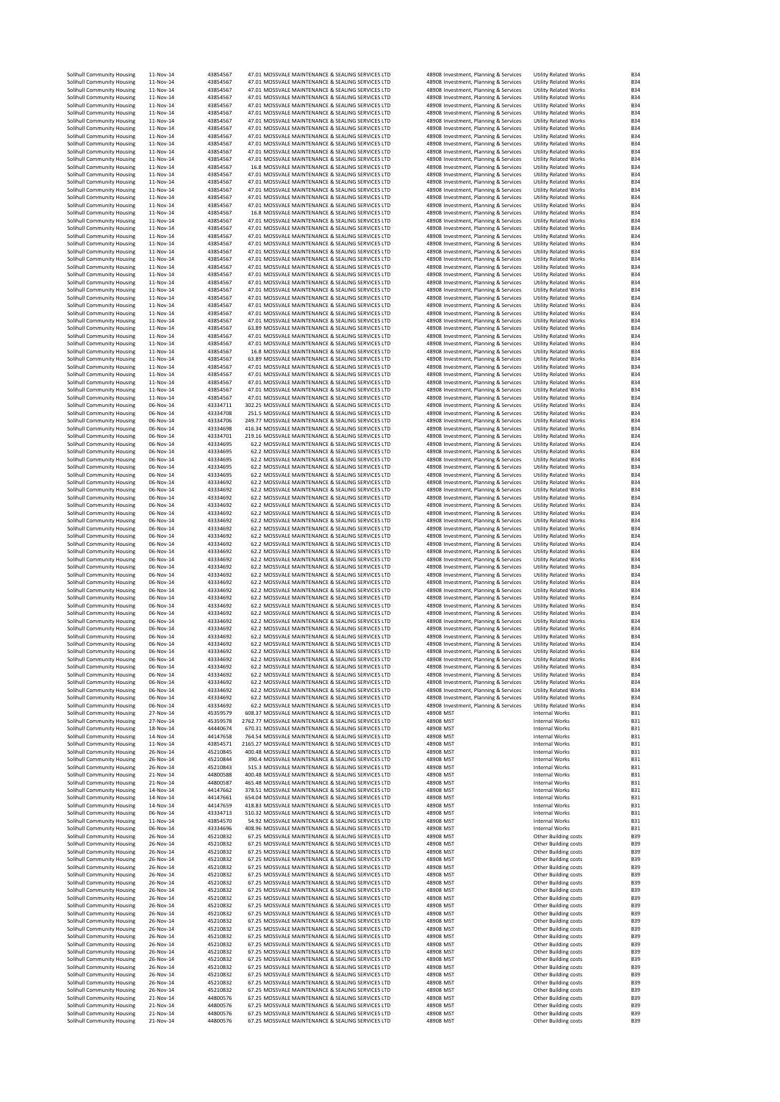| Solihull Community Housing                               | 11-Nov-14              | 43854567             |                                                                                                           |                        |                                                                                | <b>Utility Related Works</b>                                 |                          |
|----------------------------------------------------------|------------------------|----------------------|-----------------------------------------------------------------------------------------------------------|------------------------|--------------------------------------------------------------------------------|--------------------------------------------------------------|--------------------------|
| Solihull Community Housing                               | $11 - Nov-14$          | 43854567             | 47.01 MOSSVALE MAINTENANCE & SEALING SERVICES LTD<br>47.01 MOSSVALE MAINTENANCE & SEALING SERVICES LTD    |                        | 48908 Investment, Planning & Services<br>48908 Investment, Planning & Services | <b>Utility Related Works</b>                                 | <b>B34</b><br><b>B34</b> |
| Solihull Community Housing                               | 11-Nov-14              | 43854567             | 47.01 MOSSVALE MAINTENANCE & SEALING SERVICES LTD                                                         |                        | 48908 Investment, Planning & Services                                          | <b>Utility Related Works</b>                                 | <b>B34</b>               |
| Solihull Community Housing                               | 11-Nov-14              | 43854567             | 47.01 MOSSVALE MAINTENANCE & SEALING SERVICES LTD                                                         |                        | 48908 Investment, Planning & Services                                          | <b>Utility Related Works</b>                                 | <b>B34</b>               |
| Solihull Community Housing                               | 11-Nov-14              | 43854567             | 47.01 MOSSVALE MAINTENANCE & SEALING SERVICES LTD                                                         |                        | 48908 Investment, Planning & Services                                          | <b>Utility Related Works</b>                                 | <b>B34</b>               |
| Solihull Community Housing                               | 11-Nov-14<br>11-Nov-14 | 43854567<br>43854567 | 47.01 MOSSVALE MAINTENANCE & SEALING SERVICES LTD<br>47.01 MOSSVALE MAINTENANCE & SEALING SERVICES LTD    |                        | 48908 Investment, Planning & Services                                          | <b>Utility Related Works</b>                                 | <b>B34</b><br><b>B34</b> |
| Solihull Community Housing<br>Solihull Community Housing | 11-Nov-14              | 43854567             | 47.01 MOSSVALE MAINTENANCE & SEALING SERVICES LTD                                                         |                        | 48908 Investment, Planning & Services<br>48908 Investment, Planning & Services | <b>Utility Related Works</b><br><b>Utility Related Works</b> | <b>B34</b>               |
| Solihull Community Housing                               | 11-Nov-14              | 43854567             | 47.01 MOSSVALE MAINTENANCE & SEALING SERVICES LTD                                                         |                        | 48908 Investment, Planning & Services                                          | <b>Utility Related Works</b>                                 | <b>B34</b>               |
| Solihull Community Housing                               | 11-Nov-14              | 43854567             | 47.01 MOSSVALE MAINTENANCE & SEALING SERVICES LTD                                                         |                        | 48908 Investment, Planning & Services                                          | <b>Utility Related Works</b>                                 | <b>B34</b>               |
| Solihull Community Housing                               | 11-Nov-14              | 43854567             | 47.01 MOSSVALE MAINTENANCE & SEALING SERVICES LTD                                                         |                        | 48908 Investment, Planning & Services                                          | <b>Utility Related Works</b>                                 | <b>B34</b>               |
| Solihull Community Housing                               | 11-Nov-14              | 43854567             | 47.01 MOSSVALE MAINTENANCE & SEALING SERVICES LTD                                                         |                        | 48908 Investment, Planning & Services                                          | <b>Utility Related Works</b>                                 | <b>B34</b>               |
| Solihull Community Housing<br>Solihull Community Housing | 11-Nov-14<br>11-Nov-14 | 43854567<br>43854567 | 16.8 MOSSVALE MAINTENANCE & SEALING SERVICES LTD<br>47.01 MOSSVALE MAINTENANCE & SEALING SERVICES LTD     |                        | 48908 Investment, Planning & Services<br>48908 Investment, Planning & Services | <b>Utility Related Works</b><br><b>Utility Related Works</b> | <b>B34</b><br><b>B34</b> |
| Solihull Community Housing                               | 11-Nov-14              | 43854567             | 47.01 MOSSVALE MAINTENANCE & SEALING SERVICES LTD                                                         |                        | 48908 Investment, Planning & Services                                          | <b>Utility Related Works</b>                                 | <b>B34</b>               |
| Solihull Community Housing                               | 11-Nov-14              | 43854567             | 47.01 MOSSVALE MAINTENANCE & SEALING SERVICES LTD                                                         |                        | 48908 Investment, Planning & Services                                          | <b>Utility Related Works</b>                                 | <b>B34</b>               |
| Solihull Community Housing                               | 11-Nov-14              | 43854567             | 47.01 MOSSVALE MAINTENANCE & SEALING SERVICES LTD                                                         |                        | 48908 Investment, Planning & Services                                          | <b>Utility Related Works</b>                                 | <b>B34</b>               |
| Solihull Community Housing                               | 11-Nov-14              | 43854567             | 47.01 MOSSVALE MAINTENANCE & SEALING SERVICES LTD                                                         |                        | 48908 Investment, Planning & Services                                          | <b>Utility Related Works</b>                                 | <b>B34</b>               |
| Solihull Community Housing                               | 11-Nov-14<br>11-Nov-14 | 43854567             | 16.8 MOSSVALE MAINTENANCE & SEALING SERVICES LTD<br>47.01 MOSSVALE MAINTENANCE & SEALING SERVICES LTD     |                        | 48908 Investment, Planning & Services                                          | <b>Utility Related Works</b>                                 | <b>B34</b>               |
| Solihull Community Housing<br>Solihull Community Housing | 11-Nov-14              | 43854567<br>43854567 | 47.01 MOSSVALE MAINTENANCE & SEALING SERVICES LTD                                                         |                        | 48908 Investment, Planning & Services<br>48908 Investment, Planning & Services | <b>Utility Related Works</b><br><b>Utility Related Works</b> | <b>B34</b><br><b>B34</b> |
| Solihull Community Housing                               | 11-Nov-14              | 43854567             | 47.01 MOSSVALE MAINTENANCE & SEALING SERVICES LTD                                                         |                        | 48908 Investment, Planning & Services                                          | <b>Utility Related Works</b>                                 | <b>B34</b>               |
| Solihull Community Housing                               | 11-Nov-14              | 43854567             | 47.01 MOSSVALE MAINTENANCE & SEALING SERVICES LTD                                                         |                        | 48908 Investment, Planning & Services                                          | <b>Utility Related Works</b>                                 | <b>B34</b>               |
| Solihull Community Housing                               | 11-Nov-14              | 43854567             | 47.01 MOSSVALE MAINTENANCE & SEALING SERVICES LTD                                                         |                        | 48908 Investment, Planning & Services                                          | <b>Utility Related Works</b>                                 | <b>B34</b>               |
| Solihull Community Housing                               | 11-Nov-14              | 43854567             | 47.01 MOSSVALE MAINTENANCE & SEALING SERVICES LTD                                                         |                        | 48908 Investment, Planning & Services                                          | <b>Utility Related Works</b>                                 | <b>B34</b>               |
| Solihull Community Housing<br>Solihull Community Housing | 11-Nov-14<br>11-Nov-14 | 43854567<br>43854567 | 47.01 MOSSVALE MAINTENANCE & SEALING SERVICES LTD<br>47.01 MOSSVALE MAINTENANCE & SEALING SERVICES LTD    |                        | 48908 Investment, Planning & Services<br>48908 Investment, Planning & Services | <b>Utility Related Works</b><br><b>Utility Related Works</b> | <b>B34</b><br><b>B34</b> |
| Solihull Community Housing                               | 11-Nov-14              | 43854567             | 47.01 MOSSVALE MAINTENANCE & SEALING SERVICES LTD                                                         |                        | 48908 Investment, Planning & Services                                          | <b>Utility Related Works</b>                                 | <b>B34</b>               |
| Solihull Community Housing                               | 11-Nov-14              | 43854567             | 47.01 MOSSVALE MAINTENANCE & SEALING SERVICES LTD                                                         |                        | 48908 Investment, Planning & Services                                          | <b>Utility Related Works</b>                                 | <b>B34</b>               |
| Solihull Community Housing                               | 11-Nov-14              | 43854567             | 47.01 MOSSVALE MAINTENANCE & SEALING SERVICES LTD                                                         |                        | 48908 Investment, Planning & Services                                          | <b>Utility Related Works</b>                                 | <b>B34</b>               |
| Solihull Community Housing                               | 11-Nov-14              | 43854567             | 47.01 MOSSVALE MAINTENANCE & SEALING SERVICES LTD                                                         |                        | 48908 Investment, Planning & Services                                          | <b>Utility Related Works</b>                                 | <b>B34</b>               |
| Solihull Community Housing                               | 11-Nov-14              | 43854567             | 47.01 MOSSVALE MAINTENANCE & SEALING SERVICES LTD                                                         |                        | 48908 Investment, Planning & Services                                          | <b>Utility Related Works</b>                                 | <b>B34</b><br><b>B34</b> |
| Solihull Community Housing<br>Solihull Community Housing | 11-Nov-14<br>11-Nov-14 | 43854567<br>43854567 | 47.01 MOSSVALE MAINTENANCE & SEALING SERVICES LTD<br>63.89 MOSSVALE MAINTENANCE & SEALING SERVICES LTD    |                        | 48908 Investment, Planning & Services<br>48908 Investment, Planning & Services | <b>Utility Related Works</b><br><b>Utility Related Works</b> | <b>B34</b>               |
| Solihull Community Housing                               | 11-Nov-14              | 43854567             | 47.01 MOSSVALE MAINTENANCE & SEALING SERVICES LTD                                                         |                        | 48908 Investment, Planning & Services                                          | <b>Utility Related Works</b>                                 | <b>B34</b>               |
| Solihull Community Housing                               | 11-Nov-14              | 43854567             | 47.01 MOSSVALE MAINTENANCE & SEALING SERVICES LTD                                                         |                        | 48908 Investment, Planning & Services                                          | <b>Utility Related Works</b>                                 | <b>B34</b>               |
| Solihull Community Housing                               | 11-Nov-14              | 43854567             | 16.8 MOSSVALE MAINTENANCE & SEALING SERVICES LTD                                                          |                        | 48908 Investment, Planning & Services                                          | <b>Utility Related Works</b>                                 | <b>B34</b>               |
| Solihull Community Housing<br>Solihull Community Housing | 11-Nov-14<br>11-Nov-14 | 43854567<br>43854567 | 63.89 MOSSVALE MAINTENANCE & SEALING SERVICES LTD<br>47.01 MOSSVALE MAINTENANCE & SEALING SERVICES LTD    |                        | 48908 Investment, Planning & Services<br>48908 Investment, Planning & Services | <b>Utility Related Works</b><br><b>Utility Related Works</b> | <b>B34</b><br><b>B34</b> |
| Solihull Community Housing                               | 11-Nov-14              | 43854567             | 47.01 MOSSVALE MAINTENANCE & SEALING SERVICES LTD                                                         |                        | 48908 Investment, Planning & Services                                          | <b>Utility Related Works</b>                                 | <b>B34</b>               |
| Solihull Community Housing                               | 11-Nov-14              | 43854567             | 47.01 MOSSVALE MAINTENANCE & SEALING SERVICES LTD                                                         |                        | 48908 Investment, Planning & Services                                          | <b>Utility Related Works</b>                                 | <b>B34</b>               |
| Solihull Community Housing                               | 11-Nov-14              | 43854567             | 47.01 MOSSVALE MAINTENANCE & SEALING SERVICES LTD                                                         |                        | 48908 Investment, Planning & Services                                          | <b>Utility Related Works</b>                                 | <b>B34</b>               |
| Solihull Community Housing                               | 11-Nov-14              | 43854567             | 47.01 MOSSVALE MAINTENANCE & SEALING SERVICES LTD                                                         |                        | 48908 Investment, Planning & Services                                          | <b>Utility Related Works</b>                                 | <b>B34</b>               |
| Solihull Community Housing                               | 06-Nov-14              | 43334711             | 302.25 MOSSVALE MAINTENANCE & SEALING SERVICES LTD<br>251.5 MOSSVALE MAINTENANCE & SEALING SERVICES LTD   |                        | 48908 Investment, Planning & Services                                          | <b>Utility Related Works</b><br><b>Utility Related Works</b> | <b>B34</b>               |
| Solihull Community Housing<br>Solihull Community Housing | 06-Nov-14<br>06-Nov-14 | 43334708<br>43334706 | 249.77 MOSSVALE MAINTENANCE & SEALING SERVICES LTD                                                        |                        | 48908 Investment, Planning & Services<br>48908 Investment, Planning & Services | <b>Utility Related Works</b>                                 | <b>B34</b><br><b>B34</b> |
| Solihull Community Housing                               | 06-Nov-14              | 43334698             | 416.34 MOSSVALE MAINTENANCE & SEALING SERVICES LTD                                                        |                        | 48908 Investment, Planning & Services                                          | <b>Utility Related Works</b>                                 | <b>B34</b>               |
| Solihull Community Housing                               | 06-Nov-14              | 43334701             | 219.16 MOSSVALE MAINTENANCE & SEALING SERVICES LTD                                                        |                        | 48908 Investment, Planning & Services                                          | <b>Utility Related Works</b>                                 | <b>B34</b>               |
| Solihull Community Housing                               | 06-Nov-14              | 43334695             | 62.2 MOSSVALE MAINTENANCE & SEALING SERVICES LTD                                                          |                        | 48908 Investment, Planning & Services                                          | <b>Utility Related Works</b>                                 | <b>B34</b>               |
| Solihull Community Housing                               | 06-Nov-14              | 43334695             | 62.2 MOSSVALE MAINTENANCE & SEALING SERVICES LTD                                                          |                        | 48908 Investment, Planning & Services                                          | <b>Utility Related Works</b>                                 | <b>B34</b>               |
| Solihull Community Housing<br>Solihull Community Housing | 06-Nov-14<br>06-Nov-14 | 43334695<br>43334695 | 62.2 MOSSVALE MAINTENANCE & SEALING SERVICES LTD<br>62.2 MOSSVALE MAINTENANCE & SEALING SERVICES LTD      |                        | 48908 Investment, Planning & Services<br>48908 Investment, Planning & Services | <b>Utility Related Works</b><br><b>Utility Related Works</b> | <b>B34</b><br><b>B34</b> |
| Solihull Community Housing                               | 06-Nov-14              | 43334695             | 62.2 MOSSVALE MAINTENANCE & SEALING SERVICES LTD                                                          |                        | 48908 Investment, Planning & Services                                          | <b>Utility Related Works</b>                                 | <b>B34</b>               |
| Solihull Community Housing                               | 06-Nov-14              | 43334692             | 62.2 MOSSVALE MAINTENANCE & SEALING SERVICES LTD                                                          |                        | 48908 Investment, Planning & Services                                          | <b>Utility Related Works</b>                                 | <b>B34</b>               |
| Solihull Community Housing                               | 06-Nov-14              | 43334692             | 62.2 MOSSVALE MAINTENANCE & SEALING SERVICES LTD                                                          |                        | 48908 Investment, Planning & Services                                          | <b>Utility Related Works</b>                                 | <b>B34</b>               |
| Solihull Community Housing                               | 06-Nov-14              | 43334692             | 62.2 MOSSVALE MAINTENANCE & SEALING SERVICES LTD                                                          |                        | 48908 Investment, Planning & Services                                          | <b>Utility Related Works</b>                                 | <b>B34</b>               |
| Solihull Community Housing<br>Solihull Community Housing | 06-Nov-14<br>06-Nov-14 | 43334692<br>43334692 | 62.2 MOSSVALE MAINTENANCE & SEALING SERVICES LTD<br>62.2 MOSSVALE MAINTENANCE & SEALING SERVICES LTD      |                        | 48908 Investment, Planning & Services<br>48908 Investment, Planning & Services | <b>Utility Related Works</b><br><b>Utility Related Works</b> | <b>B34</b><br><b>B34</b> |
| Solihull Community Housing                               | 06-Nov-14              | 43334692             | 62.2 MOSSVALE MAINTENANCE & SEALING SERVICES LTD                                                          |                        | 48908 Investment, Planning & Services                                          | <b>Utility Related Works</b>                                 | <b>B34</b>               |
| Solihull Community Housing                               | 06-Nov-14              | 43334692             | 62.2 MOSSVALE MAINTENANCE & SEALING SERVICES LTD                                                          |                        | 48908 Investment, Planning & Services                                          | <b>Utility Related Works</b>                                 | <b>B34</b>               |
| Solihull Community Housing                               | 06-Nov-14              | 43334692             | 62.2 MOSSVALE MAINTENANCE & SEALING SERVICES LTD                                                          |                        | 48908 Investment, Planning & Services                                          | <b>Utility Related Works</b>                                 | <b>B34</b>               |
| Solihull Community Housing                               | 06-Nov-14              | 43334692             | 62.2 MOSSVALE MAINTENANCE & SEALING SERVICES LTD                                                          |                        | 48908 Investment, Planning & Services                                          | <b>Utility Related Works</b>                                 | <b>B34</b>               |
| Solihull Community Housing<br>Solihull Community Housing | 06-Nov-14<br>06-Nov-14 | 43334692<br>43334692 | 62.2 MOSSVALE MAINTENANCE & SEALING SERVICES LTD<br>62.2 MOSSVALE MAINTENANCE & SEALING SERVICES LTD      |                        | 48908 Investment, Planning & Services<br>48908 Investment, Planning & Services | <b>Utility Related Works</b><br><b>Utility Related Works</b> | <b>B34</b><br><b>B34</b> |
| Solihull Community Housing                               | 06-Nov-14              | 43334692             | 62.2 MOSSVALE MAINTENANCE & SEALING SERVICES LTD                                                          |                        | 48908 Investment, Planning & Services                                          | <b>Utility Related Works</b>                                 | <b>B34</b>               |
|                                                          |                        |                      |                                                                                                           |                        |                                                                                |                                                              |                          |
| Solihull Community Housing                               | 06-Nov-14              | 43334692             | 62.2 MOSSVALE MAINTENANCE & SEALING SERVICES LTD                                                          |                        | 48908 Investment, Planning & Services                                          | <b>Utility Related Works</b>                                 | <b>B34</b>               |
| Solihull Community Housing                               | 06-Nov-14              | 43334692             | 62.2 MOSSVALE MAINTENANCE & SEALING SERVICES LTD                                                          |                        | 48908 Investment, Planning & Services                                          | <b>Utility Related Works</b>                                 | <b>B34</b>               |
| Solihull Community Housing                               | 06-Nov-14              | 43334692             | 62.2 MOSSVALE MAINTENANCE & SEALING SERVICES LTD                                                          |                        | 48908 Investment, Planning & Services                                          | <b>Utility Related Works</b>                                 | <b>B34</b>               |
| Solihull Community Housing                               | 06-Nov-14              | 43334692             | 62.2 MOSSVALE MAINTENANCE & SEALING SERVICES LTD                                                          |                        | 48908 Investment, Planning & Services                                          | <b>Utility Related Works</b>                                 | <b>B34</b>               |
| Solihull Community Housing                               | 06-Nov-14              | 43334692             | 62.2 MOSSVALE MAINTENANCE & SEALING SERVICES LTD                                                          |                        | 48908 Investment, Planning & Services                                          | <b>Utility Related Works</b>                                 | <b>B34</b>               |
| Solihull Community Housing<br>Solihull Community Housing | 06-Nov-14<br>06-Nov-14 | 43334692<br>43334692 | 62.2 MOSSVALE MAINTENANCE & SEALING SERVICES LTD<br>62.2 MOSSVALE MAINTENANCE & SEALING SERVICES LTD      |                        | 48908 Investment, Planning & Services<br>48908 Investment, Planning & Services | <b>Utility Related Works</b><br><b>Utility Related Works</b> | <b>B34</b><br><b>B34</b> |
| Solihull Community Housing                               | 06-Nov-14              | 43334692             | 62.2 MOSSVALE MAINTENANCE & SEALING SERVICES LTD                                                          |                        | 48908 Investment, Planning & Services                                          | <b>Utility Related Works</b>                                 | <b>B34</b>               |
| Solihull Community Housing                               | 06-Nov-14              | 43334692             | 62.2 MOSSVALE MAINTENANCE & SEALING SERVICES LTD                                                          |                        | 48908 Investment, Planning & Services                                          | <b>Utility Related Works</b>                                 | <b>B34</b>               |
| Solihull Community Housing                               | 06-Nov-14              | 43334692             | 62.2 MOSSVALE MAINTENANCE & SEALING SERVICES LTD                                                          |                        | 48908 Investment, Planning & Services                                          | <b>Utility Related Works</b>                                 | <b>B34</b>               |
| Solihull Community Housing                               | 06-Nov-14<br>06-Nov-14 | 43334692<br>43334692 | 62.2 MOSSVALE MAINTENANCE & SEALING SERVICES LTD<br>62.2 MOSSVALE MAINTENANCE & SEALING SERVICES LTD      |                        | 48908 Investment, Planning & Services                                          | <b>Utility Related Works</b><br><b>Utility Related Works</b> | <b>B34</b><br>B34        |
| Solihull Community Housing<br>Solihull Community Housing | 06-Nov-14              | 43334692             | 62.2 MOSSVALE MAINTENANCE & SEALING SERVICES LTD                                                          |                        | 48908 Investment, Planning & Services<br>48908 Investment, Planning & Services | <b>Utility Related Works</b>                                 | <b>B34</b>               |
| Solihull Community Housing                               | 06-Nov-14              | 43334692             | 62.2 MOSSVALE MAINTENANCE & SEALING SERVICES LTD                                                          |                        | 48908 Investment, Planning & Services                                          | <b>Utility Related Works</b>                                 | <b>B34</b>               |
| Solihull Community Housing                               | 06-Nov-14              | 43334692             | 62.2 MOSSVALE MAINTENANCE & SEALING SERVICES LTD                                                          |                        | 48908 Investment, Planning & Services                                          | <b>Utility Related Works</b>                                 | <b>B34</b>               |
| Solihull Community Housing                               | 06-Nov-14              | 43334692             | 62.2 MOSSVALE MAINTENANCE & SEALING SERVICES LTD                                                          |                        | 48908 Investment, Planning & Services                                          | <b>Utility Related Works</b>                                 | <b>B34</b>               |
| Solihull Community Housing<br>Solihull Community Housing | 06-Nov-14<br>06-Nov-14 | 43334692<br>43334692 | 62.2 MOSSVALE MAINTENANCE & SEALING SERVICES LTD<br>62.2 MOSSVALE MAINTENANCE & SEALING SERVICES LTD      |                        | 48908 Investment, Planning & Services<br>48908 Investment, Planning & Services | <b>Utility Related Works</b><br><b>Utility Related Works</b> | <b>B34</b><br><b>B34</b> |
| Solihull Community Housing                               | 27-Nov-14              | 45359579             | 608.37 MOSSVALE MAINTENANCE & SEALING SERVICES LTD                                                        | 48908 MST              |                                                                                | Internal Works                                               | <b>B31</b>               |
| Solihull Community Housing                               | 27-Nov-14              | 45359578             | 2762.77 MOSSVALE MAINTENANCE & SEALING SERVICES LTD                                                       | 48908 MST              |                                                                                | <b>Internal Works</b>                                        | <b>B31</b>               |
| Solihull Community Housing                               | 18-Nov-14              | 44440674             | 670.31 MOSSVALE MAINTENANCE & SEALING SERVICES LTD                                                        | 48908 MST              |                                                                                | <b>Internal Works</b>                                        | <b>B31</b>               |
| Solihull Community Housing                               | 14-Nov-14<br>11-Nov-14 | 44147658             | 764.54 MOSSVALE MAINTENANCE & SEALING SERVICES LTD                                                        | 48908 MST<br>48908 MST |                                                                                | <b>Internal Works</b><br>Internal Works                      | <b>B31</b>               |
| Solihull Community Housing<br>Solihull Community Housing | 26-Nov-14              | 43854571<br>45210845 | 2165.27 MOSSVALE MAINTENANCE & SEALING SERVICES LTD<br>400.48 MOSSVALE MAINTENANCE & SEALING SERVICES LTD | 48908 MST              |                                                                                | Internal Works                                               | <b>B31</b><br><b>B31</b> |
| Solihull Community Housing                               | 26-Nov-14              | 45210844             | 390.4 MOSSVALE MAINTENANCE & SEALING SERVICES LTD                                                         | 48908 MST              |                                                                                | Internal Works                                               | <b>B31</b>               |
| Solihull Community Housing                               | 26-Nov-14              | 45210843             | 515.3 MOSSVALE MAINTENANCE & SEALING SERVICES LTD                                                         | 48908 MST              |                                                                                | Internal Works                                               | <b>B31</b>               |
| Solihull Community Housing<br>Solihull Community Housing | 21-Nov-14<br>21-Nov-14 | 44800588<br>44800587 | 400.48 MOSSVALE MAINTENANCE & SEALING SERVICES LTD<br>465.48 MOSSVALE MAINTENANCE & SEALING SERVICES LTD  | 48908 MST<br>48908 MST |                                                                                | Internal Works<br>Internal Works                             | <b>B31</b><br><b>B31</b> |
| Solihull Community Housing                               | 14-Nov-14              | 44147662             | 378.51 MOSSVALE MAINTENANCE & SEALING SERVICES LTD                                                        | 48908 MST              |                                                                                | Internal Works                                               | <b>B31</b>               |
| Solihull Community Housing                               | 14-Nov-14              | 44147661             | 654.04 MOSSVALE MAINTENANCE & SEALING SERVICES LTD                                                        | 48908 MST              |                                                                                | Internal Works                                               | <b>B31</b>               |
| Solihull Community Housing                               | 14-Nov-14              | 44147659             | 418.83 MOSSVALE MAINTENANCE & SEALING SERVICES LTD                                                        | 48908 MST              |                                                                                | Internal Works                                               | <b>B31</b>               |
| Solihull Community Housing                               | 06-Nov-14              | 43334713             | 510.32 MOSSVALE MAINTENANCE & SEALING SERVICES LTD                                                        | 48908 MST              |                                                                                | <b>Internal Works</b>                                        | <b>B31</b>               |
| Solihull Community Housing                               | 11-Nov-14              | 43854570             | 54.92 MOSSVALE MAINTENANCE & SEALING SERVICES LTD                                                         | 48908 MST              |                                                                                | <b>Internal Works</b>                                        | <b>B31</b>               |
| Solihull Community Housing<br>Solihull Community Housing | 06-Nov-14<br>26-Nov-14 | 43334696<br>45210832 | 408.96 MOSSVALE MAINTENANCE & SEALING SERVICES LTD<br>67.25 MOSSVALE MAINTENANCE & SEALING SERVICES LTD   | 48908 MST<br>48908 MST |                                                                                | Internal Works<br>Other Building costs                       | <b>B31</b><br><b>B39</b> |
| Solihull Community Housing                               | 26-Nov-14              | 45210832             | 67.25 MOSSVALE MAINTENANCE & SEALING SERVICES LTD                                                         | 48908 MST              |                                                                                | Other Building costs                                         | <b>B39</b>               |
| Solihull Community Housing                               | 26-Nov-14              | 45210832             | 67.25 MOSSVALE MAINTENANCE & SEALING SERVICES LTD                                                         | 48908 MST              |                                                                                | Other Building costs                                         | <b>B39</b>               |
| Solihull Community Housing                               | 26-Nov-14              | 45210832             | 67.25 MOSSVALE MAINTENANCE & SEALING SERVICES LTD<br>67.25 MOSSVALE MAINTENANCE & SEALING SERVICES LTD    | 48908 MST<br>48908 MST |                                                                                | Other Building costs                                         | <b>B39</b><br><b>B39</b> |
| Solihull Community Housing<br>Solihull Community Housing | 26-Nov-14<br>26-Nov-14 | 45210832<br>45210832 | 67.25 MOSSVALE MAINTENANCE & SEALING SERVICES LTD                                                         | 48908 MST              |                                                                                | Other Building costs<br>Other Building costs                 | <b>B39</b>               |
| Solihull Community Housing                               | 26-Nov-14              | 45210832             | 67.25 MOSSVALE MAINTENANCE & SEALING SERVICES LTD                                                         | 48908 MST              |                                                                                | Other Building costs                                         | <b>B39</b>               |
| Solihull Community Housing                               | 26-Nov-14              | 45210832             | 67.25 MOSSVALE MAINTENANCE & SEALING SERVICES LTD                                                         | 48908 MST              |                                                                                | Other Building costs                                         | <b>B39</b>               |
| Solihull Community Housing                               | 26-Nov-14              | 45210832             | 67.25 MOSSVALE MAINTENANCE & SEALING SERVICES LTD                                                         | 48908 MST              |                                                                                | Other Building costs                                         | <b>B39</b>               |
| Solihull Community Housing                               | 26-Nov-14              | 45210832             | 67.25 MOSSVALE MAINTENANCE & SEALING SERVICES LTD                                                         | 48908 MST              |                                                                                | Other Building costs                                         | <b>B39</b>               |
| Solihull Community Housing<br>Solihull Community Housing | 26-Nov-14<br>26-Nov-14 | 45210832<br>45210832 | 67.25 MOSSVALE MAINTENANCE & SEALING SERVICES LTD<br>67.25 MOSSVALE MAINTENANCE & SEALING SERVICES LTD    | 48908 MST<br>48908 MST |                                                                                | Other Building costs<br>Other Building costs                 | <b>B39</b><br><b>B39</b> |
| Solihull Community Housing                               | 26-Nov-14              | 45210832             | 67.25 MOSSVALE MAINTENANCE & SEALING SERVICES LTD                                                         | 48908 MST              |                                                                                | Other Building costs                                         | <b>B39</b>               |
| Solihull Community Housing                               | 26-Nov-14              | 45210832             | 67.25 MOSSVALE MAINTENANCE & SEALING SERVICES LTD                                                         | 48908 MST              |                                                                                | Other Building costs                                         | <b>B39</b>               |
| Solihull Community Housing                               | 26-Nov-14              | 45210832             | 67.25 MOSSVALE MAINTENANCE & SEALING SERVICES LTD                                                         | 48908 MST              |                                                                                | Other Building costs                                         | <b>B39</b>               |
| Solihull Community Housing                               | 26-Nov-14              | 45210832             | 67.25 MOSSVALE MAINTENANCE & SEALING SERVICES LTD<br>67.25 MOSSVALE MAINTENANCE & SEALING SERVICES LTD    | 48908 MST              |                                                                                | Other Building costs                                         | <b>B39</b><br><b>B39</b> |
| Solihull Community Housing<br>Solihull Community Housing | 26-Nov-14<br>26-Nov-14 | 45210832<br>45210832 | 67.25 MOSSVALE MAINTENANCE & SEALING SERVICES LTD                                                         | 48908 MST<br>48908 MST |                                                                                | Other Building costs<br>Other Building costs                 | <b>B39</b>               |
| Solihull Community Housing                               | 26-Nov-14              | 45210832             | 67.25 MOSSVALE MAINTENANCE & SEALING SERVICES LTD                                                         | 48908 MST              |                                                                                | Other Building costs                                         | <b>B39</b>               |
| Solihull Community Housing                               | 26-Nov-14              | 45210832             | 67.25 MOSSVALE MAINTENANCE & SEALING SERVICES LTD                                                         | 48908 MST              |                                                                                | Other Building costs                                         | <b>B39</b>               |
| Solihull Community Housing                               | 26-Nov-14              | 45210832             | 67.25 MOSSVALE MAINTENANCE & SEALING SERVICES LTD                                                         | 48908 MST              |                                                                                | Other Building costs                                         | <b>B39</b>               |
| Solihull Community Housing<br>Solihull Community Housing | 21-Nov-14<br>21-Nov-14 | 44800576<br>44800576 | 67.25 MOSSVALE MAINTENANCE & SEALING SERVICES LTD<br>67.25 MOSSVALE MAINTENANCE & SEALING SERVICES LTD    | 48908 MST<br>48908 MST |                                                                                | Other Building costs<br>Other Building costs                 | <b>B39</b><br><b>B39</b> |
| Solihull Community Housing<br>Solihull Community Housing | 21-Nov-14<br>21-Nov-14 | 44800576<br>44800576 | 67.25 MOSSVALE MAINTENANCE & SEALING SERVICES LTD<br>67.25 MOSSVALE MAINTENANCE & SEALING SERVICES LTD    | 48908 MST<br>48908 MST |                                                                                | Other Building costs<br>Other Building costs                 | <b>B39</b><br><b>B39</b> |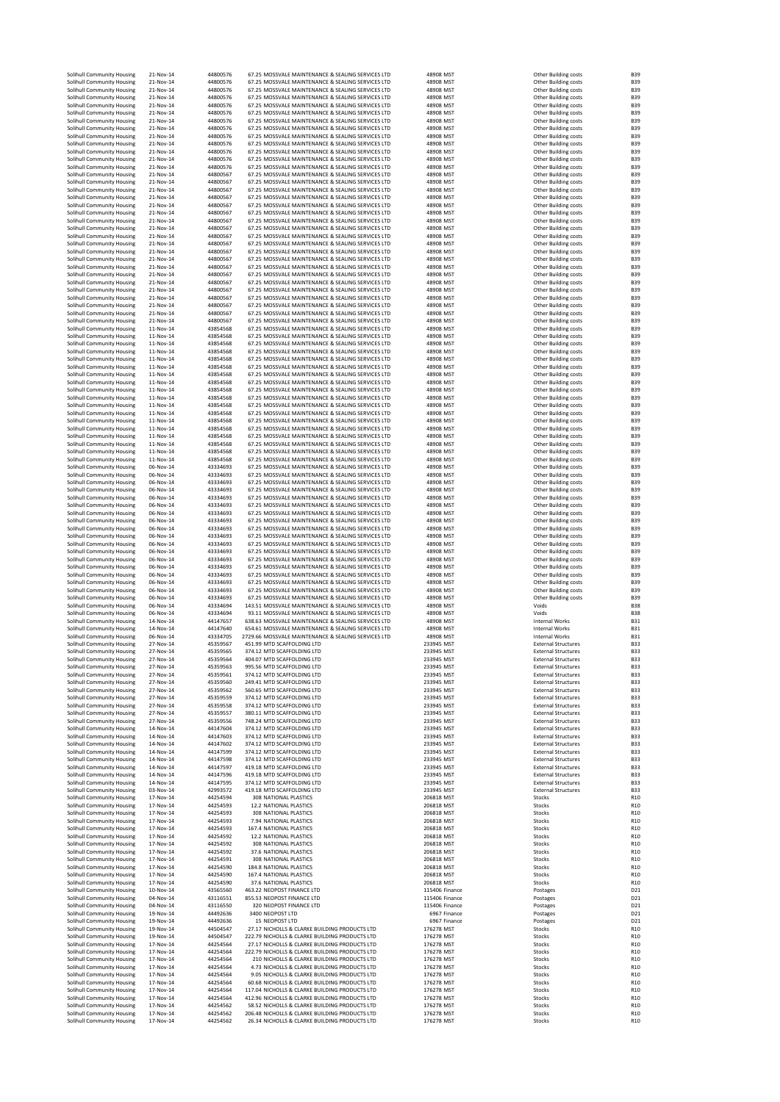| Solihull Community Housing                               | 21-Nov-14              | 44800576             | 67.25 MOSSVALE MAINTENANCE & SEALING SERVICES LTD                                                       | 48908 MST                      | Other Building costs                                     | <b>B39</b>                         |
|----------------------------------------------------------|------------------------|----------------------|---------------------------------------------------------------------------------------------------------|--------------------------------|----------------------------------------------------------|------------------------------------|
| Solihull Community Housing                               | 21-Nov-14              | 44800576             | 67.25 MOSSVALE MAINTENANCE & SEALING SERVICES LTD                                                       | 48908 MST                      | Other Building costs                                     | <b>B39</b>                         |
| Solihull Community Housing                               | 21-Nov-14              | 44800576             | 67.25 MOSSVALE MAINTENANCE & SEALING SERVICES LTD                                                       | 48908 MST                      | Other Building costs                                     | <b>B39</b>                         |
| Solihull Community Housing                               | 21-Nov-14              | 44800576             | 67.25 MOSSVALE MAINTENANCE & SEALING SERVICES LTD                                                       | 48908 MST                      | Other Building costs                                     | <b>B39</b>                         |
| Solihull Community Housing<br>Solihull Community Housing | 21-Nov-14<br>21-Nov-14 | 44800576<br>44800576 | 67.25 MOSSVALE MAINTENANCE & SEALING SERVICES LTD<br>67.25 MOSSVALE MAINTENANCE & SEALING SERVICES LTD  | 48908 MST<br>48908 MST         | Other Building costs<br>Other Building costs             | <b>B39</b><br><b>B39</b>           |
| Solihull Community Housing                               | 21-Nov-14              | 44800576             | 67.25 MOSSVALE MAINTENANCE & SEALING SERVICES LTD                                                       | 48908 MST                      | Other Building costs                                     | <b>B39</b>                         |
| Solihull Community Housing                               | 21-Nov-14              | 44800576             | 67.25 MOSSVALE MAINTENANCE & SEALING SERVICES LTD                                                       | 48908 MST                      | Other Building costs                                     | <b>B39</b>                         |
| Solihull Community Housing                               | 21-Nov-14              | 44800576             | 67.25 MOSSVALE MAINTENANCE & SEALING SERVICES LTD                                                       | 48908 MST                      | Other Building costs                                     | <b>B39</b>                         |
| Solihull Community Housing                               | 21-Nov-14              | 44800576             | 67.25 MOSSVALE MAINTENANCE & SEALING SERVICES LTD                                                       | 48908 MST                      | Other Building costs                                     | <b>B39</b>                         |
| Solihull Community Housing                               | 21-Nov-14              | 44800576             | 67.25 MOSSVALE MAINTENANCE & SEALING SERVICES LTD<br>67.25 MOSSVALE MAINTENANCE & SEALING SERVICES LTD  | 48908 MST                      | Other Building costs                                     | <b>B39</b>                         |
| Solihull Community Housing<br>Solihull Community Housing | 21-Nov-14<br>21-Nov-14 | 44800576<br>44800576 | 67.25 MOSSVALE MAINTENANCE & SEALING SERVICES LTD                                                       | 48908 MST<br>48908 MST         | Other Building costs<br>Other Building costs             | <b>B39</b><br><b>B39</b>           |
| Solihull Community Housing                               | 21-Nov-14              | 44800567             | 67.25 MOSSVALE MAINTENANCE & SEALING SERVICES LTD                                                       | 48908 MST                      | Other Building costs                                     | <b>B39</b>                         |
| Solihull Community Housing                               | 21-Nov-14              | 44800567             | 67.25 MOSSVALE MAINTENANCE & SEALING SERVICES LTD                                                       | 48908 MST                      | Other Building costs                                     | <b>B39</b>                         |
| Solihull Community Housing                               | 21-Nov-14              | 44800567             | 67.25 MOSSVALE MAINTENANCE & SEALING SERVICES LTD                                                       | 48908 MST                      | Other Building costs                                     | <b>B39</b>                         |
| Solihull Community Housing                               | 21-Nov-14              | 44800567             | 67.25 MOSSVALE MAINTENANCE & SEALING SERVICES LTD                                                       | 48908 MST                      | Other Building costs                                     | <b>B39</b>                         |
| Solihull Community Housing                               | 21-Nov-14              | 44800567             | 67.25 MOSSVALE MAINTENANCE & SEALING SERVICES LTD                                                       | 48908 MST                      | Other Building costs                                     | <b>B39</b>                         |
| Solihull Community Housing                               | 21-Nov-14              | 44800567             | 67.25 MOSSVALE MAINTENANCE & SEALING SERVICES LTD<br>67.25 MOSSVALE MAINTENANCE & SEALING SERVICES LTD  | 48908 MST                      | Other Building costs                                     | <b>B39</b>                         |
| Solihull Community Housing<br>Solihull Community Housing | 21-Nov-14<br>21-Nov-14 | 44800567<br>44800567 | 67.25 MOSSVALE MAINTENANCE & SEALING SERVICES LTD                                                       | 48908 MST<br>48908 MST         | Other Building costs<br>Other Building costs             | <b>B39</b><br><b>B39</b>           |
| Solihull Community Housing                               | 21-Nov-14              | 44800567             | 67.25 MOSSVALE MAINTENANCE & SEALING SERVICES LTD                                                       | 48908 MST                      | Other Building costs                                     | <b>B39</b>                         |
| Solihull Community Housing                               | 21-Nov-14              | 44800567             | 67.25 MOSSVALE MAINTENANCE & SEALING SERVICES LTD                                                       | 48908 MST                      | Other Building costs                                     | <b>B39</b>                         |
| Solihull Community Housing                               | 21-Nov-14              | 44800567             | 67.25 MOSSVALE MAINTENANCE & SEALING SERVICES LTD                                                       | 48908 MST                      | Other Building costs                                     | <b>B39</b>                         |
| Solihull Community Housing                               | 21-Nov-14              | 44800567             | 67.25 MOSSVALE MAINTENANCE & SEALING SERVICES LTD                                                       | 48908 MST                      | Other Building costs                                     | <b>B39</b>                         |
| Solihull Community Housing                               | 21-Nov-14<br>21-Nov-14 | 44800567             | 67.25 MOSSVALE MAINTENANCE & SEALING SERVICES LTD<br>67.25 MOSSVALE MAINTENANCE & SEALING SERVICES LTD  | 48908 MST<br>48908 MST         | Other Building costs                                     | <b>B39</b><br><b>B39</b>           |
| Solihull Community Housing<br>Solihull Community Housing | 21-Nov-14              | 44800567<br>44800567 | 67.25 MOSSVALE MAINTENANCE & SEALING SERVICES LTD                                                       | 48908 MST                      | Other Building costs<br>Other Building costs             | <b>B39</b>                         |
| Solihull Community Housing                               | 21-Nov-14              | 44800567             | 67.25 MOSSVALE MAINTENANCE & SEALING SERVICES LTD                                                       | 48908 MST                      | Other Building costs                                     | <b>B39</b>                         |
| Solihull Community Housing                               | 21-Nov-14              | 44800567             | 67.25 MOSSVALE MAINTENANCE & SEALING SERVICES LTD                                                       | 48908 MST                      | Other Building costs                                     | <b>B39</b>                         |
| Solihull Community Housing                               | 21-Nov-14              | 44800567             | 67.25 MOSSVALE MAINTENANCE & SEALING SERVICES LTD                                                       | 48908 MST                      | Other Building costs                                     | <b>B39</b>                         |
| Solihull Community Housing                               | 21-Nov-14              | 44800567             | 67.25 MOSSVALE MAINTENANCE & SEALING SERVICES LTD                                                       | 48908 MST                      | Other Building costs                                     | <b>B39</b>                         |
| Solihull Community Housing                               | 21-Nov-14              | 44800567             | 67.25 MOSSVALE MAINTENANCE & SEALING SERVICES LTD<br>67.25 MOSSVALE MAINTENANCE & SEALING SERVICES LTD  | 48908 MST                      | Other Building costs                                     | <b>B39</b>                         |
| Solihull Community Housing<br>Solihull Community Housing | 11-Nov-14<br>11-Nov-14 | 43854568<br>43854568 | 67.25 MOSSVALE MAINTENANCE & SEALING SERVICES LTD                                                       | 48908 MST<br>48908 MST         | Other Building costs<br>Other Building costs             | <b>B39</b><br><b>B39</b>           |
| Solihull Community Housing                               | 11-Nov-14              | 43854568             | 67.25 MOSSVALE MAINTENANCE & SEALING SERVICES LTD                                                       | 48908 MST                      | Other Building costs                                     | <b>B39</b>                         |
| Solihull Community Housing                               | 11-Nov-14              | 43854568             | 67.25 MOSSVALE MAINTENANCE & SEALING SERVICES LTD                                                       | 48908 MST                      | Other Building costs                                     | <b>B39</b>                         |
| Solihull Community Housing                               | 11-Nov-14              | 43854568             | 67.25 MOSSVALE MAINTENANCE & SEALING SERVICES LTD                                                       | 48908 MST                      | Other Building costs                                     | <b>B39</b>                         |
| Solihull Community Housing                               | 11-Nov-14              | 43854568             | 67.25 MOSSVALE MAINTENANCE & SEALING SERVICES LTD                                                       | 48908 MST                      | Other Building costs                                     | <b>B39</b>                         |
| Solihull Community Housing                               | 11-Nov-14<br>11-Nov-14 | 43854568<br>43854568 | 67.25 MOSSVALE MAINTENANCE & SEALING SERVICES LTD<br>67.25 MOSSVALE MAINTENANCE & SEALING SERVICES LTD  | 48908 MST<br>48908 MST         | Other Building costs                                     | <b>B39</b><br><b>B39</b>           |
| Solihull Community Housing<br>Solihull Community Housing | 11-Nov-14              | 43854568             | 67.25 MOSSVALE MAINTENANCE & SEALING SERVICES LTD                                                       | 48908 MST                      | Other Building costs<br>Other Building costs             | <b>B39</b>                         |
| Solihull Community Housing                               | 11-Nov-14              | 43854568             | 67.25 MOSSVALE MAINTENANCE & SEALING SERVICES LTD                                                       | 48908 MST                      | Other Building costs                                     | <b>B39</b>                         |
| Solihull Community Housing                               | 11-Nov-14              | 43854568             | 67.25 MOSSVALE MAINTENANCE & SEALING SERVICES LTD                                                       | 48908 MST                      | Other Building costs                                     | <b>B39</b>                         |
| Solihull Community Housing                               | 11-Nov-14              | 43854568             | 67.25 MOSSVALE MAINTENANCE & SEALING SERVICES LTD                                                       | 48908 MST                      | Other Building costs                                     | <b>B39</b>                         |
| Solihull Community Housing                               | 11-Nov-14              | 43854568             | 67.25 MOSSVALE MAINTENANCE & SEALING SERVICES LTD                                                       | 48908 MST                      | Other Building costs                                     | <b>B39</b>                         |
| Solihull Community Housing                               | 11-Nov-14              | 43854568             | 67.25 MOSSVALE MAINTENANCE & SEALING SERVICES LTD                                                       | 48908 MST                      | Other Building costs                                     | <b>B39</b>                         |
| Solihull Community Housing<br>Solihull Community Housing | 11-Nov-14              | 43854568<br>43854568 | 67.25 MOSSVALE MAINTENANCE & SEALING SERVICES LTD<br>67.25 MOSSVALE MAINTENANCE & SEALING SERVICES LTD  | 48908 MST<br>48908 MST         | Other Building costs<br>Other Building costs             | <b>B39</b><br><b>B39</b>           |
| Solihull Community Housing                               | 11-Nov-14<br>11-Nov-14 | 43854568             | 67.25 MOSSVALE MAINTENANCE & SEALING SERVICES LTD                                                       | 48908 MST                      | Other Building costs                                     | <b>B39</b>                         |
| Solihull Community Housing                               | 11-Nov-14              | 43854568             | 67.25 MOSSVALE MAINTENANCE & SEALING SERVICES LTD                                                       | 48908 MST                      | Other Building costs                                     | <b>B39</b>                         |
| Solihull Community Housing                               | 06-Nov-14              | 43334693             | 67.25 MOSSVALE MAINTENANCE & SEALING SERVICES LTD                                                       | 48908 MST                      | Other Building costs                                     | <b>B39</b>                         |
| Solihull Community Housing                               | 06-Nov-14              | 43334693             | 67.25 MOSSVALE MAINTENANCE & SEALING SERVICES LTD                                                       | 48908 MST                      | Other Building costs                                     | <b>B39</b>                         |
| Solihull Community Housing                               | 06-Nov-14              | 43334693             | 67.25 MOSSVALE MAINTENANCE & SEALING SERVICES LTD                                                       | 48908 MST                      | Other Building costs                                     | <b>B39</b>                         |
| Solihull Community Housing<br>Solihull Community Housing | 06-Nov-14<br>06-Nov-14 | 43334693<br>43334693 | 67.25 MOSSVALE MAINTENANCE & SEALING SERVICES LTD<br>67.25 MOSSVALE MAINTENANCE & SEALING SERVICES LTD  | 48908 MST<br>48908 MST         | Other Building costs<br>Other Building costs             | <b>B39</b><br><b>B39</b>           |
| Solihull Community Housing                               | 06-Nov-14              | 43334693             | 67.25 MOSSVALE MAINTENANCE & SEALING SERVICES LTD                                                       | 48908 MST                      | Other Building costs                                     | <b>B39</b>                         |
| Solihull Community Housing                               | 06-Nov-14              | 43334693             | 67.25 MOSSVALE MAINTENANCE & SEALING SERVICES LTD                                                       | 48908 MST                      | Other Building costs                                     | <b>B39</b>                         |
| Solihull Community Housing                               | 06-Nov-14              | 43334693             | 67.25 MOSSVALE MAINTENANCE & SEALING SERVICES LTD                                                       | 48908 MST                      | Other Building costs                                     | <b>B39</b>                         |
| Solihull Community Housing                               | 06-Nov-14              | 43334693             | 67.25 MOSSVALE MAINTENANCE & SEALING SERVICES LTD                                                       | 48908 MST                      | Other Building costs                                     | <b>B39</b>                         |
|                                                          |                        |                      |                                                                                                         |                                |                                                          | <b>B39</b>                         |
| Solihull Community Housing                               | 06-Nov-14              | 43334693             | 67.25 MOSSVALE MAINTENANCE & SEALING SERVICES LTD                                                       | 48908 MST                      | Other Building costs                                     |                                    |
| Solihull Community Housing                               | 06-Nov-14              | 43334693             | 67.25 MOSSVALE MAINTENANCE & SEALING SERVICES LTD                                                       | 48908 MST                      | Other Building costs                                     | <b>B39</b>                         |
| Solihull Community Housing                               | 06-Nov-14              | 43334693             | 67.25 MOSSVALE MAINTENANCE & SEALING SERVICES LTD                                                       | 48908 MST                      | Other Building costs                                     | <b>B39</b>                         |
| Solihull Community Housing                               | 06-Nov-14<br>06-Nov-14 | 43334693<br>43334693 | 67.25 MOSSVALE MAINTENANCE & SEALING SERVICES LTD                                                       | 48908 MST<br>48908 MST         | Other Building costs                                     | <b>B39</b><br><b>B39</b>           |
| Solihull Community Housing<br>Solihull Community Housing | 06-Nov-14              | 43334693             | 67.25 MOSSVALE MAINTENANCE & SEALING SERVICES LTD<br>67.25 MOSSVALE MAINTENANCE & SEALING SERVICES LTD  | 48908 MST                      | Other Building costs<br>Other Building costs             | <b>B39</b>                         |
| Solihull Community Housing                               | 06-Nov-14              | 43334693             | 67.25 MOSSVALE MAINTENANCE & SEALING SERVICES LTD                                                       | 48908 MST                      | Other Building costs                                     | <b>B39</b>                         |
| Solihull Community Housing                               | 06-Nov-14              | 43334693             | 67.25 MOSSVALE MAINTENANCE & SEALING SERVICES LTD                                                       | 48908 MST                      | Other Building costs                                     | <b>B39</b>                         |
| Solihull Community Housing                               | 06-Nov-14              | 43334693             | 67.25 MOSSVALE MAINTENANCE & SEALING SERVICES LTD                                                       | 48908 MST                      | Other Building costs                                     | <b>B39</b>                         |
| Solihull Community Housing                               | 06-Nov-14              | 43334694             | 143.51 MOSSVALE MAINTENANCE & SEALING SERVICES LTD                                                      | 48908 MST                      | Voids                                                    | <b>B38</b>                         |
| Solihull Community Housing<br>Solihull Community Housing | 06-Nov-14<br>14-Nov-14 | 43334694<br>44147657 | 93.11 MOSSVALE MAINTENANCE & SEALING SERVICES LTD<br>638.63 MOSSVALE MAINTENANCE & SEALING SERVICES LTD | 48908 MST<br>48908 MST         | Voids<br>Internal Works                                  | <b>B38</b><br><b>B31</b>           |
| Solihull Community Housing                               | 14-Nov-14              | 44147640             | 654.61 MOSSVALE MAINTENANCE & SEALING SERVICES LTD                                                      | 48908 MST                      | Internal Works                                           | <b>B31</b>                         |
| Solihull Community Housing                               | 06-Nov-14              | 43334705             | 2729.66 MOSSVALE MAINTENANCE & SEALING SERVICES LTD                                                     | 48908 MST                      | Internal Works                                           | <b>B31</b>                         |
| Solihull Community Housing                               | 27-Nov-14              | 45359567             | 451.99 MTD SCAFFOLDING LTD                                                                              | 233945 MST                     | <b>External Structures</b>                               | <b>B33</b>                         |
| Solihull Community Housing                               | 27-Nov-14              | 45359565             | 374.12 MTD SCAFFOLDING LTD                                                                              | 233945 MST                     | <b>External Structures</b>                               | <b>B33</b>                         |
| Solihull Community Housing                               | 27-Nov-14<br>27-Nov-14 | 45359564<br>45359563 | 404.07 MTD SCAFFOLDING LTD<br>995.56 MTD SCAFFOLDING LTD                                                | 233945 MST<br>233945 MST       | <b>External Structures</b><br><b>External Structures</b> | <b>B33</b>                         |
| Solihull Community Housing<br>Solihull Community Housing | 27-Nov-14              | 45359561             | 374.12 MTD SCAFFOLDING LTD                                                                              | 233945 MST                     | <b>External Structures</b>                               | <b>B33</b><br><b>B33</b>           |
| Solihull Community Housing                               | 27-Nov-14              | 45359560             | 249.41 MTD SCAFFOLDING LTD                                                                              | 233945 MST                     | <b>External Structures</b>                               | <b>B33</b>                         |
| Solihull Community Housing                               | 27-Nov-14              | 45359562             | 560.65 MTD SCAFFOLDING LTD                                                                              | 233945 MST                     | <b>External Structures</b>                               | <b>B33</b>                         |
| Solihull Community Housing                               | 27-Nov-14              | 45359559             | 374.12 MTD SCAFFOLDING LTD                                                                              | 233945 MST                     | <b>External Structures</b>                               | <b>B33</b>                         |
| Solihull Community Housing                               | 27-Nov-14              | 45359558             | 374.12 MTD SCAFFOLDING LTD                                                                              | 233945 MST                     | <b>External Structures</b>                               | <b>B33</b>                         |
| Solihull Community Housing<br>Solihull Community Housing | 27-Nov-14<br>27-Nov-14 | 45359557<br>45359556 | 380.11 MTD SCAFFOLDING LTD<br>748.24 MTD SCAFFOLDING LTD                                                | 233945 MST<br>233945 MST       | <b>External Structures</b><br><b>External Structures</b> | <b>B33</b><br><b>B33</b>           |
| Solihull Community Housing                               | 14-Nov-14              | 44147604             | 374.12 MTD SCAFFOLDING LTD                                                                              | 233945 MST                     | <b>External Structures</b>                               | <b>B33</b>                         |
| Solihull Community Housing                               | 14-Nov-14              | 44147603             | 374.12 MTD SCAFFOLDING LTD                                                                              | 233945 MST                     | <b>External Structures</b>                               | <b>B33</b>                         |
| Solihull Community Housing                               | 14-Nov-14              | 44147602             | 374.12 MTD SCAFFOLDING LTD                                                                              | 233945 MST<br>233945 MST       | <b>External Structures</b>                               | <b>B33</b>                         |
| Solihull Community Housing                               | 14-Nov-14<br>14-Nov-14 | 44147599<br>44147598 | 374.12 MTD SCAFFOLDING LTD<br>374.12 MTD SCAFFOLDING LTD                                                | 233945 MST                     | <b>External Structures</b><br><b>External Structures</b> | <b>B33</b><br><b>B33</b>           |
| Solihull Community Housing<br>Solihull Community Housing | 14-Nov-14              | 44147597             | 419.18 MTD SCAFFOLDING LTD                                                                              | 233945 MST                     | <b>External Structures</b>                               | <b>B33</b>                         |
| Solihull Community Housing                               | 14-Nov-14              | 44147596             | 419.18 MTD SCAFFOLDING LTD                                                                              | 233945 MST                     | <b>External Structures</b>                               | <b>B33</b>                         |
| Solihull Community Housing                               | 14-Nov-14              | 44147595             | 374.12 MTD SCAFFOLDING LTD                                                                              | 233945 MST                     | <b>External Structures</b>                               | <b>B33</b>                         |
| Solihull Community Housing                               | 03-Nov-14              | 42993572             | 419.18 MTD SCAFFOLDING LTD                                                                              | 233945 MST                     | <b>External Structures</b>                               | <b>B33</b>                         |
| Solihull Community Housing                               | 17-Nov-14<br>17-Nov-14 | 44254594<br>44254593 | 308 NATIONAL PLASTICS<br>12.2 NATIONAL PLASTICS                                                         | 206818 MST<br>206818 MST       | Stocks<br>Stocks                                         | R <sub>10</sub><br>R <sub>10</sub> |
| Solihull Community Housing<br>Solihull Community Housing | 17-Nov-14              | 44254593             | 308 NATIONAL PLASTICS                                                                                   | 206818 MST                     | Stocks                                                   | R <sub>10</sub>                    |
| Solihull Community Housing                               | 17-Nov-14              | 44254593             | 7.94 NATIONAL PLASTICS                                                                                  | 206818 MST                     | Stocks                                                   | R <sub>10</sub>                    |
| Solihull Community Housing                               | 17-Nov-14              | 44254593             | 167.4 NATIONAL PLASTICS                                                                                 | 206818 MST                     | Stocks                                                   | R <sub>10</sub>                    |
| Solihull Community Housing                               | 17-Nov-14              | 44254592             | 12.2 NATIONAL PLASTICS                                                                                  | 206818 MST                     | Stocks                                                   | R <sub>10</sub>                    |
| Solihull Community Housing                               | 17-Nov-14              | 44254592             | 308 NATIONAL PLASTICS<br>37.6 NATIONAL PLASTICS                                                         | 206818 MST                     | Stocks                                                   | R <sub>10</sub><br>R10             |
| Solihull Community Housing<br>Solihull Community Housing | 17-Nov-14<br>17-Nov-14 | 44254592<br>44254591 | <b>308 NATIONAL PLASTICS</b>                                                                            | 206818 MST<br>206818 MST       | Stocks<br>Stocks                                         | R10                                |
| Solihull Community Housing                               | 17-Nov-14              | 44254590             | 184.8 NATIONAL PLASTICS                                                                                 | 206818 MST                     | Stocks                                                   | R <sub>10</sub>                    |
| Solihull Community Housing                               | 17-Nov-14              | 44254590             | 167.4 NATIONAL PLASTICS                                                                                 | 206818 MST                     | Stocks                                                   | R <sub>10</sub>                    |
| Solihull Community Housing                               | 17-Nov-14              | 44254590             | 37.6 NATIONAL PLASTICS                                                                                  | 206818 MST                     | Stocks                                                   | R <sub>10</sub>                    |
| Solihull Community Housing                               | 10-Nov-14              | 43565560             | 463.22 NEOPOST FINANCE LTD                                                                              | 115406 Finance                 | Postages                                                 | D <sub>21</sub>                    |
| Solihull Community Housing                               | 04-Nov-14<br>04-Nov-14 | 43116551             | 855.53 NEOPOST FINANCE LTD                                                                              | 115406 Finance                 | Postages                                                 | D <sub>21</sub>                    |
| Solihull Community Housing<br>Solihull Community Housing | 19-Nov-14              | 43116550<br>44492636 | 320 NEOPOST FINANCE LTD<br>3400 NEOPOST LTD                                                             | 115406 Finance<br>6967 Finance | Postages<br>Postages                                     | D <sub>21</sub><br>D <sub>21</sub> |
| Solihull Community Housing                               | 19-Nov-14              | 44492636             | 15 NEOPOST LTD                                                                                          | 6967 Finance                   | Postages                                                 | D <sub>21</sub>                    |
| Solihull Community Housing                               | 19-Nov-14              | 44504547             | 27.17 NICHOLLS & CLARKE BUILDING PRODUCTS LTD                                                           | 176278 MST                     | Stocks                                                   | R <sub>10</sub>                    |
| Solihull Community Housing                               | 19-Nov-14              | 44504547             | 222.79 NICHOLLS & CLARKE BUILDING PRODUCTS LTD                                                          | 176278 MST                     | Stocks                                                   | R <sub>10</sub>                    |
| Solihull Community Housing                               | 17-Nov-14              | 44254564             | 27.17 NICHOLLS & CLARKE BUILDING PRODUCTS LTD                                                           | 176278 MST                     | Stocks                                                   | R <sub>10</sub>                    |
| Solihull Community Housing                               | 17-Nov-14<br>17-Nov-14 | 44254564             | 222.79 NICHOLLS & CLARKE BUILDING PRODUCTS LTD                                                          | 176278 MST                     | Stocks<br>Stocks                                         | R <sub>10</sub><br>R10             |
| Solihull Community Housing<br>Solihull Community Housing | 17-Nov-14              | 44254564<br>44254564 | 210 NICHOLLS & CLARKE BUILDING PRODUCTS LTD<br>4.73 NICHOLLS & CLARKE BUILDING PRODUCTS LTD             | 176278 MST<br>176278 MST       | Stocks                                                   | R <sub>10</sub>                    |
| Solihull Community Housing                               | 17-Nov-14              | 44254564             | 9.05 NICHOLLS & CLARKE BUILDING PRODUCTS LTD                                                            | 176278 MST                     | Stocks                                                   | R <sub>10</sub>                    |
| Solihull Community Housing                               | 17-Nov-14              | 44254564             | 60.68 NICHOLLS & CLARKE BUILDING PRODUCTS LTD                                                           | 176278 MST                     | Stocks                                                   | R <sub>10</sub>                    |
| Solihull Community Housing                               | 17-Nov-14              | 44254564             | 117.04 NICHOLLS & CLARKE BUILDING PRODUCTS LTD                                                          | 176278 MST                     | Stocks                                                   | R <sub>10</sub>                    |
| Solihull Community Housing                               | 17-Nov-14              | 44254564             | 412.96 NICHOLLS & CLARKE BUILDING PRODUCTS LTD                                                          | 176278 MST                     | Stocks                                                   | R <sub>10</sub>                    |
| Solihull Community Housing<br>Solihull Community Housing | 17-Nov-14<br>17-Nov-14 | 44254562<br>44254562 | 58.52 NICHOLLS & CLARKE BUILDING PRODUCTS LTD<br>206.48 NICHOLLS & CLARKE BUILDING PRODUCTS LTD         | 176278 MST<br>176278 MST       | Stocks<br>Stocks                                         | R <sub>10</sub><br>R <sub>10</sub> |
| Solihull Community Housing                               | 17-Nov-14              | 44254562             | 26.34 NICHOLLS & CLARKE BUILDING PRODUCTS LTD                                                           | 176278 MST                     | Stocks                                                   | R <sub>10</sub>                    |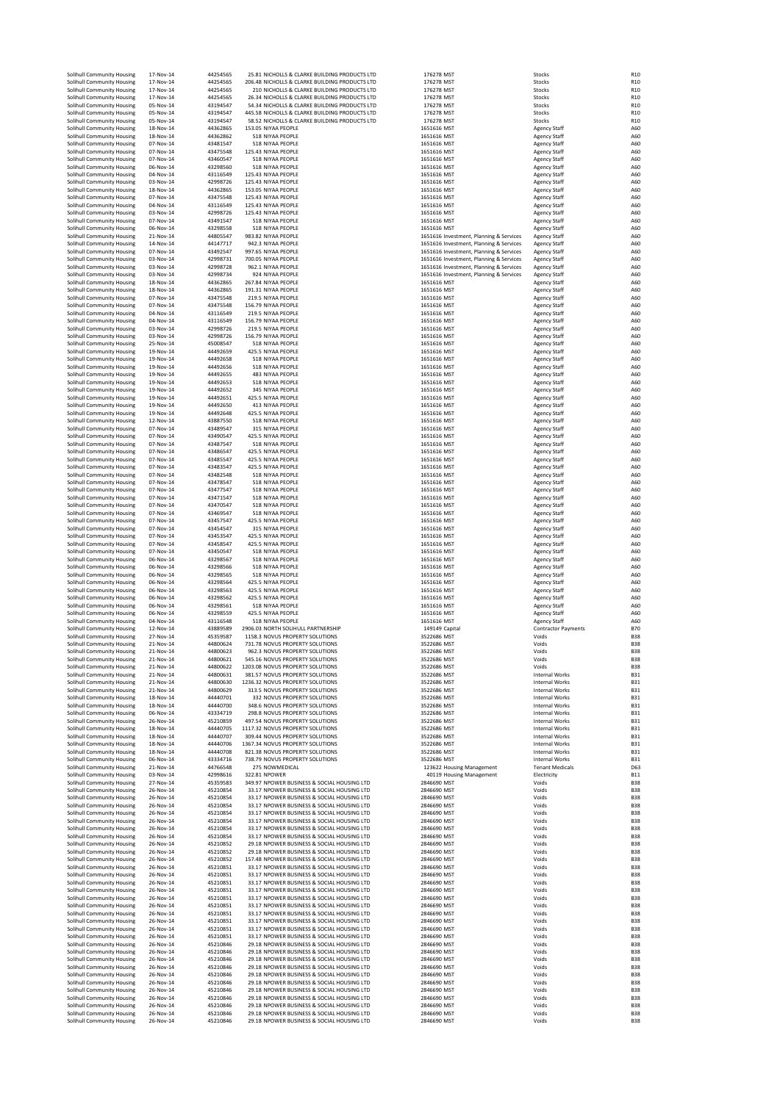| Solihull Community Housing                               |                        |                      |                                                                                                 | 176278 MST                                                                         | Stocks                                     |                                    |
|----------------------------------------------------------|------------------------|----------------------|-------------------------------------------------------------------------------------------------|------------------------------------------------------------------------------------|--------------------------------------------|------------------------------------|
| Solihull Community Housing                               | 17-Nov-14<br>17-Nov-14 | 44254565<br>44254565 | 25.81 NICHOLLS & CLARKE BUILDING PRODUCTS LTD<br>206.48 NICHOLLS & CLARKE BUILDING PRODUCTS LTD | 176278 MST                                                                         | Stocks                                     | R <sub>10</sub><br>R <sub>10</sub> |
| Solihull Community Housing                               | 17-Nov-14              | 44254565             | 210 NICHOLLS & CLARKE BUILDING PRODUCTS LTD                                                     | 176278 MST                                                                         | Stocks                                     | R <sub>10</sub>                    |
| Solihull Community Housing                               | 17-Nov-14              | 44254565             | 26.34 NICHOLLS & CLARKE BUILDING PRODUCTS LTD                                                   | 176278 MST                                                                         | Stocks                                     | R <sub>10</sub>                    |
| Solihull Community Housing                               | 05-Nov-14              | 43194547             | 54.34 NICHOLLS & CLARKE BUILDING PRODUCTS LTD                                                   | 176278 MST                                                                         | Stocks                                     | R <sub>10</sub>                    |
| Solihull Community Housing                               | 05-Nov-14              | 43194547             | 445.58 NICHOLLS & CLARKE BUILDING PRODUCTS LTD                                                  | 176278 MST                                                                         | Stocks                                     | R <sub>10</sub>                    |
| Solihull Community Housing                               | 05-Nov-14              | 43194547             | 58.52 NICHOLLS & CLARKE BUILDING PRODUCTS LTD                                                   | 176278 MST                                                                         | Stocks                                     | R <sub>10</sub>                    |
| Solihull Community Housing                               | 18-Nov-14              | 44362865             | 153.05 NIYAA PEOPLE<br>518 NIYAA PEOPLE                                                         | 1651616 MST                                                                        | <b>Agency Staff</b>                        | A60                                |
| Solihull Community Housing<br>Solihull Community Housing | 18-Nov-14<br>07-Nov-14 | 44362862<br>43481547 | 518 NIYAA PEOPLE                                                                                | 1651616 MST<br>1651616 MST                                                         | <b>Agency Staff</b><br><b>Agency Staff</b> | A60<br>A60                         |
| Solihull Community Housing                               | 07-Nov-14              | 43475548             | 125.43 NIYAA PEOPLE                                                                             | 1651616 MST                                                                        | <b>Agency Staff</b>                        | A60                                |
| Solihull Community Housing                               | 07-Nov-14              | 43460547             | 518 NIYAA PEOPLE                                                                                | 1651616 MST                                                                        | <b>Agency Staff</b>                        | A60                                |
| Solihull Community Housing                               | 06-Nov-14              | 43298560             | 518 NIYAA PEOPLE                                                                                | 1651616 MST                                                                        | <b>Agency Staff</b>                        | A60                                |
| Solihull Community Housing                               | 04-Nov-14              | 43116549             | 125.43 NIYAA PEOPLE                                                                             | 1651616 MST                                                                        | <b>Agency Staff</b>                        | A60                                |
| Solihull Community Housing<br>Solihull Community Housing | 03-Nov-14<br>18-Nov-14 | 42998726<br>44362865 | 125.43 NIYAA PEOPLE<br>153.05 NIYAA PEOPLE                                                      | 1651616 MST<br>1651616 MST                                                         | <b>Agency Staff</b><br><b>Agency Staff</b> | A60<br>A60                         |
| Solihull Community Housing                               | 07-Nov-14              | 43475548             | 125.43 NIYAA PEOPLE                                                                             | 1651616 MST                                                                        | <b>Agency Staff</b>                        | A60                                |
| Solihull Community Housing                               | 04-Nov-14              | 43116549             | 125.43 NIYAA PEOPLE                                                                             | 1651616 MST                                                                        | <b>Agency Staff</b>                        | A60                                |
| Solihull Community Housing                               | 03-Nov-14              | 42998726             | 125.43 NIYAA PEOPLE                                                                             | 1651616 MST                                                                        | <b>Agency Staff</b>                        | A60                                |
| Solihull Community Housing                               | 07-Nov-14              | 43491547             | 518 NIYAA PEOPLE                                                                                | 1651616 MST                                                                        | <b>Agency Staff</b>                        | A60                                |
| Solihull Community Housing                               | 06-Nov-14<br>21-Nov-14 | 43298558             | 518 NIYAA PEOPLE<br>983.82 NIYAA PEOPLE                                                         | 1651616 MST                                                                        | <b>Agency Staff</b>                        | A60                                |
| Solihull Community Housing<br>Solihull Community Housing | 14-Nov-14              | 44805547<br>44147717 | 942.3 NIYAA PEOPLE                                                                              | 1651616 Investment, Planning & Services<br>1651616 Investment, Planning & Services | <b>Agency Staff</b><br>Agency Staff        | A60<br>A <sub>60</sub>             |
| Solihull Community Housing                               | 07-Nov-14              | 43492547             | 997.65 NIYAA PEOPLE                                                                             | 1651616 Investment, Planning & Services                                            | <b>Agency Staff</b>                        | A60                                |
| Solihull Community Housing                               | 03-Nov-14              | 42998731             | 700.05 NIYAA PEOPLE                                                                             | 1651616 Investment, Planning & Services                                            | <b>Agency Staff</b>                        | A60                                |
| Solihull Community Housing                               | 03-Nov-14              | 42998728             | 962.1 NIYAA PEOPLE                                                                              | 1651616 Investment, Planning & Services                                            | <b>Agency Staff</b>                        | A60                                |
| Solihull Community Housing                               | 03-Nov-14              | 42998734             | 924 NIYAA PEOPLE                                                                                | 1651616 Investment, Planning & Services                                            | <b>Agency Staff</b>                        | A60                                |
| Solihull Community Housing<br>Solihull Community Housing | 18-Nov-14<br>18-Nov-14 | 44362865<br>44362865 | 267.84 NIYAA PEOPLE<br>191.31 NIYAA PEOPLE                                                      | 1651616 MST<br>1651616 MST                                                         | <b>Agency Staff</b><br><b>Agency Staff</b> | A60<br>A60                         |
| Solihull Community Housing                               | 07-Nov-14              | 43475548             | 219.5 NIYAA PEOPLE                                                                              | 1651616 MST                                                                        | <b>Agency Staff</b>                        | A60                                |
| Solihull Community Housing                               | 07-Nov-14              | 43475548             | 156.79 NIYAA PEOPLE                                                                             | 1651616 MST                                                                        | Agency Staff                               | A60                                |
| Solihull Community Housing                               | 04-Nov-14              | 43116549             | 219.5 NIYAA PEOPLE                                                                              | 1651616 MST                                                                        | <b>Agency Staff</b>                        | A60                                |
| Solihull Community Housing                               | 04-Nov-14              | 43116549             | 156.79 NIYAA PEOPLE                                                                             | 1651616 MST                                                                        | <b>Agency Staff</b>                        | A60                                |
| Solihull Community Housing<br>Solihull Community Housing | 03-Nov-14<br>03-Nov-14 | 42998726<br>42998726 | 219.5 NIYAA PEOPLE<br>156.79 NIYAA PEOPLE                                                       | 1651616 MST<br>1651616 MST                                                         | <b>Agency Staff</b>                        | A60<br>A60                         |
| Solihull Community Housing                               | 25-Nov-14              | 45008547             | 518 NIYAA PEOPLE                                                                                | 1651616 MST                                                                        | <b>Agency Staff</b><br><b>Agency Staff</b> | A60                                |
| Solihull Community Housing                               | 19-Nov-14              | 44492659             | 425.5 NIYAA PEOPLE                                                                              | 1651616 MST                                                                        | <b>Agency Staff</b>                        | A60                                |
| Solihull Community Housing                               | 19-Nov-14              | 44492658             | 518 NIYAA PEOPLE                                                                                | 1651616 MST                                                                        | <b>Agency Staff</b>                        | A60                                |
| Solihull Community Housing                               | 19-Nov-14              | 44492656             | 518 NIYAA PEOPLE                                                                                | 1651616 MST                                                                        | <b>Agency Staff</b>                        | A60                                |
| Solihull Community Housing                               | 19-Nov-14              | 44492655             | 483 NIYAA PEOPLE                                                                                | 1651616 MST                                                                        | <b>Agency Staff</b>                        | A60                                |
| Solihull Community Housing<br>Solihull Community Housing | 19-Nov-14<br>19-Nov-14 | 44492653<br>44492652 | 518 NIYAA PEOPLE<br>345 NIYAA PEOPLE                                                            | 1651616 MST<br>1651616 MST                                                         | <b>Agency Staff</b><br><b>Agency Staff</b> | A60<br>A60                         |
| Solihull Community Housing                               | 19-Nov-14              | 44492651             | 425.5 NIYAA PEOPLE                                                                              | 1651616 MST                                                                        | <b>Agency Staff</b>                        | A60                                |
| Solihull Community Housing                               | 19-Nov-14              | 44492650             | 413 NIYAA PEOPLE                                                                                | 1651616 MST                                                                        | Agency Staff                               | A60                                |
| Solihull Community Housing                               | 19-Nov-14              | 44492648             | 425.5 NIYAA PEOPLE                                                                              | 1651616 MST                                                                        | <b>Agency Staff</b>                        | A60                                |
| Solihull Community Housing                               | 12-Nov-14              | 43887550             | 518 NIYAA PEOPLE                                                                                | 1651616 MST                                                                        | <b>Agency Staff</b>                        | A60                                |
| Solihull Community Housing                               | 07-Nov-14              | 43489547             | 315 NIYAA PEOPLE                                                                                | 1651616 MST                                                                        | <b>Agency Staff</b>                        | A60                                |
| Solihull Community Housing<br>Solihull Community Housing | 07-Nov-14<br>07-Nov-14 | 43490547<br>43487547 | 425.5 NIYAA PEOPLE<br>518 NIYAA PEOPLE                                                          | 1651616 MST<br>1651616 MST                                                         | <b>Agency Staff</b><br><b>Agency Staff</b> | A <sub>60</sub><br>A60             |
| Solihull Community Housing                               | 07-Nov-14              | 43486547             | 425.5 NIYAA PEOPLE                                                                              | 1651616 MST                                                                        | <b>Agency Staff</b>                        | A60                                |
| Solihull Community Housing                               | 07-Nov-14              | 43485547             | 425.5 NIYAA PEOPLE                                                                              | 1651616 MST                                                                        | <b>Agency Staff</b>                        | A60                                |
| Solihull Community Housing                               | 07-Nov-14              | 43483547             | 425.5 NIYAA PEOPLE                                                                              | 1651616 MST                                                                        | <b>Agency Staff</b>                        | A60                                |
| Solihull Community Housing                               | 07-Nov-14              | 43482548             | 518 NIYAA PEOPLE                                                                                | 1651616 MST                                                                        | <b>Agency Staff</b>                        | A60                                |
| Solihull Community Housing                               | 07-Nov-14              | 43478547             | 518 NIYAA PEOPLE                                                                                | 1651616 MST                                                                        | <b>Agency Staff</b>                        | A60                                |
| Solihull Community Housing<br>Solihull Community Housing | 07-Nov-14<br>07-Nov-14 | 43477547<br>43471547 | 518 NIYAA PEOPLE<br>518 NIYAA PEOPLE                                                            | 1651616 MST<br>1651616 MST                                                         | <b>Agency Staff</b><br><b>Agency Staff</b> | A60<br>A60                         |
| Solihull Community Housing                               | 07-Nov-14              | 43470547             | 518 NIYAA PEOPLE                                                                                | 1651616 MST                                                                        | <b>Agency Staff</b>                        | A60                                |
| Solihull Community Housing                               | 07-Nov-14              | 43469547             | 518 NIYAA PEOPLE                                                                                | 1651616 MST                                                                        | <b>Agency Staff</b>                        | A60                                |
| Solihull Community Housing                               | 07-Nov-14              | 43457547             | 425.5 NIYAA PEOPLE                                                                              | 1651616 MST                                                                        | <b>Agency Staff</b>                        | A60                                |
| Solihull Community Housing                               | 07-Nov-14              | 43454547             | 315 NIYAA PEOPLE                                                                                | 1651616 MST                                                                        | <b>Agency Staff</b>                        | A60                                |
| Solihull Community Housing                               | 07-Nov-14<br>07-Nov-14 | 43453547<br>43458547 | 425.5 NIYAA PEOPLE<br>425.5 NIYAA PEOPLE                                                        | 1651616 MST                                                                        | <b>Agency Staff</b>                        | A60<br>A60                         |
| Solihull Community Housing<br>Solihull Community Housing | 07-Nov-14              | 43450547             | 518 NIYAA PEOPLE                                                                                | 1651616 MST<br>1651616 MST                                                         | <b>Agency Staff</b><br><b>Agency Staff</b> | A60                                |
| Solihull Community Housing                               | 06-Nov-14              | 43298567             | 518 NIYAA PEOPLE                                                                                | 1651616 MST                                                                        | <b>Agency Staff</b>                        | A60                                |
|                                                          |                        |                      |                                                                                                 |                                                                                    |                                            |                                    |
| Solihull Community Housing                               | 06-Nov-14              | 43298566             | 518 NIYAA PEOPLE                                                                                | 1651616 MST                                                                        | <b>Agency Staff</b>                        | A60                                |
| Solihull Community Housing                               | 06-Nov-14              | 43298565             | 518 NIYAA PEOPLE                                                                                | 1651616 MST                                                                        | <b>Agency Staff</b>                        | A60                                |
| Solihull Community Housing                               | 06-Nov-14              | 43298564             | 425.5 NIYAA PEOPLE                                                                              | 1651616 MST                                                                        | <b>Agency Staff</b>                        | A60                                |
| Solihull Community Housing                               | 06-Nov-14              | 43298563             | 425.5 NIYAA PEOPLE                                                                              | 1651616 MST                                                                        | <b>Agency Staff</b>                        | A60                                |
| Solihull Community Housing                               | 06-Nov-14              | 43298562             | 425.5 NIYAA PEOPLE                                                                              | 1651616 MST                                                                        | Agency Staff                               | A60                                |
| Solihull Community Housing                               | 06-Nov-14<br>06-Nov-14 | 43298561<br>43298559 | 518 NIYAA PEOPLE<br>425.5 NIYAA PEOPLE                                                          | 1651616 MST                                                                        | <b>Agency Staff</b>                        | A60<br>A60                         |
| Solihull Community Housing<br>Solihull Community Housing | 04-Nov-14              | 43116548             | 518 NIYAA PEOPLE                                                                                | 1651616 MST<br>1651616 MST                                                         | <b>Agency Staff</b><br><b>Agency Staff</b> | A60                                |
| Solihull Community Housing                               | 12-Nov-14              | 43889589             | 2906.03 NORTH SOLIHULL PARTNERSHIP                                                              | 149149 Capital                                                                     | <b>Contractor Payments</b>                 | <b>B70</b>                         |
| Solihull Community Housing                               | 27-Nov-14              | 45359587             | 1158.3 NOVUS PROPERTY SOLUTIONS                                                                 | 3522686 MST                                                                        | Voids                                      | <b>B38</b>                         |
| Solihull Community Housing                               | 21-Nov-14              | 44800624             | 731.78 NOVUS PROPERTY SOLUTIONS                                                                 | 3522686 MST                                                                        | Voids                                      | <b>B38</b>                         |
| Solihull Community Housing<br>Solihull Community Housing | 21-Nov-14<br>21-NOV-14 | 44800623             | 962.3 NOVUS PROPERTY SOLUTIONS                                                                  | 3522686 MST<br>3522686 MST                                                         | Voids<br>voias                             | <b>B38</b><br>B38                  |
| Solihull Community Housing                               | 21-Nov-14              | 448UUbZ1<br>44800622 | 545.16 NOVUS PROPERTY SOLUTIONS<br>1203.08 NOVUS PROPERTY SOLUTIONS                             | 3522686 MST                                                                        | Voids                                      | <b>B38</b>                         |
| Solihull Community Housing                               | 21-Nov-14              | 44800631             | 381.57 NOVUS PROPERTY SOLUTIONS                                                                 | 3522686 MST                                                                        | Internal Works                             | <b>B31</b>                         |
| Solihull Community Housing                               | 21-Nov-14              | 44800630             | 1236.32 NOVUS PROPERTY SOLUTIONS                                                                | 3522686 MST                                                                        | Internal Works                             | <b>B31</b>                         |
| Solihull Community Housing                               | 21-Nov-14              | 44800629             | 313.5 NOVUS PROPERTY SOLUTIONS                                                                  | 3522686 MST                                                                        | Internal Works                             | <b>B31</b>                         |
| Solihull Community Housing                               | 18-Nov-14              | 44440701<br>44440700 | 332 NOVUS PROPERTY SOLUTIONS<br>348.6 NOVUS PROPERTY SOLUTIONS                                  | 3522686 MST                                                                        | Internal Works<br>Internal Works           | <b>B31</b><br><b>B31</b>           |
| Solihull Community Housing<br>Solihull Community Housing | 18-Nov-14<br>06-Nov-14 | 43334719             | 298.8 NOVUS PROPERTY SOLUTIONS                                                                  | 3522686 MST<br>3522686 MST                                                         | Internal Works                             | <b>B31</b>                         |
| Solihull Community Housing                               | 26-Nov-14              | 45210859             | 497.54 NOVUS PROPERTY SOLUTIONS                                                                 | 3522686 MST                                                                        | Internal Works                             | <b>B31</b>                         |
| Solihull Community Housing                               | 18-Nov-14              | 44440705             | 1117.32 NOVUS PROPERTY SOLUTIONS                                                                | 3522686 MST                                                                        | Internal Works                             | <b>B31</b>                         |
| Solihull Community Housing                               | 18-Nov-14              | 44440707             | 309.44 NOVUS PROPERTY SOLUTIONS                                                                 | 3522686 MST                                                                        | <b>Internal Works</b>                      | <b>B31</b>                         |
| Solihull Community Housing<br>Solihull Community Housing | 18-Nov-14<br>18-Nov-14 | 44440706<br>44440708 | 1367.34 NOVUS PROPERTY SOLUTIONS<br>821.38 NOVUS PROPERTY SOLUTIONS                             | 3522686 MST<br>3522686 MST                                                         | <b>Internal Works</b><br>Internal Works    | <b>B31</b><br><b>B31</b>           |
| Solihull Community Housing                               | 06-Nov-14              | 43334716             | 738.79 NOVUS PROPERTY SOLUTIONS                                                                 | 3522686 MST                                                                        | Internal Works                             | <b>B31</b>                         |
| Solihull Community Housing                               | 21-Nov-14              | 44766548             | 275 NOWMEDICAL                                                                                  | 123622 Housing Management                                                          | <b>Tenant Medicals</b>                     | D63                                |
| Solihull Community Housing                               | 03-Nov-14              | 42998616             | 322.81 NPOWER                                                                                   | 40119 Housing Management                                                           | Electricity                                | <b>B11</b>                         |
| Solihull Community Housing                               | 27-Nov-14              | 45359583             | 349.97 NPOWER BUSINESS & SOCIAL HOUSING LTD                                                     | 2846690 MST                                                                        | Voids                                      | <b>B38</b>                         |
| Solihull Community Housing<br>Solihull Community Housing | 26-Nov-14<br>26-Nov-14 | 45210854<br>45210854 | 33.17 NPOWER BUSINESS & SOCIAL HOUSING LTD<br>33.17 NPOWER BUSINESS & SOCIAL HOUSING LTD        | 2846690 MST<br>2846690 MST                                                         | Voids<br>Voids                             | <b>B38</b><br><b>B38</b>           |
| Solihull Community Housing                               | 26-Nov-14              | 45210854             | 33.17 NPOWER BUSINESS & SOCIAL HOUSING LTD                                                      | 2846690 MST                                                                        | Voids                                      | <b>B38</b>                         |
| Solihull Community Housing                               | 26-Nov-14              | 45210854             | 33.17 NPOWER BUSINESS & SOCIAL HOUSING LTD                                                      | 2846690 MST                                                                        | Voids                                      | <b>B38</b>                         |
| Solihull Community Housing                               | 26-Nov-14              | 45210854             | 33.17 NPOWER BUSINESS & SOCIAL HOUSING LTD                                                      | 2846690 MST                                                                        | Voids                                      | <b>B38</b>                         |
| Solihull Community Housing                               | 26-Nov-14              | 45210854             | 33.17 NPOWER BUSINESS & SOCIAL HOUSING LTD                                                      | 2846690 MST                                                                        | Voids                                      | <b>B38</b>                         |
| Solihull Community Housing<br>Solihull Community Housing | 26-Nov-14<br>26-Nov-14 | 45210854<br>45210852 | 33.17 NPOWER BUSINESS & SOCIAL HOUSING LTD<br>29.18 NPOWER BUSINESS & SOCIAL HOUSING LTD        | 2846690 MST<br>2846690 MST                                                         | Voids<br>Voids                             | <b>B38</b><br><b>B38</b>           |
| Solihull Community Housing                               | 26-Nov-14              | 45210852             | 29.18 NPOWER BUSINESS & SOCIAL HOUSING LTD                                                      | 2846690 MST                                                                        | Voids                                      | <b>B38</b>                         |
| Solihull Community Housing                               | 26-Nov-14              | 45210852             | 157.48 NPOWER BUSINESS & SOCIAL HOUSING LTD                                                     | 2846690 MST                                                                        | Voids                                      | <b>B38</b>                         |
| Solihull Community Housing                               | 26-Nov-14              | 45210851             | 33.17 NPOWER BUSINESS & SOCIAL HOUSING LTD                                                      | 2846690 MST                                                                        | Voids                                      | <b>B38</b>                         |
| Solihull Community Housing                               | 26-Nov-14              | 45210851             | 33.17 NPOWER BUSINESS & SOCIAL HOUSING LTD                                                      | 2846690 MST                                                                        | Voids                                      | <b>B38</b>                         |
| Solihull Community Housing                               | 26-Nov-14              | 45210851             | 33.17 NPOWER BUSINESS & SOCIAL HOUSING LTD                                                      | 2846690 MST                                                                        | Voids                                      | <b>B38</b>                         |
| Solihull Community Housing<br>Solihull Community Housing | 26-Nov-14<br>26-Nov-14 | 45210851<br>45210851 | 33.17 NPOWER BUSINESS & SOCIAL HOUSING LTD<br>33.17 NPOWER BUSINESS & SOCIAL HOUSING LTD        | 2846690 MST<br>2846690 MST                                                         | Voids<br>Voids                             | <b>B38</b><br><b>B38</b>           |
| Solihull Community Housing                               | 26-Nov-14              | 45210851             | 33.17 NPOWER BUSINESS & SOCIAL HOUSING LTD                                                      | 2846690 MST                                                                        | Voids                                      | <b>B38</b>                         |
| Solihull Community Housing                               | 26-Nov-14              | 45210851             | 33.17 NPOWER BUSINESS & SOCIAL HOUSING LTD                                                      | 2846690 MST                                                                        | Voids                                      | <b>B38</b>                         |
| Solihull Community Housing                               | 26-Nov-14              | 45210851             | 33.17 NPOWER BUSINESS & SOCIAL HOUSING LTD                                                      | 2846690 MST                                                                        | Voids                                      | <b>B38</b>                         |
| Solihull Community Housing                               | 26-Nov-14<br>26-Nov-14 | 45210851<br>45210851 | 33.17 NPOWER BUSINESS & SOCIAL HOUSING LTD<br>33.17 NPOWER BUSINESS & SOCIAL HOUSING LTD        | 2846690 MST                                                                        | Voids                                      | <b>B38</b><br><b>B38</b>           |
| Solihull Community Housing<br>Solihull Community Housing | 26-Nov-14              | 45210846             | 29.18 NPOWER BUSINESS & SOCIAL HOUSING LTD                                                      | 2846690 MST<br>2846690 MST                                                         | Voids<br>Voids                             | <b>B38</b>                         |
| Solihull Community Housing                               | 26-Nov-14              | 45210846             | 29.18 NPOWER BUSINESS & SOCIAL HOUSING LTD                                                      | 2846690 MST                                                                        | Voids                                      | <b>B38</b>                         |
| Solihull Community Housing                               | 26-Nov-14              | 45210846             | 29.18 NPOWER BUSINESS & SOCIAL HOUSING LTD                                                      | 2846690 MST                                                                        | Voids                                      | <b>B38</b>                         |
| Solihull Community Housing                               | 26-Nov-14              | 45210846             | 29.18 NPOWER BUSINESS & SOCIAL HOUSING LTD                                                      | 2846690 MST                                                                        | Voids                                      | <b>B38</b>                         |
| Solihull Community Housing                               | 26-Nov-14              | 45210846             | 29.18 NPOWER BUSINESS & SOCIAL HOUSING LTD                                                      | 2846690 MST                                                                        | Voids                                      | <b>B38</b>                         |
| Solihull Community Housing<br>Solihull Community Housing | 26-Nov-14<br>26-Nov-14 | 45210846<br>45210846 | 29.18 NPOWER BUSINESS & SOCIAL HOUSING LTD<br>29.18 NPOWER BUSINESS & SOCIAL HOUSING LTD        | 2846690 MST<br>2846690 MST                                                         | Voids<br>Voids                             | <b>B38</b><br><b>B38</b>           |
| Solihull Community Housing                               | 26-Nov-14              | 45210846             | 29.18 NPOWER BUSINESS & SOCIAL HOUSING LTD                                                      | 2846690 MST                                                                        | Voids                                      | <b>B38</b>                         |
| Solihull Community Housing                               | 26-Nov-14              | 45210846             | 29.18 NPOWER BUSINESS & SOCIAL HOUSING LTD                                                      | 2846690 MST                                                                        | Voids                                      | <b>B38</b>                         |
| Solihull Community Housing<br>Solihull Community Housing | 26-Nov-14<br>26-Nov-14 | 45210846<br>45210846 | 29.18 NPOWER BUSINESS & SOCIAL HOUSING LTD<br>29.18 NPOWER BUSINESS & SOCIAL HOUSING LTD        | 2846690 MST<br>2846690 MST                                                         | Voids<br>Voids                             | <b>B38</b><br><b>B38</b>           |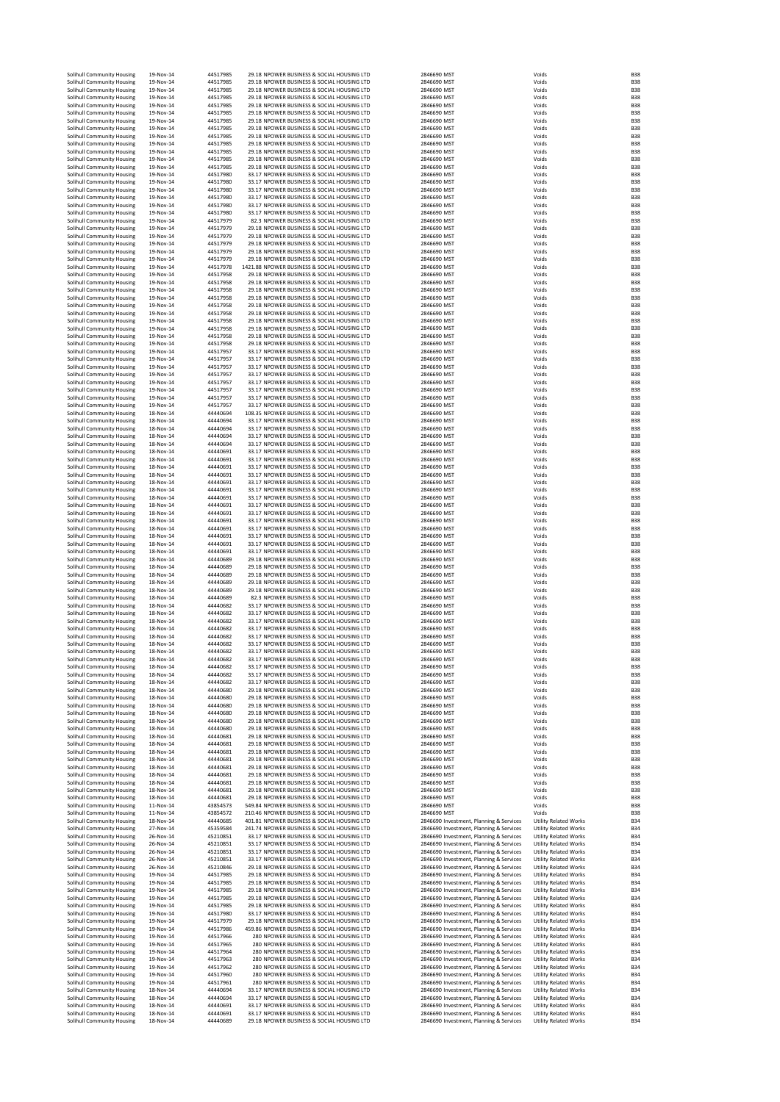|  | Solihull Community Housing                               | 19-Nov-14              | 44517985             | 29.18 NPOWER BUSINESS & SOCIAL HOUSING LTD<br>29.18 NPOWER BUSINESS & SOCIAL HOUSING LTD   | 2846690 MST                                                                        | Voids                                                        | <b>B38</b><br><b>B38</b>                             |
|--|----------------------------------------------------------|------------------------|----------------------|--------------------------------------------------------------------------------------------|------------------------------------------------------------------------------------|--------------------------------------------------------------|------------------------------------------------------|
|  | Solihull Community Housing<br>Solihull Community Housing | 19-Nov-14<br>19-Nov-14 | 44517985<br>44517985 | 29.18 NPOWER BUSINESS & SOCIAL HOUSING LTD                                                 | 2846690 MST<br>2846690 MST                                                         | Voids<br>Voids                                               | <b>B38</b>                                           |
|  | Solihull Community Housing                               | 19-Nov-14              | 44517985             | 29.18 NPOWER BUSINESS & SOCIAL HOUSING LTD                                                 | 2846690 MST                                                                        | Voids                                                        | <b>B38</b>                                           |
|  | Solihull Community Housing                               | 19-Nov-14              | 44517985             | 29.18 NPOWER BUSINESS & SOCIAL HOUSING LTD                                                 | 2846690 MST                                                                        | Voids                                                        | <b>B38</b>                                           |
|  | Solihull Community Housing                               | 19-Nov-14              | 44517985             | 29.18 NPOWER BUSINESS & SOCIAL HOUSING LTD                                                 | 2846690 MST                                                                        | Voids                                                        | <b>B38</b>                                           |
|  | Solihull Community Housing<br>Solihull Community Housing | 19-Nov-14<br>19-Nov-14 | 44517985<br>44517985 | 29.18 NPOWER BUSINESS & SOCIAL HOUSING LTD<br>29.18 NPOWER BUSINESS & SOCIAL HOUSING LTD   | 2846690 MST<br>2846690 MST                                                         | Voids<br>Voids                                               | <b>B38</b><br><b>B38</b>                             |
|  | Solihull Community Housing                               | 19-Nov-14              | 44517985             | 29.18 NPOWER BUSINESS & SOCIAL HOUSING LTD                                                 | 2846690 MST                                                                        | Voids                                                        | <b>B38</b>                                           |
|  | Solihull Community Housing                               | 19-Nov-14              | 44517985             | 29.18 NPOWER BUSINESS & SOCIAL HOUSING LTD                                                 | 2846690 MST                                                                        | Voids                                                        | <b>B38</b>                                           |
|  | Solihull Community Housing<br>Solihull Community Housing | 19-Nov-14              | 44517985<br>44517985 | 29.18 NPOWER BUSINESS & SOCIAL HOUSING LTD<br>29.18 NPOWER BUSINESS & SOCIAL HOUSING LTD   | 2846690 MST<br>2846690 MST                                                         | Voids                                                        | <b>B38</b><br><b>B38</b>                             |
|  | Solihull Community Housing                               | 19-Nov-14<br>19-Nov-14 | 44517985             | 29.18 NPOWER BUSINESS & SOCIAL HOUSING LTD                                                 | 2846690 MST                                                                        | Voids<br>Voids                                               | <b>B38</b>                                           |
|  | Solihull Community Housing                               | 19-Nov-14              | 44517980             | 33.17 NPOWER BUSINESS & SOCIAL HOUSING LTD                                                 | 2846690 MST                                                                        | Voids                                                        | <b>B38</b>                                           |
|  | Solihull Community Housing                               | 19-Nov-14              | 44517980             | 33.17 NPOWER BUSINESS & SOCIAL HOUSING LTD                                                 | 2846690 MST                                                                        | Voids                                                        | <b>B38</b>                                           |
|  | Solihull Community Housing<br>Solihull Community Housing | 19-Nov-14<br>19-Nov-14 | 44517980<br>44517980 | 33.17 NPOWER BUSINESS & SOCIAL HOUSING LTD<br>33.17 NPOWER BUSINESS & SOCIAL HOUSING LTD   | 2846690 MST<br>2846690 MST                                                         | Voids<br>Voids                                               | <b>B38</b><br><b>B38</b>                             |
|  | Solihull Community Housing                               | 19-Nov-14              | 44517980             | 33.17 NPOWER BUSINESS & SOCIAL HOUSING LTD                                                 | 2846690 MST                                                                        | Voids                                                        | <b>B38</b>                                           |
|  | Solihull Community Housing                               | 19-Nov-14              | 44517980             | 33.17 NPOWER BUSINESS & SOCIAL HOUSING LTD                                                 | 2846690 MST                                                                        | Voids                                                        | <b>B38</b>                                           |
|  | Solihull Community Housing                               | 19-Nov-14              | 44517979             | 82.3 NPOWER BUSINESS & SOCIAL HOUSING LTD                                                  | 2846690 MST                                                                        | Voids                                                        | <b>B38</b>                                           |
|  | Solihull Community Housing<br>Solihull Community Housing | 19-Nov-14<br>19-Nov-14 | 44517979<br>44517979 | 29.18 NPOWER BUSINESS & SOCIAL HOUSING LTD<br>29.18 NPOWER BUSINESS & SOCIAL HOUSING LTD   | 2846690 MST<br>2846690 MST                                                         | Voids<br>Voids                                               | <b>B38</b><br><b>B38</b>                             |
|  | Solihull Community Housing                               | 19-Nov-14              | 44517979             | 29.18 NPOWER BUSINESS & SOCIAL HOUSING LTD                                                 | 2846690 MST                                                                        | Voids                                                        | <b>B38</b>                                           |
|  | Solihull Community Housing                               | 19-Nov-14              | 44517979             | 29.18 NPOWER BUSINESS & SOCIAL HOUSING LTD                                                 | 2846690 MST                                                                        | Voids                                                        | <b>B38</b>                                           |
|  | Solihull Community Housing                               | 19-Nov-14              | 44517979             | 29.18 NPOWER BUSINESS & SOCIAL HOUSING LTD                                                 | 2846690 MST                                                                        | Voids                                                        | <b>B38</b>                                           |
|  | Solihull Community Housing<br>Solihull Community Housing | 19-Nov-14<br>19-Nov-14 | 44517978<br>44517958 | 1421.88 NPOWER BUSINESS & SOCIAL HOUSING LTD<br>29.18 NPOWER BUSINESS & SOCIAL HOUSING LTD | 2846690 MST<br>2846690 MST                                                         | Voids<br>Voids                                               | <b>B38</b><br><b>B38</b>                             |
|  | Solihull Community Housing                               | 19-Nov-14              | 44517958             | 29.18 NPOWER BUSINESS & SOCIAL HOUSING LTD                                                 | 2846690 MST                                                                        | Voids                                                        | <b>B38</b>                                           |
|  | Solihull Community Housing                               | 19-Nov-14              | 44517958             | 29.18 NPOWER BUSINESS & SOCIAL HOUSING LTD                                                 | 2846690 MST                                                                        | Voids                                                        | <b>B38</b>                                           |
|  | Solihull Community Housing                               | 19-Nov-14              | 44517958             | 29.18 NPOWER BUSINESS & SOCIAL HOUSING LTD                                                 | 2846690 MST                                                                        | Voids                                                        | <b>B38</b><br><b>B38</b>                             |
|  | Solihull Community Housing<br>Solihull Community Housing | 19-Nov-14<br>19-Nov-14 | 44517958<br>44517958 | 29.18 NPOWER BUSINESS & SOCIAL HOUSING LTD<br>29.18 NPOWER BUSINESS & SOCIAL HOUSING LTD   | 2846690 MST<br>2846690 MST                                                         | Voids<br>Voids                                               | <b>B38</b>                                           |
|  | Solihull Community Housing                               | 19-Nov-14              | 44517958             | 29.18 NPOWER BUSINESS & SOCIAL HOUSING LTD                                                 | 2846690 MST                                                                        | Voids                                                        | <b>B38</b>                                           |
|  | Solihull Community Housing                               | 19-Nov-14              | 44517958             | 29.18 NPOWER BUSINESS & SOCIAL HOUSING LTD                                                 | 2846690 MST                                                                        | Voids                                                        | <b>B38</b>                                           |
|  | Solihull Community Housing<br>Solihull Community Housing | 19-Nov-14<br>19-Nov-14 | 44517958<br>44517958 | 29.18 NPOWER BUSINESS & SOCIAL HOUSING LTD<br>29.18 NPOWER BUSINESS & SOCIAL HOUSING LTD   | 2846690 MST<br>2846690 MST                                                         | Voids<br>Voids                                               | <b>B38</b><br><b>B38</b>                             |
|  | Solihull Community Housing                               | 19-Nov-14              | 44517957             | 33.17 NPOWER BUSINESS & SOCIAL HOUSING LTD                                                 | 2846690 MST                                                                        | Voids                                                        | <b>B38</b>                                           |
|  | Solihull Community Housing                               | 19-Nov-14              | 44517957             | 33.17 NPOWER BUSINESS & SOCIAL HOUSING LTD                                                 | 2846690 MST                                                                        | Voids                                                        | <b>B38</b>                                           |
|  | Solihull Community Housing                               | 19-Nov-14              | 44517957             | 33.17 NPOWER BUSINESS & SOCIAL HOUSING LTD                                                 | 2846690 MST                                                                        | Voids                                                        | <b>B38</b><br><b>B38</b>                             |
|  | Solihull Community Housing<br>Solihull Community Housing | 19-Nov-14<br>19-Nov-14 | 44517957<br>44517957 | 33.17 NPOWER BUSINESS & SOCIAL HOUSING LTD<br>33.17 NPOWER BUSINESS & SOCIAL HOUSING LTD   | 2846690 MST<br>2846690 MST                                                         | Voids<br>Voids                                               | <b>B38</b>                                           |
|  | Solihull Community Housing                               | 19-Nov-14              | 44517957             | 33.17 NPOWER BUSINESS & SOCIAL HOUSING LTD                                                 | 2846690 MST                                                                        | Voids                                                        | <b>B38</b>                                           |
|  | Solihull Community Housing                               | 19-Nov-14              | 44517957             | 33.17 NPOWER BUSINESS & SOCIAL HOUSING LTD                                                 | 2846690 MST                                                                        | Voids                                                        | <b>B38</b>                                           |
|  | Solihull Community Housing                               | 19-Nov-14              | 44517957<br>44440694 | 33.17 NPOWER BUSINESS & SOCIAL HOUSING LTD                                                 | 2846690 MST                                                                        | Voids                                                        | <b>B38</b>                                           |
|  | Solihull Community Housing<br>Solihull Community Housing | 18-Nov-14<br>18-Nov-14 | 44440694             | 108.35 NPOWER BUSINESS & SOCIAL HOUSING LTD<br>33.17 NPOWER BUSINESS & SOCIAL HOUSING LTD  | 2846690 MST<br>2846690 MST                                                         | Voids<br>Voids                                               | <b>B38</b><br><b>B38</b>                             |
|  | Solihull Community Housing                               | 18-Nov-14              | 44440694             | 33.17 NPOWER BUSINESS & SOCIAL HOUSING LTD                                                 | 2846690 MST                                                                        | Voids                                                        | <b>B38</b>                                           |
|  | Solihull Community Housing                               | 18-Nov-14              | 44440694             | 33.17 NPOWER BUSINESS & SOCIAL HOUSING LTD                                                 | 2846690 MST                                                                        | Voids                                                        | <b>B38</b>                                           |
|  | Solihull Community Housing                               | 18-Nov-14              | 44440694             | 33.17 NPOWER BUSINESS & SOCIAL HOUSING LTD                                                 | 2846690 MST                                                                        | Voids                                                        | <b>B38</b><br><b>B38</b>                             |
|  | Solihull Community Housing<br>Solihull Community Housing | 18-Nov-14<br>18-Nov-14 | 44440691<br>44440691 | 33.17 NPOWER BUSINESS & SOCIAL HOUSING LTD<br>33.17 NPOWER BUSINESS & SOCIAL HOUSING LTD   | 2846690 MST<br>2846690 MST                                                         | Voids<br>Voids                                               | <b>B38</b>                                           |
|  | Solihull Community Housing                               | 18-Nov-14              | 44440691             | 33.17 NPOWER BUSINESS & SOCIAL HOUSING LTD                                                 | 2846690 MST                                                                        | Voids                                                        | <b>B38</b>                                           |
|  | Solihull Community Housing                               | 18-Nov-14              | 44440691             | 33.17 NPOWER BUSINESS & SOCIAL HOUSING LTD                                                 | 2846690 MST                                                                        | Voids                                                        | <b>B38</b>                                           |
|  | Solihull Community Housing                               | 18-Nov-14<br>18-Nov-14 | 44440691<br>44440691 | 33.17 NPOWER BUSINESS & SOCIAL HOUSING LTD                                                 | 2846690 MST<br>2846690 MST                                                         | Voids<br>Voids                                               | <b>B38</b><br><b>B38</b>                             |
|  | Solihull Community Housing<br>Solihull Community Housing | 18-Nov-14              | 44440691             | 33.17 NPOWER BUSINESS & SOCIAL HOUSING LTD<br>33.17 NPOWER BUSINESS & SOCIAL HOUSING LTD   | 2846690 MST                                                                        | Voids                                                        | <b>B38</b>                                           |
|  | Solihull Community Housing                               | 18-Nov-14              | 44440691             | 33.17 NPOWER BUSINESS & SOCIAL HOUSING LTD                                                 | 2846690 MST                                                                        | Voids                                                        | <b>B38</b>                                           |
|  | Solihull Community Housing                               | 18-Nov-14              | 44440691             | 33.17 NPOWER BUSINESS & SOCIAL HOUSING LTD                                                 | 2846690 MST                                                                        | Voids                                                        | <b>B38</b>                                           |
|  | Solihull Community Housing<br>Solihull Community Housing | 18-Nov-14<br>18-Nov-14 | 44440691<br>44440691 | 33.17 NPOWER BUSINESS & SOCIAL HOUSING LTD<br>33.17 NPOWER BUSINESS & SOCIAL HOUSING LTD   | 2846690 MST<br>2846690 MST                                                         | Voids<br>Voids                                               | <b>B38</b><br><b>B38</b>                             |
|  | Solihull Community Housing                               | 18-Nov-14              | 44440691             | 33.17 NPOWER BUSINESS & SOCIAL HOUSING LTD                                                 | 2846690 MST                                                                        | Voids                                                        | <b>B38</b>                                           |
|  | Solihull Community Housing                               | 18-Nov-14              | 44440691             | 33.17 NPOWER BUSINESS & SOCIAL HOUSING LTD                                                 | 2846690 MST                                                                        | Voids                                                        | <b>B38</b>                                           |
|  | Solihull Community Housing                               | 18-Nov-14              | 44440691             | 33.17 NPOWER BUSINESS & SOCIAL HOUSING LTD                                                 | 2846690 MST                                                                        | Voids                                                        | <b>B38</b><br><b>B38</b>                             |
|  | Solihull Community Housing<br>Solihull Community Housing | 18-Nov-14<br>18-Nov-14 | 44440689<br>44440689 | 29.18 NPOWER BUSINESS & SOCIAL HOUSING LTD<br>29.18 NPOWER BUSINESS & SOCIAL HOUSING LTD   | 2846690 MST<br>2846690 MST                                                         | Voids<br>Voids                                               | <b>B38</b>                                           |
|  | Solihull Community Housing                               | 18-Nov-14              | 44440689             | 29.18 NPOWER BUSINESS & SOCIAL HOUSING LTD                                                 | 2846690 MST                                                                        | Voids                                                        | <b>B38</b>                                           |
|  | Solihull Community Housing                               | 18-Nov-14              | 44440689             | 29.18 NPOWER BUSINESS & SOCIAL HOUSING LTD                                                 | 2846690 MST                                                                        | Voids                                                        | <b>B38</b>                                           |
|  | Solihull Community Housing                               | 18-Nov-14              | 44440689<br>44440689 | 29.18 NPOWER BUSINESS & SOCIAL HOUSING LTD<br>82.3 NPOWER BUSINESS & SOCIAL HOUSING LTD    | 2846690 MST                                                                        | Voids                                                        | <b>B38</b><br><b>B38</b>                             |
|  | Solihull Community Housing<br>Solihull Community Housing | 18-Nov-14<br>18-Nov-14 | 44440682             | 33.17 NPOWER BUSINESS & SOCIAL HOUSING LTD                                                 | 2846690 MST<br>2846690 MST                                                         | Voids<br>Voids                                               | <b>B38</b>                                           |
|  | Solihull Community Housing                               | 18-Nov-14              | 44440682             | 33.17 NPOWER BUSINESS & SOCIAL HOUSING LTD                                                 | 2846690 MST                                                                        | Voids                                                        | <b>B38</b>                                           |
|  | Solihull Community Housing                               | 18-Nov-14              | 44440682             | 33.17 NPOWER BUSINESS & SOCIAL HOUSING LTD                                                 | 2846690 MST                                                                        | Voids                                                        | <b>B38</b>                                           |
|  | Solihull Community Housing<br>Solihull Community Housing | 18-Nov-14<br>18-Nov-14 | 44440682<br>44440682 | 33.17 NPOWER BUSINESS & SOCIAL HOUSING LTD<br>33.17 NPOWER BUSINESS & SOCIAL HOUSING LTD   | 2846690 MST<br>2846690 MST                                                         | Voids<br>Voids                                               | <b>B38</b><br><b>B38</b>                             |
|  | Solihull Community Housing                               | 18-Nov-14              | 44440682             | 33.17 NPOWER BUSINESS & SOCIAL HOUSING LTD                                                 | 2846690 MST                                                                        | Voids                                                        | <b>B38</b>                                           |
|  | Solihull Community Housing                               | 18-Nov-14              | 44440682             | 33.17 NPOWER BUSINESS & SOCIAL HOUSING LTD                                                 | 2846690 MST                                                                        | Voids                                                        | <b>B38</b>                                           |
|  | Solihull Community Housing                               | 18-Nov-14              | 44440682             | 33.17 NPOWER BUSINESS & SOCIAL HOUSING LTD                                                 | 2846690 MST                                                                        | Voids                                                        | <b>B38</b>                                           |
|  | Solihull Community Housing<br>Solihull Community Housing | 18-Nov-14<br>18-Nov-14 | 44440682<br>44440682 | 33.17 NPOWER BUSINESS & SOCIAL HOUSING LTD<br>33.17 NPOWER BUSINESS & SOCIAL HOUSING LTD   | 2846690 MST<br>2846690 MST                                                         | Voids<br>Voids                                               | <b>B38</b><br><b>B38</b>                             |
|  | Solihull Community Housing                               | 18-Nov-14              | 44440682             | 33.17 NPOWER BUSINESS & SOCIAL HOUSING LTD                                                 | 2846690 MST                                                                        | Voids                                                        | <b>B38</b>                                           |
|  | Solihull Community Housing                               | 18-Nov-14              | 44440680             | 29.18 NPOWER BUSINESS & SOCIAL HOUSING LTD                                                 | 2846690 MST                                                                        | Voids                                                        | <b>B38</b>                                           |
|  | Solihull Community Housing<br>Solihull Community Housing | 18-Nov-14<br>18-Nov-14 | 44440680<br>44440680 | 29.18 NPOWER BUSINESS & SOCIAL HOUSING LTD<br>29.18 NPOWER BUSINESS & SOCIAL HOUSING LTD   | 2846690 MST<br>2846690 MST                                                         | Voids<br>Voids                                               | <b>B38</b><br><b>B38</b>                             |
|  | Solihull Community Housing                               | 18-Nov-14              | 44440680             | 29.18 NPOWER BUSINESS & SOCIAL HOUSING LTD                                                 | 2846690 MST                                                                        | Voids                                                        | <b>B38</b>                                           |
|  | Solihull Community Housing                               | 18-Nov-14              | 44440680             | 29.18 NPOWER BUSINESS & SOCIAL HOUSING LTD                                                 | 2846690 MST                                                                        | Voids                                                        | <b>B38</b>                                           |
|  | Solihull Community Housing                               | 18-Nov-14              | 44440680             | 29.18 NPOWER BUSINESS & SOCIAL HOUSING LTD                                                 | 2846690 MST                                                                        | Voids                                                        | <b>B38</b>                                           |
|  | Solihull Community Housing<br>Solihull Community Housing | 18-Nov-14<br>18-Nov-14 | 44440681<br>44440681 | 29.18 NPOWER BUSINESS & SOCIAL HOUSING LTD<br>29.18 NPOWER BUSINESS & SOCIAL HOUSING LTD   | 2846690 MST<br>2846690 MST                                                         | Voids<br>Voids                                               | <b>B38</b><br><b>B38</b>                             |
|  | Solihull Community Housing                               | 18-Nov-14              | 44440681             | 29.18 NPOWER BUSINESS & SOCIAL HOUSING LTD                                                 | 2846690 MST                                                                        | Voids                                                        | <b>B38</b>                                           |
|  | Solihull Community Housing                               | 18-Nov-14              | 44440681             | 29.18 NPOWER BUSINESS & SOCIAL HOUSING LTD                                                 | 2846690 MST                                                                        | Voids                                                        | <b>B38</b>                                           |
|  | Solihull Community Housing<br>Solihull Community Housing | 18-Nov-14<br>18-Nov-14 | 44440681<br>44440681 | 29.18 NPOWER BUSINESS & SOCIAL HOUSING LTD<br>29.18 NPOWER BUSINESS & SOCIAL HOUSING LTD   | 2846690 MST<br>2846690 MST                                                         | Voids<br>Voids                                               | <b>B38</b><br><b>B38</b>                             |
|  | Solihull Community Housing                               | 18-Nov-14              | 44440681             | 29.18 NPOWER BUSINESS & SOCIAL HOUSING LTD                                                 | 2846690 MST                                                                        | Voids                                                        | <b>B38</b>                                           |
|  | Solihull Community Housing                               | 18-Nov-14              | 44440681             | 29.18 NPOWER BUSINESS & SOCIAL HOUSING LTD                                                 | 2846690 MST                                                                        | Voids                                                        | <b>B38</b>                                           |
|  | Solihull Community Housing<br>Solihull Community Housing | 18-Nov-14              | 44440681             | 29.18 NPOWER BUSINESS & SOCIAL HOUSING LTD<br>549.84 NPOWER BUSINESS & SOCIAL HOUSING LTD  | 2846690 MST                                                                        | Voids<br>Voids                                               | <b>B38</b><br><b>B38</b>                             |
|  | Solihull Community Housing                               | 11-Nov-14<br>11-Nov-14 | 43854573<br>43854572 | 210.46 NPOWER BUSINESS & SOCIAL HOUSING LTD                                                | 2846690 MST<br>2846690 MST                                                         | Voids                                                        | <b>B38</b>                                           |
|  | Solihull Community Housing                               | 18-Nov-14              | 44440685             | 401.81 NPOWER BUSINESS & SOCIAL HOUSING LTD                                                | 2846690 Investment, Planning & Services                                            | <b>Utility Related Works</b>                                 | <b>B34</b>                                           |
|  | Solihull Community Housing                               | 27-Nov-14              | 45359584             | 241.74 NPOWER BUSINESS & SOCIAL HOUSING LTD                                                | 2846690 Investment, Planning & Services                                            | <b>Utility Related Works</b>                                 | <b>B34</b>                                           |
|  | Solihull Community Housing<br>Solihull Community Housing | 26-Nov-14<br>26-Nov-14 | 45210851<br>45210851 | 33.17 NPOWER BUSINESS & SOCIAL HOUSING LTD<br>33.17 NPOWER BUSINESS & SOCIAL HOUSING LTD   | 2846690 Investment, Planning & Services<br>2846690 Investment, Planning & Services | <b>Utility Related Works</b><br><b>Utility Related Works</b> | <b>B34</b><br><b>B34</b>                             |
|  | Solihull Community Housing                               | 26-Nov-14              | 45210851             | 33.17 NPOWER BUSINESS & SOCIAL HOUSING LTD                                                 | 2846690 Investment, Planning & Services                                            | <b>Utility Related Works</b>                                 | <b>B34</b>                                           |
|  | Solihull Community Housing                               | 26-Nov-14              | 45210851             | 33.17 NPOWER BUSINESS & SOCIAL HOUSING LTD                                                 | 2846690 Investment, Planning & Services                                            | <b>Utility Related Works</b>                                 | <b>B34</b>                                           |
|  | Solihull Community Housing<br>Solihull Community Housing | 26-Nov-14<br>19-Nov-14 | 45210846<br>44517985 | 29.18 NPOWER BUSINESS & SOCIAL HOUSING LTD<br>29.18 NPOWER BUSINESS & SOCIAL HOUSING LTD   | 2846690 Investment, Planning & Services<br>2846690 Investment, Planning & Services | <b>Utility Related Works</b><br><b>Utility Related Works</b> | <b>B34</b><br><b>B34</b>                             |
|  | Solihull Community Housing                               | 19-Nov-14              | 44517985             | 29.18 NPOWER BUSINESS & SOCIAL HOUSING LTD                                                 | 2846690 Investment, Planning & Services                                            | <b>Utility Related Works</b>                                 | <b>B34</b>                                           |
|  | Solihull Community Housing                               | 19-Nov-14              | 44517985             | 29.18 NPOWER BUSINESS & SOCIAL HOUSING LTD                                                 | 2846690 Investment, Planning & Services                                            | <b>Utility Related Works</b>                                 | <b>B34</b>                                           |
|  | Solihull Community Housing                               | 19-Nov-14              | 44517985             | 29.18 NPOWER BUSINESS & SOCIAL HOUSING LTD                                                 | 2846690 Investment, Planning & Services                                            | <b>Utility Related Works</b>                                 | <b>B34</b><br><b>B34</b>                             |
|  | Solihull Community Housing<br>Solihull Community Housing | 19-Nov-14<br>19-Nov-14 | 44517985<br>44517980 | 29.18 NPOWER BUSINESS & SOCIAL HOUSING LTD<br>33.17 NPOWER BUSINESS & SOCIAL HOUSING LTD   | 2846690 Investment, Planning & Services<br>2846690 Investment, Planning & Services | <b>Utility Related Works</b><br><b>Utility Related Works</b> | <b>B34</b>                                           |
|  | Solihull Community Housing                               | 19-Nov-14              | 44517979             | 29.18 NPOWER BUSINESS & SOCIAL HOUSING LTD                                                 | 2846690 Investment, Planning & Services                                            | <b>Utility Related Works</b>                                 | <b>B34</b>                                           |
|  | Solihull Community Housing                               | 19-Nov-14              | 44517986             | 459.86 NPOWER BUSINESS & SOCIAL HOUSING LTD                                                | 2846690 Investment, Planning & Services                                            | <b>Utility Related Works</b>                                 | <b>B34</b>                                           |
|  | Solihull Community Housing<br>Solihull Community Housing | 19-Nov-14<br>19-Nov-14 | 44517966<br>44517965 | 280 NPOWER BUSINESS & SOCIAL HOUSING LTD<br>280 NPOWER BUSINESS & SOCIAL HOUSING LTD       | 2846690 Investment, Planning & Services<br>2846690 Investment, Planning & Services | <b>Utility Related Works</b><br><b>Utility Related Works</b> | <b>B34</b><br><b>B34</b>                             |
|  | Solihull Community Housing                               | 19-Nov-14              | 44517964             | 280 NPOWER BUSINESS & SOCIAL HOUSING LTD                                                   | 2846690 Investment, Planning & Services                                            | <b>Utility Related Works</b>                                 | <b>B34</b>                                           |
|  | Solihull Community Housing                               | 19-Nov-14              | 44517963             | 280 NPOWER BUSINESS & SOCIAL HOUSING LTD                                                   | 2846690 Investment, Planning & Services                                            | <b>Utility Related Works</b>                                 | <b>B34</b>                                           |
|  | Solihull Community Housing                               | 19-Nov-14              | 44517962             | 280 NPOWER BUSINESS & SOCIAL HOUSING LTD                                                   | 2846690 Investment, Planning & Services                                            | <b>Utility Related Works</b>                                 | <b>B34</b>                                           |
|  | Solihull Community Housing                               | 19-Nov-14              | 44517960             | 280 NPOWER BUSINESS & SOCIAL HOUSING LTD<br>280 NPOWER BUSINESS & SOCIAL HOUSING LTD       | 2846690 Investment, Planning & Services<br>2846690 Investment, Planning & Services | <b>Utility Related Works</b><br><b>Utility Related Works</b> | <b>B34</b><br><b>B34</b>                             |
|  |                                                          |                        |                      |                                                                                            |                                                                                    |                                                              |                                                      |
|  | Solihull Community Housing<br>Solihull Community Housing | 19-Nov-14<br>18-Nov-14 | 44517961<br>44440694 | 33.17 NPOWER BUSINESS & SOCIAL HOUSING LTD                                                 | 2846690 Investment, Planning & Services                                            | <b>Utility Related Works</b>                                 | <b>B34</b>                                           |
|  | Solihull Community Housing                               | 18-Nov-14              | 44440694             | 33.17 NPOWER BUSINESS & SOCIAL HOUSING LTD                                                 | 2846690 Investment, Planning & Services                                            | <b>Utility Related Works</b>                                 |                                                      |
|  | Solihull Community Housing                               | 18-Nov-14              | 44440691             | 33.17 NPOWER BUSINESS & SOCIAL HOUSING LTD                                                 | 2846690 Investment, Planning & Services                                            | <b>Utility Related Works</b>                                 |                                                      |
|  | Solihull Community Housing<br>Solihull Community Housing | 18-Nov-14<br>18-Nov-14 | 44440691<br>44440689 | 33.17 NPOWER BUSINESS & SOCIAL HOUSING LTD<br>29.18 NPOWER BUSINESS & SOCIAL HOUSING LTD   | 2846690 Investment, Planning & Services<br>2846690 Investment, Planning & Services | <b>Utility Related Works</b><br><b>Utility Related Works</b> | <b>B34</b><br><b>B34</b><br><b>B34</b><br><b>B34</b> |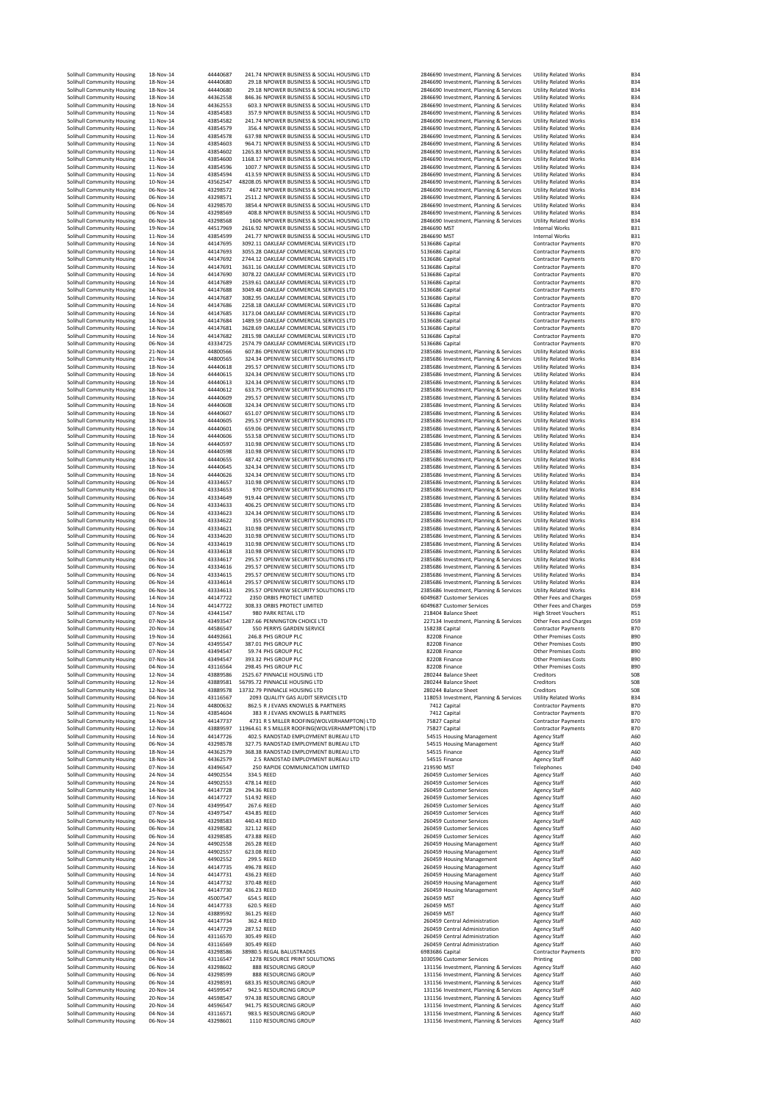|  | Solihull Community Housing                               | 18-Nov-14              | 44440687             | 241.74 NPOWER BUSINESS & SOCIAL HOUSING LTD                                                  | 2846690 Investment, Planning & Services                                            | <b>Utility Related Works</b>                                 | <b>B34</b>                    |
|--|----------------------------------------------------------|------------------------|----------------------|----------------------------------------------------------------------------------------------|------------------------------------------------------------------------------------|--------------------------------------------------------------|-------------------------------|
|  | Solihull Community Housing                               | 18-Nov-14              | 44440680             | 29.18 NPOWER BUSINESS & SOCIAL HOUSING LTD                                                   | 2846690 Investment, Planning & Services                                            | <b>Utility Related Works</b>                                 | <b>B34</b>                    |
|  | Solihull Community Housing                               | 18-Nov-14              | 44440680             | 29.18 NPOWER BUSINESS & SOCIAL HOUSING LTD                                                   | 2846690 Investment, Planning & Services                                            | <b>Utility Related Works</b>                                 | <b>B34</b>                    |
|  | Solihull Community Housing                               | 18-Nov-14<br>18-Nov-14 | 44362558<br>44362553 | 846.36 NPOWER BUSINESS & SOCIAL HOUSING LTD<br>603.3 NPOWER BUSINESS & SOCIAL HOUSING LTD    | 2846690 Investment, Planning & Services                                            | <b>Utility Related Works</b><br><b>Utility Related Works</b> | <b>B34</b><br><b>B34</b>      |
|  | Solihull Community Housing<br>Solihull Community Housing | 11-Nov-14              | 43854583             | 357.9 NPOWER BUSINESS & SOCIAL HOUSING LTD                                                   | 2846690 Investment, Planning & Services<br>2846690 Investment, Planning & Services | <b>Utility Related Works</b>                                 | <b>B34</b>                    |
|  | Solihull Community Housing                               | 11-Nov-14              | 43854582             | 241.74 NPOWER BUSINESS & SOCIAL HOUSING LTD                                                  | 2846690 Investment, Planning & Services                                            | <b>Utility Related Works</b>                                 | <b>B34</b>                    |
|  | Solihull Community Housing                               | 11-Nov-14              | 43854579             | 356.4 NPOWER BUSINESS & SOCIAL HOUSING LTD                                                   | 2846690 Investment, Planning & Services                                            | <b>Utility Related Works</b>                                 | <b>B34</b>                    |
|  | Solihull Community Housing                               | 11-Nov-14              | 43854578             | 637.98 NPOWER BUSINESS & SOCIAL HOUSING LTD                                                  | 2846690 Investment, Planning & Services                                            | <b>Utility Related Works</b>                                 | <b>B34</b>                    |
|  | Solihull Community Housing                               | 11-Nov-14              | 43854603             | 964.71 NPOWER BUSINESS & SOCIAL HOUSING LTD                                                  | 2846690 Investment, Planning & Services                                            | <b>Utility Related Works</b>                                 | <b>B34</b>                    |
|  | Solihull Community Housing                               | 11-Nov-14              | 43854602             | 1265.83 NPOWER BUSINESS & SOCIAL HOUSING LTD                                                 | 2846690 Investment, Planning & Services<br>2846690 Investment, Planning & Services | <b>Utility Related Works</b><br><b>Utility Related Works</b> | <b>B34</b>                    |
|  | Solihull Community Housing<br>Solihull Community Housing | 11-Nov-14<br>11-Nov-14 | 43854600<br>43854596 | 1168.17 NPOWER BUSINESS & SOCIAL HOUSING LTD<br>1007.7 NPOWER BUSINESS & SOCIAL HOUSING LTD  | 2846690 Investment, Planning & Services                                            | <b>Utility Related Works</b>                                 | <b>B34</b><br><b>B34</b>      |
|  | Solihull Community Housing                               | 11-Nov-14              | 43854594             | 413.59 NPOWER BUSINESS & SOCIAL HOUSING LTD                                                  | 2846690 Investment, Planning & Services                                            | <b>Utility Related Works</b>                                 | <b>B34</b>                    |
|  | Solihull Community Housing                               | 10-Nov-14              | 43562547             | 48208.05 NPOWER BUSINESS & SOCIAL HOUSING LTD                                                | 2846690 Investment, Planning & Services                                            | <b>Utility Related Works</b>                                 | <b>B34</b>                    |
|  | Solihull Community Housing                               | 06-Nov-14              | 43298572             | 4672 NPOWER BUSINESS & SOCIAL HOUSING LTD                                                    | 2846690 Investment, Planning & Services                                            | <b>Utility Related Works</b>                                 | <b>B34</b>                    |
|  | Solihull Community Housing                               | 06-Nov-14              | 43298571             | 2511.2 NPOWER BUSINESS & SOCIAL HOUSING LTD                                                  | 2846690 Investment, Planning & Services                                            | <b>Utility Related Works</b>                                 | <b>B34</b>                    |
|  | Solihull Community Housing                               | 06-Nov-14              | 43298570             | 3854.4 NPOWER BUSINESS & SOCIAL HOUSING LTD                                                  | 2846690 Investment, Planning & Services                                            | <b>Utility Related Works</b>                                 | <b>B34</b>                    |
|  | Solihull Community Housing<br>Solihull Community Housing | 06-Nov-14              | 43298569             | 408.8 NPOWER BUSINESS & SOCIAL HOUSING LTD<br>1606 NPOWER BUSINESS & SOCIAL HOUSING LTD      | 2846690 Investment, Planning & Services<br>2846690 Investment, Planning & Services | <b>Utility Related Works</b>                                 | <b>B34</b><br><b>B34</b>      |
|  | Solihull Community Housing                               | 06-Nov-14<br>19-Nov-14 | 43298568<br>44517969 | 2616.92 NPOWER BUSINESS & SOCIAL HOUSING LTD                                                 | 2846690 MST                                                                        | <b>Utility Related Works</b><br>Internal Works               | <b>B31</b>                    |
|  | Solihull Community Housing                               | 11-Nov-14              | 43854599             | 241.77 NPOWER BUSINESS & SOCIAL HOUSING LTD                                                  | 2846690 MST                                                                        | Internal Works                                               | <b>B31</b>                    |
|  | Solihull Community Housing                               | 14-Nov-14              | 44147695             | 3092.11 OAKLEAF COMMERCIAL SERVICES LTD                                                      | 5136686 Capital                                                                    | <b>Contractor Payments</b>                                   | <b>B70</b>                    |
|  | Solihull Community Housing                               | 14-Nov-14              | 44147693             | 3055.28 OAKLEAF COMMERCIAL SERVICES LTD                                                      | 5136686 Capital                                                                    | <b>Contractor Payments</b>                                   | <b>B70</b>                    |
|  | Solihull Community Housing                               | 14-Nov-14              | 44147692             | 2744.12 OAKLEAF COMMERCIAL SERVICES LTD                                                      | 5136686 Capital                                                                    | <b>Contractor Payments</b>                                   | <b>B70</b>                    |
|  | Solihull Community Housing                               | 14-Nov-14              | 44147691             | 3631.16 OAKLEAF COMMERCIAL SERVICES LTD                                                      | 5136686 Capital                                                                    | <b>Contractor Payments</b>                                   | <b>B70</b>                    |
|  | Solihull Community Housing                               | 14-Nov-14<br>14-Nov-14 | 44147690<br>44147689 | 3078.22 OAKLEAF COMMERCIAL SERVICES LTD<br>2539.61 OAKLEAF COMMERCIAL SERVICES LTD           | 5136686 Capital<br>5136686 Capital                                                 | <b>Contractor Payments</b>                                   | <b>B70</b><br><b>B70</b>      |
|  | Solihull Community Housing<br>Solihull Community Housing | 14-Nov-14              | 44147688             | 3049.48 OAKLEAF COMMERCIAL SERVICES LTD                                                      | 5136686 Capital                                                                    | <b>Contractor Payments</b><br><b>Contractor Payments</b>     | <b>B70</b>                    |
|  | Solihull Community Housing                               | 14-Nov-14              | 44147687             | 3082.95 OAKLEAF COMMERCIAL SERVICES LTD                                                      | 5136686 Capital                                                                    | <b>Contractor Payments</b>                                   | <b>B70</b>                    |
|  | Solihull Community Housing                               | 14-Nov-14              | 44147686             | 2258.18 OAKLEAF COMMERCIAL SERVICES LTD                                                      | 5136686 Capital                                                                    | <b>Contractor Payments</b>                                   | <b>B70</b>                    |
|  | Solihull Community Housing                               | 14-Nov-14              | 44147685             | 3173.04 OAKLEAF COMMERCIAL SERVICES LTD                                                      | 5136686 Capital                                                                    | <b>Contractor Payments</b>                                   | <b>B70</b>                    |
|  | Solihull Community Housing                               | 14-Nov-14              | 44147684             | 1489.59 OAKLEAF COMMERCIAL SERVICES LTD                                                      | 5136686 Capital                                                                    | <b>Contractor Payments</b>                                   | <b>B70</b>                    |
|  | Solihull Community Housing                               | 14-Nov-14              | 44147681             | 3628.69 OAKLEAF COMMERCIAL SERVICES LTD                                                      | 5136686 Capital                                                                    | <b>Contractor Payments</b>                                   | <b>B70</b>                    |
|  | Solihull Community Housing                               | 14-Nov-14<br>06-Nov-14 | 44147682<br>43334725 | 2815.98 OAKLEAF COMMERCIAL SERVICES LTD<br>2574.79 OAKLEAF COMMERCIAL SERVICES LTD           | 5136686 Capital<br>5136686 Capital                                                 | <b>Contractor Payments</b>                                   | <b>B70</b><br><b>B70</b>      |
|  | Solihull Community Housing<br>Solihull Community Housing | 21-Nov-14              | 44800566             | 607.86 OPENVIEW SECURITY SOLUTIONS LTD                                                       | 2385686 Investment, Planning & Services                                            | <b>Contractor Payments</b><br><b>Utility Related Works</b>   | <b>B34</b>                    |
|  | Solihull Community Housing                               | 21-Nov-14              | 44800565             | 324.34 OPENVIEW SECURITY SOLUTIONS LTD                                                       | 2385686 Investment, Planning & Services                                            | <b>Utility Related Works</b>                                 | <b>B34</b>                    |
|  | Solihull Community Housing                               | 18-Nov-14              | 44440618             | 295.57 OPENVIEW SECURITY SOLUTIONS LTD                                                       | 2385686 Investment, Planning & Services                                            | <b>Utility Related Works</b>                                 | <b>B34</b>                    |
|  | Solihull Community Housing                               | 18-Nov-14              | 44440615             | 324.34 OPENVIEW SECURITY SOLUTIONS LTD                                                       | 2385686 Investment, Planning & Services                                            | <b>Utility Related Works</b>                                 | <b>B34</b>                    |
|  | Solihull Community Housing                               | 18-Nov-14              | 44440613             | 324.34 OPENVIEW SECURITY SOLUTIONS LTD                                                       | 2385686 Investment, Planning & Services                                            | <b>Utility Related Works</b>                                 | <b>B34</b>                    |
|  | Solihull Community Housing                               | 18-Nov-14              | 44440612             | 633.75 OPENVIEW SECURITY SOLUTIONS LTD                                                       | 2385686 Investment, Planning & Services                                            | <b>Utility Related Works</b>                                 | <b>B34</b>                    |
|  | Solihull Community Housing                               | 18-Nov-14<br>18-Nov-14 | 44440609<br>44440608 | 295.57 OPENVIEW SECURITY SOLUTIONS LTD<br>324.34 OPENVIEW SECURITY SOLUTIONS LTD             | 2385686 Investment, Planning & Services                                            | <b>Utility Related Works</b><br><b>Utility Related Works</b> | <b>B34</b><br><b>B34</b>      |
|  | Solihull Community Housing<br>Solihull Community Housing |                        |                      |                                                                                              | 2385686 Investment, Planning & Services                                            | <b>Utility Related Works</b>                                 | <b>B34</b>                    |
|  | Solihull Community Housing                               | 18-Nov-14<br>18-Nov-14 | 44440607<br>44440605 | 651.07 OPENVIEW SECURITY SOLUTIONS LTD<br>295.57 OPENVIEW SECURITY SOLUTIONS LTD             | 2385686 Investment, Planning & Services<br>2385686 Investment, Planning & Services | <b>Utility Related Works</b>                                 | <b>B34</b>                    |
|  | Solihull Community Housing                               | 18-Nov-14              | 44440601             | 659.06 OPENVIEW SECURITY SOLUTIONS LTD                                                       | 2385686 Investment, Planning & Services                                            | <b>Utility Related Works</b>                                 | <b>B34</b>                    |
|  | Solihull Community Housing                               | 18-Nov-14              | 44440606             | 553.58 OPENVIEW SECURITY SOLUTIONS LTD                                                       | 2385686 Investment, Planning & Services                                            | <b>Utility Related Works</b>                                 | <b>B34</b>                    |
|  | Solihull Community Housing                               | 18-Nov-14              | 44440597             | 310.98 OPENVIEW SECURITY SOLUTIONS LTD                                                       | 2385686 Investment, Planning & Services                                            | <b>Utility Related Works</b>                                 | <b>B34</b>                    |
|  | Solihull Community Housing                               | 18-Nov-14              | 44440598             | 310.98 OPENVIEW SECURITY SOLUTIONS LTD                                                       | 2385686 Investment, Planning & Services                                            | <b>Utility Related Works</b>                                 | <b>B34</b>                    |
|  | Solihull Community Housing                               | 18-Nov-14              | 44440655             | 487.42 OPENVIEW SECURITY SOLUTIONS LTD                                                       | 2385686 Investment, Planning & Services                                            | <b>Utility Related Works</b>                                 | <b>B34</b>                    |
|  | Solihull Community Housing                               | 18-Nov-14              | 44440645             | 324.34 OPENVIEW SECURITY SOLUTIONS LTD                                                       | 2385686 Investment, Planning & Services                                            | Utility Related Works                                        | <b>B34</b>                    |
|  | Solihull Community Housing<br>Solihull Community Housing | 18-Nov-14<br>06-Nov-14 | 44440626<br>43334657 | 324.34 OPENVIEW SECURITY SOLUTIONS LTD<br>310.98 OPENVIEW SECURITY SOLUTIONS LTD             | 2385686 Investment, Planning & Services<br>2385686 Investment, Planning & Services | <b>Utility Related Works</b><br><b>Utility Related Works</b> | <b>B34</b><br><b>B34</b>      |
|  | Solihull Community Housing                               | 06-Nov-14              | 43334653             | 970 OPENVIEW SECURITY SOLUTIONS LTD                                                          | 2385686 Investment, Planning & Services                                            | <b>Utility Related Works</b>                                 | <b>B34</b>                    |
|  | Solihull Community Housing                               | 06-Nov-14              | 43334649             | 919.44 OPENVIEW SECURITY SOLUTIONS LTD                                                       | 2385686 Investment, Planning & Services                                            | <b>Utility Related Works</b>                                 | <b>B34</b>                    |
|  | Solihull Community Housing                               | 06-Nov-14              | 43334633             | 406.25 OPENVIEW SECURITY SOLUTIONS LTD                                                       | 2385686 Investment, Planning & Services                                            | <b>Utility Related Works</b>                                 | <b>B34</b>                    |
|  | Solihull Community Housing                               | 06-Nov-14              | 43334623             | 324.34 OPENVIEW SECURITY SOLUTIONS LTD                                                       | 2385686 Investment, Planning & Services                                            | <b>Utility Related Works</b>                                 | <b>B34</b>                    |
|  | Solihull Community Housing                               | 06-Nov-14              | 43334622             | 355 OPENVIEW SECURITY SOLUTIONS LTD                                                          | 2385686 Investment, Planning & Services                                            | <b>Utility Related Works</b>                                 | <b>B34</b>                    |
|  | Solihull Community Housing                               | 06-Nov-14<br>06-Nov-14 | 43334621<br>43334620 | 310.98 OPENVIEW SECURITY SOLUTIONS LTD<br>310.98 OPENVIEW SECURITY SOLUTIONS LTD             | 2385686 Investment, Planning & Services                                            | <b>Utility Related Works</b><br><b>Utility Related Works</b> | <b>B34</b><br><b>B34</b>      |
|  | Solihull Community Housing<br>Solihull Community Housing | 06-Nov-14              | 43334619             | 310.98 OPENVIEW SECURITY SOLUTIONS LTD                                                       | 2385686 Investment, Planning & Services<br>2385686 Investment, Planning & Services | <b>Utility Related Works</b>                                 | <b>B34</b>                    |
|  | Solihull Community Housing                               | 06-Nov-14              | 43334618             | 310.98 OPENVIEW SECURITY SOLUTIONS LTD                                                       | 2385686 Investment, Planning & Services                                            | <b>Utility Related Works</b>                                 | <b>B34</b>                    |
|  | Solihull Community Housing                               | 06-Nov-14              | 43334617             | 295.57 OPENVIEW SECURITY SOLUTIONS LTD                                                       | 2385686 Investment, Planning & Services                                            | Utility Related Works                                        | <b>B34</b>                    |
|  | Solihull Community Housing                               | 06-Nov-14              | 43334616             | 295.57 OPENVIEW SECURITY SOLUTIONS LTD                                                       | 2385686 Investment, Planning & Services                                            | <b>Utility Related Works</b>                                 | <b>B34</b>                    |
|  | Solihull Community Housing                               | 06-Nov-14              | 43334615             | 295.57 OPENVIEW SECURITY SOLUTIONS LTD                                                       | 2385686 Investment, Planning & Services                                            | <b>Utility Related Works</b>                                 | <b>B34</b>                    |
|  | Solihull Community Housing                               | 06-Nov-14              | 43334614             | 295.57 OPENVIEW SECURITY SOLUTIONS LTD                                                       | 2385686 Investment, Planning & Services                                            | <b>Utility Related Works</b>                                 | <b>B34</b>                    |
|  |                                                          |                        |                      |                                                                                              | 2385686 Investment, Planning & Services                                            | <b>Utility Related Works</b>                                 |                               |
|  | Solihull Community Housing                               | 06-Nov-14              | 43334613             | 295.57 OPENVIEW SECURITY SOLUTIONS LTD                                                       |                                                                                    |                                                              | <b>B34</b>                    |
|  | Solihull Community Housing                               | 14-Nov-14              | 44147722             | 2350 ORBIS PROTECT LIMITED                                                                   | 6049687 Customer Services                                                          | Other Fees and Charges                                       | D <sub>59</sub>               |
|  | Solihull Community Housing                               | 14-Nov-14              | 44147722             | 308.33 ORBIS PROTECT LIMITED                                                                 | 6049687 Customer Services                                                          | Other Fees and Charges                                       | D <sub>59</sub>               |
|  | Solihull Community Housing                               | 07-Nov-14              | 43441547<br>43493547 | 980 PARK RETAIL LTD                                                                          | 218404 Balance Sheet                                                               | <b>High Street Vouchers</b>                                  | <b>R51</b><br>D <sub>59</sub> |
|  | Solihull Community Housing<br>Solihull Community Housing | 07-Nov-14<br>20-Nov-14 | 44586547             | 1287.66 PENNINGTON CHOICE LTD<br>550 PERRYS GARDEN SERVICE                                   | 227134 Investment, Planning & Services<br>158238 Capital                           | Other Fees and Charges<br><b>Contractor Payments</b>         | <b>B70</b>                    |
|  | Solihull Community Housing                               | 19-Nov-14              | 44492661             | 246.8 PHS GROUP PLC                                                                          | 82208 Finance                                                                      | <b>Other Premises Costs</b>                                  | <b>B90</b>                    |
|  | Solihull Community Housing                               | 07-Nov-14              | 43495547             | 387.01 PHS GROUP PLC                                                                         | 82208 Finance                                                                      | <b>Other Premises Costs</b>                                  | <b>B90</b>                    |
|  | Solihull Community Housing                               | 07-Nov-14              | 43494547             | 59.74 PHS GROUP PLC                                                                          | 82208 Finance                                                                      | <b>Other Premises Costs</b>                                  | <b>B90</b>                    |
|  | Solihull Community Housing                               | 07-Nov-14              | 43494547             | <b>393 32 PHS GROUP PLC</b>                                                                  | 82208 Finar                                                                        | Other Premises Cor                                           | R <sub>90</sub>               |
|  | Solihull Community Housing                               | 04-Nov-14              | 43116564             | 298.45 PHS GROUP PLC<br>2525.67 PINNACLE HOUSING LTD                                         | 82208 Finance<br>280244 Balance Sheet                                              | <b>Other Premises Costs</b>                                  | <b>B90</b><br><b>SO8</b>      |
|  | Solihull Community Housing<br>Solihull Community Housing | 12-Nov-14<br>12-Nov-14 | 43889586<br>43889581 | 56795.72 PINNACLE HOUSING LTD                                                                | 280244 Balance Sheet                                                               | Creditors<br>Creditors                                       | <b>SO8</b>                    |
|  | Solihull Community Housing                               | 12-Nov-14              | 43889578             | 13732.79 PINNACLE HOUSING LTD                                                                | 280244 Balance Sheet                                                               | Creditors                                                    | <b>SO8</b>                    |
|  | Solihull Community Housing                               | 04-Nov-14              | 43116567             | 2093 QUALITY GAS AUDIT SERVICES LTD                                                          | 118053 Investment, Planning & Services                                             | <b>Utility Related Works</b>                                 | <b>B34</b>                    |
|  | Solihull Community Housing                               | 21-Nov-14              | 44800632             | 862.5 R J EVANS KNOWLES & PARTNERS                                                           | 7412 Capital                                                                       | <b>Contractor Payments</b>                                   | <b>B70</b>                    |
|  | Solihull Community Housing                               | 11-Nov-14              | 43854604             | 383 R J EVANS KNOWLES & PARTNERS                                                             | 7412 Capital                                                                       | <b>Contractor Payments</b>                                   | <b>B70</b>                    |
|  | Solihull Community Housing<br>Solihull Community Housing | 14-Nov-14<br>12-Nov-14 | 44147737<br>43889597 | 4731 R S MILLER ROOFING(WOLVERHAMPTON) LTD<br>11964.61 R S MILLER ROOFING(WOLVERHAMPTON) LTD | 75827 Capital<br>75827 Capital                                                     | <b>Contractor Payments</b><br><b>Contractor Payments</b>     | <b>B70</b><br><b>B70</b>      |
|  | Solihull Community Housing                               | 14-Nov-14              | 44147726             | 402.5 RANDSTAD EMPLOYMENT BUREAU LTD                                                         | 54515 Housing Management                                                           | <b>Agency Staff</b>                                          | A60                           |
|  | Solihull Community Housing                               | 06-Nov-14              | 43298578             | 327.75 RANDSTAD EMPLOYMENT BUREAU LTD                                                        | 54515 Housing Management                                                           | <b>Agency Staff</b>                                          | A60                           |
|  | Solihull Community Housing                               | 18-Nov-14              | 44362579             | 368.38 RANDSTAD EMPLOYMENT BUREAU LTD                                                        | 54515 Finance                                                                      | <b>Agency Staff</b>                                          | A60                           |
|  | Solihull Community Housing                               | 18-Nov-14              | 44362579             | 2.5 RANDSTAD EMPLOYMENT BUREAU LTD                                                           | 54515 Finance<br>219590 MST                                                        | <b>Agency Staff</b><br>Telephones                            | A60<br>D40                    |
|  | Solihull Community Housing<br>Solihull Community Housing | 07-Nov-14<br>24-Nov-14 | 43496547<br>44902554 | 250 RAPIDE COMMUNICATION LIMITED<br>334.5 REED                                               | 260459 Customer Services                                                           | <b>Agency Staff</b>                                          | A60                           |
|  | Solihull Community Housing                               | 24-Nov-14              | 44902553             | 478.14 REED                                                                                  | 260459 Customer Services                                                           | <b>Agency Staff</b>                                          | A60                           |
|  | Solihull Community Housing                               | 14-Nov-14              | 44147728             | 294.36 REED                                                                                  | 260459 Customer Services                                                           | <b>Agency Staff</b>                                          | A60                           |
|  | Solihull Community Housing                               | 14-Nov-14              | 44147727             | 514.92 REED                                                                                  | 260459 Customer Services                                                           | <b>Agency Staff</b>                                          | A60                           |
|  | Solihull Community Housing                               | 07-Nov-14              | 43499547             | 267.6 REED                                                                                   | 260459 Customer Services                                                           | <b>Agency Staff</b>                                          | A60                           |
|  | Solihull Community Housing                               | 07-Nov-14              | 43497547<br>43298583 | 434.85 REED                                                                                  | 260459 Customer Services                                                           | <b>Agency Staff</b>                                          | A60                           |
|  | Solihull Community Housing                               | 06-Nov-14<br>06-Nov-14 | 43298582             | 440.43 REED<br>321.12 REED                                                                   | 260459 Customer Services<br>260459 Customer Services                               | <b>Agency Staff</b>                                          | A60<br>A60                    |
|  | Solihull Community Housing<br>Solihull Community Housing | 06-Nov-14              | 43298585             | 473.88 REED                                                                                  | 260459 Customer Services                                                           | <b>Agency Staff</b><br><b>Agency Staff</b>                   | A60                           |
|  | Solihull Community Housing                               | 24-Nov-14              | 44902558             | 265.28 REED                                                                                  | 260459 Housing Management                                                          | <b>Agency Staff</b>                                          | A60                           |
|  | Solihull Community Housing                               | 24-Nov-14              | 44902557             | 623.08 REED                                                                                  | 260459 Housing Management                                                          | <b>Agency Staff</b>                                          | A60                           |
|  | Solihull Community Housing                               | 24-Nov-14              | 44902552             | 299.5 REED                                                                                   | 260459 Housing Management                                                          | <b>Agency Staff</b>                                          | A60                           |
|  | Solihull Community Housing                               | 14-Nov-14              | 44147735             | 496.78 REED                                                                                  | 260459 Housing Management                                                          | <b>Agency Staff</b>                                          | A60                           |
|  | Solihull Community Housing                               | 14-Nov-14              | 44147731             | 436.23 REED                                                                                  | 260459 Housing Management                                                          | <b>Agency Staff</b>                                          | A60                           |
|  | Solihull Community Housing<br>Solihull Community Housing | 14-Nov-14<br>14-Nov-14 | 44147732<br>44147730 | 370.48 REED<br>436.23 REED                                                                   | 260459 Housing Management                                                          | <b>Agency Staff</b>                                          | A60<br>A60                    |
|  | Solihull Community Housing                               | 25-Nov-14              | 45007547             | 654.5 REED                                                                                   | 260459 Housing Management<br>260459 MST                                            | <b>Agency Staff</b><br><b>Agency Staff</b>                   | A60                           |
|  | Solihull Community Housing                               | 14-Nov-14              | 44147733             | 620.5 REED                                                                                   | 260459 MST                                                                         | <b>Agency Staff</b>                                          | A60                           |
|  | Solihull Community Housing                               | 12-Nov-14              | 43889592             | 361.25 REED                                                                                  | 260459 MST                                                                         | <b>Agency Staff</b>                                          | A60                           |
|  | Solihull Community Housing                               | 14-Nov-14              | 44147734             | 362.4 REED                                                                                   | 260459 Central Administration                                                      | <b>Agency Staff</b>                                          | A60                           |
|  | Solihull Community Housing                               | 14-Nov-14              | 44147729             | 287.52 REED                                                                                  | 260459 Central Administration                                                      | <b>Agency Staff</b>                                          | A60                           |
|  | Solihull Community Housing                               | 04-Nov-14              | 43116570             | 305.49 REED<br>305.49 REED                                                                   | 260459 Central Administration                                                      | <b>Agency Staff</b>                                          | A60                           |
|  | Solihull Community Housing<br>Solihull Community Housing | 04-Nov-14<br>06-Nov-14 | 43116569<br>43298586 | 38980.5 REGAL BALUSTRADES                                                                    | 260459 Central Administration<br>6983686 Capital                                   | <b>Agency Staff</b><br><b>Contractor Payments</b>            | A60<br><b>B70</b>             |
|  | Solihull Community Housing                               | 04-Nov-14              | 43116547             | 1278 RESOURCE PRINT SOLUTIONS                                                                | 1030596 Customer Services                                                          | Printing                                                     | D <sub>8</sub> C              |
|  | Solihull Community Housing                               | 06-Nov-14              | 43298602             | 888 RESOURCING GROUP                                                                         | 131156 Investment, Planning & Services                                             | <b>Agency Staff</b>                                          | A60                           |
|  | Solihull Community Housing                               | 06-Nov-14              | 43298599             | 888 RESOURCING GROUP                                                                         | 131156 Investment, Planning & Services                                             | <b>Agency Staff</b>                                          | A60                           |
|  | Solihull Community Housing                               | 06-Nov-14              | 43298591             | 683.35 RESOURCING GROUP                                                                      | 131156 Investment, Planning & Services                                             | <b>Agency Staff</b>                                          | A60                           |
|  | Solihull Community Housing                               | 20-Nov-14              | 44599547             | 942.5 RESOURCING GROUP                                                                       | 131156 Investment, Planning & Services                                             | <b>Agency Staff</b>                                          | A60<br>A60                    |
|  | Solihull Community Housing<br>Solihull Community Housing | 20-Nov-14<br>20-Nov-14 | 44598547<br>44596547 | 974.38 RESOURCING GROUP<br>941.75 RESOURCING GROUP                                           | 131156 Investment, Planning & Services<br>131156 Investment, Planning & Services   | <b>Agency Staff</b><br><b>Agency Staff</b>                   |                               |
|  | Solihull Community Housing                               | 04-Nov-14              | 43116571             | 983.5 RESOURCING GROUP                                                                       | 131156 Investment, Planning & Services                                             | <b>Agency Staff</b>                                          | A60<br>A60                    |
|  | Solihull Community Housing                               | 06-Nov-14              | 43298601             | 1110 RESOURCING GROUP                                                                        | 131156 Investment, Planning & Services                                             | <b>Agency Staff</b>                                          | A60                           |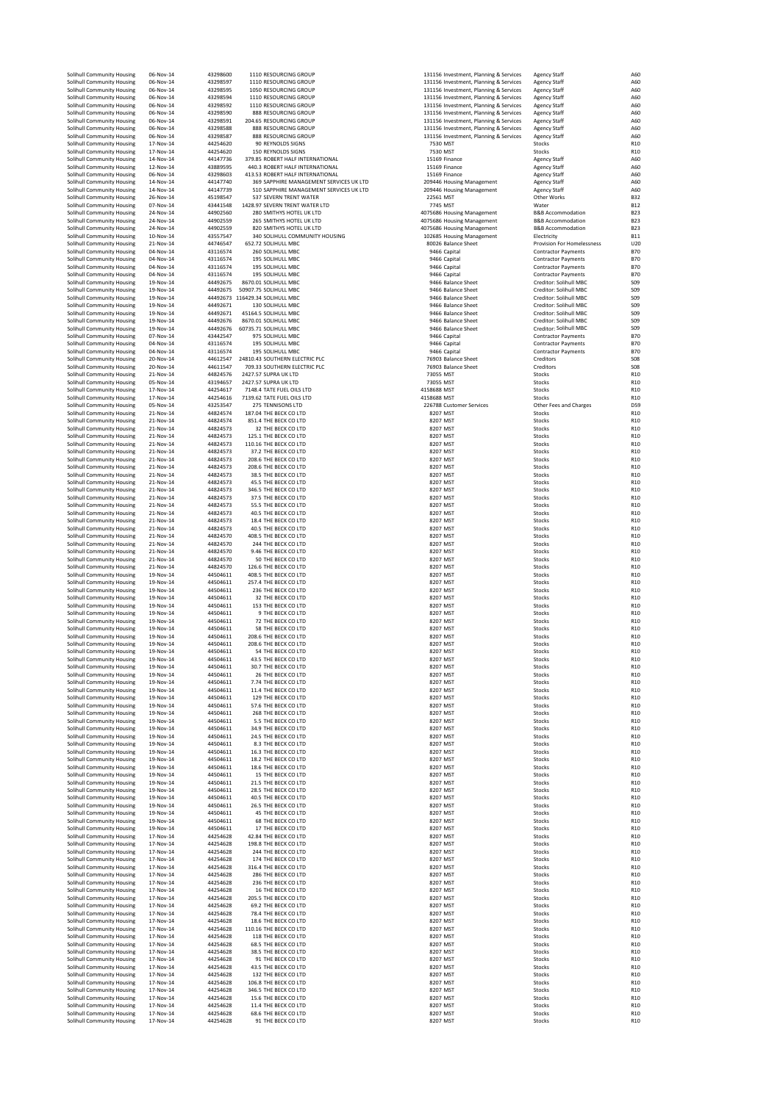| Solihull Community Housing                               | 06-Nov-14              | 43298600             | 1110 RESOURCING GROUP                                             | 131156 Investment, Planning & Services                                           | <b>Agency Staff</b>                                      | A60                                |
|----------------------------------------------------------|------------------------|----------------------|-------------------------------------------------------------------|----------------------------------------------------------------------------------|----------------------------------------------------------|------------------------------------|
| Solihull Community Housing                               | 06-Nov-14              | 43298597             | 1110 RESOURCING GROUP                                             | 131156 Investment, Planning & Services                                           | <b>Agency Staff</b>                                      | A60                                |
| Solihull Community Housing                               | 06-Nov-14              | 43298595             | 1050 RESOURCING GROUP                                             | 131156 Investment, Planning & Services                                           | <b>Agency Staff</b>                                      | A60                                |
| Solihull Community Housing                               | 06-Nov-14              | 43298594             | 1110 RESOURCING GROUP                                             | 131156 Investment, Planning & Services                                           | <b>Agency Staff</b>                                      | A60                                |
| Solihull Community Housing                               | 06-Nov-14              | 43298592             | 1110 RESOURCING GROUP                                             | 131156 Investment, Planning & Services                                           | <b>Agency Staff</b>                                      | A60                                |
| Solihull Community Housing                               | 06-Nov-14              | 43298590             | 888 RESOURCING GROUP                                              | 131156 Investment, Planning & Services                                           | <b>Agency Staff</b>                                      | A60                                |
| Solihull Community Housing                               | 06-Nov-14<br>06-Nov-14 | 43298591<br>43298588 | 204.65 RESOURCING GROUP<br>888 RESOURCING GROUP                   | 131156 Investment, Planning & Services                                           | <b>Agency Staff</b>                                      | A60<br>A60                         |
| Solihull Community Housing<br>Solihull Community Housing | 06-Nov-14              | 43298587             | 888 RESOURCING GROUP                                              | 131156 Investment, Planning & Services<br>131156 Investment, Planning & Services | <b>Agency Staff</b><br><b>Agency Staff</b>               | A60                                |
| Solihull Community Housing                               | 17-Nov-14              | 44254620             | 90 REYNOLDS SIGNS                                                 | 7530 MST                                                                         | Stocks                                                   | R <sub>10</sub>                    |
| Solihull Community Housing                               | 17-Nov-14              | 44254620             | 150 REYNOLDS SIGNS                                                | 7530 MST                                                                         | Stocks                                                   | R <sub>10</sub>                    |
| Solihull Community Housing                               | 14-Nov-14              | 44147736             | 379.85 ROBERT HALF INTERNATIONAL                                  | 15169 Finance                                                                    | <b>Agency Staff</b>                                      | A60                                |
| Solihull Community Housing                               | 12-Nov-14              | 43889595             | 440.3 ROBERT HALF INTERNATIONAL                                   | 15169 Finance                                                                    | <b>Agency Staff</b>                                      | A60                                |
| Solihull Community Housing                               | 06-Nov-14              | 43298603             | 413.53 ROBERT HALF INTERNATIONAL                                  | 15169 Finance                                                                    | <b>Agency Staff</b>                                      | A60                                |
| Solihull Community Housing                               | 14-Nov-14              | 44147740             | 369 SAPPHIRE MANAGEMENT SERVICES UK LTD                           | 209446 Housing Management                                                        | <b>Agency Staff</b>                                      | A60                                |
| Solihull Community Housing                               | 14-Nov-14<br>26-Nov-14 | 44147739<br>45198547 | 510 SAPPHIRE MANAGEMENT SERVICES UK LTD<br>537 SEVERN TRENT WATER | 209446 Housing Management<br>22561 MST                                           | <b>Agency Staff</b><br>Other Works                       | A60<br><b>B32</b>                  |
| Solihull Community Housing<br>Solihull Community Housing | 07-Nov-14              | 43441548             | 1428.97 SEVERN TRENT WATER LTD                                    | 7745 MST                                                                         | Water                                                    | <b>B12</b>                         |
| Solihull Community Housing                               | 24-Nov-14              | 44902560             | 280 SMITHYS HOTEL UK LTD                                          | 4075686 Housing Management                                                       | <b>B&amp;B Accommodation</b>                             | <b>B23</b>                         |
| Solihull Community Housing                               | 24-Nov-14              | 44902559             | 265 SMITHYS HOTEL UK LTD                                          | 4075686 Housing Management                                                       | <b>B&amp;B Accommodation</b>                             | <b>B23</b>                         |
| Solihull Community Housing                               | 24-Nov-14              | 44902559             | 820 SMITHYS HOTEL UK LTD                                          | 4075686 Housing Management                                                       | <b>B&amp;B Accommodation</b>                             | <b>B23</b>                         |
| Solihull Community Housing                               | 10-Nov-14              | 43557547             | 340 SOLIHULL COMMUNITY HOUSING                                    | 102685 Housing Management                                                        | Electricity                                              | <b>B11</b>                         |
| Solihull Community Housing                               | 21-Nov-14              | 44746547             | 652.72 SOLIHULL MBC                                               | 80026 Balance Sheet                                                              | Provision For Homelessness                               | U2C                                |
| Solihull Community Housing                               | 04-Nov-14              | 43116574             | 260 SOLIHULL MBC<br>195 SOLIHULL MBC                              | 9466 Capital                                                                     | <b>Contractor Payments</b>                               | <b>B70</b>                         |
| Solihull Community Housing<br>Solihull Community Housing | 04-Nov-14<br>04-Nov-14 | 43116574<br>43116574 | 195 SOLIHULL MBC                                                  | 9466 Capital<br>9466 Capital                                                     | <b>Contractor Payments</b><br><b>Contractor Payments</b> | <b>B70</b><br><b>B70</b>           |
| Solihull Community Housing                               | 04-Nov-14              | 43116574             | 195 SOLIHULL MBC                                                  | 9466 Capital                                                                     | <b>Contractor Payments</b>                               | <b>B70</b>                         |
| Solihull Community Housing                               | 19-Nov-14              | 44492675             | 8670.01 SOLIHULL MBC                                              | 9466 Balance Sheet                                                               | Creditor: Solihull MBC                                   | S <sub>09</sub>                    |
| Solihull Community Housing                               | 19-Nov-14              | 44492675             | 50907.75 SOLIHULL MBC                                             | 9466 Balance Sheet                                                               | Creditor: Solihull MBC                                   | S <sub>09</sub>                    |
| Solihull Community Housing                               | 19-Nov-14              | 44492673             | 116429.34 SOLIHULL MBC                                            | 9466 Balance Sheet                                                               | Creditor: Solihull MBC                                   | S <sub>09</sub>                    |
| Solihull Community Housing                               | 19-Nov-14              | 44492671             | 130 SOLIHULL MBC                                                  | 9466 Balance Sheet                                                               | Creditor: Solihull MBC                                   | S <sub>09</sub>                    |
| Solihull Community Housing                               | 19-Nov-14              | 44492671             | 45164.5 SOLIHULL MBC                                              | 9466 Balance Sheet                                                               | Creditor: Solihull MBC                                   | S <sub>09</sub>                    |
| Solihull Community Housing<br>Solihull Community Housing | 19-Nov-14<br>19-Nov-14 | 44492676<br>44492676 | 8670.01 SOLIHULL MBC<br>60735.71 SOLIHULL MBC                     | 9466 Balance Sheet<br>9466 Balance Sheet                                         | Creditor: Solihull MBC<br>Creditor: Solihull MBC         | S <sub>09</sub><br>S <sub>09</sub> |
| Solihull Community Housing                               | 07-Nov-14              | 43442547             | 975 SOLIHULL MBC                                                  | 9466 Capital                                                                     | <b>Contractor Payments</b>                               | <b>B70</b>                         |
| Solihull Community Housing                               | 04-Nov-14              | 43116574             | 195 SOLIHULL MBC                                                  | 9466 Capital                                                                     | <b>Contractor Payments</b>                               | <b>B70</b>                         |
| Solihull Community Housing                               | 04-Nov-14              | 43116574             | 195 SOLIHULL MBC                                                  | 9466 Capital                                                                     | <b>Contractor Payments</b>                               | <b>B70</b>                         |
| Solihull Community Housing                               | 20-Nov-14              | 44612547             | 24810.43 SOUTHERN ELECTRIC PLC                                    | 76903 Balance Sheet                                                              | Creditors                                                | <b>SO8</b>                         |
| Solihull Community Housing                               | 20-Nov-14              | 44611547             | 709.33 SOUTHERN ELECTRIC PLC                                      | 76903 Balance Sheet                                                              | Creditors                                                | <b>SO8</b>                         |
| Solihull Community Housing                               | 21-Nov-14              | 44824576             | 2427.57 SUPRA UK LTD                                              | 73055 MST                                                                        | Stocks                                                   | R <sub>10</sub>                    |
| Solihull Community Housing                               | 05-Nov-14              | 43194657             | 2427.57 SUPRA UK LTD                                              | 73055 MST                                                                        | Stocks                                                   | R <sub>10</sub>                    |
| Solihull Community Housing                               | 17-Nov-14<br>17-Nov-14 | 44254617<br>44254616 | 7148.4 TATE FUEL OILS LTD<br>7139.62 TATE FUEL OILS LTD           | 4158688 MST<br>4158688 MST                                                       | Stocks<br>Stocks                                         | R <sub>10</sub><br>R <sub>10</sub> |
| Solihull Community Housing<br>Solihull Community Housing | 05-Nov-14              | 43253547             | 275 TENNISONS LTD                                                 | 226788 Customer Services                                                         | Other Fees and Charges                                   | D <sub>59</sub>                    |
| Solihull Community Housing                               | 21-Nov-14              | 44824574             | 187.04 THE BECK CO LTD                                            | 8207 MST                                                                         | Stocks                                                   | R <sub>10</sub>                    |
| Solihull Community Housing                               | 21-Nov-14              | 44824574             | 851.4 THE BECK CO LTD                                             | 8207 MST                                                                         | Stocks                                                   | R <sub>10</sub>                    |
| Solihull Community Housing                               | 21-Nov-14              | 44824573             | 32 THE BECK CO LTD                                                | 8207 MST                                                                         | Stocks                                                   | R <sub>10</sub>                    |
| Solihull Community Housing                               | 21-Nov-14              | 44824573             | 125.1 THE BECK CO LTD                                             | 8207 MST                                                                         | Stocks                                                   | R10                                |
| Solihull Community Housing                               | 21-Nov-14              | 44824573             | 110.16 THE BECK CO LTD                                            | 8207 MST                                                                         | Stocks                                                   | R <sub>10</sub>                    |
| Solihull Community Housing                               | 21-Nov-14              | 44824573             | 37.2 THE BECK CO LTD                                              | 8207 MST                                                                         | Stocks                                                   | R <sub>10</sub>                    |
| Solihull Community Housing<br>Solihull Community Housing | 21-Nov-14<br>21-Nov-14 | 44824573<br>44824573 | 208.6 THE BECK CO LTD<br>208.6 THE BECK CO LTD                    | 8207 MST<br>8207 MST                                                             | Stocks<br>Stocks                                         | R <sub>10</sub><br>R <sub>10</sub> |
| Solihull Community Housing                               | 21-Nov-14              | 44824573             | 38.5 THE BECK CO LTD                                              | 8207 MST                                                                         | Stocks                                                   | R <sub>10</sub>                    |
| Solihull Community Housing                               | 21-Nov-14              | 44824573             | 45.5 THE BECK CO LTD                                              | 8207 MST                                                                         | Stocks                                                   | R <sub>10</sub>                    |
| Solihull Community Housing                               | 21-Nov-14              | 44824573             | 346.5 THE BECK CO LTD                                             | 8207 MST                                                                         | Stocks                                                   | R10                                |
| Solihull Community Housing                               | 21-Nov-14              | 44824573             | 37.5 THE BECK CO LTD                                              | 8207 MST                                                                         | Stocks                                                   | R <sub>10</sub>                    |
| Solihull Community Housing                               | 21-Nov-14              | 44824573             | 55.5 THE BECK CO LTD                                              | 8207 MST                                                                         | Stocks                                                   | R <sub>10</sub>                    |
| Solihull Community Housing                               | 21-Nov-14              | 44824573             | 40.5 THE BECK CO LTD                                              | 8207 MST                                                                         | Stocks                                                   | R <sub>10</sub>                    |
| Solihull Community Housing<br>Solihull Community Housing | 21-Nov-14<br>21-Nov-14 | 44824573<br>44824573 | 18.4 THE BECK CO LTD<br>40.5 THE BECK CO LTD                      | 8207 MST<br>8207 MST                                                             | Stocks<br>Stocks                                         | R <sub>10</sub><br>R <sub>10</sub> |
| Solihull Community Housing                               | 21-Nov-14              | 44824570             | 408.5 THE BECK CO LTD                                             | 8207 MST                                                                         | Stocks                                                   | R10                                |
| Solihull Community Housing                               | 21-Nov-14              | 44824570             | 244 THE BECK CO LTD                                               | 8207 MST                                                                         | Stocks                                                   | R <sub>10</sub>                    |
| Solihull Community Housing                               | 21-Nov-14              | 44824570             | 9.46 THE BECK CO LTD                                              | 8207 MST                                                                         | Stocks                                                   | R <sub>10</sub>                    |
| Solihull Community Housing                               | 21-Nov-14              | 44824570             | 50 THE BECK CO LTD                                                | 8207 MST                                                                         | Stocks                                                   | R <sub>10</sub>                    |
| Solihull Community Housing                               | 21-Nov-14              | 44824570             | 126.6 THE BECK CO LTD                                             | 8207 MST                                                                         | Stocks                                                   | R <sub>10</sub>                    |
| Solihull Community Housing                               | 19-Nov-14              | 44504611             | 408.5 THE BECK CO LTD                                             | 8207 MST                                                                         | Stocks                                                   | R <sub>10</sub>                    |
| Solihull Community Housing                               | 19-Nov-14              | 44504611             | 257.4 THE BECK CO LTD                                             | 8207 MST                                                                         | Stocks                                                   | R <sub>10</sub>                    |
| Solihull Community Housing<br>Solihull Community Housing | 19-Nov-14<br>19-Nov-14 | 44504611<br>44504611 | 236 THE BECK CO LTD<br>32 THE BECK CO LTD                         | 8207 MST<br>8207 MST                                                             | Stocks<br>Stocks                                         | R <sub>10</sub><br>R <sub>10</sub> |
| Solihull Community Housing                               | 19-Nov-14              | 44504611             | 153 THE BECK CO LTD                                               | 8207 MST                                                                         | Stocks                                                   | R <sub>10</sub>                    |
| Solihull Community Housing                               | 19-Nov-14              | 44504611             | 9 THE BECK CO LTD                                                 | 8207 MST                                                                         | Stocks                                                   | R <sub>10</sub>                    |
| Solihull Community Housing                               | 19-Nov-14              | 44504611             | <b>72 THE BECK CO LTD</b>                                         | 8207 MST                                                                         | Stocks                                                   | R <sub>10</sub>                    |
| Solihull Community Housing                               | 19-Nov-14              | 44504611             | 58 THE BECK CO LTD                                                | 8207 MST                                                                         | Stocks                                                   | R <sub>10</sub>                    |
| Solihull Community Housing                               | 19-Nov-14              | 44504611             | 208.6 THE BECK CO LTD                                             | 8207 MST                                                                         | Stocks                                                   | R <sub>10</sub>                    |
| Solihull Community Housing                               | 19-Nov-14              | 44504611             | 208.6 THE BECK CO LTD                                             | 8207 MST<br>8207 MST                                                             | Stocks                                                   | R10                                |
| Solihull Community Housing<br>Solihull Community Housing | 19-Nov-14<br>19-Nov-14 | 44504611<br>14504611 | 54 THE BECK CO LTD<br><b>13.5 THE BECK CO</b>                     | 8207 MS                                                                          | Stocks                                                   | R <sub>10</sub><br>R <sub>10</sub> |
| Solihull Community Housing                               | 19-Nov-14              | 44504611             | 30.7 THE BECK CO LTD                                              | 8207 MST                                                                         | Stocks                                                   | R <sub>10</sub>                    |
| Solihull Community Housing                               | 19-Nov-14              | 44504611             | 26 THE BECK CO LTD                                                | 8207 MST                                                                         | Stocks                                                   | R <sub>10</sub>                    |
| Solihull Community Housing                               | 19-Nov-14              | 44504611             | 7.74 THE BECK CO LTD                                              | 8207 MST                                                                         | Stocks                                                   | R <sub>10</sub>                    |
| Solihull Community Housing                               | 19-Nov-14              | 44504611             | 11.4 THE BECK CO LTD                                              | 8207 MST                                                                         | Stocks                                                   | R <sub>10</sub>                    |
| Solihull Community Housing                               | 19-Nov-14              | 44504611             | 129 THE BECK CO LTD                                               | 8207 MST                                                                         | Stocks                                                   | R <sub>10</sub>                    |
| Solihull Community Housing                               | 19-Nov-14              | 44504611             | 57.6 THE BECK CO LTD                                              | 8207 MST                                                                         | Stocks                                                   | R <sub>10</sub>                    |
| Solihull Community Housing<br>Solihull Community Housing | 19-Nov-14<br>19-Nov-14 | 44504611<br>44504611 | 268 THE BECK CO LTD<br>5.5 THE BECK CO LTD                        | 8207 MST<br>8207 MST                                                             | Stocks<br>Stocks                                         | R <sub>10</sub><br>R <sub>10</sub> |
| Solihull Community Housing                               | 19-Nov-14              | 44504611             | 34.9 THE BECK CO LTD                                              | 8207 MST                                                                         | Stocks                                                   | R <sub>10</sub>                    |
| Solihull Community Housing                               | 19-Nov-14              | 44504611             | 24.5 THE BECK CO LTD                                              | 8207 MST                                                                         | Stocks                                                   | R <sub>10</sub>                    |
| Solihull Community Housing                               | 19-Nov-14              | 44504611             | 8.3 THE BECK CO LTD                                               | 8207 MST                                                                         | Stocks                                                   | R10                                |
| Solihull Community Housing                               | 19-Nov-14              | 44504611             | 16.3 THE BECK CO LTD                                              | 8207 MST                                                                         | Stocks                                                   | R <sub>10</sub>                    |
| Solihull Community Housing                               | 19-Nov-14              | 44504611             | 18.2 THE BECK CO LTD                                              | 8207 MST                                                                         | Stocks                                                   | R <sub>10</sub>                    |
| Solihull Community Housing<br>Solihull Community Housing | 19-Nov-14              | 44504611<br>44504611 | 18.6 THE BECK CO LTD                                              | 8207 MST                                                                         | Stocks                                                   | R <sub>10</sub>                    |
| Solihull Community Housing                               | 19-Nov-14<br>19-Nov-14 | 44504611             | 15 THE BECK CO LTD<br>21.5 THE BECK CO LTD                        | 8207 MST<br>8207 MST                                                             | Stocks<br>Stocks                                         | R <sub>10</sub><br>R <sub>10</sub> |
| Solihull Community Housing                               | 19-Nov-14              | 44504611             | 28.5 THE BECK CO LTD                                              | 8207 MST                                                                         | Stocks                                                   | R <sub>10</sub>                    |
| Solihull Community Housing                               | 19-Nov-14              | 44504611             | 40.5 THE BECK CO LTD                                              | 8207 MST                                                                         | Stocks                                                   | R <sub>10</sub>                    |
| Solihull Community Housing                               | 19-Nov-14              | 44504611             | 26.5 THE BECK CO LTD                                              | 8207 MST                                                                         | Stocks                                                   | R <sub>10</sub>                    |
| Solihull Community Housing                               | 19-Nov-14              | 44504611             | 45 THE BECK CO LTD                                                | 8207 MST                                                                         | Stocks                                                   | R <sub>10</sub>                    |
| Solihull Community Housing<br>Solihull Community Housing | 19-Nov-14<br>19-Nov-14 | 44504611<br>44504611 | <b>68 THE BECK CO LTD</b><br>17 THE BECK CO LTD                   | 8207 MST<br>8207 MST                                                             | Stocks<br>Stocks                                         | R <sub>10</sub><br>R <sub>10</sub> |
| Solihull Community Housing                               | 17-Nov-14              | 44254628             | 42.84 THE BECK CO LTD                                             | 8207 MST                                                                         | Stocks                                                   | R <sub>10</sub>                    |
| Solihull Community Housing                               | 17-Nov-14              | 44254628             | 198.8 THE BECK CO LTD                                             | 8207 MST                                                                         | Stocks                                                   | R10                                |
| Solihull Community Housing                               | 17-Nov-14              | 44254628             | 244 THE BECK CO LTD                                               | 8207 MST                                                                         | Stocks                                                   | R <sub>10</sub>                    |
| Solihull Community Housing                               | 17-Nov-14              | 44254628             | 174 THE BECK CO LTD                                               | 8207 MST                                                                         | Stocks                                                   | R <sub>10</sub>                    |
| Solihull Community Housing                               | 17-Nov-14              | 44254628             | 316.4 THE BECK CO LTD                                             | 8207 MST                                                                         | Stocks                                                   | R <sub>10</sub>                    |
| Solihull Community Housing                               | 17-Nov-14              | 44254628             | 286 THE BECK CO LTD                                               | 8207 MST                                                                         | Stocks                                                   | R <sub>10</sub>                    |
| Solihull Community Housing                               | 17-Nov-14<br>17-Nov-14 | 44254628<br>44254628 | 236 THE BECK CO LTD<br>16 THE BECK CO LTD                         | 8207 MST<br>8207 MST                                                             | Stocks                                                   | R <sub>10</sub><br>R <sub>10</sub> |
| Solihull Community Housing<br>Solihull Community Housing | 17-Nov-14              | 44254628             | 205.5 THE BECK CO LTD                                             | 8207 MST                                                                         | Stocks<br>Stocks                                         | R <sub>10</sub>                    |
| Solihull Community Housing                               | 17-Nov-14              | 44254628             | 69.2 THE BECK CO LTD                                              | 8207 MST                                                                         | Stocks                                                   | R10                                |
| Solihull Community Housing                               | 17-Nov-14              | 44254628             | 78.4 THE BECK CO LTD                                              | 8207 MST                                                                         | Stocks                                                   | R <sub>10</sub>                    |
| Solihull Community Housing                               | 17-Nov-14              | 44254628             | 18.6 THE BECK CO LTD                                              | 8207 MST                                                                         | Stocks                                                   | R <sub>10</sub>                    |
| Solihull Community Housing                               | 17-Nov-14              | 44254628             | 110.16 THE BECK CO LTD                                            | 8207 MST                                                                         | Stocks                                                   | R <sub>10</sub>                    |
| Solihull Community Housing                               | 17-Nov-14              | 44254628             | 118 THE BECK CO LTD                                               | 8207 MST                                                                         | Stocks                                                   | R <sub>10</sub>                    |
| Solihull Community Housing                               | 17-Nov-14              | 44254628             | 68.5 THE BECK CO LTD                                              | 8207 MST                                                                         | Stocks                                                   | R <sub>10</sub>                    |
| Solihull Community Housing<br>Solihull Community Housing | 17-Nov-14<br>17-Nov-14 | 44254628<br>44254628 | 38.5 THE BECK CO LTD<br>91 THE BECK CO LTD                        | 8207 MST<br>8207 MST                                                             | Stocks<br>Stocks                                         | R <sub>10</sub><br>R <sub>10</sub> |
| Solihull Community Housing                               | 17-Nov-14              | 44254628             | 43.5 THE BECK CO LTD                                              | 8207 MST                                                                         | Stocks                                                   | R <sub>10</sub>                    |
| Solihull Community Housing                               | 17-Nov-14              | 44254628             | 132 THE BECK CO LTD                                               | 8207 MST                                                                         | Stocks                                                   | R <sub>10</sub>                    |
| Solihull Community Housing                               | 17-Nov-14              | 44254628             | 106.8 THE BECK CO LTD                                             | 8207 MST                                                                         | Stocks                                                   | R <sub>10</sub>                    |
| Solihull Community Housing                               | 17-Nov-14              | 44254628             | 346.5 THE BECK CO LTD                                             | 8207 MST                                                                         | Stocks                                                   | R <sub>10</sub>                    |
| Solihull Community Housing                               | 17-Nov-14              | 44254628             | 15.6 THE BECK CO LTD                                              | 8207 MST                                                                         | Stocks                                                   | R <sub>10</sub>                    |
| Solihull Community Housing                               | 17-Nov-14              | 44254628             | 11.4 THE BECK CO LTD                                              | 8207 MST                                                                         | Stocks                                                   | R <sub>10</sub>                    |
| Solihull Community Housing<br>Solihull Community Housing | 17-Nov-14<br>17-Nov-14 | 44254628<br>44254628 | 68.6 THE BECK CO LTD<br>91 THE BECK CO LTD                        | 8207 MST<br>8207 MST                                                             | Stocks<br>Stocks                                         | R <sub>10</sub><br>R <sub>10</sub> |
|                                                          |                        |                      |                                                                   |                                                                                  |                                                          |                                    |

| u                     | <b>ILLACSTRICITE</b><br>ч<br>כו אורבי<br>31156 Investment, Planning & Services |
|-----------------------|--------------------------------------------------------------------------------|
|                       | 31156 Investment, Planning & Services                                          |
|                       | 31156 Investment, Planning & Services                                          |
|                       | 31156 Investment, Planning & Services                                          |
|                       | 31156 Investment, Planning & Services                                          |
|                       | 31156 Investment, Planning & Services                                          |
|                       | 31156 Investment, Planning & Services<br>31156 Investment, Planning & Services |
| 7530 MST              |                                                                                |
| 7530 MST              |                                                                                |
|                       | 15169 Finance                                                                  |
|                       | 15169 Finance<br>15169 Finance                                                 |
|                       | <b>09446 Housing Management</b>                                                |
|                       | 09446 Housing Management                                                       |
| 22561 MST             |                                                                                |
| 7745 MST              |                                                                                |
|                       | 75686 Housing Management<br>75686 Housing Management                           |
|                       | 75686 Housing Management                                                       |
|                       | 12685 Housing Management<br>30026 Balance Sheet                                |
|                       |                                                                                |
|                       | 9466 Capital<br>9466 Capital                                                   |
| 9466                  | apital                                                                         |
| 9466 C                | apital                                                                         |
|                       | 9466 Balance Sheet                                                             |
|                       | 9466 Balance Sheet                                                             |
|                       | 9466 Balance Sheet<br>9466 Balance Sheet                                       |
|                       | 9466 Balance Sheet                                                             |
|                       | 9466 Balance Sheet                                                             |
|                       | 9466 Balance Sheet                                                             |
|                       | 9466 Capital<br>9466 Capital                                                   |
|                       | 9466 Capital                                                                   |
|                       | 76903 Balance Sheet                                                            |
|                       | 76903 Balance Sheet                                                            |
| 3055 MST              |                                                                                |
| 73055 MST<br>8688 MST |                                                                                |
| 58688 MST             |                                                                                |
|                       | 26788 Customer Services                                                        |
| 8207 MST              |                                                                                |
| 8207 MST              |                                                                                |
| 8207 MST<br>8207 MST  |                                                                                |
| 8207 MST              |                                                                                |
| 8207 MST              |                                                                                |
| 8207 MST              |                                                                                |
| 8207 MST              |                                                                                |
| 8207 MST<br>8207 MST  |                                                                                |
| 8207 MST              |                                                                                |
| 8207 MST              |                                                                                |
| 8207 MST              |                                                                                |
| 8207 MST              |                                                                                |
| 8207 MST<br>8207 MST  |                                                                                |
| 8207 MST              |                                                                                |
| 8207 MST              |                                                                                |
| 8207 MST              |                                                                                |
| 8207 MST              |                                                                                |
| 8207 MST              |                                                                                |
| 8207 MST<br>8207 MST  |                                                                                |
| 8207 MST              |                                                                                |
| 8207 MST              |                                                                                |
| 8207 MST              |                                                                                |
| 8207 MST              |                                                                                |
| 8207 MST<br>8207 MST  |                                                                                |
| 8207 MST              |                                                                                |
| 8207 MST              |                                                                                |
| 8207 MST<br>8207 MST  |                                                                                |
| 8207<br>8207 MST      | MST                                                                            |
| 8207                  | MST                                                                            |
| 8207 MST              |                                                                                |
| 8207 MST              |                                                                                |
| 8207 MST              |                                                                                |
| 8207 MST              |                                                                                |
| 8207 MST<br>8207 MST  |                                                                                |
| 8207 MST              |                                                                                |
| 8207 MST              |                                                                                |
| 8207 MST              |                                                                                |
| 8207 MST<br>8207 MST  |                                                                                |
| 8207 MST              |                                                                                |
| 8207 MST              |                                                                                |
| 8207 MST              |                                                                                |
| 8207 MST              |                                                                                |
| 8207 MST<br>8207      | MST                                                                            |
| 8207                  | MST                                                                            |
| 8207                  | <b>MST</b>                                                                     |
| 8207                  | <b>MST</b>                                                                     |
| 8207 MST              |                                                                                |
| 8207<br>8207          | <b>MST</b><br>MST                                                              |
| 8207                  | MST                                                                            |
| 8207                  | MST                                                                            |
| 8207                  | MST                                                                            |
| 8207 MST              |                                                                                |
| 8207 MST<br>8207 MST  |                                                                                |
| 8207 MST              |                                                                                |
| 8207 MST              |                                                                                |
| 8207 MST              |                                                                                |
| 8207 MST              |                                                                                |
| 8207 MST<br>8207 MST  |                                                                                |
| 8207 MST              |                                                                                |
| 8207 MST              |                                                                                |
| 8207 MST              |                                                                                |
| 8207                  | <b>MST</b>                                                                     |
| 8207 MST<br>8207 MST  |                                                                                |
| 8207                  | MST                                                                            |
| 8207                  | MST                                                                            |
|                       |                                                                                |

| Staff<br>Staff<br>Staff<br>Staff<br>Staff<br>Staff<br>Staff<br>Staff<br>Staff                                                                                                                                                                                                                         |
|-------------------------------------------------------------------------------------------------------------------------------------------------------------------------------------------------------------------------------------------------------------------------------------------------------|
| .<br>Staff<br>Staff<br>Staff<br>Staff<br>staff<br>'orks                                                                                                                                                                                                                                               |
| ommodation<br>ommodation<br>ommodation<br>.y<br>n For Homelessness<br>or Payments<br>or Payments<br>or Payments<br>or Payments<br>: Solihull MBC<br>Solihull MB<br>Solihull MBC<br>Solihull MBC<br>: Solihull MBC<br>Solihull MBC<br>Solihull MBC<br>common<br>tor Payments<br>tor Payments<br>s<br>s |
| es and Charges                                                                                                                                                                                                                                                                                        |
|                                                                                                                                                                                                                                                                                                       |
|                                                                                                                                                                                                                                                                                                       |
|                                                                                                                                                                                                                                                                                                       |
|                                                                                                                                                                                                                                                                                                       |
|                                                                                                                                                                                                                                                                                                       |
|                                                                                                                                                                                                                                                                                                       |
|                                                                                                                                                                                                                                                                                                       |
|                                                                                                                                                                                                                                                                                                       |
|                                                                                                                                                                                                                                                                                                       |
|                                                                                                                                                                                                                                                                                                       |
|                                                                                                                                                                                                                                                                                                       |
|                                                                                                                                                                                                                                                                                                       |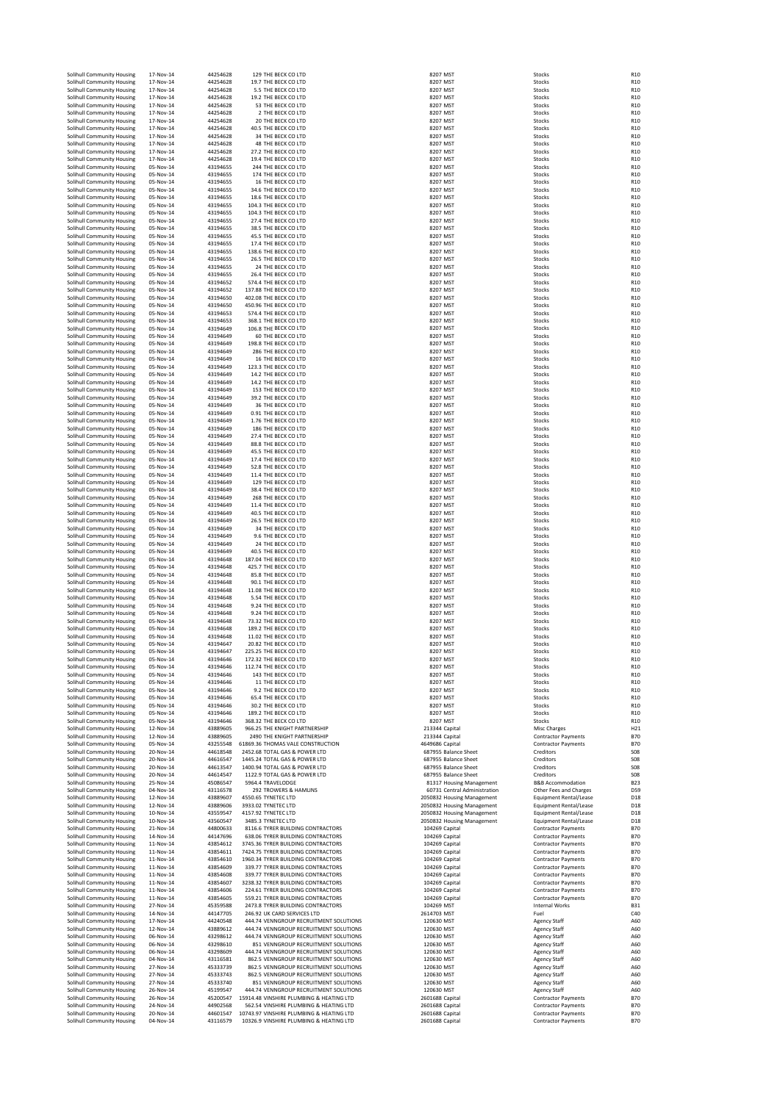| Solihull Community Housing                               | 17-Nov-14                  | 44254628             | 129 THE BECK CO LTD                                                                 | 8207 MST                                                 | Stocks                                                   | R <sub>10</sub>                    |
|----------------------------------------------------------|----------------------------|----------------------|-------------------------------------------------------------------------------------|----------------------------------------------------------|----------------------------------------------------------|------------------------------------|
| Solihull Community Housing                               | 17-Nov-14                  | 44254628             | 19.7 THE BECK CO LTD                                                                | 8207 MST                                                 | Stocks                                                   | R <sub>10</sub>                    |
| Solihull Community Housing                               | 17-Nov-14                  | 44254628             | 5.5 THE BECK CO LTD                                                                 | 8207 MST                                                 | Stocks                                                   | R <sub>10</sub>                    |
| Solihull Community Housing                               | 17-Nov-14                  | 44254628             | 19.2 THE BECK CO LTD                                                                | 8207 MST                                                 | Stocks                                                   | R <sub>10</sub><br>R <sub>10</sub> |
| Solihull Community Housing<br>Solihull Community Housing | 17-Nov-14<br>17-Nov-14     | 44254628<br>44254628 | 53 THE BECK CO LTD<br>2 THE BECK CO LTD                                             | 8207 MST<br>8207 MST                                     | Stocks<br>Stocks                                         | R <sub>10</sub>                    |
| Solihull Community Housing                               | 17-Nov-14                  | 44254628             | 20 THE BECK CO LTD                                                                  | 8207 MST                                                 | Stocks                                                   | R <sub>10</sub>                    |
| Solihull Community Housing                               | 17-Nov-14                  | 44254628             | 40.5 THE BECK CO LTD                                                                | 8207 MST                                                 | Stocks                                                   | R <sub>10</sub>                    |
| Solihull Community Housing                               | 17-Nov-14                  | 44254628             | 34 THE BECK CO LTD                                                                  | 8207 MST                                                 | Stocks                                                   | R <sub>10</sub>                    |
| Solihull Community Housing                               | 17-Nov-14                  | 44254628             | 48 THE BECK CO LTD                                                                  | 8207 MST                                                 | Stocks                                                   | R <sub>10</sub>                    |
| Solihull Community Housing<br>Solihull Community Housing | 17-Nov-14<br>17-Nov-14     | 44254628<br>44254628 | 27.2 THE BECK CO LTD<br>19.4 THE BECK CO LTD                                        | 8207 MST<br>8207 MST                                     | Stocks<br>Stocks                                         | R <sub>10</sub><br>R <sub>10</sub> |
| Solihull Community Housing                               | 05-Nov-14                  | 43194655             | 244 THE BECK CO LTD                                                                 | 8207 MST                                                 | Stocks                                                   | R <sub>10</sub>                    |
| Solihull Community Housing                               | 05-Nov-14                  | 43194655             | 174 THE BECK CO LTD                                                                 | 8207 MST                                                 | Stocks                                                   | R10                                |
| Solihull Community Housing                               | 05-Nov-14                  | 43194655             | 16 THE BECK CO LTD                                                                  | 8207 MST                                                 | Stocks                                                   | R <sub>10</sub>                    |
| Solihull Community Housing                               | 05-Nov-14                  | 43194655             | 34.6 THE BECK CO LTD                                                                | 8207 MST                                                 | Stocks                                                   | R <sub>10</sub>                    |
| Solihull Community Housing                               | 05-Nov-14                  | 43194655             | 18.6 THE BECK CO LTD                                                                | 8207 MST                                                 | Stocks                                                   | R <sub>10</sub>                    |
| Solihull Community Housing<br>Solihull Community Housing | 05-Nov-14<br>05-Nov-14     | 43194655<br>43194655 | 104.3 THE BECK CO LTD<br>104.3 THE BECK CO LTD                                      | 8207 MST<br>8207 MST                                     | Stocks<br>Stocks                                         | R <sub>10</sub><br>R <sub>10</sub> |
| Solihull Community Housing                               | 05-Nov-14                  | 43194655             | 27.4 THE BECK CO LTD                                                                | 8207 MST                                                 | Stocks                                                   | R <sub>10</sub>                    |
| Solihull Community Housing                               | 05-Nov-14                  | 43194655             | 38.5 THE BECK CO LTD                                                                | 8207 MST                                                 | Stocks                                                   | R <sub>10</sub>                    |
| Solihull Community Housing                               | 05-Nov-14                  | 43194655             | 45.5 THE BECK CO LTD                                                                | 8207 MST                                                 | Stocks                                                   | R <sub>10</sub>                    |
| Solihull Community Housing                               | 05-Nov-14                  | 43194655             | 17.4 THE BECK CO LTD                                                                | 8207 MST                                                 | Stocks                                                   | R <sub>10</sub>                    |
| Solihull Community Housing                               | 05-Nov-14                  | 43194655             | 138.6 THE BECK CO LTD                                                               | 8207 MST                                                 | Stocks                                                   | R <sub>10</sub>                    |
| Solihull Community Housing<br>Solihull Community Housing | 05-Nov-14<br>05-Nov-14     | 43194655<br>43194655 | 26.5 THE BECK CO LTD<br>24 THE BECK CO LTD                                          | 8207 MST<br>8207 MST                                     | Stocks<br>Stocks                                         | R <sub>10</sub><br>R <sub>10</sub> |
| Solihull Community Housing                               | 05-Nov-14                  | 43194655             | 26.4 THE BECK CO LTD                                                                | 8207 MST                                                 | Stocks                                                   | R10                                |
| Solihull Community Housing                               | 05-Nov-14                  | 43194652             | 574.4 THE BECK CO LTD                                                               | 8207 MST                                                 | Stocks                                                   | R10                                |
| Solihull Community Housing                               | 05-Nov-14                  | 43194652             | 137.88 THE BECK CO LTD                                                              | 8207 MST                                                 | Stocks                                                   | R <sub>10</sub>                    |
| Solihull Community Housing                               | 05-Nov-14                  | 43194650             | 402.08 THE BECK CO LTD                                                              | 8207 MST                                                 | Stocks                                                   | R <sub>10</sub>                    |
| Solihull Community Housing<br>Solihull Community Housing | 05-Nov-14<br>05-Nov-14     | 43194650<br>43194653 | 450.96 THE BECK CO LTD<br>574.4 THE BECK CO LTD                                     | 8207 MST<br>8207 MST                                     | Stocks<br>Stocks                                         | R <sub>10</sub><br>R <sub>10</sub> |
| Solihull Community Housing                               | 05-Nov-14                  | 43194653             | 368.1 THE BECK CO LTD                                                               | 8207 MST                                                 | Stocks                                                   | R <sub>10</sub>                    |
| Solihull Community Housing                               | 05-Nov-14                  | 43194649             | 106.8 THE BECK CO LTD                                                               | 8207 MST                                                 | Stocks                                                   | R <sub>10</sub>                    |
| Solihull Community Housing                               | 05-Nov-14                  | 43194649             | 60 THE BECK CO LTD                                                                  | 8207 MST                                                 | Stocks                                                   | R <sub>10</sub>                    |
| Solihull Community Housing                               | 05-Nov-14                  | 43194649             | 198.8 THE BECK CO LTD                                                               | 8207 MST                                                 | Stocks                                                   | R <sub>10</sub>                    |
| Solihull Community Housing                               | 05-Nov-14                  | 43194649             | 286 THE BECK CO LTD                                                                 | 8207 MST<br>8207 MST                                     | Stocks                                                   | R <sub>10</sub>                    |
| Solihull Community Housing<br>Solihull Community Housing | 05-Nov-14<br>05-Nov-14     | 43194649<br>43194649 | 16 THE BECK CO LTD<br>123.3 THE BECK CO LTD                                         | 8207 MST                                                 | Stocks<br>Stocks                                         | R <sub>10</sub><br>R <sub>10</sub> |
| Solihull Community Housing                               | 05-Nov-14                  | 43194649             | 14.2 THE BECK CO LTD                                                                | 8207 MST                                                 | Stocks                                                   | R <sub>10</sub>                    |
| Solihull Community Housing                               | 05-Nov-14                  | 43194649             | 14.2 THE BECK CO LTD                                                                | 8207 MST                                                 | Stocks                                                   | R10                                |
| Solihull Community Housing                               | 05-Nov-14                  | 43194649             | 153 THE BECK CO LTD                                                                 | 8207 MST                                                 | Stocks                                                   | R <sub>10</sub>                    |
| Solihull Community Housing                               | 05-Nov-14                  | 43194649             | 39.2 THE BECK CO LTD                                                                | 8207 MST                                                 | Stocks                                                   | R <sub>10</sub>                    |
| Solihull Community Housing<br>Solihull Community Housing | 05-Nov-14<br>05-Nov-14     | 43194649<br>43194649 | 36 THE BECK CO LTD<br>0.91 THE BECK CO LTD                                          | 8207 MST<br>8207 MST                                     | Stocks<br>Stocks                                         | R <sub>10</sub><br>R <sub>10</sub> |
| Solihull Community Housing                               | 05-Nov-14                  | 43194649             | 1.76 THE BECK CO LTD                                                                | 8207 MST                                                 | Stocks                                                   | R <sub>10</sub>                    |
| Solihull Community Housing                               | 05-Nov-14                  | 43194649             | 186 THE BECK CO LTD                                                                 | 8207 MST                                                 | Stocks                                                   | R <sub>10</sub>                    |
| Solihull Community Housing                               | 05-Nov-14                  | 43194649             | 27.4 THE BECK CO LTD                                                                | 8207 MST                                                 | Stocks                                                   | R <sub>10</sub>                    |
| Solihull Community Housing                               | 05-Nov-14                  | 43194649             | 88.8 THE BECK CO LTD                                                                | 8207 MST                                                 | Stocks                                                   | R <sub>10</sub>                    |
| Solihull Community Housing                               | 05-Nov-14                  | 43194649             | 45.5 THE BECK CO LTD                                                                | 8207 MST                                                 | Stocks                                                   | R <sub>10</sub>                    |
| Solihull Community Housing<br>Solihull Community Housing | 05-Nov-14<br>05-Nov-14     | 43194649<br>43194649 | 17.4 THE BECK CO LTD<br>52.8 THE BECK CO LTD                                        | 8207 MST<br>8207 MST                                     | Stocks<br>Stocks                                         | R <sub>10</sub><br>R <sub>10</sub> |
| Solihull Community Housing                               | 05-Nov-14                  | 43194649             | 11.4 THE BECK CO LTD                                                                | 8207 MST                                                 | Stocks                                                   | R <sub>10</sub>                    |
| Solihull Community Housing                               | 05-Nov-14                  | 43194649             | 129 THE BECK CO LTD                                                                 | 8207 MST                                                 | Stocks                                                   | R <sub>10</sub>                    |
| Solihull Community Housing                               | 05-Nov-14                  | 43194649             | 38.4 THE BECK CO LTD                                                                | 8207 MST                                                 | Stocks                                                   | R <sub>10</sub>                    |
| Solihull Community Housing                               | 05-Nov-14                  | 43194649             | 268 THE BECK CO LTD                                                                 | 8207 MST                                                 | Stocks                                                   | R <sub>10</sub>                    |
| Solihull Community Housing                               | 05-Nov-14<br>05-Nov-14     | 43194649<br>43194649 | 11.4 THE BECK CO LTD<br>40.5 THE BECK CO LTD                                        | 8207 MST<br>8207 MST                                     | Stocks<br>Stocks                                         | R <sub>10</sub><br>R <sub>10</sub> |
| Solihull Community Housing<br>Solihull Community Housing | 05-Nov-14                  | 43194649             | 26.5 THE BECK CO LTD                                                                | 8207 MST                                                 | Stocks                                                   | R <sub>10</sub>                    |
| Solihull Community Housing                               | 05-Nov-14                  | 43194649             | 34 THE BECK CO LTD                                                                  | 8207 MST                                                 | Stocks                                                   | R <sub>10</sub>                    |
| Solihull Community Housing                               | 05-Nov-14                  | 43194649             | 9.6 THE BECK CO LTD                                                                 | 8207 MST                                                 | Stocks                                                   | R <sub>10</sub>                    |
| Solihull Community Housing                               | 05-Nov-14                  | 43194649             | 24 THE BECK CO LTD                                                                  | 8207 MST                                                 | Stocks                                                   | R <sub>10</sub>                    |
| Solihull Community Housing                               | 05-Nov-14                  | 43194649             | 40.5 THE BECK CO LTD                                                                | 8207 MST                                                 | Stocks                                                   | R <sub>10</sub>                    |
| Solihull Community Housing                               | 05-Nov-14<br>05-Nov-14     | 43194648             | 187.04 THE BECK CO LTD<br>425.7 THE BECK CO LTD                                     | 8207 MST<br>8207 MST                                     | Stocks                                                   | R <sub>10</sub><br>R <sub>10</sub> |
| Solihull Community Housing<br>Solihull Community Housing | 05-Nov-14                  | 43194648<br>43194648 | 85.8 THE BECK CO LTD                                                                | 8207 MST                                                 | Stocks<br>Stocks                                         | R <sub>10</sub>                    |
| Solihull Community Housing                               | 05-Nov-14                  | 43194648             | 90.1 THE BECK CO LTD                                                                | 8207 MST                                                 | Stocks                                                   | R <sub>10</sub>                    |
| Solihull Community Housing                               | 05-Nov-14                  | 43194648             | 11.08 THE BECK CO LTD                                                               | 8207 MST                                                 | Stocks                                                   | R10                                |
| Solihull Community Housing                               | 05-Nov-14                  | 43194648             | 5.54 THE BECK CO LTD                                                                | 8207 MST                                                 | Stocks                                                   | R <sub>10</sub>                    |
| Solihull Community Housing                               | 05-Nov-14                  | 43194648             | 9.24 THE BECK CO LTD                                                                | 8207 MST                                                 | Stocks                                                   | R <sub>10</sub>                    |
| Solihull Community Housing<br>Solihull Community Housing | 05-Nov-14<br>05-Nov-14     | 43194648<br>43194648 | 9.24 THE BECK CO LTD<br>73.32 THE BECK CO LTD                                       | 8207 MST<br>8207 MST                                     | Stocks<br>Stocks                                         | R <sub>10</sub><br>R <sub>10</sub> |
| Solihull Community Housing                               | 05-Nov-14                  | 43194648             | 189.2 THE BECK CO LTD                                                               | 8207 MST                                                 | Stocks                                                   | R <sub>10</sub>                    |
| Solihull Community Housing                               | 05-Nov-14                  | 43194648             | 11.02 THE BECK CO LTD                                                               | 8207 MST                                                 | Stocks                                                   | R <sub>10</sub>                    |
| Solihull Community Housing                               | 05-Nov-14                  | 43194647             | 20.82 THE BECK CO LTD                                                               | 8207 MST                                                 | Stocks                                                   | R <sub>10</sub>                    |
| Solihull Community Housing                               | 05-Nov-14                  | 43194647             | 225.25 THE BECK CO LTD                                                              | 8207 MST                                                 | Stocks                                                   | R <sub>10</sub>                    |
| Solihull Community Housing<br>Solihull Community Housing | $05 - N - 14$<br>05-Nov-14 | 43194646<br>43194646 | 172.32 THE BECK CO LTD<br>112.74 THE BECK CO LTD                                    | 8207 MST<br>8207 MST                                     | Stocks<br>Stocks                                         | R <sub>10</sub><br>R <sub>10</sub> |
| Solihull Community Housing                               | 05-Nov-14                  | 43194646             | 143 THE BECK CO LTD                                                                 | 8207 MST                                                 | Stocks                                                   | R <sub>10</sub>                    |
| Solihull Community Housing                               | 05-Nov-14                  | 43194646             | 11 THE BECK CO LTD                                                                  | 8207 MST                                                 | Stocks                                                   | R <sub>10</sub>                    |
| Solihull Community Housing                               | 05-Nov-14                  | 43194646             | 9.2 THE BECK CO LTD                                                                 | 8207 MST                                                 | Stocks                                                   | R10                                |
| Solihull Community Housing                               | 05-Nov-14                  | 43194646             | 65.4 THE BECK CO LTD                                                                | 8207 MST                                                 | Stocks                                                   | R10                                |
| Solihull Community Housing                               | 05-Nov-14                  | 43194646             | 30.2 THE BECK CO LTD                                                                | 8207 MST<br>8207 MST                                     | Stocks                                                   | R <sub>10</sub>                    |
| Solihull Community Housing<br>Solihull Community Housing | 05-Nov-14<br>05-Nov-14     | 43194646<br>43194646 | 189.2 THE BECK CO LTD<br>368.32 THE BECK CO LTD                                     | 8207 MST                                                 | Stocks<br>Stocks                                         | R <sub>10</sub><br>R <sub>10</sub> |
| Solihull Community Housing                               | 12-Nov-14                  | 43889605             | 966.25 THE KNIGHT PARTNERSHIP                                                       | 213344 Capital                                           | <b>Misc Charges</b>                                      | H <sub>21</sub>                    |
| Solihull Community Housing                               | 12-Nov-14                  | 43889605             | 2490 THE KNIGHT PARTNERSHIP                                                         | 213344 Capital                                           | <b>Contractor Payments</b>                               | <b>B70</b>                         |
| Solihull Community Housing                               | 05-Nov-14                  | 43255548             | 61869.36 THOMAS VALE CONSTRUCTION                                                   | 4649686 Capital<br>687955 Balance Sheet                  | <b>Contractor Payments</b>                               | <b>B70</b>                         |
| Solihull Community Housing<br>Solihull Community Housing | 20-Nov-14<br>20-Nov-14     | 44618548<br>44616547 | 2452.68 TOTAL GAS & POWER LTD<br>1445.24 TOTAL GAS & POWER LTD                      | 687955 Balance Sheet                                     | Creditors<br>Creditors                                   | <b>SO8</b><br><b>SO8</b>           |
| Solihull Community Housing                               | 20-Nov-14                  | 44613547             | 1400.94 TOTAL GAS & POWER LTD                                                       | 687955 Balance Sheet                                     | Creditors                                                | <b>SO8</b>                         |
| Solihull Community Housing                               | 20-Nov-14                  | 44614547             | 1122.9 TOTAL GAS & POWER LTD                                                        | 687955 Balance Sheet                                     | Creditors                                                | <b>SO8</b>                         |
| Solihull Community Housing                               | 25-Nov-14                  | 45086547             | 5964.4 TRAVELODGE                                                                   | 81317 Housing Management                                 | <b>B&amp;B Accommodation</b>                             | <b>B23</b>                         |
| Solihull Community Housing                               | 04-Nov-14                  | 43116578             | 292 TROWERS & HAMLINS<br>4550.65 TYNETEC LTD                                        | 60731 Central Administration                             | Other Fees and Charges                                   | D <sub>59</sub>                    |
| Solihull Community Housing<br>Solihull Community Housing | 12-Nov-14<br>12-Nov-14     | 43889607<br>43889606 | 3933.02 TYNETEC LTD                                                                 | 2050832 Housing Management<br>2050832 Housing Management | Equipment Rental/Lease<br><b>Equipment Rental/Lease</b>  | D18<br>D18                         |
| Solihull Community Housing                               | 10-Nov-14                  | 43559547             | 4157.92 TYNETEC LTD                                                                 | 2050832 Housing Management                               | <b>Equipment Rental/Lease</b>                            | D18                                |
| Solihull Community Housing                               | 10-Nov-14                  | 43560547             | 3485.3 TYNETEC LTD                                                                  | 2050832 Housing Management                               | Equipment Rental/Lease                                   | D18                                |
| Solihull Community Housing                               | 21-Nov-14                  | 44800633             | 8116.6 TYRER BUILDING CONTRACTORS                                                   | 104269 Capital                                           | <b>Contractor Payments</b>                               | <b>B70</b>                         |
| Solihull Community Housing                               | 14-Nov-14                  | 44147696             | 638.06 TYRER BUILDING CONTRACTORS                                                   | 104269 Capital                                           | <b>Contractor Payments</b>                               | <b>B70</b>                         |
| Solihull Community Housing                               | 11-Nov-14<br>11-Nov-14     | 43854612             | 3745.36 TYRER BUILDING CONTRACTORS                                                  | 104269 Capital                                           | Contractor Payments                                      | <b>B70</b><br><b>B70</b>           |
| Solihull Community Housing<br>Solihull Community Housing | 11-Nov-14                  | 43854611<br>43854610 | 7424.75 TYRER BUILDING CONTRACTORS<br>1960.34 TYRER BUILDING CONTRACTORS            | 104269 Capital<br>104269 Capital                         | <b>Contractor Payments</b><br><b>Contractor Payments</b> | <b>B70</b>                         |
| Solihull Community Housing                               | 11-Nov-14                  | 43854609             | 339.77 TYRER BUILDING CONTRACTORS                                                   | 104269 Capital                                           | <b>Contractor Payments</b>                               | <b>B70</b>                         |
| Solihull Community Housing                               | 11-Nov-14                  | 43854608             | 339.77 TYRER BUILDING CONTRACTORS                                                   | 104269 Capital                                           | <b>Contractor Payments</b>                               | <b>B70</b>                         |
| Solihull Community Housing                               | 11-Nov-14                  | 43854607             | 3238.32 TYRER BUILDING CONTRACTORS                                                  | 104269 Capital                                           | <b>Contractor Payments</b>                               | <b>B70</b>                         |
| Solihull Community Housing                               | 11-Nov-14<br>11-Nov-14     | 43854606<br>43854605 | 224.61 TYRER BUILDING CONTRACTORS<br>559.21 TYRER BUILDING CONTRACTORS              | 104269 Capital<br>104269 Capital                         | <b>Contractor Payments</b><br><b>Contractor Payments</b> | <b>B70</b><br><b>B70</b>           |
| Solihull Community Housing<br>Solihull Community Housing | 27-Nov-14                  | 45359588             | 2473.8 TYRER BUILDING CONTRACTORS                                                   | 104269 MST                                               | Internal Works                                           | <b>B31</b>                         |
| Solihull Community Housing                               | 14-Nov-14                  | 44147705             | 246.92 UK CARD SERVICES LTD                                                         | 2614703 MST                                              | Fuel                                                     | C40                                |
| Solihull Community Housing                               | 17-Nov-14                  | 44240548             | 444.74 VENNGROUP RECRUITMENT SOLUTIONS                                              | 120630 MST                                               | <b>Agency Staff</b>                                      | A60                                |
| Solihull Community Housing                               | 12-Nov-14                  | 43889612             | 444.74 VENNGROUP RECRUITMENT SOLUTIONS                                              | 120630 MST                                               | <b>Agency Staff</b>                                      | A60                                |
| Solihull Community Housing                               | 06-Nov-14                  | 43298612             | 444.74 VENNGROUP RECRUITMENT SOLUTIONS                                              | 120630 MST                                               | <b>Agency Staff</b>                                      | A60                                |
| Solihull Community Housing<br>Solihull Community Housing | 06-Nov-14<br>06-Nov-14     | 43298610<br>43298609 | 851 VENNGROUP RECRUITMENT SOLUTIONS<br>444.74 VENNGROUP RECRUITMENT SOLUTIONS       | 120630 MST<br>120630 MST                                 | <b>Agency Staff</b><br><b>Agency Staff</b>               | A60<br>A <sub>60</sub>             |
| Solihull Community Housing                               | 04-Nov-14                  | 43116581             | 862.5 VENNGROUP RECRUITMENT SOLUTIONS                                               | 120630 MST                                               | <b>Agency Staff</b>                                      | A60                                |
| Solihull Community Housing                               | 27-Nov-14                  | 45333739             | 862.5 VENNGROUP RECRUITMENT SOLUTIONS                                               | 120630 MST                                               | <b>Agency Staff</b>                                      | A60                                |
|                                                          |                            | 45333743             | 862.5 VENNGROUP RECRUITMENT SOLUTIONS                                               | 120630 MST                                               | <b>Agency Staff</b>                                      | A60                                |
| Solihull Community Housing                               | 27-Nov-14                  |                      |                                                                                     |                                                          |                                                          |                                    |
| Solihull Community Housing                               | 27-Nov-14                  | 45333740             | 851 VENNGROUP RECRUITMENT SOLUTIONS                                                 | 120630 MST                                               | <b>Agency Staff</b>                                      | A60                                |
| Solihull Community Housing                               | 26-Nov-14                  | 45199547             | 444.74 VENNGROUP RECRUITMENT SOLUTIONS                                              | 120630 MST                                               | <b>Agency Staff</b>                                      | A60                                |
| Solihull Community Housing                               | 26-Nov-14                  | 45200547             | 15914.48 VINSHIRE PLUMBING & HEATING LTD                                            | 2601688 Capital                                          | <b>Contractor Payments</b>                               | <b>B70</b>                         |
| Solihull Community Housing                               | 24-Nov-14                  | 44902568             | 562.54 VINSHIRE PLUMBING & HEATING LTD                                              | 2601688 Capital                                          | <b>Contractor Payments</b>                               | <b>B70</b>                         |
| Solihull Community Housing<br>Solihull Community Housing | 20-Nov-14<br>04-Nov-14     | 44601547<br>43116579 | 10743.97 VINSHIRE PLUMBING & HEATING LTD<br>10326.9 VINSHIRE PLUMBING & HEATING LTD | 2601688 Capital<br>2601688 Capital                       | <b>Contractor Payments</b><br><b>Contractor Payments</b> | <b>B70</b><br><b>B70</b>           |

| 8207                   | M.<br>а                                              |
|------------------------|------------------------------------------------------|
| 8207 MST<br>8207 MST   |                                                      |
| 8207 MST               |                                                      |
| 8207 MST               |                                                      |
| 8207 MST<br>8207       |                                                      |
| 8207 MST               | <b>MST</b>                                           |
| 8207                   | <b>MST</b>                                           |
| 8207                   | <b>MST</b>                                           |
| 8207 MST               |                                                      |
| 8207 MST<br>8207 MST   |                                                      |
| 8207 MST               |                                                      |
| 8207 MST               |                                                      |
| 8207 MST               |                                                      |
| 8207 MST               |                                                      |
| 8207 MST<br>8207 MST   |                                                      |
| 8207 MST               |                                                      |
| 8207 MST               |                                                      |
| 8207 MST               |                                                      |
| 8207 MST<br>8207 MST   |                                                      |
| 8207 MST               |                                                      |
| 8207 MST               |                                                      |
| 8207 MST               |                                                      |
| 8207 MST<br>8207 MST   |                                                      |
| 8207 MST               |                                                      |
| 8207 MST               |                                                      |
| 8207 MST               |                                                      |
| 8207 MST               |                                                      |
| 8207 MST<br>8207 MST   |                                                      |
| 8207 MST               |                                                      |
| 8207 MST               |                                                      |
| 8207 MST               |                                                      |
| 8207 MST<br>8207 MST   |                                                      |
| 8207 MST               |                                                      |
| 8207 MST               |                                                      |
| 8207 MST               |                                                      |
| 8207 MST               |                                                      |
| 8207 MST<br>8207 MST   |                                                      |
| 8207 MST               |                                                      |
| 8207 MST               |                                                      |
| 8207 MST               |                                                      |
| 8207 MST<br>8207 MST   |                                                      |
| 8207 MST               |                                                      |
| 8207 MST               |                                                      |
| 8207 MST               |                                                      |
| 8207 MST               |                                                      |
| 8207 MST<br>8207 MST   |                                                      |
| 8207                   | <b>MST</b>                                           |
| 8207 MST               |                                                      |
| 8207                   | <b>MST</b>                                           |
| 8207 MST               |                                                      |
| 8207 MST<br>8207 MST   |                                                      |
| 8207 MST               |                                                      |
| 8207 MST               |                                                      |
| 8207 MST               |                                                      |
| 8207 MST               |                                                      |
| 8207 MST<br>8207 MST   |                                                      |
| 8207 MST               |                                                      |
| 8207 MST               |                                                      |
| 8207 MST               |                                                      |
| 8207 MST               |                                                      |
| 8207 MST<br>8207 MST   |                                                      |
| 8207 MST               |                                                      |
| 8207                   | MST                                                  |
| 8207 MST               |                                                      |
| 8207 MST               |                                                      |
| 8207 MST<br>8207 MST   |                                                      |
| 8207 MST               |                                                      |
| 8207                   | <b>MST</b>                                           |
| 8207 MST               |                                                      |
| 8207                   | <b>MST</b><br>13344 Capital                          |
|                        | 13344 Capital                                        |
|                        | 49686 Capital                                        |
|                        | 87955 Balance Sheet                                  |
|                        | 87955 Balance Sheet<br>87955 Balance Sheet           |
|                        | 87955 Balance Sheet                                  |
|                        | 81317 Housing Management                             |
|                        | 60731 Central Administration                         |
|                        | 50832 Housing Management                             |
|                        | 50832 Housing Management<br>50832 Housing Management |
|                        | 50832 Housing Management                             |
|                        | 04269 Capital                                        |
|                        | 04269 Capital                                        |
|                        | 04269 Capital<br>04269 Capital                       |
|                        | 04269 Capital                                        |
|                        | 04269 Capital                                        |
|                        | 04269 Capital                                        |
|                        | 04269 Capital                                        |
|                        | 04269 Capital<br>04269 Capital                       |
| 04269 MST              |                                                      |
| 14703 MST              |                                                      |
| 20630 MST              |                                                      |
| 20630 MST              |                                                      |
| 20630 MST<br>20630     | <b>MST</b>                                           |
| 20630 MST              |                                                      |
| 20630 MST              |                                                      |
| 20630 MST              |                                                      |
| 20630 MST              |                                                      |
| 20630 MST<br>20630 MST |                                                      |
|                        | 01688 Capital                                        |
|                        | 01688 Capital                                        |
|                        | 01688 Capital                                        |
|                        |                                                      |